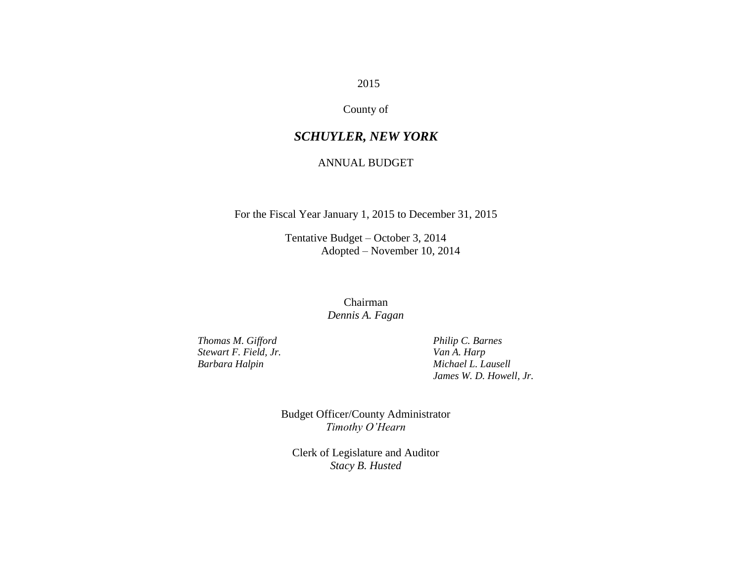#### 2015

#### County of

#### *SCHUYLER, NEW YORK*

#### ANNUAL BUDGET

For the Fiscal Year January 1, 2015 to December 31, 2015

Tentative Budget – October 3, 2014 Adopted – November 10, 2014

#### Chairman *Dennis A. Fagan*

*Thomas M. Gifford Philip C. Barnes*<br>*Stewart F. Field, Jr. Philip C. Barnes Stewart F. Field, Jr.* 

*Barbara Halpin Michael L. Lausell James W. D. Howell, Jr.*

> Budget Officer/County Administrator *Timothy O'Hearn*

Clerk of Legislature and Auditor *Stacy B. Husted*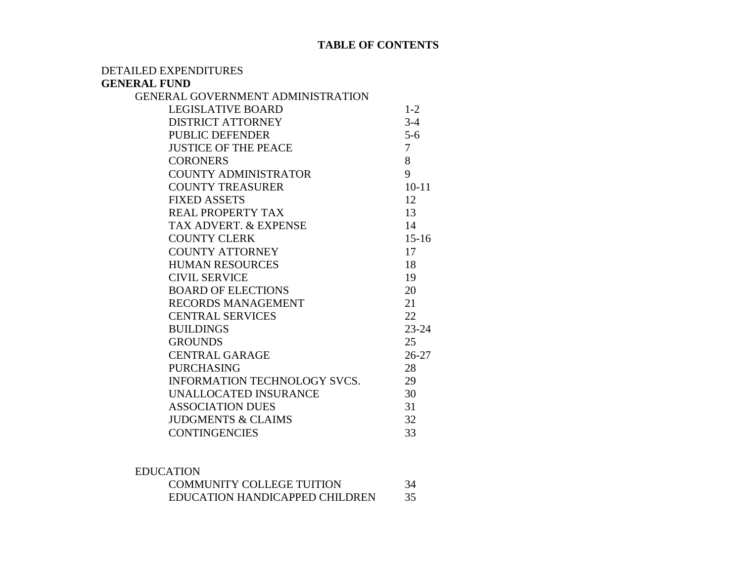#### **TABLE OF CONTENTS**

DETAILED EXPENDITURES

#### **GENERAL FUND**

| <b>GENERAL GOVERNMENT ADMINISTRATION</b> |           |
|------------------------------------------|-----------|
| <b>LEGISLATIVE BOARD</b>                 | $1 - 2$   |
| <b>DISTRICT ATTORNEY</b>                 | $3-4$     |
| <b>PUBLIC DEFENDER</b>                   | $5 - 6$   |
| <b>JUSTICE OF THE PEACE</b>              | 7         |
| <b>CORONERS</b>                          | 8         |
| <b>COUNTY ADMINISTRATOR</b>              | 9         |
| <b>COUNTY TREASURER</b>                  | $10 - 11$ |
| <b>FIXED ASSETS</b>                      | 12        |
| REAL PROPERTY TAX                        | 13        |
| <b>TAX ADVERT, &amp; EXPENSE</b>         | 14        |
| <b>COUNTY CLERK</b>                      | $15 - 16$ |
| <b>COUNTY ATTORNEY</b>                   | 17        |
| <b>HUMAN RESOURCES</b>                   | 18        |
| <b>CIVIL SERVICE</b>                     | 19        |
| <b>BOARD OF ELECTIONS</b>                | 20        |
| <b>RECORDS MANAGEMENT</b>                | 21        |
| <b>CENTRAL SERVICES</b>                  | 22        |
| <b>BUILDINGS</b>                         | $23 - 24$ |
| <b>GROUNDS</b>                           | 25        |
| <b>CENTRAL GARAGE</b>                    | $26 - 27$ |
| <b>PURCHASING</b>                        | 28        |
| INFORMATION TECHNOLOGY SVCS.             | 29        |
| UNALLOCATED INSURANCE                    | 30        |
| <b>ASSOCIATION DUES</b>                  | 31        |
| <b>JUDGMENTS &amp; CLAIMS</b>            | 32        |
| <b>CONTINGENCIES</b>                     | 33        |

| <b>EDUCATION</b>                 |    |
|----------------------------------|----|
| <b>COMMUNITY COLLEGE TUITION</b> | 34 |
| EDUCATION HANDICAPPED CHILDREN   | 35 |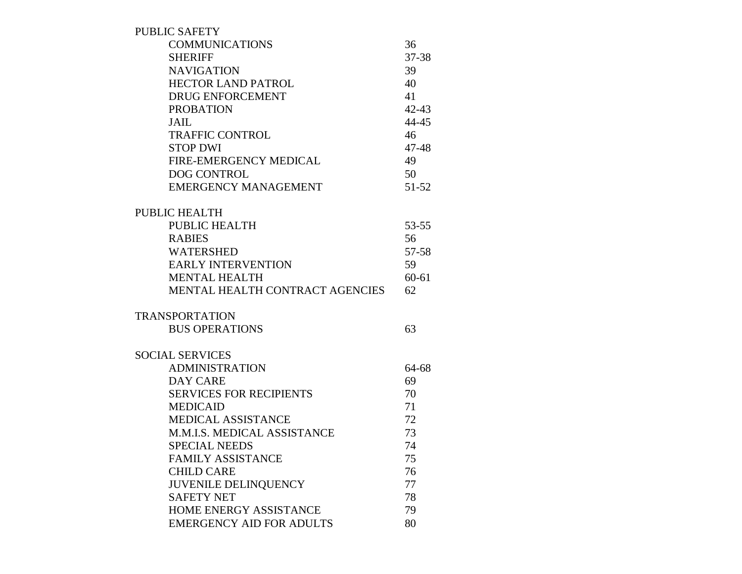| <b>PUBLIC SAFETY</b>                   |           |
|----------------------------------------|-----------|
| <b>COMMUNICATIONS</b>                  | 36        |
| <b>SHERIFF</b>                         | 37-38     |
| <b>NAVIGATION</b>                      | 39        |
| <b>HECTOR LAND PATROL</b>              | 40        |
| <b>DRUG ENFORCEMENT</b>                | 41        |
| <b>PROBATION</b>                       | $42 - 43$ |
| <b>JAIL</b>                            | 44-45     |
| <b>TRAFFIC CONTROL</b>                 | 46        |
| <b>STOP DWI</b>                        | 47-48     |
| FIRE-EMERGENCY MEDICAL                 | 49        |
| <b>DOG CONTROL</b>                     | 50        |
| <b>EMERGENCY MANAGEMENT</b>            | 51-52     |
| <b>PUBLIC HEALTH</b>                   |           |
| PUBLIC HEALTH                          | $53 - 55$ |
| <b>RABIES</b>                          | 56        |
| <b>WATERSHED</b>                       | 57-58     |
| <b>EARLY INTERVENTION</b>              | 59        |
| <b>MENTAL HEALTH</b>                   | $60 - 61$ |
| <b>MENTAL HEALTH CONTRACT AGENCIES</b> | 62        |
| <b>TRANSPORTATION</b>                  |           |
| <b>BUS OPERATIONS</b>                  | 63        |
| <b>SOCIAL SERVICES</b>                 |           |
| <b>ADMINISTRATION</b>                  | 64-68     |
| <b>DAY CARE</b>                        | 69        |
| <b>SERVICES FOR RECIPIENTS</b>         | 70        |
| <b>MEDICAID</b>                        | 71        |
| MEDICAL ASSISTANCE                     | 72        |
| M.M.I.S. MEDICAL ASSISTANCE            | 73        |
| <b>SPECIAL NEEDS</b>                   | 74        |
| <b>FAMILY ASSISTANCE</b>               | 75        |
| <b>CHILD CARE</b>                      | 76        |
| <b>JUVENILE DELINQUENCY</b>            | 77        |
| <b>SAFETY NET</b>                      | 78        |
| HOME ENERGY ASSISTANCE                 | 79        |
| <b>EMERGENCY AID FOR ADULTS</b>        | 80        |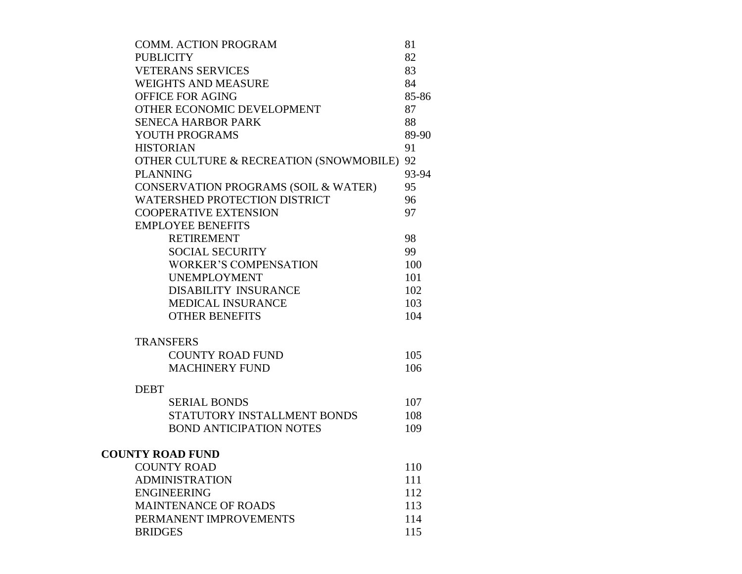| <b>COMM. ACTION PROGRAM</b>                | 81    |
|--------------------------------------------|-------|
| <b>PUBLICITY</b>                           | 82    |
| <b>VETERANS SERVICES</b>                   | 83    |
| <b>WEIGHTS AND MEASURE</b>                 | 84    |
| <b>OFFICE FOR AGING</b>                    | 85-86 |
| OTHER ECONOMIC DEVELOPMENT                 | 87    |
| <b>SENECA HARBOR PARK</b>                  | 88    |
| YOUTH PROGRAMS                             | 89-90 |
| <b>HISTORIAN</b>                           | 91    |
| OTHER CULTURE & RECREATION (SNOWMOBILE) 92 |       |
| <b>PLANNING</b>                            | 93-94 |
| CONSERVATION PROGRAMS (SOIL & WATER)       | 95    |
| <b>WATERSHED PROTECTION DISTRICT</b>       | 96    |
| <b>COOPERATIVE EXTENSION</b>               | 97    |
| <b>EMPLOYEE BENEFITS</b>                   |       |
| <b>RETIREMENT</b>                          | 98    |
| <b>SOCIAL SECURITY</b>                     | 99    |
| <b>WORKER'S COMPENSATION</b>               | 100   |
| <b>UNEMPLOYMENT</b>                        | 101   |
| <b>DISABILITY INSURANCE</b>                | 102   |
| <b>MEDICAL INSURANCE</b>                   | 103   |
| <b>OTHER BENEFITS</b>                      | 104   |
| <b>TRANSFERS</b>                           |       |
| <b>COUNTY ROAD FUND</b>                    | 105   |
| <b>MACHINERY FUND</b>                      | 106   |
|                                            |       |
| <b>DEBT</b>                                |       |
| <b>SERIAL BONDS</b>                        | 107   |
| STATUTORY INSTALLMENT BONDS                | 108   |
| <b>BOND ANTICIPATION NOTES</b>             | 109   |
| <b>COUNTY ROAD FUND</b>                    |       |
| <b>COUNTY ROAD</b>                         | 110   |
| <b>ADMINISTRATION</b>                      | 111   |
| <b>ENGINEERING</b>                         | 112   |
| <b>MAINTENANCE OF ROADS</b>                | 113   |
| PERMANENT IMPROVEMENTS                     | 114   |
| <b>BRIDGES</b>                             | 115   |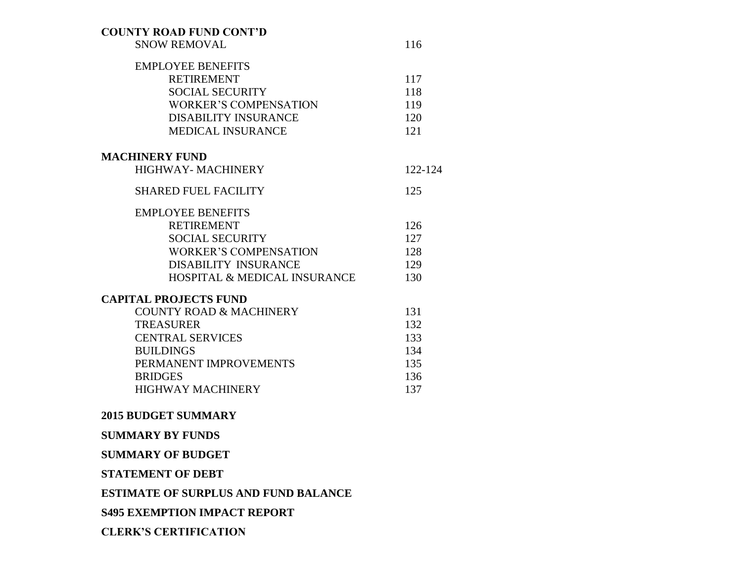#### **COUNTY ROAD FUND CONT'D**

SNOW REMOVAL 116

| <b>EMPLOYEE BENEFITS</b>                |         |
|-----------------------------------------|---------|
| <b>RETIREMENT</b>                       | 117     |
| <b>SOCIAL SECURITY</b>                  | 118     |
| <b>WORKER'S COMPENSATION</b>            | 119     |
| <b>DISABILITY INSURANCE</b>             | 120     |
| <b>MEDICAL INSURANCE</b>                | 121     |
| <b>MACHINERY FUND</b>                   |         |
| HIGHWAY- MACHINERY                      | 122-124 |
| <b>SHARED FUEL FACILITY</b>             | 125     |
| <b>EMPLOYEE BENEFITS</b>                |         |
| <b>RETIREMENT</b>                       | 126     |
| <b>SOCIAL SECURITY</b>                  | 127     |
| <b>WORKER'S COMPENSATION</b>            | 128     |
| <b>DISABILITY INSURANCE</b>             | 129     |
| <b>HOSPITAL &amp; MEDICAL INSURANCE</b> | 130     |
| <b>CAPITAL PROJECTS FUND</b>            |         |
| <b>COUNTY ROAD &amp; MACHINERY</b>      | 131     |
| <b>TREASURER</b>                        | 132     |
| <b>CENTRAL SERVICES</b>                 | 133     |
| <b>BUILDINGS</b>                        | 134     |
| PERMANENT IMPROVEMENTS                  | 135     |
| <b>BRIDGES</b>                          | 136     |
| HIGHWAY MACHINERY                       | 137     |
| <b>2015 BUDGET SUMMARY</b>              |         |
|                                         |         |

#### **SUMMARY BY FUNDS**

#### **SUMMARY OF BUDGET**

**STATEMENT OF DEBT**

#### **ESTIMATE OF SURPLUS AND FUND BALANCE**

#### **S495 EXEMPTION IMPACT REPORT**

#### **CLERK'S CERTIFICATION**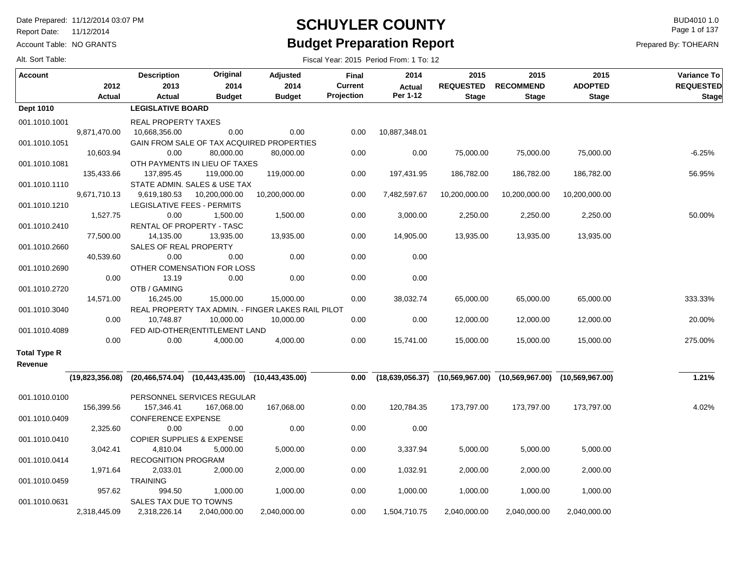Report Date: 11/12/2014

Account Table: NO GRANTS

#### **SCHUYLER COUNTY** BUD4010 1.0 **Budget Preparation Report**

Fiscal Year: 2015 Period From: 1 To: 12

Page 1 of 137

Prepared By: TOHEARN

| <b>Account</b>                 | 2012         | <b>Description</b><br>2013                                              | Original<br>2014               | Adjusted<br>2014                                   | Final<br><b>Current</b> | 2014<br><b>Actual</b> | 2015<br><b>REQUESTED</b> | 2015<br><b>RECOMMEND</b>                                                | 2015<br><b>ADOPTED</b> | Variance To<br><b>REQUESTED</b> |
|--------------------------------|--------------|-------------------------------------------------------------------------|--------------------------------|----------------------------------------------------|-------------------------|-----------------------|--------------------------|-------------------------------------------------------------------------|------------------------|---------------------------------|
|                                | Actual       | Actual                                                                  | <b>Budget</b>                  | <b>Budget</b>                                      | Projection              | Per 1-12              | <b>Stage</b>             | <b>Stage</b>                                                            | <b>Stage</b>           | <b>Stage</b>                    |
| <b>Dept 1010</b>               |              | <b>LEGISLATIVE BOARD</b>                                                |                                |                                                    |                         |                       |                          |                                                                         |                        |                                 |
| 001.1010.1001                  |              | REAL PROPERTY TAXES                                                     |                                |                                                    |                         |                       |                          |                                                                         |                        |                                 |
|                                | 9,871,470.00 | 10,668,356.00                                                           | 0.00                           | 0.00                                               | 0.00                    | 10,887,348.01         |                          |                                                                         |                        |                                 |
| 001.1010.1051                  |              |                                                                         |                                | GAIN FROM SALE OF TAX ACQUIRED PROPERTIES          |                         |                       |                          |                                                                         |                        |                                 |
|                                | 10,603.94    | 0.00                                                                    | 80,000.00                      | 80,000.00                                          | 0.00                    | 0.00                  | 75,000.00                | 75,000.00                                                               | 75,000.00              | $-6.25%$                        |
| 001.1010.1081                  |              |                                                                         | OTH PAYMENTS IN LIEU OF TAXES  |                                                    |                         |                       |                          |                                                                         |                        |                                 |
|                                | 135,433.66   | 137,895.45                                                              | 119,000.00                     | 119,000.00                                         | 0.00                    | 197,431.95            | 186,782.00               | 186,782.00                                                              | 186,782.00             | 56.95%                          |
| 001.1010.1110                  |              |                                                                         | STATE ADMIN. SALES & USE TAX   |                                                    |                         |                       |                          |                                                                         |                        |                                 |
|                                | 9,671,710.13 | 9,619,180.53                                                            | 10,200,000.00                  | 10,200,000.00                                      | 0.00                    | 7,482,597.67          | 10,200,000.00            | 10,200,000.00                                                           | 10,200,000.00          |                                 |
| 001.1010.1210                  |              | LEGISLATIVE FEES - PERMITS                                              |                                |                                                    |                         |                       |                          |                                                                         |                        |                                 |
|                                | 1,527.75     | 0.00                                                                    | 1,500.00                       | 1,500.00                                           | 0.00                    | 3,000.00              | 2,250.00                 | 2,250.00                                                                | 2,250.00               | 50.00%                          |
| 001.1010.2410                  |              | RENTAL OF PROPERTY - TASC                                               |                                |                                                    |                         |                       |                          |                                                                         |                        |                                 |
|                                | 77,500.00    | 14,135.00                                                               | 13,935.00                      | 13,935.00                                          | 0.00                    | 14,905.00             | 13,935.00                | 13,935.00                                                               | 13,935.00              |                                 |
| 001.1010.2660                  |              | SALES OF REAL PROPERTY                                                  |                                |                                                    |                         |                       |                          |                                                                         |                        |                                 |
|                                | 40,539.60    | 0.00                                                                    | 0.00                           | 0.00                                               | 0.00                    | 0.00                  |                          |                                                                         |                        |                                 |
| 001.1010.2690                  |              |                                                                         | OTHER COMENSATION FOR LOSS     |                                                    |                         |                       |                          |                                                                         |                        |                                 |
|                                | 0.00         | 13.19                                                                   | 0.00                           | 0.00                                               | 0.00                    | 0.00                  |                          |                                                                         |                        |                                 |
| 001.1010.2720                  |              | OTB / GAMING                                                            |                                |                                                    |                         |                       |                          |                                                                         |                        |                                 |
|                                | 14,571.00    | 16,245.00                                                               | 15,000.00                      | 15,000.00                                          | 0.00                    | 38,032.74             | 65,000.00                | 65,000.00                                                               | 65,000.00              | 333.33%                         |
| 001.1010.3040                  |              |                                                                         |                                | REAL PROPERTY TAX ADMIN. - FINGER LAKES RAIL PILOT |                         |                       |                          |                                                                         |                        |                                 |
|                                | 0.00         | 10,748.87                                                               | 10,000.00                      | 10,000.00                                          | 0.00                    | 0.00                  | 12,000.00                | 12,000.00                                                               | 12,000.00              | 20.00%                          |
| 001.1010.4089                  |              |                                                                         | FED AID-OTHER(ENTITLEMENT LAND |                                                    |                         |                       |                          |                                                                         |                        |                                 |
|                                | 0.00         | 0.00                                                                    | 4,000.00                       | 4,000.00                                           | 0.00                    | 15,741.00             | 15,000.00                | 15,000.00                                                               | 15,000.00              | 275.00%                         |
| <b>Total Type R</b><br>Revenue |              |                                                                         |                                |                                                    |                         |                       |                          |                                                                         |                        |                                 |
|                                |              | $(19,823,356.08)$ $(20,466,574.04)$ $(10,443,435.00)$ $(10,443,435.00)$ |                                |                                                    | 0.00                    |                       |                          | $(18,639,056.37)$ $(10,569,967.00)$ $(10,569,967.00)$ $(10,569,967.00)$ |                        | 1.21%                           |
|                                |              |                                                                         |                                |                                                    |                         |                       |                          |                                                                         |                        |                                 |
| 001.1010.0100                  |              |                                                                         | PERSONNEL SERVICES REGULAR     |                                                    |                         |                       |                          |                                                                         |                        |                                 |
|                                | 156,399.56   | 157,346.41                                                              | 167,068.00                     | 167,068.00                                         | 0.00                    | 120,784.35            | 173,797.00               | 173,797.00                                                              | 173,797.00             | 4.02%                           |
| 001.1010.0409                  |              | CONFERENCE EXPENSE                                                      |                                |                                                    |                         |                       |                          |                                                                         |                        |                                 |
|                                | 2,325.60     | 0.00                                                                    | 0.00                           | 0.00                                               | 0.00                    | 0.00                  |                          |                                                                         |                        |                                 |
| 001.1010.0410                  |              | <b>COPIER SUPPLIES &amp; EXPENSE</b>                                    |                                |                                                    |                         |                       |                          |                                                                         |                        |                                 |
|                                | 3,042.41     | 4,810.04                                                                | 5,000.00                       | 5,000.00                                           | 0.00                    | 3,337.94              | 5,000.00                 | 5,000.00                                                                | 5,000.00               |                                 |
| 001.1010.0414                  |              | <b>RECOGNITION PROGRAM</b>                                              |                                |                                                    |                         |                       |                          |                                                                         |                        |                                 |
|                                | 1,971.64     | 2,033.01                                                                | 2,000.00                       | 2,000.00                                           | 0.00                    | 1,032.91              | 2,000.00                 | 2,000.00                                                                | 2,000.00               |                                 |
| 001.1010.0459                  |              | TRAINING                                                                |                                |                                                    |                         |                       |                          |                                                                         |                        |                                 |
|                                | 957.62       | 994.50                                                                  | 1,000.00                       | 1,000.00                                           | 0.00                    | 1,000.00              | 1,000.00                 | 1,000.00                                                                | 1,000.00               |                                 |
| 001.1010.0631                  |              | SALES TAX DUE TO TOWNS                                                  |                                |                                                    |                         |                       |                          |                                                                         |                        |                                 |
|                                | 2,318,445.09 | 2,318,226.14                                                            | 2,040,000.00                   | 2,040,000.00                                       | 0.00                    | 1,504,710.75          | 2,040,000.00             | 2,040,000.00                                                            | 2,040,000.00           |                                 |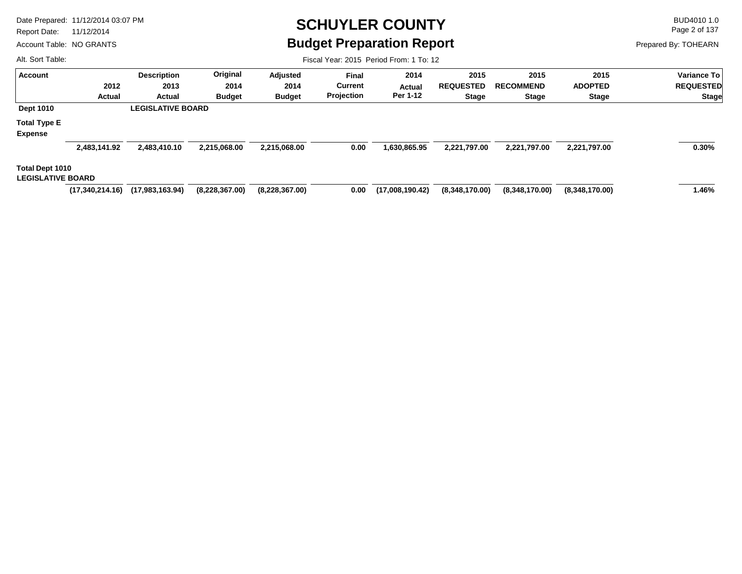Report Date: 11/12/2014

Account Table: NO GRANTS

## **SCHUYLER COUNTY** BUD4010 1.0 **Budget Preparation Report**

Fiscal Year: 2015 Period From: 1 To: 12

Page 2 of 137

Prepared By: TOHEARN

| <b>Account</b>           |                 | <b>Description</b>       | Original       | Adjusted       | <b>Final</b>   | 2014            | 2015             | 2015             | 2015           | <b>Variance To</b> |
|--------------------------|-----------------|--------------------------|----------------|----------------|----------------|-----------------|------------------|------------------|----------------|--------------------|
|                          | 2012            | 2013                     | 2014           | 2014           | <b>Current</b> | Actual          | <b>REQUESTED</b> | <b>RECOMMEND</b> | <b>ADOPTED</b> | <b>REQUESTED</b>   |
|                          | Actual          | Actual                   | <b>Budget</b>  | <b>Budget</b>  | Projection     | Per 1-12        | <b>Stage</b>     | <b>Stage</b>     | <b>Stage</b>   | <b>Stage</b>       |
| <b>Dept 1010</b>         |                 | <b>LEGISLATIVE BOARD</b> |                |                |                |                 |                  |                  |                |                    |
| <b>Total Type E</b>      |                 |                          |                |                |                |                 |                  |                  |                |                    |
| <b>Expense</b>           |                 |                          |                |                |                |                 |                  |                  |                |                    |
|                          | 2,483,141.92    | 2,483,410.10             | 2,215,068.00   | 2,215,068.00   | 0.00           | 1,630,865.95    | 2,221,797.00     | 2,221,797.00     | 2,221,797.00   | 0.30%              |
| Total Dept 1010          |                 |                          |                |                |                |                 |                  |                  |                |                    |
| <b>LEGISLATIVE BOARD</b> |                 |                          |                |                |                |                 |                  |                  |                |                    |
|                          | (17,340,214.16) | (17,983,163.94)          | (8,228,367.00) | (8,228,367.00) | 0.00           | (17,008,190.42) | (8,348,170.00)   | (8,348,170.00)   | (8,348,170.00) | 1.46%              |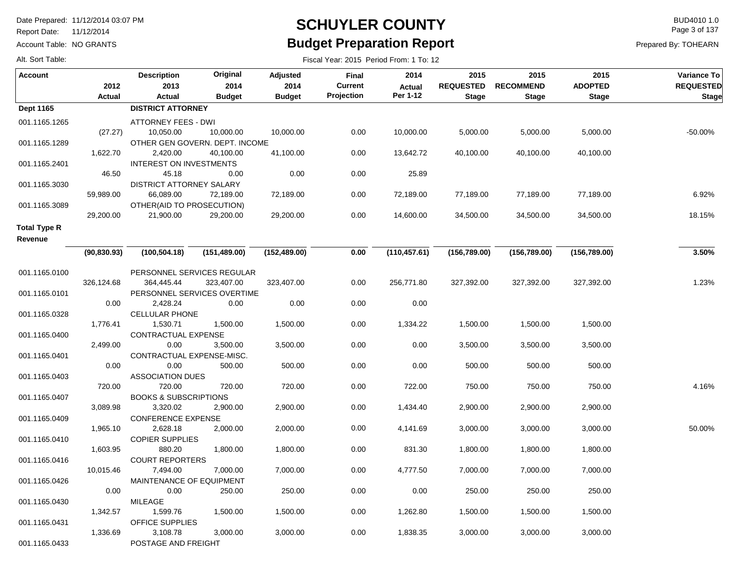Report Date: 11/12/2014

Account Table: NO GRANTS

#### **SCHUYLER COUNTY** BUD4010 1.0 **Budget Preparation Report**

Fiscal Year: 2015 Period From: 1 To: 12

Page 3 of 137

Prepared By: TOHEARN

| <b>Account</b>                 | 2012         | <b>Description</b><br>2013              | Original<br>2014                            | <b>Adjusted</b><br>2014 | Final<br><b>Current</b> | 2014<br><b>Actual</b> | 2015<br><b>REQUESTED</b> | 2015<br><b>RECOMMEND</b> | 2015<br><b>ADOPTED</b> | Variance To<br><b>REQUESTED</b> |
|--------------------------------|--------------|-----------------------------------------|---------------------------------------------|-------------------------|-------------------------|-----------------------|--------------------------|--------------------------|------------------------|---------------------------------|
|                                | Actual       | Actual                                  | <b>Budget</b>                               | <b>Budget</b>           | Projection              | Per 1-12              | <b>Stage</b>             | <b>Stage</b>             | <b>Stage</b>           | <b>Stage</b>                    |
| Dept 1165                      |              | <b>DISTRICT ATTORNEY</b>                |                                             |                         |                         |                       |                          |                          |                        |                                 |
| 001.1165.1265                  | (27.27)      | <b>ATTORNEY FEES - DWI</b><br>10,050.00 | 10,000.00                                   | 10,000.00               | 0.00                    | 10,000.00             | 5,000.00                 | 5,000.00                 | 5,000.00               | -50.00%                         |
| 001.1165.1289                  | 1,622.70     | 2,420.00                                | OTHER GEN GOVERN. DEPT. INCOME<br>40,100.00 | 41,100.00               | 0.00                    | 13,642.72             | 40,100.00                | 40,100.00                | 40,100.00              |                                 |
| 001.1165.2401                  |              | <b>INTEREST ON INVESTMENTS</b>          |                                             |                         |                         |                       |                          |                          |                        |                                 |
|                                | 46.50        | 45.18                                   | 0.00                                        | 0.00                    | 0.00                    | 25.89                 |                          |                          |                        |                                 |
| 001.1165.3030                  |              | <b>DISTRICT ATTORNEY SALARY</b>         |                                             |                         |                         |                       |                          |                          |                        |                                 |
|                                | 59,989.00    | 66,089.00                               | 72,189.00                                   | 72,189.00               | 0.00                    | 72,189.00             | 77,189.00                | 77,189.00                | 77,189.00              | 6.92%                           |
| 001.1165.3089                  |              | OTHER(AID TO PROSECUTION)               |                                             |                         |                         |                       |                          |                          |                        |                                 |
|                                | 29,200.00    | 21,900.00                               | 29,200.00                                   | 29,200.00               | 0.00                    | 14,600.00             | 34,500.00                | 34,500.00                | 34,500.00              | 18.15%                          |
| <b>Total Type R</b><br>Revenue |              |                                         |                                             |                         |                         |                       |                          |                          |                        |                                 |
|                                | (90, 830.93) | (100, 504.18)                           | (151, 489.00)                               | (152, 489.00)           | 0.00                    | (110, 457.61)         | (156, 789.00)            | (156, 789.00)            | (156, 789.00)          | 3.50%                           |
|                                |              |                                         |                                             |                         |                         |                       |                          |                          |                        |                                 |
| 001.1165.0100                  |              |                                         | PERSONNEL SERVICES REGULAR                  |                         |                         |                       |                          |                          |                        |                                 |
|                                | 326,124.68   | 364,445.44                              | 323,407.00                                  | 323,407.00              | 0.00                    | 256,771.80            | 327,392.00               | 327,392.00               | 327,392.00             | 1.23%                           |
| 001.1165.0101                  |              |                                         | PERSONNEL SERVICES OVERTIME                 |                         |                         |                       |                          |                          |                        |                                 |
|                                | 0.00         | 2,428.24                                | 0.00                                        | 0.00                    | 0.00                    | 0.00                  |                          |                          |                        |                                 |
| 001.1165.0328                  |              | CELLULAR PHONE                          |                                             |                         |                         |                       |                          |                          |                        |                                 |
|                                | 1,776.41     | 1,530.71                                | 1,500.00                                    | 1,500.00                | 0.00                    | 1,334.22              | 1,500.00                 | 1,500.00                 | 1,500.00               |                                 |
| 001.1165.0400                  |              | CONTRACTUAL EXPENSE                     |                                             |                         |                         |                       |                          |                          |                        |                                 |
|                                | 2,499.00     | 0.00                                    | 3,500.00                                    | 3,500.00                | 0.00                    | 0.00                  | 3,500.00                 | 3,500.00                 | 3,500.00               |                                 |
| 001.1165.0401                  |              | CONTRACTUAL EXPENSE-MISC.               |                                             |                         |                         |                       |                          |                          |                        |                                 |
|                                | 0.00         | 0.00                                    | 500.00                                      | 500.00                  | 0.00                    | 0.00                  | 500.00                   | 500.00                   | 500.00                 |                                 |
|                                |              |                                         |                                             |                         |                         |                       |                          |                          |                        |                                 |
| 001.1165.0403                  | 720.00       | <b>ASSOCIATION DUES</b><br>720.00       | 720.00                                      | 720.00                  | 0.00                    | 722.00                | 750.00                   | 750.00                   | 750.00                 | 4.16%                           |
|                                |              | <b>BOOKS &amp; SUBSCRIPTIONS</b>        |                                             |                         |                         |                       |                          |                          |                        |                                 |
| 001.1165.0407                  | 3,089.98     | 3,320.02                                | 2,900.00                                    |                         | 0.00                    | 1,434.40              |                          | 2,900.00                 | 2,900.00               |                                 |
|                                |              | <b>CONFERENCE EXPENSE</b>               |                                             | 2,900.00                |                         |                       | 2,900.00                 |                          |                        |                                 |
| 001.1165.0409                  | 1,965.10     |                                         |                                             |                         |                         | 4,141.69              | 3,000.00                 | 3,000.00                 |                        | 50.00%                          |
|                                |              | 2,628.18                                | 2,000.00                                    | 2,000.00                | 0.00                    |                       |                          |                          | 3,000.00               |                                 |
| 001.1165.0410                  |              | <b>COPIER SUPPLIES</b>                  |                                             |                         |                         |                       |                          |                          |                        |                                 |
|                                | 1,603.95     | 880.20                                  | 1,800.00                                    | 1,800.00                | 0.00                    | 831.30                | 1,800.00                 | 1,800.00                 | 1,800.00               |                                 |
| 001.1165.0416                  |              | <b>COURT REPORTERS</b>                  |                                             |                         |                         |                       |                          |                          |                        |                                 |
|                                | 10,015.46    | 7,494.00                                | 7,000.00                                    | 7,000.00                | 0.00                    | 4,777.50              | 7,000.00                 | 7,000.00                 | 7,000.00               |                                 |
| 001.1165.0426                  |              | MAINTENANCE OF EQUIPMENT                |                                             |                         |                         |                       |                          |                          |                        |                                 |
|                                | 0.00         | 0.00                                    | 250.00                                      | 250.00                  | 0.00                    | 0.00                  | 250.00                   | 250.00                   | 250.00                 |                                 |
| 001.1165.0430                  |              | <b>MILEAGE</b>                          |                                             |                         |                         |                       |                          |                          |                        |                                 |
|                                | 1,342.57     | 1,599.76                                | 1,500.00                                    | 1,500.00                | 0.00                    | 1,262.80              | 1,500.00                 | 1,500.00                 | 1,500.00               |                                 |
| 001.1165.0431                  |              | OFFICE SUPPLIES                         |                                             |                         |                         |                       |                          |                          |                        |                                 |
|                                | 1,336.69     | 3,108.78                                | 3,000.00                                    | 3,000.00                | 0.00                    | 1,838.35              | 3,000.00                 | 3,000.00                 | 3,000.00               |                                 |
| 001.1165.0433                  |              | POSTAGE AND FREIGHT                     |                                             |                         |                         |                       |                          |                          |                        |                                 |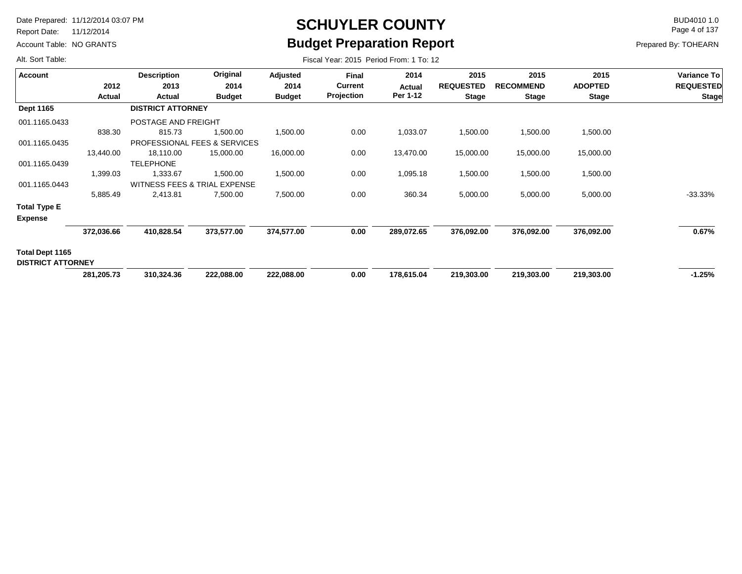Report Date: 11/12/2014

Account Table: NO GRANTS

## **SCHUYLER COUNTY** BUD4010 1.0 **Budget Preparation Report**

Fiscal Year: 2015 Period From: 1 To: 12

Page 4 of 137

Prepared By: TOHEARN

| <b>Account</b>           |               | <b>Description</b>           | Original      | Adjusted      | <b>Final</b>      | 2014       | 2015             | 2015             | 2015           | Variance To      |
|--------------------------|---------------|------------------------------|---------------|---------------|-------------------|------------|------------------|------------------|----------------|------------------|
|                          | 2012          | 2013                         | 2014          | 2014          | <b>Current</b>    | Actual     | <b>REQUESTED</b> | <b>RECOMMEND</b> | <b>ADOPTED</b> | <b>REQUESTED</b> |
|                          | <b>Actual</b> | Actual                       | <b>Budget</b> | <b>Budget</b> | <b>Projection</b> | Per 1-12   | <b>Stage</b>     | <b>Stage</b>     | <b>Stage</b>   | <b>Stage</b>     |
| Dept 1165                |               | <b>DISTRICT ATTORNEY</b>     |               |               |                   |            |                  |                  |                |                  |
| 001.1165.0433            |               | POSTAGE AND FREIGHT          |               |               |                   |            |                  |                  |                |                  |
|                          | 838.30        | 815.73                       | 1,500.00      | 1,500.00      | 0.00              | 1,033.07   | 1,500.00         | 1,500.00         | 1,500.00       |                  |
| 001.1165.0435            |               | PROFESSIONAL FEES & SERVICES |               |               |                   |            |                  |                  |                |                  |
|                          | 13,440.00     | 18,110.00                    | 15,000.00     | 16,000.00     | 0.00              | 13,470.00  | 15,000.00        | 15,000.00        | 15,000.00      |                  |
| 001.1165.0439            |               | <b>TELEPHONE</b>             |               |               |                   |            |                  |                  |                |                  |
|                          | 1,399.03      | 1,333.67                     | 1,500.00      | 1,500.00      | 0.00              | 1,095.18   | 1,500.00         | 1,500.00         | 1,500.00       |                  |
| 001.1165.0443            |               | WITNESS FEES & TRIAL EXPENSE |               |               |                   |            |                  |                  |                |                  |
|                          | 5,885.49      | 2,413.81                     | 7,500.00      | 7,500.00      | 0.00              | 360.34     | 5,000.00         | 5,000.00         | 5,000.00       | $-33.33%$        |
| Total Type E             |               |                              |               |               |                   |            |                  |                  |                |                  |
| <b>Expense</b>           |               |                              |               |               |                   |            |                  |                  |                |                  |
|                          | 372,036.66    | 410,828.54                   | 373,577.00    | 374,577.00    | 0.00              | 289,072.65 | 376,092.00       | 376,092.00       | 376,092.00     | 0.67%            |
| Total Dept 1165          |               |                              |               |               |                   |            |                  |                  |                |                  |
| <b>DISTRICT ATTORNEY</b> |               |                              |               |               |                   |            |                  |                  |                |                  |
|                          | 281,205.73    | 310,324.36                   | 222,088.00    | 222,088.00    | 0.00              | 178,615.04 | 219,303.00       | 219,303.00       | 219,303.00     | $-1.25%$         |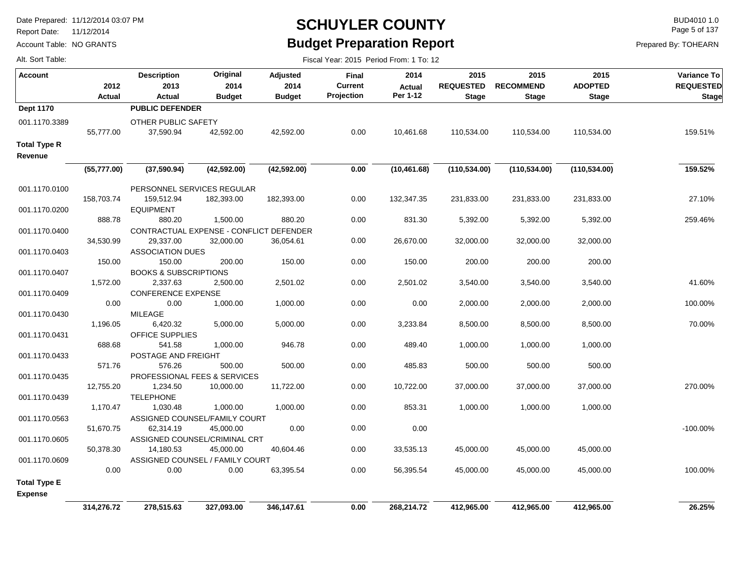Report Date: 11/12/2014

Account Table: NO GRANTS

## **SCHUYLER COUNTY** BUD4010 1.0 **Budget Preparation Report**

Fiscal Year: 2015 Period From: 1 To: 12

Page 5 of 137

|  |  | Alt. Sort Table: |  |
|--|--|------------------|--|
|--|--|------------------|--|

| <b>Account</b>                 | 2012<br><b>Actual</b> | <b>Description</b><br>2013<br>Actual       | Original<br>2014<br><b>Budget</b>       | <b>Adjusted</b><br>2014<br><b>Budget</b> | Final<br><b>Current</b><br>Projection | 2014<br>Actual<br>Per 1-12 | 2015<br><b>REQUESTED</b><br><b>Stage</b> | 2015<br><b>RECOMMEND</b><br><b>Stage</b> | 2015<br><b>ADOPTED</b><br><b>Stage</b> | Variance To<br><b>REQUESTED</b><br><b>Stage</b> |
|--------------------------------|-----------------------|--------------------------------------------|-----------------------------------------|------------------------------------------|---------------------------------------|----------------------------|------------------------------------------|------------------------------------------|----------------------------------------|-------------------------------------------------|
| <b>Dept 1170</b>               |                       | <b>PUBLIC DEFENDER</b>                     |                                         |                                          |                                       |                            |                                          |                                          |                                        |                                                 |
| 001.1170.3389                  | 55,777.00             | OTHER PUBLIC SAFETY<br>37,590.94           | 42,592.00                               | 42,592.00                                | 0.00                                  | 10,461.68                  | 110,534.00                               | 110,534.00                               | 110,534.00                             | 159.51%                                         |
| <b>Total Type R</b><br>Revenue |                       |                                            |                                         |                                          |                                       |                            |                                          |                                          |                                        |                                                 |
|                                | (55, 777.00)          | (37,590.94)                                | (42, 592.00)                            | (42, 592.00)                             | 0.00                                  | (10, 461.68)               | (110, 534.00)                            | (110, 534.00)                            | (110, 534.00)                          | 159.52%                                         |
| 001.1170.0100                  |                       |                                            | PERSONNEL SERVICES REGULAR              |                                          |                                       |                            |                                          |                                          |                                        |                                                 |
| 001.1170.0200                  | 158,703.74            | 159,512.94<br><b>EQUIPMENT</b>             | 182,393.00                              | 182,393.00                               | 0.00                                  | 132,347.35                 | 231,833.00                               | 231,833.00                               | 231,833.00                             | 27.10%                                          |
|                                | 888.78                | 880.20                                     | 1,500.00                                | 880.20                                   | 0.00                                  | 831.30                     | 5,392.00                                 | 5,392.00                                 | 5,392.00                               | 259.46%                                         |
| 001.1170.0400                  |                       |                                            | CONTRACTUAL EXPENSE - CONFLICT DEFENDER |                                          |                                       |                            |                                          |                                          |                                        |                                                 |
|                                | 34,530.99             | 29,337.00                                  | 32,000.00                               | 36,054.61                                | 0.00                                  | 26,670.00                  | 32,000.00                                | 32,000.00                                | 32,000.00                              |                                                 |
| 001.1170.0403                  |                       | <b>ASSOCIATION DUES</b>                    |                                         |                                          |                                       |                            |                                          |                                          |                                        |                                                 |
|                                | 150.00                | 150.00                                     | 200.00                                  | 150.00                                   | 0.00                                  | 150.00                     | 200.00                                   | 200.00                                   | 200.00                                 |                                                 |
| 001.1170.0407                  |                       | <b>BOOKS &amp; SUBSCRIPTIONS</b>           |                                         |                                          |                                       |                            |                                          |                                          |                                        |                                                 |
|                                | 1,572.00              | 2,337.63                                   | 2,500.00                                | 2,501.02                                 | 0.00                                  | 2,501.02                   | 3,540.00                                 | 3,540.00                                 | 3,540.00                               | 41.60%                                          |
| 001.1170.0409                  |                       | <b>CONFERENCE EXPENSE</b>                  |                                         |                                          |                                       |                            |                                          |                                          |                                        |                                                 |
|                                | 0.00                  | 0.00                                       | 1,000.00                                | 1,000.00                                 | 0.00                                  | 0.00                       | 2,000.00                                 | 2,000.00                                 | 2,000.00                               | 100.00%                                         |
| 001.1170.0430                  |                       | <b>MILEAGE</b>                             |                                         |                                          |                                       |                            |                                          |                                          |                                        |                                                 |
|                                | 1,196.05              | 6,420.32                                   | 5,000.00                                | 5,000.00                                 | 0.00                                  | 3,233.84                   | 8,500.00                                 | 8,500.00                                 | 8,500.00                               | 70.00%                                          |
| 001.1170.0431                  |                       | OFFICE SUPPLIES                            |                                         |                                          |                                       |                            |                                          |                                          |                                        |                                                 |
|                                | 688.68                | 541.58                                     | 1,000.00                                | 946.78                                   | 0.00                                  | 489.40                     | 1,000.00                                 | 1,000.00                                 | 1,000.00                               |                                                 |
| 001.1170.0433                  |                       | POSTAGE AND FREIGHT                        |                                         |                                          |                                       |                            |                                          |                                          |                                        |                                                 |
|                                | 571.76                | 576.26                                     | 500.00                                  | 500.00                                   | 0.00                                  | 485.83                     | 500.00                                   | 500.00                                   | 500.00                                 |                                                 |
| 001.1170.0435                  |                       |                                            | PROFESSIONAL FEES & SERVICES            |                                          |                                       |                            |                                          |                                          |                                        |                                                 |
|                                | 12,755.20             | 1,234.50                                   | 10,000.00                               | 11,722.00                                | 0.00                                  | 10,722.00                  | 37,000.00                                | 37,000.00                                | 37,000.00                              | 270.00%                                         |
| 001.1170.0439                  |                       | <b>TELEPHONE</b>                           |                                         |                                          |                                       |                            |                                          |                                          |                                        |                                                 |
|                                | 1,170.47              | 1,030.48                                   | 1,000.00                                | 1,000.00                                 | 0.00                                  | 853.31                     | 1,000.00                                 | 1,000.00                                 | 1,000.00                               |                                                 |
| 001.1170.0563                  | 51,670.75             | ASSIGNED COUNSEL/FAMILY COURT<br>62,314.19 | 45,000.00                               | 0.00                                     | 0.00                                  | 0.00                       |                                          |                                          |                                        | $-100.00\%$                                     |
| 001.1170.0605                  |                       | ASSIGNED COUNSEL/CRIMINAL CRT              |                                         |                                          |                                       |                            |                                          |                                          |                                        |                                                 |
|                                | 50,378.30             | 14,180.53                                  | 45,000.00                               | 40,604.46                                | 0.00                                  | 33,535.13                  | 45,000.00                                | 45,000.00                                | 45,000.00                              |                                                 |
| 001.1170.0609                  |                       |                                            | ASSIGNED COUNSEL / FAMILY COURT         |                                          |                                       |                            |                                          |                                          |                                        |                                                 |
|                                | 0.00                  | 0.00                                       | 0.00                                    | 63,395.54                                | 0.00                                  | 56,395.54                  | 45,000.00                                | 45,000.00                                | 45,000.00                              | 100.00%                                         |
| <b>Total Type E</b>            |                       |                                            |                                         |                                          |                                       |                            |                                          |                                          |                                        |                                                 |
| <b>Expense</b>                 |                       |                                            |                                         |                                          |                                       |                            |                                          |                                          |                                        |                                                 |
|                                | 314,276.72            | 278,515.63                                 | 327,093.00                              | 346,147.61                               | 0.00                                  | 268,214.72                 | 412,965.00                               | 412,965.00                               | 412,965.00                             | 26.25%                                          |
|                                |                       |                                            |                                         |                                          |                                       |                            |                                          |                                          |                                        |                                                 |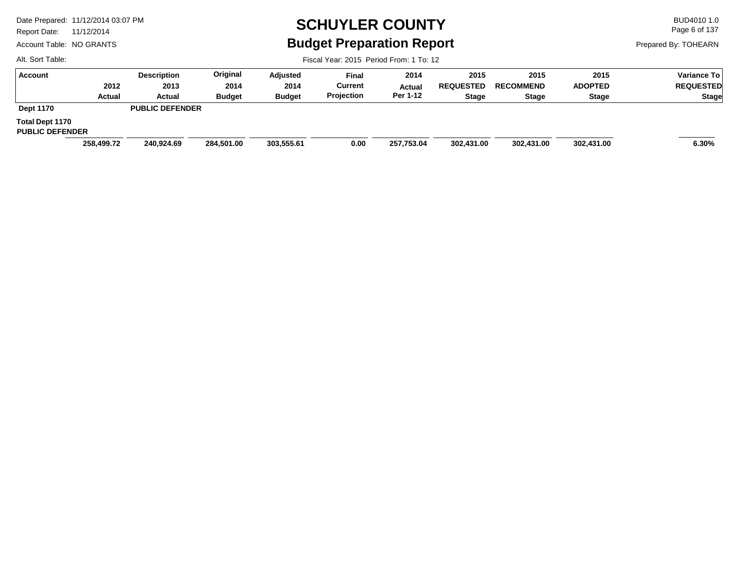Report Date: 11/12/2014

Account Table: NO GRANTS

## **SCHUYLER COUNTY** BUD4010 1.0 **Budget Preparation Report**

Fiscal Year: 2015 Period From: 1 To: 12

Page 6 of 137

Prepared By: TOHEARN

| Account                                          |            | <b>Description</b>     | Original      | Adjusted      | <b>Final</b>   | 2014       | 2015             | 2015             | 2015           | Variance To      |
|--------------------------------------------------|------------|------------------------|---------------|---------------|----------------|------------|------------------|------------------|----------------|------------------|
|                                                  | 2012       | 2013                   | 2014          | 2014          | <b>Current</b> | Actual     | <b>REQUESTED</b> | <b>RECOMMEND</b> | <b>ADOPTED</b> | <b>REQUESTED</b> |
|                                                  | Actual     | Actual                 | <b>Budget</b> | <b>Budget</b> | Projection     | Per 1-12   | Stage            | <b>Stage</b>     | <b>Stage</b>   | Stage            |
| <b>Dept 1170</b>                                 |            | <b>PUBLIC DEFENDER</b> |               |               |                |            |                  |                  |                |                  |
| <b>Total Dept 1170</b><br><b>PUBLIC DEFENDER</b> |            |                        |               |               |                |            |                  |                  |                |                  |
|                                                  | 258,499.72 | 240.924.69             | 284,501.00    | 303,555.61    | 0.00           | 257,753.04 | 302,431.00       | 302,431.00       | 302,431.00     | 6.30%            |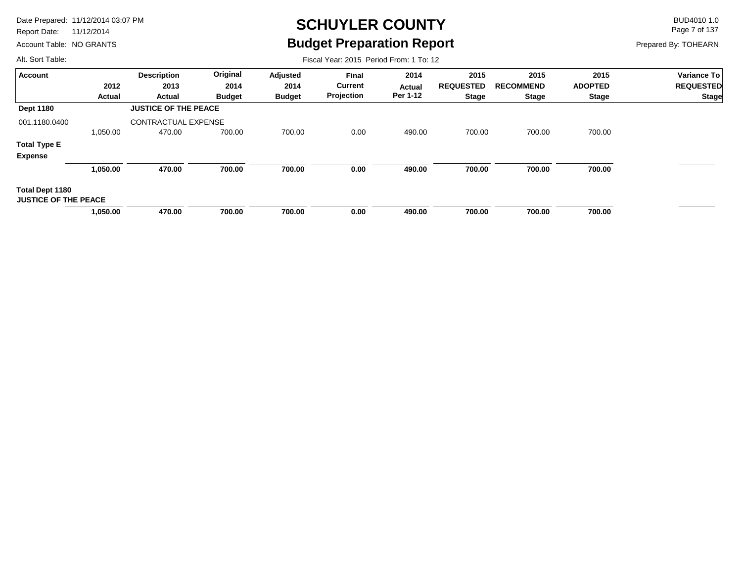Report Date: 11/12/2014

Account Table: NO GRANTS

## **SCHUYLER COUNTY** BUD4010 1.0 **Budget Preparation Report**

Fiscal Year: 2015 Period From: 1 To: 12

Page 7 of 137

Prepared By: TOHEARN

| <b>Account</b>                                 |          | <b>Description</b>          | Original      | Adjusted      | <b>Final</b>   | 2014     | 2015             | 2015             | 2015           | <b>Variance To</b> |
|------------------------------------------------|----------|-----------------------------|---------------|---------------|----------------|----------|------------------|------------------|----------------|--------------------|
|                                                | 2012     | 2013                        | 2014          | 2014          | <b>Current</b> | Actual   | <b>REQUESTED</b> | <b>RECOMMEND</b> | <b>ADOPTED</b> | <b>REQUESTED</b>   |
|                                                | Actual   | Actual                      | <b>Budget</b> | <b>Budget</b> | Projection     | Per 1-12 | <b>Stage</b>     | <b>Stage</b>     | <b>Stage</b>   | <b>Stage</b>       |
| <b>Dept 1180</b>                               |          | <b>JUSTICE OF THE PEACE</b> |               |               |                |          |                  |                  |                |                    |
| 001.1180.0400                                  |          | <b>CONTRACTUAL EXPENSE</b>  |               |               |                |          |                  |                  |                |                    |
|                                                | 1,050.00 | 470.00                      | 700.00        | 700.00        | 0.00           | 490.00   | 700.00           | 700.00           | 700.00         |                    |
| <b>Total Type E</b>                            |          |                             |               |               |                |          |                  |                  |                |                    |
| <b>Expense</b>                                 |          |                             |               |               |                |          |                  |                  |                |                    |
|                                                | 1,050.00 | 470.00                      | 700.00        | 700.00        | 0.00           | 490.00   | 700.00           | 700.00           | 700.00         |                    |
| Total Dept 1180<br><b>JUSTICE OF THE PEACE</b> |          |                             |               |               |                |          |                  |                  |                |                    |
|                                                | 1,050.00 | 470.00                      | 700.00        | 700.00        | 0.00           | 490.00   | 700.00           | 700.00           | 700.00         |                    |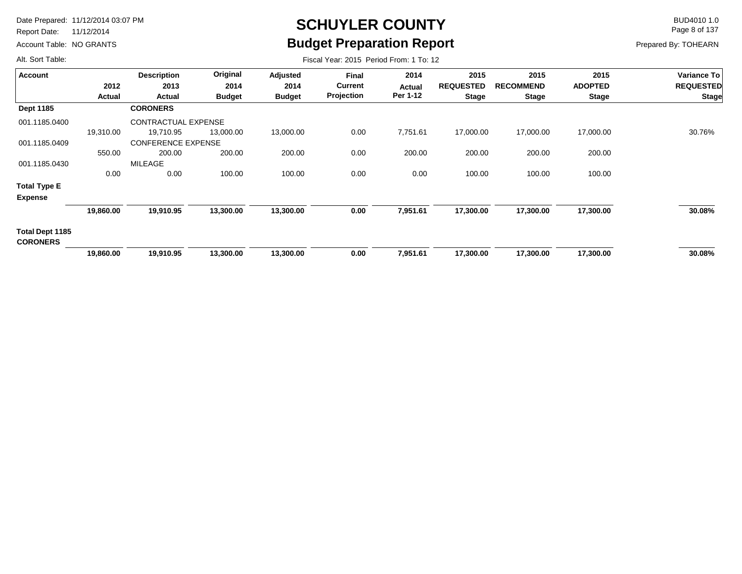Report Date: 11/12/2014

Account Table: NO GRANTS

## **SCHUYLER COUNTY** BUD4010 1.0 **Budget Preparation Report**

Fiscal Year: 2015 Period From: 1 To: 12

Page 8 of 137

Prepared By: TOHEARN

| <b>Account</b>                     |           | <b>Description</b>        | Original      | Adjusted      | Final             | 2014     | 2015             | 2015             | 2015           | <b>Variance To</b> |
|------------------------------------|-----------|---------------------------|---------------|---------------|-------------------|----------|------------------|------------------|----------------|--------------------|
|                                    | 2012      | 2013                      | 2014          | 2014          | <b>Current</b>    | Actual   | <b>REQUESTED</b> | <b>RECOMMEND</b> | <b>ADOPTED</b> | <b>REQUESTED</b>   |
|                                    | Actual    | Actual                    | <b>Budget</b> | <b>Budget</b> | <b>Projection</b> | Per 1-12 | <b>Stage</b>     | <b>Stage</b>     | <b>Stage</b>   | <b>Stage</b>       |
| Dept 1185                          |           | <b>CORONERS</b>           |               |               |                   |          |                  |                  |                |                    |
| 001.1185.0400                      |           | CONTRACTUAL EXPENSE       |               |               |                   |          |                  |                  |                |                    |
|                                    | 19,310.00 | 19,710.95                 | 13,000.00     | 13,000.00     | 0.00              | 7,751.61 | 17,000.00        | 17,000.00        | 17,000.00      | 30.76%             |
| 001.1185.0409                      |           | <b>CONFERENCE EXPENSE</b> |               |               |                   |          |                  |                  |                |                    |
|                                    | 550.00    | 200.00                    | 200.00        | 200.00        | 0.00              | 200.00   | 200.00           | 200.00           | 200.00         |                    |
| 001.1185.0430                      |           | MILEAGE                   |               |               |                   |          |                  |                  |                |                    |
|                                    | 0.00      | 0.00                      | 100.00        | 100.00        | 0.00              | 0.00     | 100.00           | 100.00           | 100.00         |                    |
| <b>Total Type E</b>                |           |                           |               |               |                   |          |                  |                  |                |                    |
| <b>Expense</b>                     |           |                           |               |               |                   |          |                  |                  |                |                    |
|                                    | 19,860.00 | 19,910.95                 | 13,300.00     | 13,300.00     | 0.00              | 7,951.61 | 17,300.00        | 17,300.00        | 17,300.00      | 30.08%             |
| Total Dept 1185<br><b>CORONERS</b> |           |                           |               |               |                   |          |                  |                  |                |                    |
|                                    | 19,860.00 | 19,910.95                 | 13,300.00     | 13,300.00     | 0.00              | 7,951.61 | 17,300.00        | 17,300.00        | 17,300.00      | 30.08%             |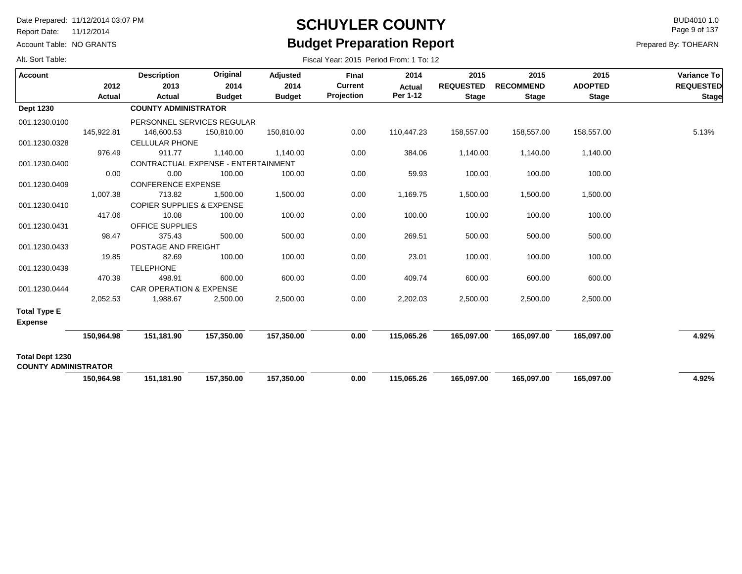Report Date: 11/12/2014

Account Table: NO GRANTS

## **SCHUYLER COUNTY** BUD4010 1.0 **Budget Preparation Report**

Fiscal Year: 2015 Period From: 1 To: 12

Page 9 of 137

| Alt. Sort Table: |  |  |
|------------------|--|--|
|------------------|--|--|

| <b>Account</b>                                 | 2012       | <b>Description</b><br>2013           | Original<br>2014 | Adjusted<br>2014 | Final<br><b>Current</b> | 2014<br><b>Actual</b> | 2015<br><b>REQUESTED</b> | 2015<br><b>RECOMMEND</b> | 2015<br><b>ADOPTED</b> | Variance To<br><b>REQUESTED</b> |
|------------------------------------------------|------------|--------------------------------------|------------------|------------------|-------------------------|-----------------------|--------------------------|--------------------------|------------------------|---------------------------------|
|                                                | Actual     | Actual                               | <b>Budget</b>    | <b>Budget</b>    | Projection              | Per 1-12              | <b>Stage</b>             | <b>Stage</b>             | <b>Stage</b>           | Stage                           |
| <b>Dept 1230</b>                               |            | <b>COUNTY ADMINISTRATOR</b>          |                  |                  |                         |                       |                          |                          |                        |                                 |
| 001.1230.0100                                  |            | PERSONNEL SERVICES REGULAR           |                  |                  |                         |                       |                          |                          |                        |                                 |
|                                                | 145,922.81 | 146,600.53                           | 150,810.00       | 150,810.00       | 0.00                    | 110,447.23            | 158,557.00               | 158,557.00               | 158,557.00             | 5.13%                           |
| 001.1230.0328                                  |            | <b>CELLULAR PHONE</b>                |                  |                  |                         |                       |                          |                          |                        |                                 |
|                                                | 976.49     | 911.77                               | 1,140.00         | 1,140.00         | 0.00                    | 384.06                | 1,140.00                 | 1,140.00                 | 1,140.00               |                                 |
| 001.1230.0400                                  |            | CONTRACTUAL EXPENSE - ENTERTAINMENT  |                  |                  |                         |                       |                          |                          |                        |                                 |
|                                                | 0.00       | 0.00                                 | 100.00           | 100.00           | 0.00                    | 59.93                 | 100.00                   | 100.00                   | 100.00                 |                                 |
| 001.1230.0409                                  |            | <b>CONFERENCE EXPENSE</b>            |                  |                  |                         |                       |                          |                          |                        |                                 |
|                                                | 1,007.38   | 713.82                               | 1,500.00         | 1,500.00         | 0.00                    | 1,169.75              | 1,500.00                 | 1,500.00                 | 1,500.00               |                                 |
| 001.1230.0410                                  |            | <b>COPIER SUPPLIES &amp; EXPENSE</b> |                  |                  |                         |                       |                          |                          |                        |                                 |
|                                                | 417.06     | 10.08                                | 100.00           | 100.00           | 0.00                    | 100.00                | 100.00                   | 100.00                   | 100.00                 |                                 |
| 001.1230.0431                                  |            | <b>OFFICE SUPPLIES</b>               |                  |                  |                         |                       |                          |                          |                        |                                 |
|                                                | 98.47      | 375.43                               | 500.00           | 500.00           | 0.00                    | 269.51                | 500.00                   | 500.00                   | 500.00                 |                                 |
| 001.1230.0433                                  |            | POSTAGE AND FREIGHT                  |                  |                  |                         |                       |                          |                          |                        |                                 |
|                                                | 19.85      | 82.69                                | 100.00           | 100.00           | 0.00                    | 23.01                 | 100.00                   | 100.00                   | 100.00                 |                                 |
| 001.1230.0439                                  |            | <b>TELEPHONE</b>                     |                  |                  |                         |                       |                          |                          |                        |                                 |
|                                                | 470.39     | 498.91                               | 600.00           | 600.00           | 0.00                    | 409.74                | 600.00                   | 600.00                   | 600.00                 |                                 |
| 001.1230.0444                                  |            | <b>CAR OPERATION &amp; EXPENSE</b>   |                  |                  |                         |                       |                          |                          |                        |                                 |
|                                                | 2,052.53   | 1,988.67                             | 2,500.00         | 2,500.00         | 0.00                    | 2,202.03              | 2,500.00                 | 2,500.00                 | 2,500.00               |                                 |
| <b>Total Type E</b>                            |            |                                      |                  |                  |                         |                       |                          |                          |                        |                                 |
| <b>Expense</b>                                 |            |                                      |                  |                  |                         |                       |                          |                          |                        |                                 |
|                                                | 150,964.98 | 151,181.90                           | 157,350.00       | 157,350.00       | 0.00                    | 115,065.26            | 165,097.00               | 165,097.00               | 165,097.00             | 4.92%                           |
| Total Dept 1230<br><b>COUNTY ADMINISTRATOR</b> |            |                                      |                  |                  |                         |                       |                          |                          |                        |                                 |
|                                                | 150.964.98 | 151,181.90                           | 157,350.00       | 157,350.00       | 0.00                    | 115,065.26            | 165.097.00               | 165,097.00               | 165,097.00             | 4.92%                           |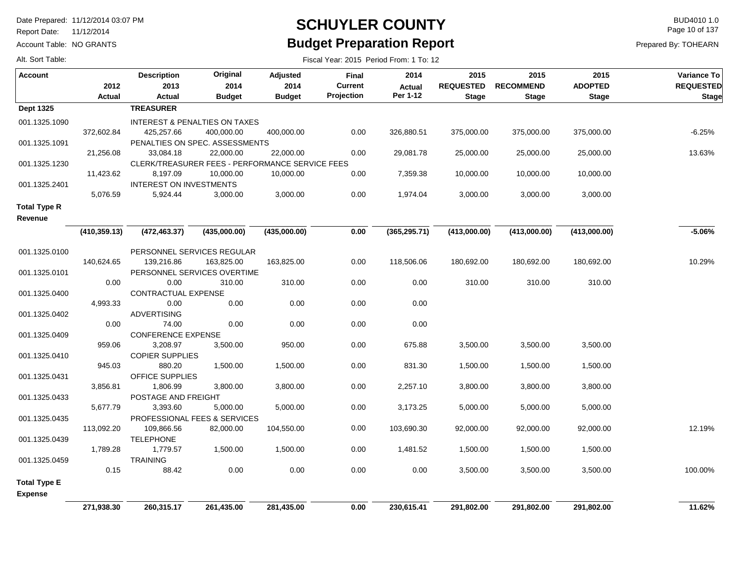Report Date: 11/12/2014

Account Table: NO GRANTS

### **SCHUYLER COUNTY** BUD4010 1.0 **Budget Preparation Report**

Fiscal Year: 2015 Period From: 1 To: 12

Page 10 of 137

| Alt. Sort Table: |  |  |  |  |
|------------------|--|--|--|--|
|------------------|--|--|--|--|

| <b>Account</b>      |               | <b>Description</b>               | Original                                                     | Adjusted      | Final          | 2014          | 2015             | 2015             | 2015           | Variance To      |
|---------------------|---------------|----------------------------------|--------------------------------------------------------------|---------------|----------------|---------------|------------------|------------------|----------------|------------------|
|                     | 2012          | 2013                             | 2014                                                         | 2014          | <b>Current</b> | <b>Actual</b> | <b>REQUESTED</b> | <b>RECOMMEND</b> | <b>ADOPTED</b> | <b>REQUESTED</b> |
|                     | <b>Actual</b> | Actual                           | <b>Budget</b>                                                | <b>Budget</b> | Projection     | Per 1-12      | <b>Stage</b>     | <b>Stage</b>     | <b>Stage</b>   | <b>Stage</b>     |
| <b>Dept 1325</b>    |               | <b>TREASURER</b>                 |                                                              |               |                |               |                  |                  |                |                  |
| 001.1325.1090       |               |                                  | <b>INTEREST &amp; PENALTIES ON TAXES</b>                     |               |                |               |                  |                  |                |                  |
|                     | 372,602.84    | 425,257.66                       | 400,000.00                                                   | 400,000.00    | 0.00           | 326,880.51    | 375,000.00       | 375,000.00       | 375,000.00     | $-6.25%$         |
| 001.1325.1091       |               |                                  | PENALTIES ON SPEC. ASSESSMENTS                               |               |                |               |                  |                  |                |                  |
|                     | 21,256.08     | 33,084.18                        | 22,000.00                                                    | 22,000.00     | 0.00           | 29,081.78     | 25,000.00        | 25,000.00        | 25,000.00      | 13.63%           |
| 001.1325.1230       | 11,423.62     | 8,197.09                         | CLERK/TREASURER FEES - PERFORMANCE SERVICE FEES<br>10,000.00 | 10,000.00     | 0.00           | 7,359.38      | 10,000.00        | 10,000.00        | 10,000.00      |                  |
| 001.1325.2401       |               | INTEREST ON INVESTMENTS          |                                                              |               |                |               |                  |                  |                |                  |
|                     | 5,076.59      | 5,924.44                         | 3,000.00                                                     | 3,000.00      | 0.00           | 1,974.04      | 3,000.00         | 3,000.00         | 3,000.00       |                  |
| <b>Total Type R</b> |               |                                  |                                                              |               |                |               |                  |                  |                |                  |
| Revenue             |               |                                  |                                                              |               |                |               |                  |                  |                |                  |
|                     |               |                                  |                                                              |               |                |               |                  |                  |                |                  |
|                     | (410, 359.13) | (472, 463.37)                    | (435,000.00)                                                 | (435,000.00)  | 0.00           | (365, 295.71) | (413,000.00)     | (413,000.00)     | (413,000.00)   | $-5.06%$         |
| 001.1325.0100       |               |                                  | PERSONNEL SERVICES REGULAR                                   |               |                |               |                  |                  |                |                  |
|                     | 140,624.65    | 139,216.86                       | 163,825.00                                                   | 163,825.00    | 0.00           | 118,506.06    | 180,692.00       | 180,692.00       | 180,692.00     | 10.29%           |
| 001.1325.0101       |               |                                  | PERSONNEL SERVICES OVERTIME                                  |               |                |               |                  |                  |                |                  |
|                     | 0.00          | 0.00                             | 310.00                                                       | 310.00        | 0.00           | 0.00          | 310.00           | 310.00           | 310.00         |                  |
| 001.1325.0400       |               | CONTRACTUAL EXPENSE              |                                                              |               |                |               |                  |                  |                |                  |
|                     | 4,993.33      | 0.00                             | 0.00                                                         | 0.00          | 0.00           | 0.00          |                  |                  |                |                  |
| 001.1325.0402       |               | <b>ADVERTISING</b>               |                                                              |               |                |               |                  |                  |                |                  |
|                     | 0.00          | 74.00                            | 0.00                                                         | 0.00          | 0.00           | 0.00          |                  |                  |                |                  |
| 001.1325.0409       |               | <b>CONFERENCE EXPENSE</b>        |                                                              |               |                |               |                  |                  |                |                  |
|                     | 959.06        | 3,208.97                         | 3,500.00                                                     | 950.00        | 0.00           | 675.88        | 3,500.00         | 3,500.00         | 3,500.00       |                  |
| 001.1325.0410       | 945.03        | <b>COPIER SUPPLIES</b><br>880.20 | 1,500.00                                                     | 1,500.00      | 0.00           | 831.30        | 1,500.00         | 1,500.00         | 1,500.00       |                  |
| 001.1325.0431       |               | OFFICE SUPPLIES                  |                                                              |               |                |               |                  |                  |                |                  |
|                     | 3,856.81      | 1,806.99                         | 3,800.00                                                     | 3,800.00      | 0.00           | 2,257.10      | 3,800.00         | 3,800.00         | 3,800.00       |                  |
| 001.1325.0433       |               | POSTAGE AND FREIGHT              |                                                              |               |                |               |                  |                  |                |                  |
|                     | 5,677.79      | 3,393.60                         | 5,000.00                                                     | 5,000.00      | 0.00           | 3,173.25      | 5,000.00         | 5,000.00         | 5,000.00       |                  |
| 001.1325.0435       |               |                                  | PROFESSIONAL FEES & SERVICES                                 |               |                |               |                  |                  |                |                  |
|                     | 113,092.20    | 109,866.56                       | 82,000.00                                                    | 104,550.00    | 0.00           | 103,690.30    | 92,000.00        | 92,000.00        | 92,000.00      | 12.19%           |
| 001.1325.0439       |               | <b>TELEPHONE</b>                 |                                                              |               |                |               |                  |                  |                |                  |
|                     | 1,789.28      | 1,779.57                         | 1,500.00                                                     | 1,500.00      | 0.00           | 1,481.52      | 1,500.00         | 1,500.00         | 1,500.00       |                  |
| 001.1325.0459       |               | <b>TRAINING</b>                  |                                                              |               |                |               |                  |                  |                |                  |
|                     | 0.15          | 88.42                            | 0.00                                                         | 0.00          | 0.00           | 0.00          | 3,500.00         | 3,500.00         | 3,500.00       | 100.00%          |
| <b>Total Type E</b> |               |                                  |                                                              |               |                |               |                  |                  |                |                  |
| <b>Expense</b>      |               |                                  |                                                              |               |                |               |                  |                  |                |                  |
|                     | 271,938.30    | 260,315.17                       | 261,435.00                                                   | 281,435.00    | 0.00           | 230,615.41    | 291,802.00       | 291,802.00       | 291,802.00     | 11.62%           |
|                     |               |                                  |                                                              |               |                |               |                  |                  |                |                  |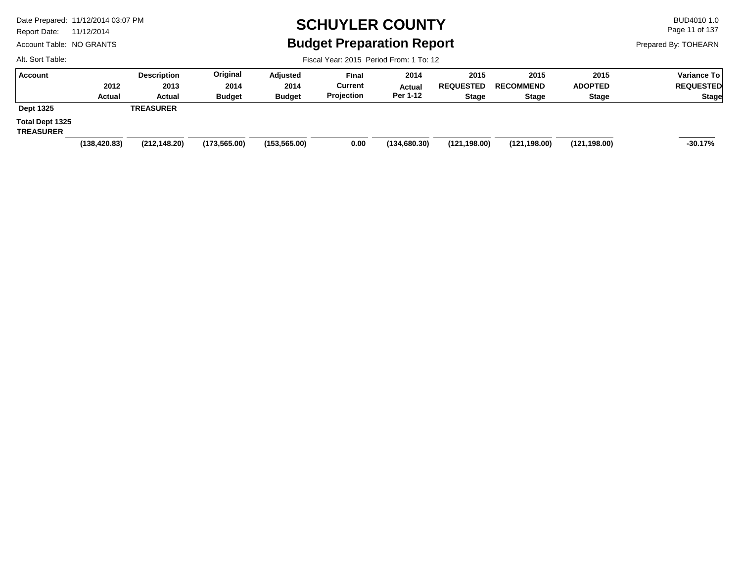Report Date: 11/12/2014

Account Table: NO GRANTS

# **SCHUYLER COUNTY** BUD4010 1.0 **Budget Preparation Report**

Fiscal Year: 2015 Period From: 1 To: 12

Page 11 of 137

Prepared By: TOHEARN

| <b>Account</b>                      |               | <b>Description</b> | Original      | Adjusted      | <b>Final</b>   | 2014         | 2015             | 2015             | 2015           | <b>Variance To</b> |
|-------------------------------------|---------------|--------------------|---------------|---------------|----------------|--------------|------------------|------------------|----------------|--------------------|
|                                     | 2012          | 2013               | 2014          | 2014          | <b>Current</b> | Actual       | <b>REQUESTED</b> | <b>RECOMMEND</b> | <b>ADOPTED</b> | <b>REQUESTED</b>   |
|                                     | <b>Actual</b> | Actual             | <b>Budget</b> | <b>Budget</b> | Projection     | Per 1-12     | <b>Stage</b>     | <b>Stage</b>     | <b>Stage</b>   | Stage              |
| <b>Dept 1325</b>                    |               | <b>TREASURER</b>   |               |               |                |              |                  |                  |                |                    |
| Total Dept 1325<br><b>TREASURER</b> |               |                    |               |               |                |              |                  |                  |                |                    |
|                                     | (138, 420.83) | (212, 148.20)      | (173, 565.00) | (153, 565.00) | 0.00           | (134,680.30) | (121, 198.00)    | (121, 198.00)    | (121, 198.00)  | $-30.17%$          |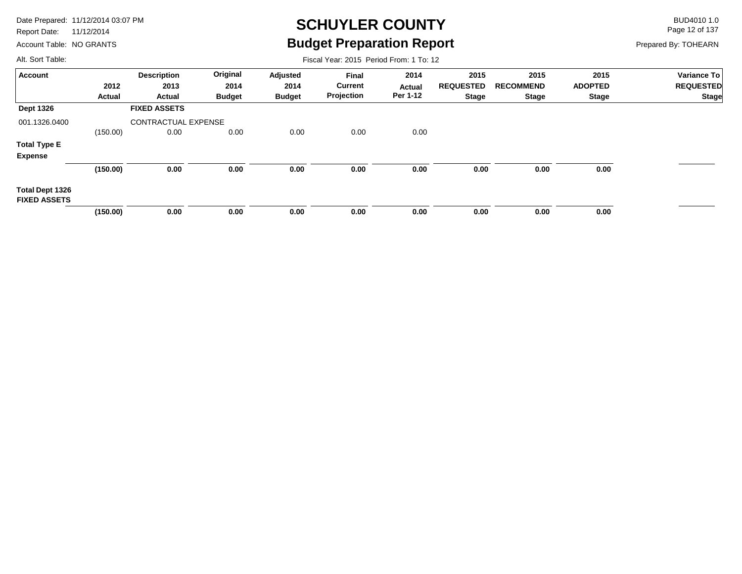Report Date: 11/12/2014

Account Table: NO GRANTS

## **SCHUYLER COUNTY** BUD4010 1.0 **Budget Preparation Report**

Fiscal Year: 2015 Period From: 1 To: 12

Page 12 of 137

Prepared By: TOHEARN

| <b>Account</b>                                |          | <b>Description</b>         | Original      | Adjusted      | <b>Final</b>   | 2014          | 2015             | 2015             | 2015           | Variance To      |
|-----------------------------------------------|----------|----------------------------|---------------|---------------|----------------|---------------|------------------|------------------|----------------|------------------|
|                                               | 2012     | 2013                       | 2014          | 2014          | <b>Current</b> | <b>Actual</b> | <b>REQUESTED</b> | <b>RECOMMEND</b> | <b>ADOPTED</b> | <b>REQUESTED</b> |
|                                               | Actual   | Actual                     | <b>Budget</b> | <b>Budget</b> | Projection     | Per 1-12      | <b>Stage</b>     | Stage            | Stage          | <b>Stage</b>     |
| <b>Dept 1326</b>                              |          | <b>FIXED ASSETS</b>        |               |               |                |               |                  |                  |                |                  |
| 001.1326.0400                                 |          | <b>CONTRACTUAL EXPENSE</b> |               |               |                |               |                  |                  |                |                  |
|                                               | (150.00) | 0.00                       | 0.00          | 0.00          | 0.00           | 0.00          |                  |                  |                |                  |
| <b>Total Type E</b>                           |          |                            |               |               |                |               |                  |                  |                |                  |
| <b>Expense</b>                                |          |                            |               |               |                |               |                  |                  |                |                  |
|                                               | (150.00) | 0.00                       | 0.00          | 0.00          | 0.00           | 0.00          | 0.00             | 0.00             | 0.00           |                  |
| <b>Total Dept 1326</b><br><b>FIXED ASSETS</b> |          |                            |               |               |                |               |                  |                  |                |                  |
|                                               | (150.00) | 0.00                       | 0.00          | 0.00          | 0.00           | 0.00          | 0.00             | 0.00             | 0.00           |                  |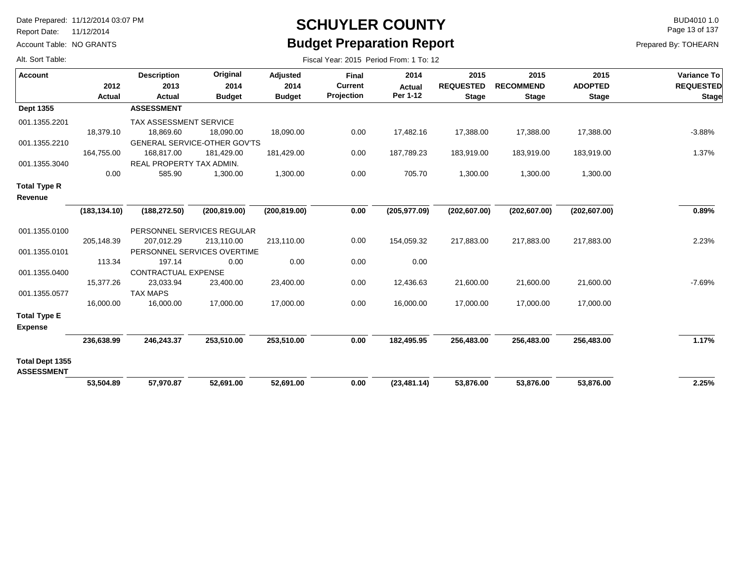Report Date: 11/12/2014

Alt. Sort Table:

Account Table: NO GRANTS

#### **SCHUYLER COUNTY** BUD4010 1.0 **Budget Preparation Report**

Page 13 of 137

| Alt. Sort Table:                      |                | Fiscal Year: 2015 Period From: 1 To: 12 |                                     |                                          |                                              |                                   |                                          |                                          |                        |                                                 |  |  |  |  |
|---------------------------------------|----------------|-----------------------------------------|-------------------------------------|------------------------------------------|----------------------------------------------|-----------------------------------|------------------------------------------|------------------------------------------|------------------------|-------------------------------------------------|--|--|--|--|
| <b>Account</b>                        | 2012<br>Actual | <b>Description</b><br>2013<br>Actual    | Original<br>2014                    | <b>Adjusted</b><br>2014<br><b>Budget</b> | <b>Final</b><br><b>Current</b><br>Projection | 2014<br><b>Actual</b><br>Per 1-12 | 2015<br><b>REQUESTED</b><br><b>Stage</b> | 2015<br><b>RECOMMEND</b><br><b>Stage</b> | 2015<br><b>ADOPTED</b> | Variance To<br><b>REQUESTED</b><br><b>Stage</b> |  |  |  |  |
| Dept 1355                             |                | <b>ASSESSMENT</b>                       | <b>Budget</b>                       |                                          |                                              |                                   |                                          |                                          | <b>Stage</b>           |                                                 |  |  |  |  |
| 001.1355.2201                         |                | TAX ASSESSMENT SERVICE                  |                                     |                                          |                                              |                                   |                                          |                                          |                        |                                                 |  |  |  |  |
|                                       | 18,379.10      | 18,869.60                               | 18,090.00                           | 18,090.00                                | 0.00                                         | 17,482.16                         | 17,388.00                                | 17,388.00                                | 17,388.00              | $-3.88%$                                        |  |  |  |  |
| 001.1355.2210                         |                |                                         | <b>GENERAL SERVICE-OTHER GOV'TS</b> |                                          |                                              |                                   |                                          |                                          |                        |                                                 |  |  |  |  |
|                                       | 164,755.00     | 168,817.00                              | 181,429.00                          | 181,429.00                               | 0.00                                         | 187,789.23                        | 183,919.00                               | 183,919.00                               | 183,919.00             | 1.37%                                           |  |  |  |  |
| 001.1355.3040                         |                | REAL PROPERTY TAX ADMIN.                |                                     |                                          |                                              |                                   |                                          |                                          |                        |                                                 |  |  |  |  |
|                                       | 0.00           | 585.90                                  | 1,300.00                            | 1,300.00                                 | 0.00                                         | 705.70                            | 1,300.00                                 | 1,300.00                                 | 1,300.00               |                                                 |  |  |  |  |
| <b>Total Type R</b><br>Revenue        |                |                                         |                                     |                                          |                                              |                                   |                                          |                                          |                        |                                                 |  |  |  |  |
|                                       | (183, 134.10)  | (188, 272.50)                           | (200, 819.00)                       | (200, 819.00)                            | 0.00                                         | (205, 977.09)                     | (202, 607.00)                            | (202, 607.00)                            | (202, 607.00)          | 0.89%                                           |  |  |  |  |
| 001.1355.0100                         |                |                                         | PERSONNEL SERVICES REGULAR          |                                          |                                              |                                   |                                          |                                          |                        |                                                 |  |  |  |  |
|                                       | 205,148.39     | 207,012.29                              | 213,110.00                          | 213,110.00                               | 0.00                                         | 154,059.32                        | 217,883.00                               | 217,883.00                               | 217,883.00             | 2.23%                                           |  |  |  |  |
| 001.1355.0101                         |                |                                         | PERSONNEL SERVICES OVERTIME         |                                          |                                              |                                   |                                          |                                          |                        |                                                 |  |  |  |  |
|                                       | 113.34         | 197.14                                  | 0.00                                | 0.00                                     | 0.00                                         | 0.00                              |                                          |                                          |                        |                                                 |  |  |  |  |
| 001.1355.0400                         |                | CONTRACTUAL EXPENSE                     |                                     |                                          |                                              |                                   |                                          |                                          |                        |                                                 |  |  |  |  |
|                                       | 15,377.26      | 23,033.94                               | 23,400.00                           | 23,400.00                                | 0.00                                         | 12,436.63                         | 21,600.00                                | 21,600.00                                | 21,600.00              | $-7.69%$                                        |  |  |  |  |
| 001.1355.0577                         |                | <b>TAX MAPS</b>                         |                                     |                                          |                                              |                                   |                                          |                                          |                        |                                                 |  |  |  |  |
|                                       | 16,000.00      | 16,000.00                               | 17,000.00                           | 17,000.00                                | 0.00                                         | 16,000.00                         | 17,000.00                                | 17,000.00                                | 17,000.00              |                                                 |  |  |  |  |
| <b>Total Type E</b><br><b>Expense</b> |                |                                         |                                     |                                          |                                              |                                   |                                          |                                          |                        |                                                 |  |  |  |  |
|                                       | 236,638.99     | 246,243.37                              | 253,510.00                          | 253,510.00                               | 0.00                                         | 182,495.95                        | 256,483.00                               | 256,483.00                               | 256,483.00             | 1.17%                                           |  |  |  |  |
| Total Dept 1355<br><b>ASSESSMENT</b>  |                |                                         |                                     |                                          |                                              |                                   |                                          |                                          |                        |                                                 |  |  |  |  |
|                                       | 53,504.89      | 57,970.87                               | 52,691.00                           | 52,691.00                                | 0.00                                         | (23, 481.14)                      | 53,876.00                                | 53,876.00                                | 53,876.00              | 2.25%                                           |  |  |  |  |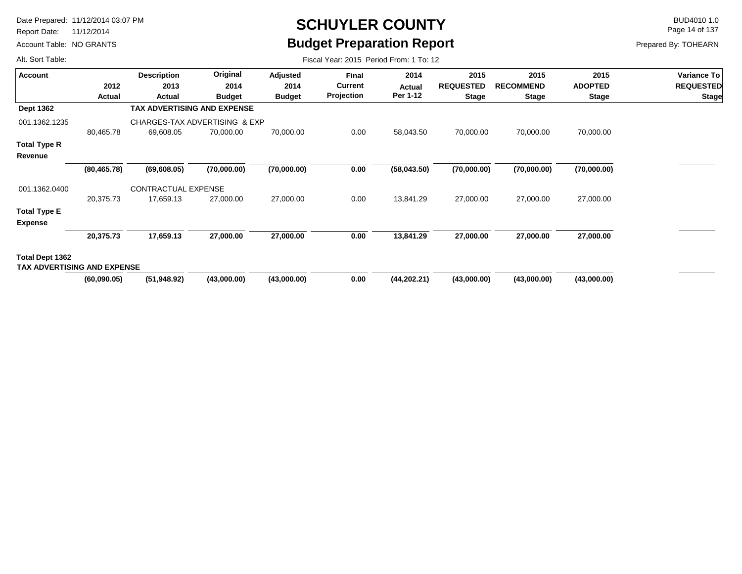Report Date: 11/12/2014

Account Table: NO GRANTS

# **SCHUYLER COUNTY** BUD4010 1.0 **Budget Preparation Report**

Fiscal Year: 2015 Period From: 1 To: 12

Page 14 of 137

Prepared By: TOHEARN

| <b>Account</b>                                        |              | <b>Description</b>                 | Original      | Adjusted      | <b>Final</b> | 2014         | 2015             | 2015             | 2015           | Variance To      |
|-------------------------------------------------------|--------------|------------------------------------|---------------|---------------|--------------|--------------|------------------|------------------|----------------|------------------|
|                                                       | 2012         | 2013                               | 2014          | 2014          | Current      | Actual       | <b>REQUESTED</b> | <b>RECOMMEND</b> | <b>ADOPTED</b> | <b>REQUESTED</b> |
|                                                       | Actual       | Actual                             | <b>Budget</b> | <b>Budget</b> | Projection   | Per 1-12     | <b>Stage</b>     | <b>Stage</b>     | <b>Stage</b>   | <b>Stage</b>     |
| <b>Dept 1362</b>                                      |              | <b>TAX ADVERTISING AND EXPENSE</b> |               |               |              |              |                  |                  |                |                  |
| 001.1362.1235                                         |              | CHARGES-TAX ADVERTISING & EXP      |               |               |              |              |                  |                  |                |                  |
|                                                       | 80,465.78    | 69,608.05                          | 70,000.00     | 70,000.00     | 0.00         | 58,043.50    | 70,000.00        | 70,000.00        | 70,000.00      |                  |
| <b>Total Type R</b>                                   |              |                                    |               |               |              |              |                  |                  |                |                  |
| Revenue                                               |              |                                    |               |               |              |              |                  |                  |                |                  |
|                                                       | (80, 465.78) | (69,608.05)                        | (70,000.00)   | (70,000.00)   | 0.00         | (58,043.50)  | (70,000.00)      | (70,000.00)      | (70,000.00)    |                  |
| 001.1362.0400                                         |              | <b>CONTRACTUAL EXPENSE</b>         |               |               |              |              |                  |                  |                |                  |
|                                                       | 20,375.73    | 17,659.13                          | 27,000.00     | 27,000.00     | 0.00         | 13,841.29    | 27,000.00        | 27,000.00        | 27,000.00      |                  |
| <b>Total Type E</b>                                   |              |                                    |               |               |              |              |                  |                  |                |                  |
| <b>Expense</b>                                        |              |                                    |               |               |              |              |                  |                  |                |                  |
|                                                       | 20,375.73    | 17,659.13                          | 27,000.00     | 27,000.00     | 0.00         | 13,841.29    | 27,000.00        | 27,000.00        | 27,000.00      |                  |
| Total Dept 1362<br><b>TAX ADVERTISING AND EXPENSE</b> |              |                                    |               |               |              |              |                  |                  |                |                  |
|                                                       | (60,090.05)  | (51, 948.92)                       | (43,000.00)   | (43,000.00)   | 0.00         | (44, 202.21) | (43,000.00)      | (43,000.00)      | (43,000.00)    |                  |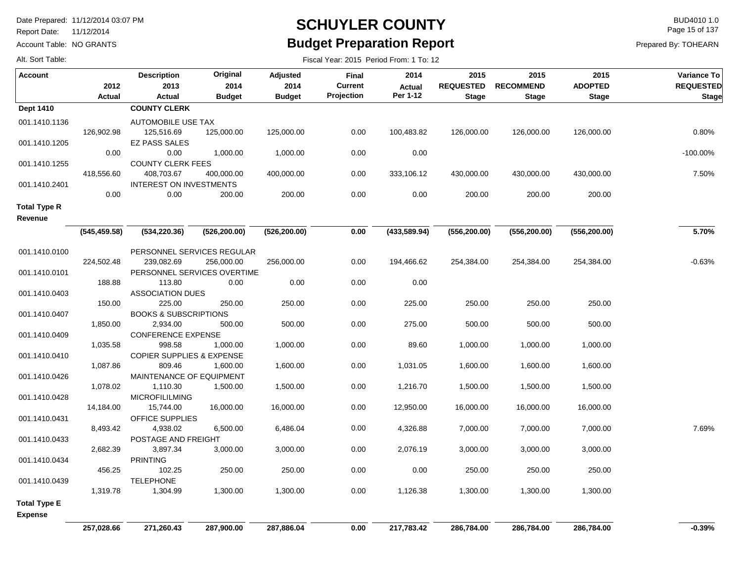Report Date: 11/12/2014

Account Table: NO GRANTS

#### **SCHUYLER COUNTY** BUD4010 1.0 **Budget Preparation Report**

Fiscal Year: 2015 Period From: 1 To: 12

Page 15 of 137

Prepared By: TOHEARN

| Account             |               | <b>Description</b>                           | Original      | Adjusted      | Final      | 2014          | 2015             | 2015             | 2015           | Variance To      |
|---------------------|---------------|----------------------------------------------|---------------|---------------|------------|---------------|------------------|------------------|----------------|------------------|
|                     | 2012          | 2013                                         | 2014          | 2014          | Current    | Actual        | <b>REQUESTED</b> | <b>RECOMMEND</b> | <b>ADOPTED</b> | <b>REQUESTED</b> |
|                     | Actual        | <b>Actual</b>                                | <b>Budget</b> | <b>Budget</b> | Projection | Per 1-12      | <b>Stage</b>     | <b>Stage</b>     | <b>Stage</b>   | <b>Stage</b>     |
| <b>Dept 1410</b>    |               | <b>COUNTY CLERK</b>                          |               |               |            |               |                  |                  |                |                  |
| 001.1410.1136       |               | AUTOMOBILE USE TAX                           |               |               |            |               |                  |                  |                |                  |
|                     | 126,902.98    | 125,516.69                                   | 125,000.00    | 125,000.00    | 0.00       | 100,483.82    | 126,000.00       | 126,000.00       | 126,000.00     | 0.80%            |
| 001.1410.1205       |               | <b>EZ PASS SALES</b>                         |               |               |            |               |                  |                  |                |                  |
|                     | 0.00          | 0.00                                         | 1,000.00      | 1,000.00      | 0.00       | 0.00          |                  |                  |                | $-100.00\%$      |
| 001.1410.1255       |               | <b>COUNTY CLERK FEES</b>                     |               |               |            |               |                  |                  |                |                  |
|                     | 418,556.60    | 408,703.67                                   | 400,000.00    | 400,000.00    | 0.00       | 333,106.12    | 430,000.00       | 430,000.00       | 430,000.00     | 7.50%            |
| 001.1410.2401       |               | <b>INTEREST ON INVESTMENTS</b>               |               |               |            |               |                  |                  |                |                  |
|                     | 0.00          | 0.00                                         | 200.00        | 200.00        | 0.00       | 0.00          | 200.00           | 200.00           | 200.00         |                  |
| <b>Total Type R</b> |               |                                              |               |               |            |               |                  |                  |                |                  |
| Revenue             |               |                                              |               |               |            |               |                  |                  |                |                  |
|                     | (545, 459.58) | (534, 220.36)                                | (526, 200.00) | (526, 200.00) | 0.00       | (433, 589.94) | (556, 200.00)    | (556, 200.00)    | (556, 200.00)  | 5.70%            |
|                     |               |                                              |               |               |            |               |                  |                  |                |                  |
| 001.1410.0100       |               | PERSONNEL SERVICES REGULAR                   |               |               |            |               |                  |                  |                |                  |
|                     | 224,502.48    | 239,082.69                                   | 256,000.00    | 256,000.00    | 0.00       | 194,466.62    | 254,384.00       | 254,384.00       | 254,384.00     | $-0.63%$         |
| 001.1410.0101       |               | PERSONNEL SERVICES OVERTIME                  |               | 0.00          |            | 0.00          |                  |                  |                |                  |
|                     | 188.88        | 113.80                                       | 0.00          |               | 0.00       |               |                  |                  |                |                  |
| 001.1410.0403       | 150.00        | <b>ASSOCIATION DUES</b>                      | 250.00        |               |            |               | 250.00           | 250.00           | 250.00         |                  |
|                     |               | 225.00                                       |               | 250.00        | 0.00       | 225.00        |                  |                  |                |                  |
| 001.1410.0407       | 1,850.00      | <b>BOOKS &amp; SUBSCRIPTIONS</b><br>2,934.00 | 500.00        | 500.00        | 0.00       | 275.00        | 500.00           | 500.00           | 500.00         |                  |
| 001.1410.0409       |               | <b>CONFERENCE EXPENSE</b>                    |               |               |            |               |                  |                  |                |                  |
|                     | 1,035.58      | 998.58                                       | 1,000.00      | 1,000.00      | 0.00       | 89.60         | 1,000.00         | 1,000.00         | 1,000.00       |                  |
| 001.1410.0410       |               | <b>COPIER SUPPLIES &amp; EXPENSE</b>         |               |               |            |               |                  |                  |                |                  |
|                     | 1,087.86      | 809.46                                       | 1,600.00      | 1,600.00      | 0.00       | 1,031.05      | 1,600.00         | 1,600.00         | 1,600.00       |                  |
| 001.1410.0426       |               | MAINTENANCE OF EQUIPMENT                     |               |               |            |               |                  |                  |                |                  |
|                     | 1,078.02      | 1,110.30                                     | 1,500.00      | 1,500.00      | 0.00       | 1,216.70      | 1,500.00         | 1,500.00         | 1,500.00       |                  |
| 001.1410.0428       |               | <b>MICROFILILMING</b>                        |               |               |            |               |                  |                  |                |                  |
|                     | 14,184.00     | 15,744.00                                    | 16,000.00     | 16,000.00     | 0.00       | 12,950.00     | 16,000.00        | 16,000.00        | 16,000.00      |                  |
| 001.1410.0431       |               | <b>OFFICE SUPPLIES</b>                       |               |               |            |               |                  |                  |                |                  |
|                     | 8,493.42      | 4,938.02                                     | 6,500.00      | 6,486.04      | 0.00       | 4,326.88      | 7,000.00         | 7,000.00         | 7,000.00       | 7.69%            |
| 001.1410.0433       |               | POSTAGE AND FREIGHT                          |               |               |            |               |                  |                  |                |                  |
|                     | 2,682.39      | 3,897.34                                     | 3,000.00      | 3,000.00      | 0.00       | 2,076.19      | 3,000.00         | 3,000.00         | 3,000.00       |                  |
| 001.1410.0434       |               | <b>PRINTING</b>                              |               |               |            |               |                  |                  |                |                  |
|                     | 456.25        | 102.25                                       | 250.00        | 250.00        | 0.00       | 0.00          | 250.00           | 250.00           | 250.00         |                  |
| 001.1410.0439       |               | <b>TELEPHONE</b>                             |               |               |            |               |                  |                  |                |                  |
|                     | 1,319.78      | 1,304.99                                     | 1,300.00      | 1,300.00      | 0.00       | 1,126.38      | 1,300.00         | 1,300.00         | 1,300.00       |                  |
| <b>Total Type E</b> |               |                                              |               |               |            |               |                  |                  |                |                  |
| <b>Expense</b>      |               |                                              |               |               |            |               |                  |                  |                |                  |
|                     | 257,028.66    | 271,260.43                                   | 287,900.00    | 287,886.04    | 0.00       | 217,783.42    | 286,784.00       | 286,784.00       | 286,784.00     | $-0.39%$         |
|                     |               |                                              |               |               |            |               |                  |                  |                |                  |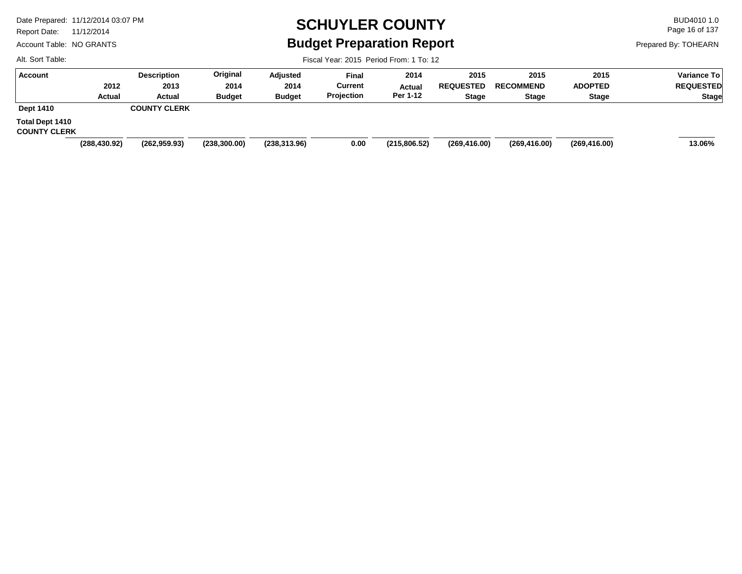Report Date: 11/12/2014

Account Table: NO GRANTS

# **SCHUYLER COUNTY** BUD4010 1.0 **Budget Preparation Report**

Fiscal Year: 2015 Period From: 1 To: 12

Page 16 of 137

Prepared By: TOHEARN

| <b>Account</b>                         |               | <b>Description</b>  | Original      | Adjusted      | <b>Final</b> | 2014          | 2015             | 2015             | 2015           | <b>Variance To</b> |
|----------------------------------------|---------------|---------------------|---------------|---------------|--------------|---------------|------------------|------------------|----------------|--------------------|
|                                        | 2012          | 2013                | 2014          | 2014          | Current      | Actual        | <b>REQUESTED</b> | <b>RECOMMEND</b> | <b>ADOPTED</b> | <b>REQUESTED</b>   |
|                                        | Actual        | <b>Actual</b>       | <b>Budget</b> | <b>Budget</b> | Projection   | Per 1-12      | <b>Stage</b>     | <b>Stage</b>     | <b>Stage</b>   | Stage              |
| <b>Dept 1410</b>                       |               | <b>COUNTY CLERK</b> |               |               |              |               |                  |                  |                |                    |
| Total Dept 1410<br><b>COUNTY CLERK</b> |               |                     |               |               |              |               |                  |                  |                |                    |
|                                        | (288, 430.92) | (262, 959.93)       | (238, 300.00) | (238, 313.96) | 0.00         | (215, 806.52) | (269, 416.00)    | (269, 416.00)    | (269, 416.00)  | 13.06%             |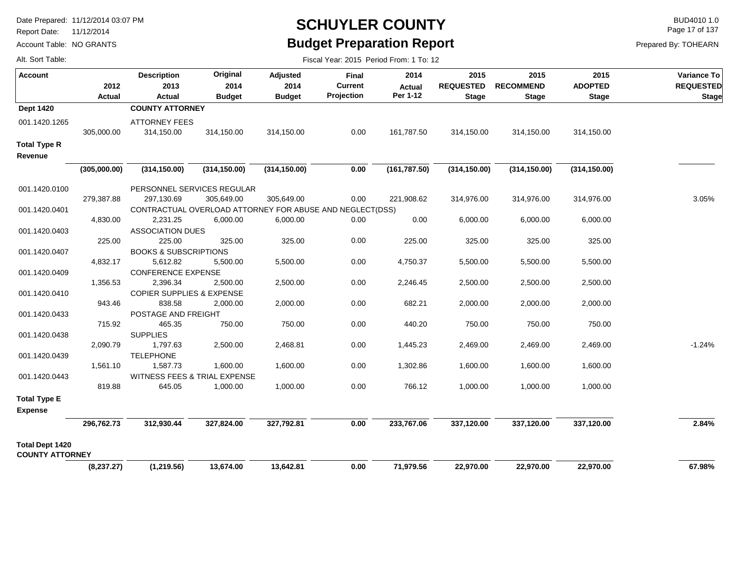Report Date: 11/12/2014

Alt. Sort Table:

Account Table: NO GRANTS

### **SCHUYLER COUNTY** BUD4010 1.0 **Budget Preparation Report**

Fiscal Year: 2015 Period From: 1 To: 12

Page 17 of 137

| <b>Account</b>                                   | 2012<br><b>Actual</b> | <b>Description</b><br>2013<br><b>Actual</b>              | Original<br>2014<br><b>Budget</b> | Adjusted<br>2014<br><b>Budget</b> | Final<br><b>Current</b><br>Projection | 2014<br><b>Actual</b><br>Per 1-12 | 2015<br><b>REQUESTED</b><br><b>Stage</b> | 2015<br><b>RECOMMEND</b><br><b>Stage</b> | 2015<br><b>ADOPTED</b><br><b>Stage</b> | Variance To<br><b>REQUESTED</b><br>Stage |
|--------------------------------------------------|-----------------------|----------------------------------------------------------|-----------------------------------|-----------------------------------|---------------------------------------|-----------------------------------|------------------------------------------|------------------------------------------|----------------------------------------|------------------------------------------|
| <b>Dept 1420</b>                                 |                       | <b>COUNTY ATTORNEY</b>                                   |                                   |                                   |                                       |                                   |                                          |                                          |                                        |                                          |
| 001.1420.1265                                    | 305,000.00            | <b>ATTORNEY FEES</b><br>314,150.00                       | 314,150.00                        | 314,150.00                        | 0.00                                  | 161,787.50                        | 314,150.00                               | 314,150.00                               | 314,150.00                             |                                          |
| <b>Total Type R</b><br>Revenue                   |                       |                                                          |                                   |                                   |                                       |                                   |                                          |                                          |                                        |                                          |
|                                                  | (305,000.00)          | (314, 150.00)                                            | (314, 150.00)                     | (314, 150.00)                     | 0.00                                  | (161, 787.50)                     | (314, 150.00)                            | (314, 150.00)                            | (314, 150.00)                          |                                          |
| 001.1420.0100                                    |                       | PERSONNEL SERVICES REGULAR                               |                                   |                                   |                                       |                                   |                                          |                                          |                                        |                                          |
|                                                  | 279,387.88            | 297,130.69                                               | 305,649.00                        | 305,649.00                        | 0.00                                  | 221,908.62                        | 314,976.00                               | 314,976.00                               | 314,976.00                             | 3.05%                                    |
| 001.1420.0401                                    |                       | CONTRACTUAL OVERLOAD ATTORNEY FOR ABUSE AND NEGLECT(DSS) |                                   |                                   |                                       |                                   |                                          |                                          |                                        |                                          |
|                                                  | 4,830.00              | 2,231.25                                                 | 6,000.00                          | 6,000.00                          | 0.00                                  | 0.00                              | 6,000.00                                 | 6,000.00                                 | 6,000.00                               |                                          |
| 001.1420.0403                                    |                       | <b>ASSOCIATION DUES</b>                                  |                                   |                                   |                                       |                                   |                                          |                                          |                                        |                                          |
|                                                  | 225.00                | 225.00                                                   | 325.00                            | 325.00                            | 0.00                                  | 225.00                            | 325.00                                   | 325.00                                   | 325.00                                 |                                          |
| 001.1420.0407                                    |                       | <b>BOOKS &amp; SUBSCRIPTIONS</b>                         |                                   |                                   |                                       |                                   |                                          |                                          |                                        |                                          |
|                                                  | 4,832.17              | 5,612.82                                                 | 5,500.00                          | 5,500.00                          | 0.00                                  | 4,750.37                          | 5,500.00                                 | 5,500.00                                 | 5,500.00                               |                                          |
| 001.1420.0409                                    |                       | <b>CONFERENCE EXPENSE</b>                                |                                   |                                   |                                       |                                   |                                          |                                          |                                        |                                          |
|                                                  | 1,356.53              | 2,396.34                                                 | 2,500.00                          | 2,500.00                          | 0.00                                  | 2,246.45                          | 2,500.00                                 | 2,500.00                                 | 2,500.00                               |                                          |
| 001.1420.0410                                    |                       | <b>COPIER SUPPLIES &amp; EXPENSE</b>                     |                                   |                                   |                                       |                                   |                                          |                                          |                                        |                                          |
|                                                  | 943.46                | 838.58                                                   | 2,000.00                          | 2,000.00                          | 0.00                                  | 682.21                            | 2,000.00                                 | 2,000.00                                 | 2,000.00                               |                                          |
| 001.1420.0433                                    |                       | POSTAGE AND FREIGHT                                      |                                   |                                   |                                       |                                   |                                          |                                          |                                        |                                          |
|                                                  | 715.92                | 465.35                                                   | 750.00                            | 750.00                            | 0.00                                  | 440.20                            | 750.00                                   | 750.00                                   | 750.00                                 |                                          |
| 001.1420.0438                                    |                       | <b>SUPPLIES</b>                                          |                                   |                                   |                                       |                                   |                                          |                                          |                                        |                                          |
|                                                  | 2,090.79              | 1,797.63                                                 | 2,500.00                          | 2,468.81                          | 0.00                                  | 1,445.23                          | 2,469.00                                 | 2,469.00                                 | 2,469.00                               | $-1.24%$                                 |
| 001.1420.0439                                    |                       | <b>TELEPHONE</b>                                         |                                   |                                   |                                       |                                   |                                          |                                          |                                        |                                          |
|                                                  | 1,561.10              | 1,587.73                                                 | 1,600.00                          | 1,600.00                          | 0.00                                  | 1,302.86                          | 1,600.00                                 | 1,600.00                                 | 1,600.00                               |                                          |
| 001.1420.0443                                    |                       | WITNESS FEES & TRIAL EXPENSE                             |                                   |                                   |                                       |                                   |                                          |                                          |                                        |                                          |
|                                                  | 819.88                | 645.05                                                   | 1,000.00                          | 1,000.00                          | 0.00                                  | 766.12                            | 1,000.00                                 | 1,000.00                                 | 1,000.00                               |                                          |
| <b>Total Type E</b><br><b>Expense</b>            |                       |                                                          |                                   |                                   |                                       |                                   |                                          |                                          |                                        |                                          |
|                                                  | 296,762.73            | 312,930.44                                               | 327,824.00                        | 327,792.81                        | 0.00                                  | 233,767.06                        | 337,120.00                               | 337,120.00                               | 337,120.00                             | 2.84%                                    |
|                                                  |                       |                                                          |                                   |                                   |                                       |                                   |                                          |                                          |                                        |                                          |
| <b>Total Dept 1420</b><br><b>COUNTY ATTORNEY</b> |                       |                                                          |                                   |                                   |                                       |                                   |                                          |                                          |                                        |                                          |
|                                                  | (8, 237.27)           | (1,219.56)                                               | 13,674.00                         | 13,642.81                         | 0.00                                  | 71,979.56                         | 22,970.00                                | 22,970.00                                | 22,970.00                              | 67.98%                                   |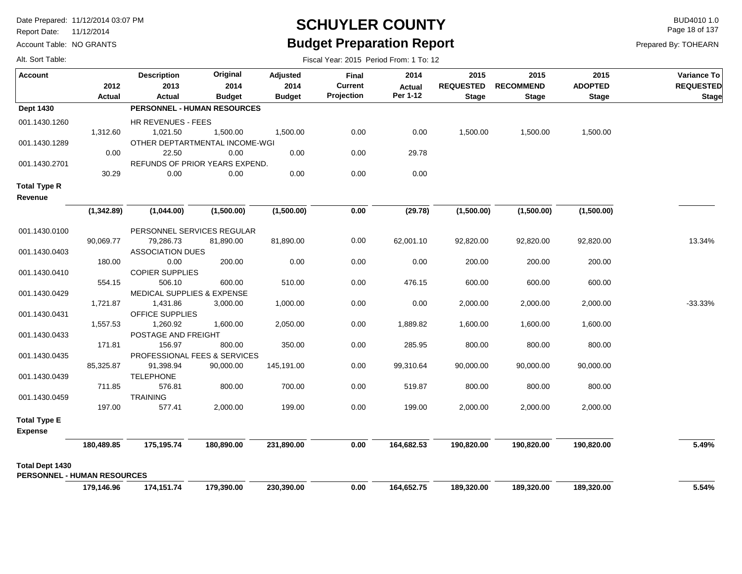Report Date: 11/12/2014

Account Table: NO GRANTS

#### **SCHUYLER COUNTY** BUD4010 1.0 **Budget Preparation Report**

Page 18 of 137

| Alt. Sort Table:                      |            |                                    |                  |                         |                         |                       |                          |                          |                        |                                        |
|---------------------------------------|------------|------------------------------------|------------------|-------------------------|-------------------------|-----------------------|--------------------------|--------------------------|------------------------|----------------------------------------|
| <b>Account</b>                        | 2012       | <b>Description</b><br>2013         | Original<br>2014 | <b>Adjusted</b><br>2014 | Final<br><b>Current</b> | 2014<br><b>Actual</b> | 2015<br><b>REQUESTED</b> | 2015<br><b>RECOMMEND</b> | 2015<br><b>ADOPTED</b> | <b>Variance To</b><br><b>REQUESTED</b> |
|                                       | Actual     | Actual                             | <b>Budget</b>    | <b>Budget</b>           | Projection              | Per 1-12              | <b>Stage</b>             | <b>Stage</b>             | <b>Stage</b>           | Stage                                  |
| <b>Dept 1430</b>                      |            | <b>PERSONNEL - HUMAN RESOURCES</b> |                  |                         |                         |                       |                          |                          |                        |                                        |
| 001.1430.1260                         |            | HR REVENUES - FEES                 |                  |                         |                         |                       |                          |                          |                        |                                        |
|                                       | 1,312.60   | 1,021.50                           | 1,500.00         | 1,500.00                | 0.00                    | 0.00                  | 1,500.00                 | 1,500.00                 | 1,500.00               |                                        |
| 001.1430.1289                         |            | OTHER DEPTARTMENTAL INCOME-WGI     |                  |                         |                         |                       |                          |                          |                        |                                        |
|                                       | 0.00       | 22.50                              | 0.00             | 0.00                    | 0.00                    | 29.78                 |                          |                          |                        |                                        |
| 001.1430.2701                         |            | REFUNDS OF PRIOR YEARS EXPEND.     |                  |                         |                         |                       |                          |                          |                        |                                        |
|                                       | 30.29      | 0.00                               | 0.00             | 0.00                    | 0.00                    | 0.00                  |                          |                          |                        |                                        |
| <b>Total Type R</b><br>Revenue        |            |                                    |                  |                         |                         |                       |                          |                          |                        |                                        |
|                                       | (1,342.89) | (1,044.00)                         | (1,500.00)       | (1,500.00)              | 0.00                    | (29.78)               | (1,500.00)               | (1,500.00)               | (1,500.00)             |                                        |
| 001.1430.0100                         |            | PERSONNEL SERVICES REGULAR         |                  |                         |                         |                       |                          |                          |                        |                                        |
|                                       | 90,069.77  | 79,286.73                          | 81,890.00        | 81,890.00               | 0.00                    | 62,001.10             | 92,820.00                | 92,820.00                | 92,820.00              | 13.34%                                 |
| 001.1430.0403                         |            | <b>ASSOCIATION DUES</b>            |                  |                         |                         |                       |                          |                          |                        |                                        |
|                                       | 180.00     | 0.00                               | 200.00           | 0.00                    | 0.00                    | 0.00                  | 200.00                   | 200.00                   | 200.00                 |                                        |
| 001.1430.0410                         |            | <b>COPIER SUPPLIES</b>             |                  |                         |                         |                       |                          |                          |                        |                                        |
|                                       | 554.15     | 506.10                             | 600.00           | 510.00                  | 0.00                    | 476.15                | 600.00                   | 600.00                   | 600.00                 |                                        |
| 001.1430.0429                         |            | MEDICAL SUPPLIES & EXPENSE         |                  |                         |                         |                       |                          |                          |                        |                                        |
|                                       | 1,721.87   | 1,431.86                           | 3,000.00         | 1,000.00                | 0.00                    | 0.00                  | 2,000.00                 | 2,000.00                 | 2,000.00               | $-33.33%$                              |
| 001.1430.0431                         |            | <b>OFFICE SUPPLIES</b>             |                  |                         |                         |                       |                          |                          |                        |                                        |
|                                       | 1,557.53   | 1,260.92                           | 1,600.00         | 2,050.00                | 0.00                    | 1,889.82              | 1,600.00                 | 1,600.00                 | 1,600.00               |                                        |
| 001.1430.0433                         |            | POSTAGE AND FREIGHT                |                  |                         |                         |                       |                          |                          |                        |                                        |
|                                       | 171.81     | 156.97                             | 800.00           | 350.00                  | 0.00                    | 285.95                | 800.00                   | 800.00                   | 800.00                 |                                        |
| 001.1430.0435                         |            | PROFESSIONAL FEES & SERVICES       |                  |                         |                         |                       |                          |                          |                        |                                        |
|                                       | 85,325.87  | 91,398.94                          | 90,000.00        | 145,191.00              | 0.00                    | 99,310.64             | 90,000.00                | 90,000.00                | 90,000.00              |                                        |
| 001.1430.0439                         |            | <b>TELEPHONE</b>                   |                  |                         |                         |                       |                          |                          |                        |                                        |
|                                       | 711.85     | 576.81                             | 800.00           | 700.00                  | 0.00                    | 519.87                | 800.00                   | 800.00                   | 800.00                 |                                        |
| 001.1430.0459                         |            | <b>TRAINING</b>                    |                  | 199.00                  | 0.00                    | 199.00                |                          |                          |                        |                                        |
|                                       | 197.00     | 577.41                             | 2,000.00         |                         |                         |                       | 2,000.00                 | 2,000.00                 | 2,000.00               |                                        |
| <b>Total Type E</b><br><b>Expense</b> |            |                                    |                  |                         |                         |                       |                          |                          |                        |                                        |
|                                       | 180,489.85 | 175,195.74                         | 180,890.00       | 231,890.00              | 0.00                    | 164,682.53            | 190,820.00               | 190,820.00               | 190,820.00             | 5.49%                                  |
| <b>Total Dept 1430</b>                |            |                                    |                  |                         |                         |                       |                          |                          |                        |                                        |
| <b>PERSONNEL - HUMAN RESOURCES</b>    |            |                                    |                  |                         |                         |                       |                          |                          |                        |                                        |
|                                       | 179,146.96 | 174,151.74                         | 179,390.00       | 230,390.00              | 0.00                    | 164,652.75            | 189,320.00               | 189.320.00               | 189,320.00             | 5.54%                                  |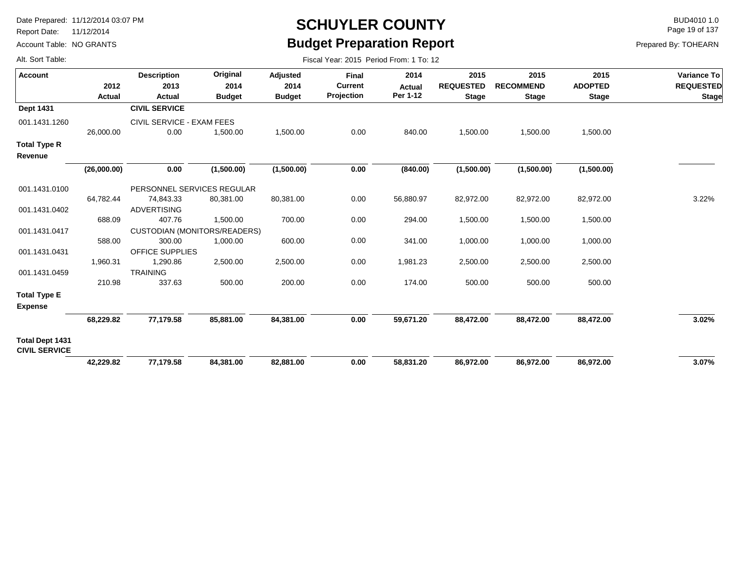Report Date: 11/12/2014

Account Table: NO GRANTS

## **SCHUYLER COUNTY** BUD4010 1.0 **Budget Preparation Report**

Fiscal Year: 2015 Period From: 1 To: 12

Page 19 of 137

|  |  |  | Alt. Sort Table: |
|--|--|--|------------------|
|--|--|--|------------------|

| <b>Account</b>                                 |                | <b>Description</b>                  | Original              | <b>Adjusted</b>       | Final                        | 2014                      | 2015                             | 2015                             | 2015                           | Variance To                      |
|------------------------------------------------|----------------|-------------------------------------|-----------------------|-----------------------|------------------------------|---------------------------|----------------------------------|----------------------------------|--------------------------------|----------------------------------|
|                                                | 2012<br>Actual | 2013<br>Actual                      | 2014<br><b>Budget</b> | 2014<br><b>Budget</b> | <b>Current</b><br>Projection | <b>Actual</b><br>Per 1-12 | <b>REQUESTED</b><br><b>Stage</b> | <b>RECOMMEND</b><br><b>Stage</b> | <b>ADOPTED</b><br><b>Stage</b> | <b>REQUESTED</b><br><b>Stage</b> |
| <b>Dept 1431</b>                               |                | <b>CIVIL SERVICE</b>                |                       |                       |                              |                           |                                  |                                  |                                |                                  |
| 001.1431.1260                                  |                | CIVIL SERVICE - EXAM FEES           |                       |                       |                              |                           |                                  |                                  |                                |                                  |
|                                                | 26,000.00      | 0.00                                | 1,500.00              | 1,500.00              | 0.00                         | 840.00                    | 1,500.00                         | 1,500.00                         | 1,500.00                       |                                  |
| <b>Total Type R</b><br>Revenue                 |                |                                     |                       |                       |                              |                           |                                  |                                  |                                |                                  |
|                                                | (26,000.00)    | 0.00                                | (1,500.00)            | (1,500.00)            | 0.00                         | (840.00)                  | (1,500.00)                       | (1,500.00)                       | (1,500.00)                     |                                  |
| 001.1431.0100                                  |                | PERSONNEL SERVICES REGULAR          |                       |                       |                              |                           |                                  |                                  |                                |                                  |
|                                                | 64,782.44      | 74,843.33                           | 80,381.00             | 80,381.00             | 0.00                         | 56,880.97                 | 82,972.00                        | 82,972.00                        | 82,972.00                      | 3.22%                            |
| 001.1431.0402                                  |                | <b>ADVERTISING</b>                  |                       |                       |                              |                           |                                  |                                  |                                |                                  |
|                                                | 688.09         | 407.76                              | 1,500.00              | 700.00                | 0.00                         | 294.00                    | 1,500.00                         | 1,500.00                         | 1,500.00                       |                                  |
| 001.1431.0417                                  |                | <b>CUSTODIAN (MONITORS/READERS)</b> |                       |                       |                              |                           |                                  |                                  |                                |                                  |
|                                                | 588.00         | 300.00                              | 1,000.00              | 600.00                | 0.00                         | 341.00                    | 1,000.00                         | 1,000.00                         | 1,000.00                       |                                  |
| 001.1431.0431                                  |                | <b>OFFICE SUPPLIES</b>              |                       |                       |                              |                           |                                  |                                  |                                |                                  |
|                                                | 1,960.31       | 1,290.86                            | 2,500.00              | 2,500.00              | 0.00                         | 1,981.23                  | 2,500.00                         | 2,500.00                         | 2,500.00                       |                                  |
| 001.1431.0459                                  |                | <b>TRAINING</b>                     |                       |                       |                              |                           |                                  |                                  |                                |                                  |
|                                                | 210.98         | 337.63                              | 500.00                | 200.00                | 0.00                         | 174.00                    | 500.00                           | 500.00                           | 500.00                         |                                  |
| <b>Total Type E</b><br><b>Expense</b>          |                |                                     |                       |                       |                              |                           |                                  |                                  |                                |                                  |
|                                                | 68,229.82      | 77,179.58                           | 85,881.00             | 84,381.00             | 0.00                         | 59,671.20                 | 88,472.00                        | 88,472.00                        | 88,472.00                      | 3.02%                            |
| <b>Total Dept 1431</b><br><b>CIVIL SERVICE</b> |                |                                     |                       |                       |                              |                           |                                  |                                  |                                |                                  |
|                                                | 42,229.82      | 77,179.58                           | 84,381.00             | 82,881.00             | 0.00                         | 58,831.20                 | 86,972.00                        | 86,972.00                        | 86,972.00                      | 3.07%                            |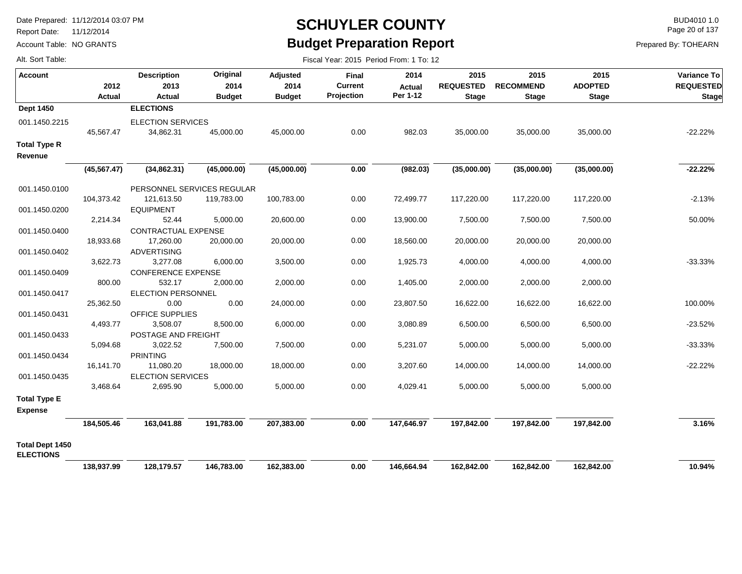Report Date: 11/12/2014

Account Table: NO GRANTS

#### **SCHUYLER COUNTY** BUD4010 1.0 **Budget Preparation Report**

Fiscal Year: 2015 Period From: 1 To: 12

Page 20 of 137

| Alt. Sort Table: |  |
|------------------|--|
|                  |  |

| Account                                    | 2012<br><b>Actual</b> | <b>Description</b><br>2013<br><b>Actual</b> | Original<br>2014<br><b>Budget</b>        | Adjusted<br>2014<br><b>Budget</b> | Final<br><b>Current</b><br>Projection | 2014<br><b>Actual</b><br>Per 1-12 | 2015<br><b>REQUESTED</b><br><b>Stage</b> | 2015<br><b>RECOMMEND</b><br><b>Stage</b> | 2015<br><b>ADOPTED</b><br><b>Stage</b> | Variance To<br><b>REQUESTED</b><br><b>Stage</b> |
|--------------------------------------------|-----------------------|---------------------------------------------|------------------------------------------|-----------------------------------|---------------------------------------|-----------------------------------|------------------------------------------|------------------------------------------|----------------------------------------|-------------------------------------------------|
| <b>Dept 1450</b>                           |                       | <b>ELECTIONS</b>                            |                                          |                                   |                                       |                                   |                                          |                                          |                                        |                                                 |
| 001.1450.2215                              | 45,567.47             | <b>ELECTION SERVICES</b><br>34,862.31       | 45,000.00                                | 45,000.00                         | 0.00                                  | 982.03                            | 35,000.00                                | 35,000.00                                | 35,000.00                              | $-22.22%$                                       |
| <b>Total Type R</b><br>Revenue             |                       |                                             |                                          |                                   |                                       |                                   |                                          |                                          |                                        |                                                 |
|                                            | (45, 567.47)          | (34,862.31)                                 | (45,000.00)                              | (45,000.00)                       | 0.00                                  | (982.03)                          | (35,000.00)                              | (35,000.00)                              | (35,000.00)                            | $-22.22%$                                       |
| 001.1450.0100                              | 104,373.42            | 121,613.50                                  | PERSONNEL SERVICES REGULAR<br>119,783.00 | 100,783.00                        | 0.00                                  | 72,499.77                         | 117,220.00                               | 117,220.00                               | 117,220.00                             | $-2.13%$                                        |
| 001.1450.0200                              |                       | <b>EQUIPMENT</b>                            |                                          |                                   |                                       |                                   |                                          |                                          |                                        |                                                 |
|                                            | 2,214.34              | 52.44                                       | 5,000.00                                 | 20,600.00                         | 0.00                                  | 13,900.00                         | 7,500.00                                 | 7,500.00                                 | 7,500.00                               | 50.00%                                          |
| 001.1450.0400                              | 18,933.68             | CONTRACTUAL EXPENSE<br>17,260.00            | 20,000.00                                | 20,000.00                         | 0.00                                  | 18,560.00                         | 20,000.00                                | 20,000.00                                | 20,000.00                              |                                                 |
| 001.1450.0402                              |                       | <b>ADVERTISING</b>                          |                                          |                                   |                                       |                                   |                                          |                                          |                                        |                                                 |
|                                            | 3,622.73              | 3,277.08                                    | 6,000.00                                 | 3,500.00                          | 0.00                                  | 1,925.73                          | 4,000.00                                 | 4,000.00                                 | 4,000.00                               | $-33.33%$                                       |
| 001.1450.0409                              |                       | <b>CONFERENCE EXPENSE</b>                   |                                          |                                   |                                       |                                   |                                          |                                          |                                        |                                                 |
| 001.1450.0417                              | 800.00                | 532.17<br><b>ELECTION PERSONNEL</b>         | 2,000.00                                 | 2,000.00                          | 0.00                                  | 1,405.00                          | 2,000.00                                 | 2,000.00                                 | 2,000.00                               |                                                 |
|                                            | 25,362.50             | 0.00                                        | 0.00                                     | 24,000.00                         | 0.00                                  | 23,807.50                         | 16,622.00                                | 16,622.00                                | 16,622.00                              | 100.00%                                         |
| 001.1450.0431                              |                       | OFFICE SUPPLIES                             |                                          |                                   |                                       |                                   |                                          |                                          |                                        |                                                 |
|                                            | 4,493.77              | 3,508.07                                    | 8,500.00                                 | 6,000.00                          | 0.00                                  | 3,080.89                          | 6,500.00                                 | 6,500.00                                 | 6,500.00                               | $-23.52%$                                       |
| 001.1450.0433                              | 5,094.68              | POSTAGE AND FREIGHT<br>3,022.52             | 7,500.00                                 | 7,500.00                          | 0.00                                  | 5,231.07                          | 5,000.00                                 | 5,000.00                                 | 5,000.00                               | $-33.33%$                                       |
| 001.1450.0434                              |                       | <b>PRINTING</b>                             |                                          |                                   |                                       |                                   |                                          |                                          |                                        |                                                 |
|                                            | 16,141.70             | 11,080.20                                   | 18,000.00                                | 18,000.00                         | 0.00                                  | 3,207.60                          | 14,000.00                                | 14,000.00                                | 14,000.00                              | $-22.22%$                                       |
| 001.1450.0435                              |                       | <b>ELECTION SERVICES</b>                    |                                          |                                   |                                       |                                   |                                          |                                          |                                        |                                                 |
| <b>Total Type E</b>                        | 3,468.64              | 2,695.90                                    | 5,000.00                                 | 5,000.00                          | 0.00                                  | 4,029.41                          | 5,000.00                                 | 5,000.00                                 | 5,000.00                               |                                                 |
| <b>Expense</b>                             |                       |                                             |                                          |                                   |                                       |                                   |                                          |                                          |                                        |                                                 |
|                                            | 184,505.46            | 163,041.88                                  | 191,783.00                               | 207,383.00                        | 0.00                                  | 147,646.97                        | 197,842.00                               | 197,842.00                               | 197,842.00                             | 3.16%                                           |
| <b>Total Dept 1450</b><br><b>ELECTIONS</b> |                       |                                             |                                          |                                   |                                       |                                   |                                          |                                          |                                        |                                                 |
|                                            | 138,937.99            | 128,179.57                                  | 146,783.00                               | 162,383.00                        | 0.00                                  | 146,664.94                        | 162,842.00                               | 162,842.00                               | 162,842.00                             | 10.94%                                          |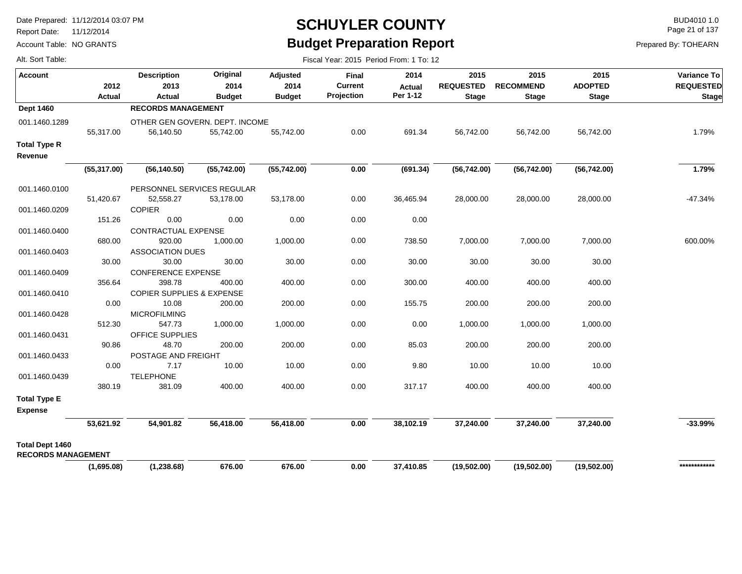Report Date: 11/12/2014

Account Table: NO GRANTS

### **SCHUYLER COUNTY** BUD4010 1.0 **Budget Preparation Report**

Page 21 of 137

| Alt. Sort Table: |  |
|------------------|--|
|                  |  |

| Alt. Sort Table:                                    |                |                                      |                                   |                                   | Fiscal Year: 2015 Period From: 1 To: 12 |                                   |                                          |                                          |                                        |                                          |
|-----------------------------------------------------|----------------|--------------------------------------|-----------------------------------|-----------------------------------|-----------------------------------------|-----------------------------------|------------------------------------------|------------------------------------------|----------------------------------------|------------------------------------------|
| <b>Account</b>                                      | 2012<br>Actual | <b>Description</b><br>2013<br>Actual | Original<br>2014<br><b>Budget</b> | Adjusted<br>2014<br><b>Budget</b> | Final<br><b>Current</b><br>Projection   | 2014<br><b>Actual</b><br>Per 1-12 | 2015<br><b>REQUESTED</b><br><b>Stage</b> | 2015<br><b>RECOMMEND</b><br><b>Stage</b> | 2015<br><b>ADOPTED</b><br><b>Stage</b> | Variance To<br><b>REQUESTED</b><br>Stage |
| <b>Dept 1460</b>                                    |                | <b>RECORDS MANAGEMENT</b>            |                                   |                                   |                                         |                                   |                                          |                                          |                                        |                                          |
| 001.1460.1289                                       |                | OTHER GEN GOVERN. DEPT. INCOME       |                                   |                                   |                                         |                                   |                                          |                                          |                                        |                                          |
|                                                     | 55,317.00      | 56,140.50                            | 55,742.00                         | 55,742.00                         | 0.00                                    | 691.34                            | 56,742.00                                | 56,742.00                                | 56,742.00                              | 1.79%                                    |
| <b>Total Type R</b><br>Revenue                      |                |                                      |                                   |                                   |                                         |                                   |                                          |                                          |                                        |                                          |
|                                                     | (55, 317.00)   | (56, 140.50)                         | (55,742.00)                       | (55,742.00)                       | 0.00                                    | (691.34)                          | (56, 742.00)                             | (56, 742.00)                             | (56, 742.00)                           | 1.79%                                    |
| 001.1460.0100                                       |                | PERSONNEL SERVICES REGULAR           |                                   |                                   |                                         |                                   |                                          |                                          |                                        |                                          |
|                                                     | 51,420.67      | 52,558.27                            | 53,178.00                         | 53,178.00                         | 0.00                                    | 36,465.94                         | 28,000.00                                | 28,000.00                                | 28,000.00                              | $-47.34%$                                |
| 001.1460.0209                                       |                | <b>COPIER</b>                        |                                   |                                   |                                         |                                   |                                          |                                          |                                        |                                          |
|                                                     | 151.26         | 0.00                                 | 0.00                              | 0.00                              | 0.00                                    | 0.00                              |                                          |                                          |                                        |                                          |
| 001.1460.0400                                       | 680.00         | CONTRACTUAL EXPENSE<br>920.00        | 1,000.00                          | 1,000.00                          | 0.00                                    | 738.50                            | 7,000.00                                 | 7,000.00                                 | 7,000.00                               | 600.00%                                  |
| 001.1460.0403                                       |                | <b>ASSOCIATION DUES</b>              |                                   |                                   |                                         |                                   |                                          |                                          |                                        |                                          |
|                                                     | 30.00          | 30.00                                | 30.00                             | 30.00                             | 0.00                                    | 30.00                             | 30.00                                    | 30.00                                    | 30.00                                  |                                          |
| 001.1460.0409                                       |                | <b>CONFERENCE EXPENSE</b>            |                                   |                                   |                                         |                                   |                                          |                                          |                                        |                                          |
|                                                     | 356.64         | 398.78                               | 400.00                            | 400.00                            | 0.00                                    | 300.00                            | 400.00                                   | 400.00                                   | 400.00                                 |                                          |
| 001.1460.0410                                       |                | <b>COPIER SUPPLIES &amp; EXPENSE</b> |                                   |                                   |                                         |                                   |                                          |                                          |                                        |                                          |
|                                                     | 0.00           | 10.08                                | 200.00                            | 200.00                            | 0.00                                    | 155.75                            | 200.00                                   | 200.00                                   | 200.00                                 |                                          |
| 001.1460.0428                                       |                | <b>MICROFILMING</b>                  |                                   |                                   |                                         |                                   |                                          |                                          |                                        |                                          |
|                                                     | 512.30         | 547.73                               | 1,000.00                          | 1,000.00                          | 0.00                                    | 0.00                              | 1,000.00                                 | 1,000.00                                 | 1,000.00                               |                                          |
| 001.1460.0431                                       |                | OFFICE SUPPLIES                      |                                   |                                   |                                         |                                   |                                          |                                          |                                        |                                          |
| 001.1460.0433                                       | 90.86          | 48.70<br>POSTAGE AND FREIGHT         | 200.00                            | 200.00                            | 0.00                                    | 85.03                             | 200.00                                   | 200.00                                   | 200.00                                 |                                          |
|                                                     | 0.00           | 7.17                                 | 10.00                             | 10.00                             | 0.00                                    | 9.80                              | 10.00                                    | 10.00                                    | 10.00                                  |                                          |
| 001.1460.0439                                       |                | <b>TELEPHONE</b>                     |                                   |                                   |                                         |                                   |                                          |                                          |                                        |                                          |
|                                                     | 380.19         | 381.09                               | 400.00                            | 400.00                            | 0.00                                    | 317.17                            | 400.00                                   | 400.00                                   | 400.00                                 |                                          |
| <b>Total Type E</b>                                 |                |                                      |                                   |                                   |                                         |                                   |                                          |                                          |                                        |                                          |
| <b>Expense</b>                                      |                |                                      |                                   |                                   |                                         |                                   |                                          |                                          |                                        |                                          |
|                                                     | 53,621.92      | 54,901.82                            | 56,418.00                         | 56,418.00                         | 0.00                                    | 38,102.19                         | 37,240.00                                | 37,240.00                                | 37,240.00                              | $-33.99%$                                |
| <b>Total Dept 1460</b><br><b>RECORDS MANAGEMENT</b> |                |                                      |                                   |                                   |                                         |                                   |                                          |                                          |                                        |                                          |
|                                                     | (1,695.08)     | (1, 238.68)                          | 676.00                            | 676.00                            | 0.00                                    | 37,410.85                         | (19,502.00)                              | (19,502.00)                              | (19,502.00)                            | ************                             |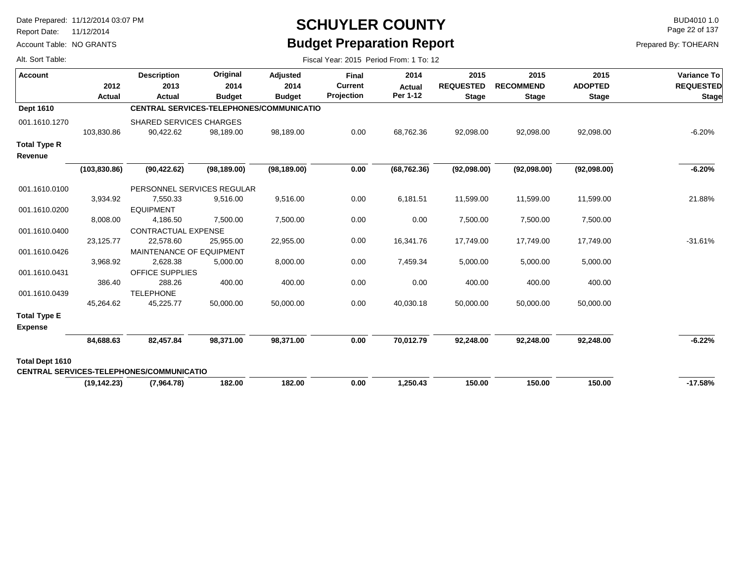Report Date: 11/12/2014

Account Table: NO GRANTS

## **SCHUYLER COUNTY** BUD4010 1.0 **Budget Preparation Report**

Fiscal Year: 2015 Period From: 1 To: 12

Page 22 of 137

| Alt. Sort Table: |  |
|------------------|--|
|                  |  |

| <b>Account</b>                        |               | <b>Description</b>                              | Original      | Adjusted      | <b>Final</b>      | 2014          | 2015             | 2015             | 2015           | <b>Variance To</b> |
|---------------------------------------|---------------|-------------------------------------------------|---------------|---------------|-------------------|---------------|------------------|------------------|----------------|--------------------|
|                                       | 2012          | 2013                                            | 2014          | 2014          | <b>Current</b>    | <b>Actual</b> | <b>REQUESTED</b> | <b>RECOMMEND</b> | <b>ADOPTED</b> | <b>REQUESTED</b>   |
|                                       | Actual        | Actual                                          | <b>Budget</b> | <b>Budget</b> | <b>Projection</b> | Per 1-12      | <b>Stage</b>     | <b>Stage</b>     | <b>Stage</b>   | <b>Stage</b>       |
| Dept 1610                             |               | <b>CENTRAL SERVICES-TELEPHONES/COMMUNICATIO</b> |               |               |                   |               |                  |                  |                |                    |
| 001.1610.1270                         |               | <b>SHARED SERVICES CHARGES</b>                  |               |               |                   |               |                  |                  |                |                    |
|                                       | 103,830.86    | 90,422.62                                       | 98,189.00     | 98,189.00     | 0.00              | 68,762.36     | 92,098.00        | 92,098.00        | 92,098.00      | $-6.20%$           |
| <b>Total Type R</b>                   |               |                                                 |               |               |                   |               |                  |                  |                |                    |
| Revenue                               |               |                                                 |               |               |                   |               |                  |                  |                |                    |
|                                       | (103, 830.86) | (90, 422.62)                                    | (98, 189.00)  | (98, 189.00)  | 0.00              | (68, 762.36)  | (92,098.00)      | (92,098.00)      | (92,098.00)    | $-6.20%$           |
| 001.1610.0100                         |               | PERSONNEL SERVICES REGULAR                      |               |               |                   |               |                  |                  |                |                    |
|                                       | 3,934.92      | 7,550.33                                        | 9,516.00      | 9,516.00      | 0.00              | 6,181.51      | 11,599.00        | 11,599.00        | 11,599.00      | 21.88%             |
| 001.1610.0200                         |               | <b>EQUIPMENT</b>                                |               |               |                   |               |                  |                  |                |                    |
|                                       | 8,008.00      | 4,186.50                                        | 7,500.00      | 7,500.00      | 0.00              | 0.00          | 7,500.00         | 7,500.00         | 7,500.00       |                    |
| 001.1610.0400                         |               | <b>CONTRACTUAL EXPENSE</b>                      |               |               |                   |               |                  |                  |                |                    |
|                                       | 23,125.77     | 22,578.60                                       | 25,955.00     | 22,955.00     | 0.00              | 16,341.76     | 17,749.00        | 17,749.00        | 17,749.00      | $-31.61%$          |
| 001.1610.0426                         |               | <b>MAINTENANCE OF EQUIPMENT</b>                 |               |               |                   |               |                  |                  |                |                    |
|                                       | 3,968.92      | 2,628.38                                        | 5,000.00      | 8,000.00      | 0.00              | 7,459.34      | 5,000.00         | 5,000.00         | 5,000.00       |                    |
| 001.1610.0431                         |               | OFFICE SUPPLIES                                 |               |               |                   |               |                  |                  |                |                    |
|                                       | 386.40        | 288.26                                          | 400.00        | 400.00        | 0.00              | 0.00          | 400.00           | 400.00           | 400.00         |                    |
| 001.1610.0439                         |               | <b>TELEPHONE</b>                                |               |               |                   |               |                  |                  |                |                    |
|                                       | 45,264.62     | 45,225.77                                       | 50,000.00     | 50,000.00     | 0.00              | 40,030.18     | 50,000.00        | 50,000.00        | 50,000.00      |                    |
| <b>Total Type E</b><br><b>Expense</b> |               |                                                 |               |               |                   |               |                  |                  |                |                    |
|                                       |               |                                                 |               |               |                   |               |                  |                  |                |                    |
|                                       | 84,688.63     | 82,457.84                                       | 98,371.00     | 98,371.00     | 0.00              | 70,012.79     | 92,248.00        | 92,248.00        | 92,248.00      | $-6.22%$           |
| <b>Total Dept 1610</b>                |               |                                                 |               |               |                   |               |                  |                  |                |                    |
|                                       |               | <b>CENTRAL SERVICES-TELEPHONES/COMMUNICATIO</b> |               |               |                   |               |                  |                  |                |                    |
|                                       | (19, 142.23)  | (7,964.78)                                      | 182.00        | 182.00        | 0.00              | 1,250.43      | 150.00           | 150.00           | 150.00         | $-17.58%$          |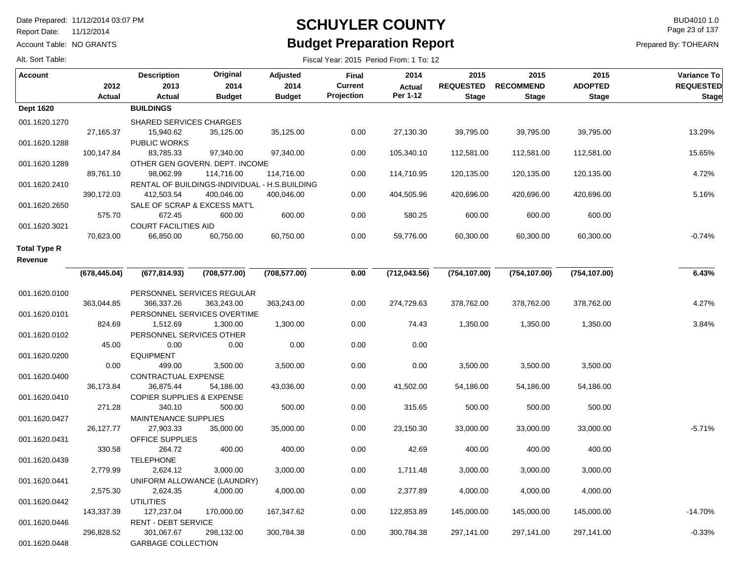Report Date: 11/12/2014

Account Table: NO GRANTS

#### **SCHUYLER COUNTY** BUD4010 1.0 **Budget Preparation Report**

Fiscal Year: 2015 Period From: 1 To: 12

Page 23 of 137

Prepared By: TOHEARN

| <b>Account</b>      |               | <b>Description</b>                   | Original                       | Adjusted                                      | <b>Final</b> | 2014          | 2015             | 2015             | 2015           | Variance To      |
|---------------------|---------------|--------------------------------------|--------------------------------|-----------------------------------------------|--------------|---------------|------------------|------------------|----------------|------------------|
|                     | 2012          | 2013                                 | 2014                           | 2014                                          | Current      | <b>Actual</b> | <b>REQUESTED</b> | <b>RECOMMEND</b> | <b>ADOPTED</b> | <b>REQUESTED</b> |
|                     | <b>Actual</b> | <b>Actual</b>                        | <b>Budget</b>                  | <b>Budget</b>                                 | Projection   | Per 1-12      | <b>Stage</b>     | <b>Stage</b>     | <b>Stage</b>   | <b>Stage</b>     |
| <b>Dept 1620</b>    |               | <b>BUILDINGS</b>                     |                                |                                               |              |               |                  |                  |                |                  |
| 001.1620.1270       |               | <b>SHARED SERVICES CHARGES</b>       |                                |                                               |              |               |                  |                  |                |                  |
|                     | 27,165.37     | 15,940.62                            | 35,125.00                      | 35,125.00                                     | 0.00         | 27,130.30     | 39,795.00        | 39,795.00        | 39,795.00      | 13.29%           |
| 001.1620.1288       |               | <b>PUBLIC WORKS</b>                  |                                |                                               |              |               |                  |                  |                |                  |
|                     | 100,147.84    | 83,785.33                            | 97,340.00                      | 97,340.00                                     | 0.00         | 105,340.10    | 112,581.00       | 112,581.00       | 112,581.00     | 15.65%           |
| 001.1620.1289       |               |                                      | OTHER GEN GOVERN. DEPT. INCOME |                                               |              |               |                  |                  |                |                  |
|                     | 89,761.10     | 98,062.99                            | 114,716.00                     | 114,716.00                                    | 0.00         | 114,710.95    | 120,135.00       | 120,135.00       | 120,135.00     | 4.72%            |
| 001.1620.2410       |               |                                      |                                | RENTAL OF BUILDINGS-INDIVIDUAL - H.S.BUILDING |              |               |                  |                  |                |                  |
|                     | 390,172.03    | 412,503.54                           | 400,046.00                     | 400,046.00                                    | 0.00         | 404,505.96    | 420,696.00       | 420,696.00       | 420,696.00     | 5.16%            |
| 001.1620.2650       |               |                                      | SALE OF SCRAP & EXCESS MAT'L   |                                               |              |               |                  |                  |                |                  |
|                     | 575.70        | 672.45                               | 600.00                         | 600.00                                        | 0.00         | 580.25        | 600.00           | 600.00           | 600.00         |                  |
| 001.1620.3021       |               | <b>COURT FACILITIES AID</b>          |                                |                                               |              |               |                  |                  |                |                  |
|                     | 70,623.00     | 66,850.00                            | 60,750.00                      | 60,750.00                                     | 0.00         | 59,776.00     | 60,300.00        | 60,300.00        | 60,300.00      | $-0.74%$         |
| <b>Total Type R</b> |               |                                      |                                |                                               |              |               |                  |                  |                |                  |
| Revenue             |               |                                      |                                |                                               |              |               |                  |                  |                |                  |
|                     | (678, 445.04) | (677, 814.93)                        | (708, 577.00)                  | (708, 577.00)                                 | 0.00         | (712,043.56)  | (754, 107.00)    | (754, 107.00)    | (754, 107.00)  | 6.43%            |
|                     |               |                                      |                                |                                               |              |               |                  |                  |                |                  |
| 001.1620.0100       |               |                                      | PERSONNEL SERVICES REGULAR     |                                               |              |               |                  |                  |                |                  |
|                     | 363,044.85    | 366,337.26                           | 363,243.00                     | 363,243.00                                    | 0.00         | 274,729.63    | 378,762.00       | 378,762.00       | 378,762.00     | 4.27%            |
| 001.1620.0101       |               |                                      | PERSONNEL SERVICES OVERTIME    |                                               |              |               |                  |                  |                |                  |
|                     | 824.69        | 1,512.69                             | 1,300.00                       | 1,300.00                                      | 0.00         | 74.43         | 1,350.00         | 1,350.00         | 1,350.00       | 3.84%            |
| 001.1620.0102       |               | PERSONNEL SERVICES OTHER             |                                |                                               |              |               |                  |                  |                |                  |
|                     | 45.00         | 0.00                                 | 0.00                           | 0.00                                          | 0.00         | 0.00          |                  |                  |                |                  |
| 001.1620.0200       |               | <b>EQUIPMENT</b>                     |                                |                                               |              |               |                  |                  |                |                  |
|                     | 0.00          | 499.00                               | 3,500.00                       | 3,500.00                                      | 0.00         | 0.00          | 3,500.00         | 3,500.00         | 3,500.00       |                  |
| 001.1620.0400       |               | CONTRACTUAL EXPENSE                  |                                |                                               |              |               |                  |                  |                |                  |
|                     | 36,173.84     | 36,875.44                            | 54,186.00                      | 43,036.00                                     | 0.00         | 41,502.00     | 54,186.00        | 54,186.00        | 54,186.00      |                  |
| 001.1620.0410       |               | <b>COPIER SUPPLIES &amp; EXPENSE</b> |                                |                                               |              |               |                  |                  |                |                  |
|                     | 271.28        | 340.10                               | 500.00                         | 500.00                                        | 0.00         | 315.65        | 500.00           | 500.00           | 500.00         |                  |
| 001.1620.0427       |               | <b>MAINTENANCE SUPPLIES</b>          |                                |                                               |              |               |                  |                  |                |                  |
|                     | 26,127.77     | 27,903.33                            | 35,000.00                      | 35,000.00                                     | 0.00         | 23,150.30     | 33,000.00        | 33,000.00        | 33,000.00      | $-5.71%$         |
| 001.1620.0431       |               | OFFICE SUPPLIES                      |                                |                                               |              |               |                  |                  |                |                  |
|                     | 330.58        | 264.72                               | 400.00                         | 400.00                                        | 0.00         | 42.69         | 400.00           | 400.00           | 400.00         |                  |
| 001.1620.0439       |               | <b>TELEPHONE</b>                     |                                |                                               |              |               |                  |                  |                |                  |
|                     | 2,779.99      | 2,624.12                             | 3,000.00                       | 3,000.00                                      | 0.00         | 1,711.48      | 3,000.00         | 3,000.00         | 3,000.00       |                  |
| 001.1620.0441       |               |                                      | UNIFORM ALLOWANCE (LAUNDRY)    |                                               |              |               |                  |                  |                |                  |
|                     | 2,575.30      | 2,624.35                             | 4,000.00                       | 4,000.00                                      | 0.00         | 2,377.89      | 4,000.00         | 4,000.00         | 4,000.00       |                  |
| 001.1620.0442       |               | <b>UTILITIES</b>                     |                                |                                               |              |               |                  |                  |                |                  |
|                     | 143,337.39    | 127,237.04                           | 170,000.00                     | 167,347.62                                    | 0.00         | 122,853.89    | 145,000.00       | 145,000.00       | 145,000.00     | $-14.70%$        |
| 001.1620.0446       |               | <b>RENT - DEBT SERVICE</b>           |                                |                                               |              |               |                  |                  |                |                  |
|                     | 296,828.52    | 301,067.67                           | 298,132.00                     | 300,784.38                                    | 0.00         | 300,784.38    | 297,141.00       | 297,141.00       | 297,141.00     | $-0.33%$         |
| 001.1620.0448       |               | <b>GARBAGE COLLECTION</b>            |                                |                                               |              |               |                  |                  |                |                  |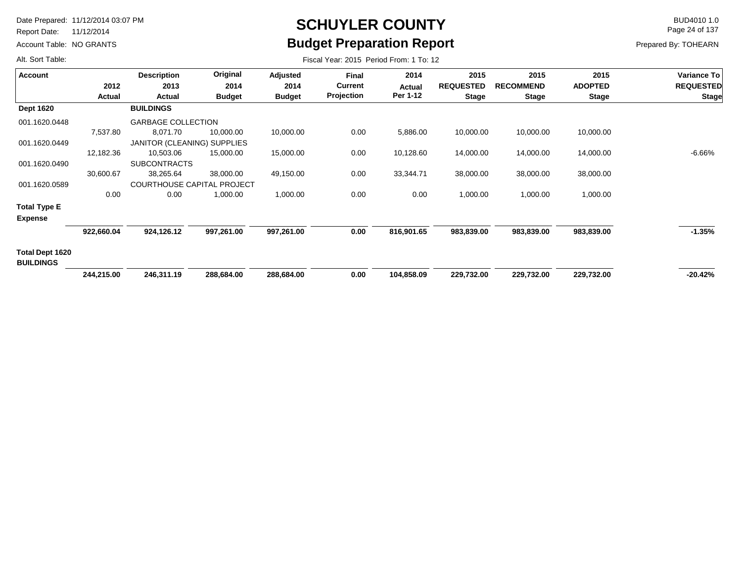Report Date: 11/12/2014

Account Table: NO GRANTS

# **SCHUYLER COUNTY** BUD4010 1.0 **Budget Preparation Report**

Fiscal Year: 2015 Period From: 1 To: 12

Page 24 of 137

Prepared By: TOHEARN

| Account                             |               | <b>Description</b>                | Original      | Adjusted      | Final             | 2014       | 2015             | 2015             | 2015           | Variance To      |
|-------------------------------------|---------------|-----------------------------------|---------------|---------------|-------------------|------------|------------------|------------------|----------------|------------------|
|                                     | 2012          | 2013                              | 2014          | 2014          | <b>Current</b>    | Actual     | <b>REQUESTED</b> | <b>RECOMMEND</b> | <b>ADOPTED</b> | <b>REQUESTED</b> |
|                                     | <b>Actual</b> | Actual                            | <b>Budget</b> | <b>Budget</b> | <b>Projection</b> | Per 1-12   | <b>Stage</b>     | <b>Stage</b>     | Stage          | <b>Stage</b>     |
| <b>Dept 1620</b>                    |               | <b>BUILDINGS</b>                  |               |               |                   |            |                  |                  |                |                  |
| 001.1620.0448                       |               | <b>GARBAGE COLLECTION</b>         |               |               |                   |            |                  |                  |                |                  |
|                                     | 7,537.80      | 8,071.70                          | 10,000.00     | 10,000.00     | 0.00              | 5,886.00   | 10,000.00        | 10,000.00        | 10,000.00      |                  |
| 001.1620.0449                       |               | JANITOR (CLEANING) SUPPLIES       |               |               |                   |            |                  |                  |                |                  |
|                                     | 12,182.36     | 10,503.06                         | 15,000.00     | 15,000.00     | 0.00              | 10,128.60  | 14,000.00        | 14,000.00        | 14,000.00      | $-6.66%$         |
| 001.1620.0490                       |               | <b>SUBCONTRACTS</b>               |               |               |                   |            |                  |                  |                |                  |
|                                     | 30,600.67     | 38,265.64                         | 38,000.00     | 49,150.00     | 0.00              | 33,344.71  | 38,000.00        | 38,000.00        | 38,000.00      |                  |
| 001.1620.0589                       |               | <b>COURTHOUSE CAPITAL PROJECT</b> |               |               |                   |            |                  |                  |                |                  |
|                                     | 0.00          | 0.00                              | 1,000.00      | 1,000.00      | 0.00              | 0.00       | 1,000.00         | 1,000.00         | 1,000.00       |                  |
| <b>Total Type E</b>                 |               |                                   |               |               |                   |            |                  |                  |                |                  |
| <b>Expense</b>                      |               |                                   |               |               |                   |            |                  |                  |                |                  |
|                                     | 922,660.04    | 924,126.12                        | 997,261.00    | 997,261.00    | 0.00              | 816,901.65 | 983,839.00       | 983,839.00       | 983,839.00     | $-1.35%$         |
| Total Dept 1620<br><b>BUILDINGS</b> |               |                                   |               |               |                   |            |                  |                  |                |                  |
|                                     | 244,215.00    | 246,311.19                        | 288,684.00    | 288,684.00    | 0.00              | 104,858.09 | 229,732.00       | 229,732.00       | 229,732.00     | $-20.42%$        |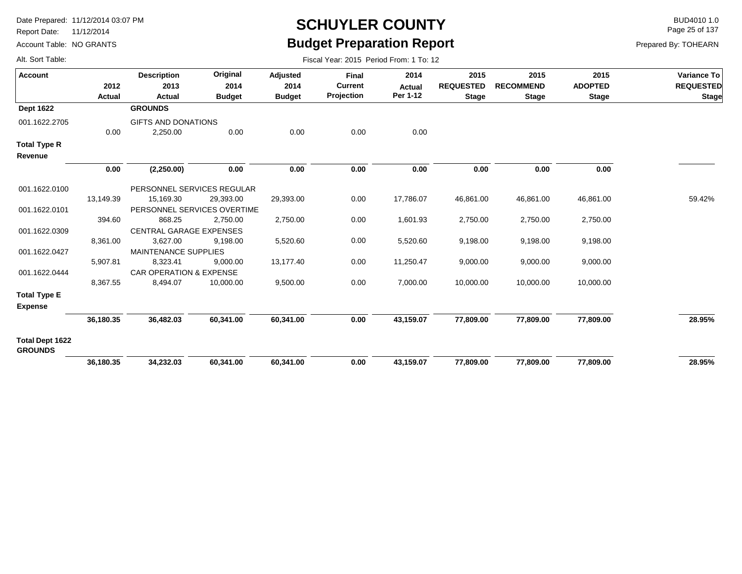Report Date: 11/12/2014

Account Table: NO GRANTS

## **SCHUYLER COUNTY** BUD4010 1.0 **Budget Preparation Report**

Fiscal Year: 2015 Period From: 1 To: 12

Page 25 of 137

|  | Alt. Sort Table: |
|--|------------------|
|  |                  |

| <b>Account</b>                           |           | <b>Description</b>                 | Original      | <b>Adjusted</b> | <b>Final</b>   | 2014          | 2015             | 2015             | 2015           | Variance To      |
|------------------------------------------|-----------|------------------------------------|---------------|-----------------|----------------|---------------|------------------|------------------|----------------|------------------|
|                                          | 2012      | 2013                               | 2014          | 2014            | <b>Current</b> | <b>Actual</b> | <b>REQUESTED</b> | <b>RECOMMEND</b> | <b>ADOPTED</b> | <b>REQUESTED</b> |
|                                          | Actual    | Actual                             | <b>Budget</b> | <b>Budget</b>   | Projection     | Per 1-12      | <b>Stage</b>     | <b>Stage</b>     | <b>Stage</b>   | <b>Stage</b>     |
| <b>Dept 1622</b>                         |           | <b>GROUNDS</b>                     |               |                 |                |               |                  |                  |                |                  |
| 001.1622.2705                            |           | GIFTS AND DONATIONS                |               |                 |                |               |                  |                  |                |                  |
|                                          | 0.00      | 2,250.00                           | 0.00          | 0.00            | 0.00           | 0.00          |                  |                  |                |                  |
| <b>Total Type R</b><br>Revenue           |           |                                    |               |                 |                |               |                  |                  |                |                  |
|                                          | 0.00      | (2,250.00)                         | 0.00          | 0.00            | 0.00           | 0.00          | 0.00             | 0.00             | 0.00           |                  |
| 001.1622.0100                            |           | PERSONNEL SERVICES REGULAR         |               |                 |                |               |                  |                  |                |                  |
|                                          | 13,149.39 | 15,169.30                          | 29,393.00     | 29,393.00       | 0.00           | 17,786.07     | 46,861.00        | 46,861.00        | 46,861.00      | 59.42%           |
| 001.1622.0101                            |           | PERSONNEL SERVICES OVERTIME        |               |                 |                |               |                  |                  |                |                  |
|                                          | 394.60    | 868.25                             | 2,750.00      | 2,750.00        | 0.00           | 1,601.93      | 2,750.00         | 2,750.00         | 2,750.00       |                  |
| 001.1622.0309                            |           | <b>CENTRAL GARAGE EXPENSES</b>     |               |                 |                |               |                  |                  |                |                  |
|                                          | 8,361.00  | 3,627.00                           | 9,198.00      | 5,520.60        | 0.00           | 5,520.60      | 9,198.00         | 9,198.00         | 9,198.00       |                  |
| 001.1622.0427                            |           | MAINTENANCE SUPPLIES               |               |                 |                |               |                  |                  |                |                  |
|                                          | 5,907.81  | 8,323.41                           | 9,000.00      | 13,177.40       | 0.00           | 11,250.47     | 9,000.00         | 9,000.00         | 9,000.00       |                  |
| 001.1622.0444                            |           | <b>CAR OPERATION &amp; EXPENSE</b> |               |                 |                |               |                  |                  |                |                  |
|                                          | 8,367.55  | 8,494.07                           | 10,000.00     | 9,500.00        | 0.00           | 7,000.00      | 10,000.00        | 10,000.00        | 10,000.00      |                  |
| <b>Total Type E</b><br><b>Expense</b>    |           |                                    |               |                 |                |               |                  |                  |                |                  |
|                                          | 36,180.35 | 36,482.03                          | 60,341.00     | 60,341.00       | 0.00           | 43,159.07     | 77,809.00        | 77,809.00        | 77,809.00      | 28.95%           |
| <b>Total Dept 1622</b><br><b>GROUNDS</b> |           |                                    |               |                 |                |               |                  |                  |                |                  |
|                                          | 36,180.35 | 34,232.03                          | 60,341.00     | 60,341.00       | 0.00           | 43,159.07     | 77,809.00        | 77,809.00        | 77,809.00      | 28.95%           |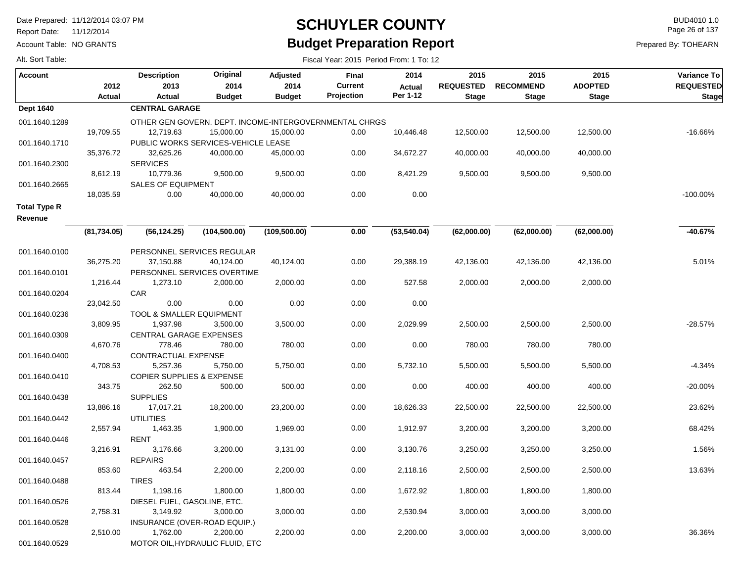Report Date: 11/12/2014

Account Table: NO GRANTS

#### **SCHUYLER COUNTY** BUD4010 1.0 **Budget Preparation Report**

Fiscal Year: 2015 Period From: 1 To: 12

Page 26 of 137

| Alt. Sort Table: |  |
|------------------|--|
|                  |  |

| <b>Account</b>                 | 2012<br><b>Actual</b> | <b>Description</b><br>2013<br>Actual                   | Original<br>2014<br><b>Budget</b>   | <b>Adjusted</b><br>2014<br><b>Budget</b> | <b>Final</b><br><b>Current</b><br>Projection | 2014<br><b>Actual</b><br>Per 1-12 | 2015<br><b>REQUESTED</b><br><b>Stage</b> | 2015<br><b>RECOMMEND</b><br><b>Stage</b> | 2015<br><b>ADOPTED</b><br><b>Stage</b> | Variance To<br><b>REQUESTED</b><br><b>Stage</b> |
|--------------------------------|-----------------------|--------------------------------------------------------|-------------------------------------|------------------------------------------|----------------------------------------------|-----------------------------------|------------------------------------------|------------------------------------------|----------------------------------------|-------------------------------------------------|
| <b>Dept 1640</b>               |                       | <b>CENTRAL GARAGE</b>                                  |                                     |                                          |                                              |                                   |                                          |                                          |                                        |                                                 |
| 001.1640.1289                  |                       | OTHER GEN GOVERN. DEPT. INCOME-INTERGOVERNMENTAL CHRGS |                                     |                                          |                                              |                                   |                                          |                                          |                                        |                                                 |
|                                | 19,709.55             | 12,719.63                                              | 15,000.00                           | 15,000.00                                | 0.00                                         | 10,446.48                         | 12,500.00                                | 12,500.00                                | 12,500.00                              | $-16.66%$                                       |
| 001.1640.1710                  |                       |                                                        | PUBLIC WORKS SERVICES-VEHICLE LEASE |                                          |                                              |                                   |                                          |                                          |                                        |                                                 |
|                                | 35,376.72             | 32,625.26                                              | 40.000.00                           | 45,000.00                                | 0.00                                         | 34,672.27                         | 40,000.00                                | 40,000.00                                | 40,000.00                              |                                                 |
| 001.1640.2300                  |                       | <b>SERVICES</b>                                        |                                     |                                          |                                              |                                   |                                          |                                          |                                        |                                                 |
|                                | 8,612.19              | 10,779.36                                              | 9,500.00                            | 9,500.00                                 | 0.00                                         | 8,421.29                          | 9,500.00                                 | 9,500.00                                 | 9,500.00                               |                                                 |
| 001.1640.2665                  |                       | <b>SALES OF EQUIPMENT</b>                              |                                     |                                          |                                              |                                   |                                          |                                          |                                        |                                                 |
|                                | 18,035.59             | 0.00                                                   | 40,000.00                           | 40,000.00                                | 0.00                                         | 0.00                              |                                          |                                          |                                        | $-100.00\%$                                     |
| <b>Total Type R</b><br>Revenue |                       |                                                        |                                     |                                          |                                              |                                   |                                          |                                          |                                        |                                                 |
|                                | (81,734.05)           | (56, 124.25)                                           | (104, 500.00)                       | (109, 500.00)                            | 0.00                                         | (53, 540.04)                      | (62,000.00)                              | (62,000.00)                              | (62,000.00)                            | -40.67%                                         |
| 001.1640.0100                  |                       |                                                        | PERSONNEL SERVICES REGULAR          |                                          |                                              |                                   |                                          |                                          |                                        |                                                 |
|                                | 36,275.20             | 37,150.88                                              | 40,124.00                           | 40,124.00                                | 0.00                                         | 29,388.19                         | 42,136.00                                | 42,136.00                                | 42,136.00                              | 5.01%                                           |
| 001.1640.0101                  |                       |                                                        | PERSONNEL SERVICES OVERTIME         |                                          |                                              |                                   |                                          |                                          |                                        |                                                 |
|                                | 1,216.44              | 1,273.10                                               | 2,000.00                            | 2,000.00                                 | 0.00                                         | 527.58                            | 2,000.00                                 | 2,000.00                                 | 2,000.00                               |                                                 |
| 001.1640.0204                  |                       | <b>CAR</b>                                             |                                     |                                          |                                              |                                   |                                          |                                          |                                        |                                                 |
|                                | 23,042.50             | 0.00                                                   | 0.00                                | 0.00                                     | 0.00                                         | 0.00                              |                                          |                                          |                                        |                                                 |
| 001.1640.0236                  |                       | TOOL & SMALLER EQUIPMENT                               |                                     |                                          |                                              |                                   |                                          |                                          |                                        |                                                 |
|                                | 3,809.95              | 1,937.98                                               | 3,500.00                            | 3,500.00                                 | 0.00                                         | 2,029.99                          | 2,500.00                                 | 2,500.00                                 | 2,500.00                               | $-28.57%$                                       |
| 001.1640.0309                  |                       | <b>CENTRAL GARAGE EXPENSES</b>                         |                                     |                                          |                                              |                                   |                                          |                                          |                                        |                                                 |
|                                | 4,670.76              | 778.46                                                 | 780.00                              | 780.00                                   | 0.00                                         | 0.00                              | 780.00                                   | 780.00                                   | 780.00                                 |                                                 |
| 001.1640.0400                  |                       | CONTRACTUAL EXPENSE                                    |                                     |                                          |                                              |                                   |                                          |                                          |                                        |                                                 |
|                                | 4,708.53              | 5,257.36                                               | 5,750.00                            | 5,750.00                                 | 0.00                                         | 5,732.10                          | 5,500.00                                 | 5,500.00                                 | 5,500.00                               | $-4.34%$                                        |
| 001.1640.0410                  |                       | <b>COPIER SUPPLIES &amp; EXPENSE</b>                   |                                     |                                          |                                              |                                   |                                          |                                          |                                        |                                                 |
|                                | 343.75                | 262.50                                                 | 500.00                              | 500.00                                   | 0.00                                         | 0.00                              | 400.00                                   | 400.00                                   | 400.00                                 | $-20.00%$                                       |
| 001.1640.0438                  | 13,886.16             | <b>SUPPLIES</b><br>17,017.21                           | 18,200.00                           | 23,200.00                                | 0.00                                         | 18,626.33                         | 22,500.00                                | 22,500.00                                | 22,500.00                              | 23.62%                                          |
| 001.1640.0442                  |                       | <b>UTILITIES</b>                                       |                                     |                                          |                                              |                                   |                                          |                                          |                                        |                                                 |
|                                | 2,557.94              | 1,463.35                                               | 1,900.00                            | 1,969.00                                 | 0.00                                         | 1,912.97                          | 3,200.00                                 | 3,200.00                                 | 3,200.00                               | 68.42%                                          |
| 001.1640.0446                  |                       | <b>RENT</b>                                            |                                     |                                          |                                              |                                   |                                          |                                          |                                        |                                                 |
|                                | 3,216.91              | 3,176.66                                               | 3,200.00                            | 3,131.00                                 | 0.00                                         | 3,130.76                          | 3,250.00                                 | 3,250.00                                 | 3,250.00                               | 1.56%                                           |
| 001.1640.0457                  |                       | <b>REPAIRS</b>                                         |                                     |                                          |                                              |                                   |                                          |                                          |                                        |                                                 |
|                                | 853.60                | 463.54                                                 | 2,200.00                            | 2,200.00                                 | 0.00                                         | 2,118.16                          | 2,500.00                                 | 2,500.00                                 | 2,500.00                               | 13.63%                                          |
| 001.1640.0488                  |                       | <b>TIRES</b>                                           |                                     |                                          |                                              |                                   |                                          |                                          |                                        |                                                 |
|                                | 813.44                | 1,198.16                                               | 1,800.00                            | 1,800.00                                 | 0.00                                         | 1,672.92                          | 1,800.00                                 | 1,800.00                                 | 1,800.00                               |                                                 |
| 001.1640.0526                  |                       | DIESEL FUEL, GASOLINE, ETC.                            |                                     |                                          |                                              |                                   |                                          |                                          |                                        |                                                 |
|                                | 2,758.31              | 3,149.92                                               | 3,000.00                            | 3,000.00                                 | 0.00                                         | 2,530.94                          | 3,000.00                                 | 3,000.00                                 | 3,000.00                               |                                                 |
| 001.1640.0528                  |                       |                                                        | INSURANCE (OVER-ROAD EQUIP.)        |                                          |                                              |                                   |                                          |                                          |                                        |                                                 |
|                                | 2,510.00              | 1,762.00                                               | 2,200.00                            | 2,200.00                                 | 0.00                                         | 2,200.00                          | 3,000.00                                 | 3,000.00                                 | 3,000.00                               | 36.36%                                          |
| 001.1640.0529                  |                       |                                                        | MOTOR OIL, HYDRAULIC FLUID, ETC     |                                          |                                              |                                   |                                          |                                          |                                        |                                                 |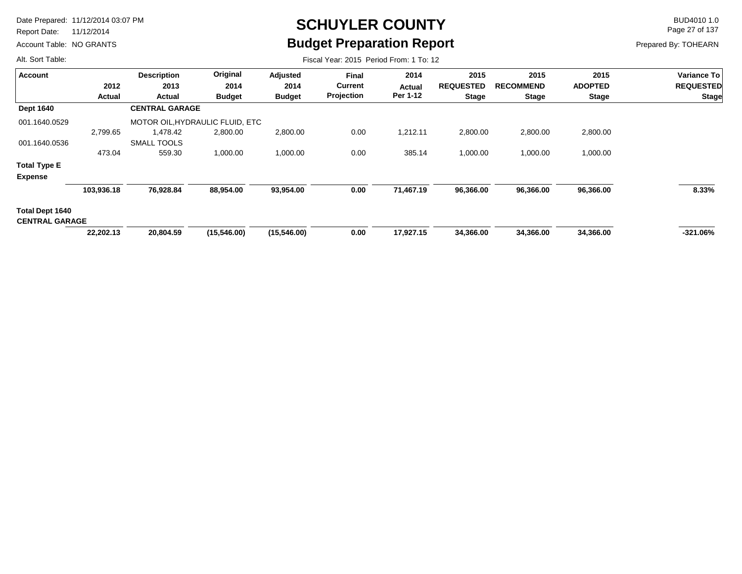Report Date: 11/12/2014

Account Table: NO GRANTS

# **SCHUYLER COUNTY** BUD4010 1.0 **Budget Preparation Report**

Fiscal Year: 2015 Period From: 1 To: 12

Page 27 of 137

Prepared By: TOHEARN

| <b>Account</b>                           |            | <b>Description</b>              | Original      | Adjusted      | <b>Final</b>   | 2014      | 2015             | 2015             | 2015           | Variance To      |
|------------------------------------------|------------|---------------------------------|---------------|---------------|----------------|-----------|------------------|------------------|----------------|------------------|
|                                          | 2012       | 2013                            | 2014          | 2014          | <b>Current</b> | Actual    | <b>REQUESTED</b> | <b>RECOMMEND</b> | <b>ADOPTED</b> | <b>REQUESTED</b> |
|                                          | Actual     | Actual                          | <b>Budget</b> | <b>Budget</b> | Projection     | Per 1-12  | <b>Stage</b>     | <b>Stage</b>     | <b>Stage</b>   | <b>Stage</b>     |
| <b>Dept 1640</b>                         |            | <b>CENTRAL GARAGE</b>           |               |               |                |           |                  |                  |                |                  |
| 001.1640.0529                            |            | MOTOR OIL, HYDRAULIC FLUID, ETC |               |               |                |           |                  |                  |                |                  |
|                                          | 2,799.65   | 1,478.42                        | 2,800.00      | 2,800.00      | 0.00           | 1,212.11  | 2,800.00         | 2,800.00         | 2,800.00       |                  |
| 001.1640.0536                            |            | <b>SMALL TOOLS</b>              |               |               |                |           |                  |                  |                |                  |
|                                          | 473.04     | 559.30                          | 1,000.00      | 1,000.00      | 0.00           | 385.14    | 1,000.00         | 1,000.00         | 1,000.00       |                  |
| <b>Total Type E</b>                      |            |                                 |               |               |                |           |                  |                  |                |                  |
| <b>Expense</b>                           |            |                                 |               |               |                |           |                  |                  |                |                  |
|                                          | 103,936.18 | 76,928.84                       | 88,954.00     | 93,954.00     | 0.00           | 71,467.19 | 96,366.00        | 96,366.00        | 96,366.00      | 8.33%            |
| Total Dept 1640<br><b>CENTRAL GARAGE</b> |            |                                 |               |               |                |           |                  |                  |                |                  |
|                                          |            |                                 |               |               |                |           |                  |                  |                |                  |
|                                          | 22,202.13  | 20,804.59                       | (15,546.00)   | (15, 546.00)  | 0.00           | 17,927.15 | 34,366.00        | 34,366.00        | 34,366.00      | $-321.06\%$      |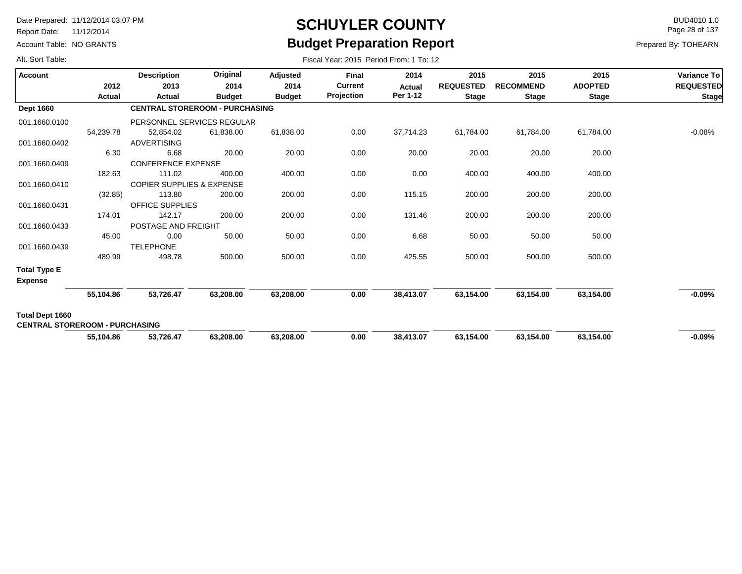Report Date: 11/12/2014

Account Table: NO GRANTS

### **SCHUYLER COUNTY** BUD4010 1.0 **Budget Preparation Report**

Fiscal Year: 2015 Period From: 1 To: 12

Page 28 of 137

| Alt. Sort Table: |  |
|------------------|--|
|                  |  |

| <b>Account</b>                        |                | <b>Description</b>                    | Original              | Adjusted      | <b>Final</b>                 | 2014                      | 2015             | 2015                             | 2015           | <b>Variance To</b> |
|---------------------------------------|----------------|---------------------------------------|-----------------------|---------------|------------------------------|---------------------------|------------------|----------------------------------|----------------|--------------------|
|                                       | 2012<br>Actual | 2013<br>Actual                        | 2014<br><b>Budget</b> | 2014          | <b>Current</b><br>Projection | <b>Actual</b><br>Per 1-12 | <b>REQUESTED</b> | <b>RECOMMEND</b><br><b>Stage</b> | <b>ADOPTED</b> | <b>REQUESTED</b>   |
|                                       |                |                                       |                       | <b>Budget</b> |                              |                           | <b>Stage</b>     |                                  | <b>Stage</b>   | <b>Stage</b>       |
| <b>Dept 1660</b>                      |                | <b>CENTRAL STOREROOM - PURCHASING</b> |                       |               |                              |                           |                  |                                  |                |                    |
| 001.1660.0100                         |                | PERSONNEL SERVICES REGULAR            |                       |               |                              |                           |                  |                                  |                |                    |
|                                       | 54,239.78      | 52,854.02                             | 61,838.00             | 61,838.00     | 0.00                         | 37,714.23                 | 61,784.00        | 61,784.00                        | 61,784.00      | $-0.08%$           |
| 001.1660.0402                         |                | <b>ADVERTISING</b>                    |                       |               |                              |                           |                  |                                  |                |                    |
|                                       | 6.30           | 6.68                                  | 20.00                 | 20.00         | 0.00                         | 20.00                     | 20.00            | 20.00                            | 20.00          |                    |
| 001.1660.0409                         |                | <b>CONFERENCE EXPENSE</b>             |                       |               |                              |                           |                  |                                  |                |                    |
|                                       | 182.63         | 111.02                                | 400.00                | 400.00        | 0.00                         | 0.00                      | 400.00           | 400.00                           | 400.00         |                    |
| 001.1660.0410                         |                | <b>COPIER SUPPLIES &amp; EXPENSE</b>  |                       |               |                              |                           |                  |                                  |                |                    |
|                                       | (32.85)        | 113.80                                | 200.00                | 200.00        | 0.00                         | 115.15                    | 200.00           | 200.00                           | 200.00         |                    |
| 001.1660.0431                         |                | <b>OFFICE SUPPLIES</b>                |                       |               |                              |                           |                  |                                  |                |                    |
|                                       | 174.01         | 142.17                                | 200.00                | 200.00        | 0.00                         | 131.46                    | 200.00           | 200.00                           | 200.00         |                    |
| 001.1660.0433                         |                | POSTAGE AND FREIGHT                   |                       |               |                              |                           |                  |                                  |                |                    |
|                                       | 45.00          | 0.00                                  | 50.00                 | 50.00         | 0.00                         | 6.68                      | 50.00            | 50.00                            | 50.00          |                    |
| 001.1660.0439                         |                | <b>TELEPHONE</b>                      |                       |               |                              |                           |                  |                                  |                |                    |
|                                       | 489.99         | 498.78                                | 500.00                | 500.00        | 0.00                         | 425.55                    | 500.00           | 500.00                           | 500.00         |                    |
| <b>Total Type E</b>                   |                |                                       |                       |               |                              |                           |                  |                                  |                |                    |
| <b>Expense</b>                        |                |                                       |                       |               |                              |                           |                  |                                  |                |                    |
|                                       | 55,104.86      | 53,726.47                             | 63,208.00             | 63,208.00     | 0.00                         | 38,413.07                 | 63,154.00        | 63,154.00                        | 63,154.00      | $-0.09%$           |
| Total Dept 1660                       |                |                                       |                       |               |                              |                           |                  |                                  |                |                    |
| <b>CENTRAL STOREROOM - PURCHASING</b> |                |                                       |                       |               |                              |                           |                  |                                  |                |                    |
|                                       | 55,104.86      | 53,726.47                             | 63,208.00             | 63,208.00     | 0.00                         | 38,413.07                 | 63,154.00        | 63,154.00                        | 63,154.00      | $-0.09%$           |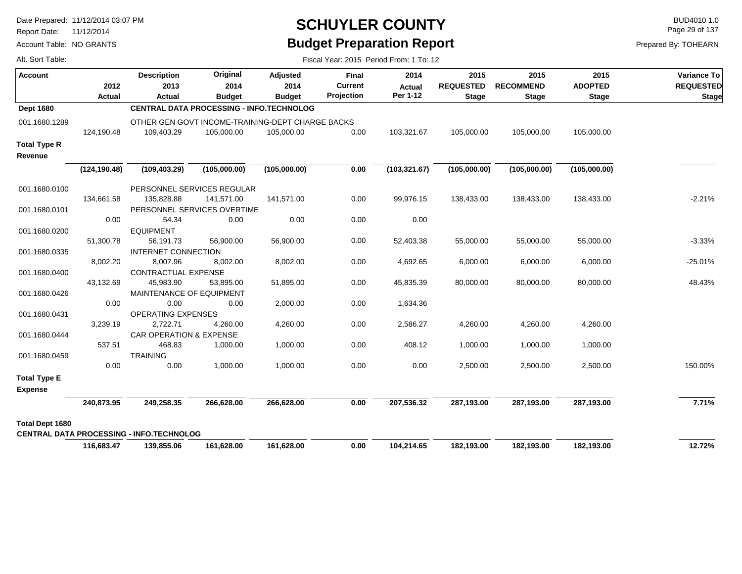Report Date: 11/12/2014

Alt. Sort Table:

Account Table: NO GRANTS

#### **SCHUYLER COUNTY** BUD4010 1.0 **Budget Preparation Report**

Fiscal Year: 2015 Period From: 1 To: 12

Page 29 of 137

**Variance To**

 $REQUESTED$ **Stage**

-2.21%

-3.33%

-25.01%

48.43%

 **12.72%**

 **7.71%**

150.00%

| <b>Account</b>         |               | <b>Description</b>                              | Original                                         | Adjusted      | <b>Final</b>   | 2014          | 2015             | 2015             | 2015           |  |
|------------------------|---------------|-------------------------------------------------|--------------------------------------------------|---------------|----------------|---------------|------------------|------------------|----------------|--|
|                        | 2012          | 2013                                            | 2014                                             | 2014          | <b>Current</b> | <b>Actual</b> | <b>REQUESTED</b> | <b>RECOMMEND</b> | <b>ADOPTED</b> |  |
|                        | Actual        | <b>Actual</b>                                   | <b>Budget</b>                                    | <b>Budget</b> | Projection     | Per 1-12      | <b>Stage</b>     | <b>Stage</b>     | <b>Stage</b>   |  |
| <b>Dept 1680</b>       |               |                                                 | <b>CENTRAL DATA PROCESSING - INFO.TECHNOLOG</b>  |               |                |               |                  |                  |                |  |
| 001.1680.1289          |               |                                                 | OTHER GEN GOVT INCOME-TRAINING-DEPT CHARGE BACKS |               |                |               |                  |                  |                |  |
|                        | 124,190.48    | 109,403.29                                      | 105,000.00                                       | 105,000.00    | 0.00           | 103,321.67    | 105,000.00       | 105,000.00       | 105,000.00     |  |
| <b>Total Type R</b>    |               |                                                 |                                                  |               |                |               |                  |                  |                |  |
| Revenue                |               |                                                 |                                                  |               |                |               |                  |                  |                |  |
|                        | (124, 190.48) | (109, 403.29)                                   | (105,000.00)                                     | (105,000.00)  | 0.00           | (103, 321.67) | (105,000.00)     | (105,000.00)     | (105,000.00)   |  |
| 001.1680.0100          |               |                                                 | PERSONNEL SERVICES REGULAR                       |               |                |               |                  |                  |                |  |
|                        | 134,661.58    | 135,828.88                                      | 141,571.00                                       | 141,571.00    | 0.00           | 99,976.15     | 138,433.00       | 138,433.00       | 138,433.00     |  |
| 001.1680.0101          |               |                                                 | PERSONNEL SERVICES OVERTIME                      |               |                |               |                  |                  |                |  |
|                        | 0.00          | 54.34                                           | 0.00                                             | 0.00          | 0.00           | 0.00          |                  |                  |                |  |
| 001.1680.0200          |               | <b>EQUIPMENT</b>                                |                                                  |               |                |               |                  |                  |                |  |
|                        | 51,300.78     | 56,191.73                                       | 56,900.00                                        | 56,900.00     | 0.00           | 52,403.38     | 55,000.00        | 55,000.00        | 55,000.00      |  |
| 001.1680.0335          |               | INTERNET CONNECTION                             |                                                  |               |                |               |                  |                  |                |  |
|                        | 8,002.20      | 8,007.96                                        | 8,002.00                                         | 8,002.00      | 0.00           | 4,692.65      | 6,000.00         | 6,000.00         | 6,000.00       |  |
| 001.1680.0400          |               | CONTRACTUAL EXPENSE                             |                                                  |               |                |               |                  |                  |                |  |
|                        | 43,132.69     | 45,983.90                                       | 53,895.00                                        | 51,895.00     | 0.00           | 45,835.39     | 80,000.00        | 80,000.00        | 80,000.00      |  |
| 001.1680.0426          |               | MAINTENANCE OF EQUIPMENT                        |                                                  |               |                |               |                  |                  |                |  |
|                        | 0.00          | 0.00                                            | 0.00                                             | 2,000.00      | 0.00           | 1,634.36      |                  |                  |                |  |
| 001.1680.0431          |               | OPERATING EXPENSES                              |                                                  |               |                |               |                  |                  |                |  |
|                        | 3,239.19      | 2,722.71                                        | 4,260.00                                         | 4,260.00      | 0.00           | 2,586.27      | 4,260.00         | 4,260.00         | 4,260.00       |  |
| 001.1680.0444          |               | CAR OPERATION & EXPENSE                         |                                                  |               |                |               |                  |                  |                |  |
|                        | 537.51        | 468.83                                          | 1,000.00                                         | 1,000.00      | 0.00           | 408.12        | 1,000.00         | 1,000.00         | 1,000.00       |  |
| 001.1680.0459          |               | <b>TRAINING</b>                                 |                                                  |               |                |               |                  |                  |                |  |
|                        | 0.00          | 0.00                                            | 1,000.00                                         | 1,000.00      | 0.00           | 0.00          | 2,500.00         | 2,500.00         | 2,500.00       |  |
| <b>Total Type E</b>    |               |                                                 |                                                  |               |                |               |                  |                  |                |  |
| <b>Expense</b>         |               |                                                 |                                                  |               |                |               |                  |                  |                |  |
|                        | 240,873.95    | 249,258.35                                      | 266,628.00                                       | 266,628.00    | 0.00           | 207,536.32    | 287,193.00       | 287,193.00       | 287,193.00     |  |
| <b>Total Dept 1680</b> |               |                                                 |                                                  |               |                |               |                  |                  |                |  |
|                        |               | <b>CENTRAL DATA PROCESSING - INFO.TECHNOLOG</b> |                                                  |               |                |               |                  |                  |                |  |
|                        | 116,683.47    | 139,855.06                                      | 161,628.00                                       | 161,628.00    | 0.00           | 104,214.65    | 182,193.00       | 182,193.00       | 182,193.00     |  |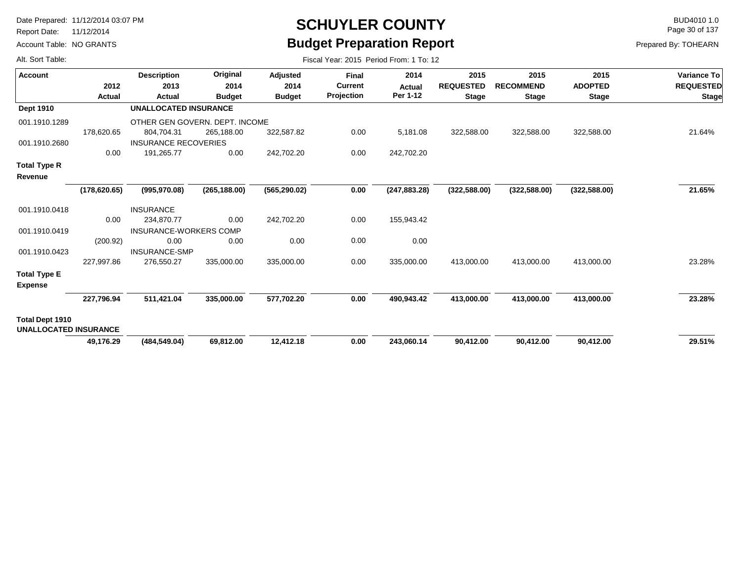Report Date: 11/12/2014

Account Table: NO GRANTS

# **SCHUYLER COUNTY** BUD4010 1.0 **Budget Preparation Report**

Fiscal Year: 2015 Period From: 1 To: 12

Page 30 of 137

|  | Alt. Sort Table: |
|--|------------------|
|  |                  |

| <b>Account</b>                                  | 2012          | <b>Description</b><br>2013     | Original<br>2014 | <b>Adjusted</b><br>2014 | <b>Final</b><br><b>Current</b> | 2014<br><b>Actual</b> | 2015<br><b>REQUESTED</b> | 2015<br><b>RECOMMEND</b> | 2015<br><b>ADOPTED</b> | <b>Variance To</b><br><b>REQUESTED</b> |
|-------------------------------------------------|---------------|--------------------------------|------------------|-------------------------|--------------------------------|-----------------------|--------------------------|--------------------------|------------------------|----------------------------------------|
|                                                 | Actual        | Actual                         | <b>Budget</b>    | <b>Budget</b>           | Projection                     | Per 1-12              | <b>Stage</b>             | <b>Stage</b>             | <b>Stage</b>           | <b>Stage</b>                           |
| <b>Dept 1910</b>                                |               | <b>UNALLOCATED INSURANCE</b>   |                  |                         |                                |                       |                          |                          |                        |                                        |
| 001.1910.1289                                   |               | OTHER GEN GOVERN. DEPT. INCOME |                  |                         |                                |                       |                          |                          |                        |                                        |
|                                                 | 178,620.65    | 804,704.31                     | 265,188.00       | 322,587.82              | 0.00                           | 5,181.08              | 322,588.00               | 322,588.00               | 322,588.00             | 21.64%                                 |
| 001.1910.2680                                   |               | <b>INSURANCE RECOVERIES</b>    |                  |                         |                                |                       |                          |                          |                        |                                        |
|                                                 | 0.00          | 191,265.77                     | 0.00             | 242,702.20              | 0.00                           | 242,702.20            |                          |                          |                        |                                        |
| <b>Total Type R</b><br>Revenue                  |               |                                |                  |                         |                                |                       |                          |                          |                        |                                        |
|                                                 | (178, 620.65) | (995, 970.08)                  | (265, 188.00)    | (565, 290.02)           | 0.00                           | (247, 883.28)         | (322, 588.00)            | (322, 588.00)            | (322, 588.00)          | 21.65%                                 |
| 001.1910.0418                                   |               | <b>INSURANCE</b>               |                  |                         |                                |                       |                          |                          |                        |                                        |
|                                                 | 0.00          | 234,870.77                     | 0.00             | 242,702.20              | 0.00                           | 155,943.42            |                          |                          |                        |                                        |
| 001.1910.0419                                   |               | <b>INSURANCE-WORKERS COMP</b>  |                  |                         |                                |                       |                          |                          |                        |                                        |
|                                                 | (200.92)      | 0.00                           | 0.00             | 0.00                    | 0.00                           | 0.00                  |                          |                          |                        |                                        |
| 001.1910.0423                                   |               | <b>INSURANCE-SMP</b>           |                  |                         |                                |                       |                          |                          |                        |                                        |
|                                                 | 227,997.86    | 276,550.27                     | 335,000.00       | 335,000.00              | 0.00                           | 335,000.00            | 413,000.00               | 413,000.00               | 413,000.00             | 23.28%                                 |
| <b>Total Type E</b><br><b>Expense</b>           |               |                                |                  |                         |                                |                       |                          |                          |                        |                                        |
|                                                 | 227,796.94    | 511,421.04                     | 335,000.00       | 577,702.20              | 0.00                           | 490,943.42            | 413,000.00               | 413,000.00               | 413,000.00             | 23.28%                                 |
| Total Dept 1910<br><b>UNALLOCATED INSURANCE</b> |               |                                |                  |                         |                                |                       |                          |                          |                        |                                        |
|                                                 | 49,176.29     | (484, 549.04)                  | 69,812.00        | 12,412.18               | 0.00                           | 243,060.14            | 90,412.00                | 90,412.00                | 90,412.00              | 29.51%                                 |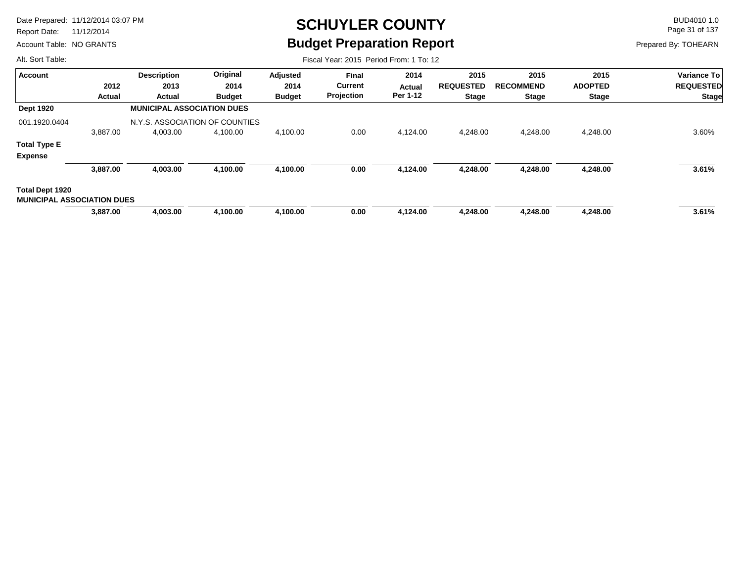Report Date: 11/12/2014

Account Table: NO GRANTS

# **SCHUYLER COUNTY** BUD4010 1.0 **Budget Preparation Report**

Page 31 of 137

Prepared By: TOHEARN

| Alt. Sort Table:                                     |          | Fiscal Year: 2015 Period From: 1 To: 12 |               |               |              |          |                  |                  |                |                                                        |  |  |  |
|------------------------------------------------------|----------|-----------------------------------------|---------------|---------------|--------------|----------|------------------|------------------|----------------|--------------------------------------------------------|--|--|--|
| Account                                              |          | <b>Description</b>                      | Original      | Adjusted      | <b>Final</b> | 2014     | 2015             | 2015             | 2015           | <b>Variance To</b><br><b>REQUESTED</b><br><b>Stage</b> |  |  |  |
|                                                      | 2012     | 2013                                    | 2014          | 2014          | Current      | Actual   | <b>REQUESTED</b> | <b>RECOMMEND</b> | <b>ADOPTED</b> |                                                        |  |  |  |
|                                                      | Actual   | Actual                                  | <b>Budget</b> | <b>Budget</b> | Projection   | Per 1-12 | <b>Stage</b>     | <b>Stage</b>     | <b>Stage</b>   |                                                        |  |  |  |
| <b>Dept 1920</b>                                     |          | <b>MUNICIPAL ASSOCIATION DUES</b>       |               |               |              |          |                  |                  |                |                                                        |  |  |  |
| 001.1920.0404                                        |          | N.Y.S. ASSOCIATION OF COUNTIES          |               |               |              |          |                  |                  |                |                                                        |  |  |  |
|                                                      | 3,887.00 | 4,003.00                                | 4,100.00      | 4,100.00      | 0.00         | 4,124.00 | 4,248.00         | 4,248.00         | 4,248.00       | 3.60%                                                  |  |  |  |
| <b>Total Type E</b>                                  |          |                                         |               |               |              |          |                  |                  |                |                                                        |  |  |  |
| <b>Expense</b>                                       |          |                                         |               |               |              |          |                  |                  |                |                                                        |  |  |  |
|                                                      | 3,887.00 | 4,003.00                                | 4,100.00      | 4,100.00      | 0.00         | 4,124.00 | 4,248.00         | 4,248.00         | 4,248.00       | 3.61%                                                  |  |  |  |
| Total Dept 1920<br><b>MUNICIPAL ASSOCIATION DUES</b> |          |                                         |               |               |              |          |                  |                  |                |                                                        |  |  |  |
|                                                      | 3,887.00 | 4,003.00                                | 4,100.00      | 4,100.00      | 0.00         | 4,124.00 | 4,248.00         | 4,248.00         | 4,248.00       | 3.61%                                                  |  |  |  |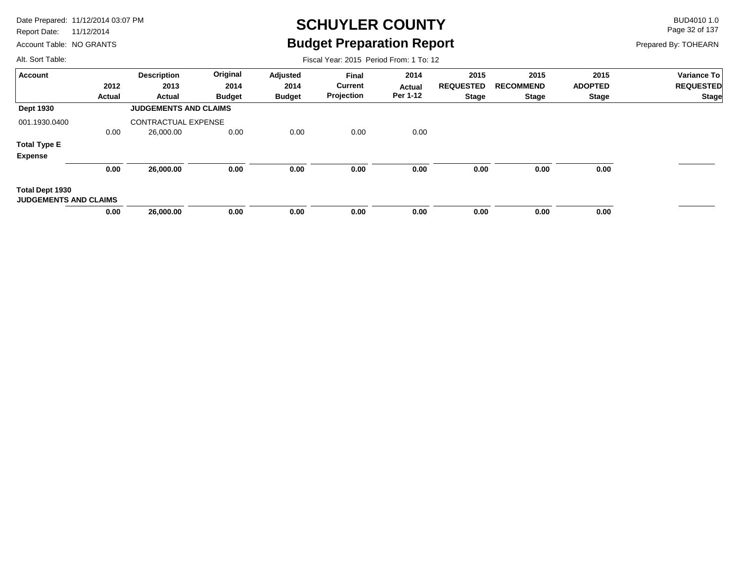Report Date: 11/12/2014

Account Table: NO GRANTS

# **SCHUYLER COUNTY** BUD4010 1.0 **Budget Preparation Report**

Fiscal Year: 2015 Period From: 1 To: 12

Page 32 of 137

Prepared By: TOHEARN

| <b>Account</b>                                         |        | <b>Description</b>           | Original      | Adjusted      | Final          | 2014     | 2015             | 2015             | 2015           | Variance To      |
|--------------------------------------------------------|--------|------------------------------|---------------|---------------|----------------|----------|------------------|------------------|----------------|------------------|
|                                                        | 2012   | 2013                         | 2014          | 2014          | <b>Current</b> | Actual   | <b>REQUESTED</b> | <b>RECOMMEND</b> | <b>ADOPTED</b> | <b>REQUESTED</b> |
|                                                        | Actual | Actual                       | <b>Budget</b> | <b>Budget</b> | Projection     | Per 1-12 | <b>Stage</b>     | Stage            | Stage          | <b>Stage</b>     |
| <b>Dept 1930</b>                                       |        | <b>JUDGEMENTS AND CLAIMS</b> |               |               |                |          |                  |                  |                |                  |
| 001.1930.0400                                          |        | <b>CONTRACTUAL EXPENSE</b>   |               |               |                |          |                  |                  |                |                  |
|                                                        | 0.00   | 26,000.00                    | 0.00          | 0.00          | 0.00           | 0.00     |                  |                  |                |                  |
| <b>Total Type E</b>                                    |        |                              |               |               |                |          |                  |                  |                |                  |
| <b>Expense</b>                                         |        |                              |               |               |                |          |                  |                  |                |                  |
|                                                        | 0.00   | 26,000.00                    | 0.00          | 0.00          | 0.00           | 0.00     | 0.00             | 0.00             | 0.00           |                  |
| <b>Total Dept 1930</b><br><b>JUDGEMENTS AND CLAIMS</b> |        |                              |               |               |                |          |                  |                  |                |                  |
|                                                        | 0.00   | 26,000.00                    | 0.00          | 0.00          | 0.00           | 0.00     | 0.00             | 0.00             | 0.00           |                  |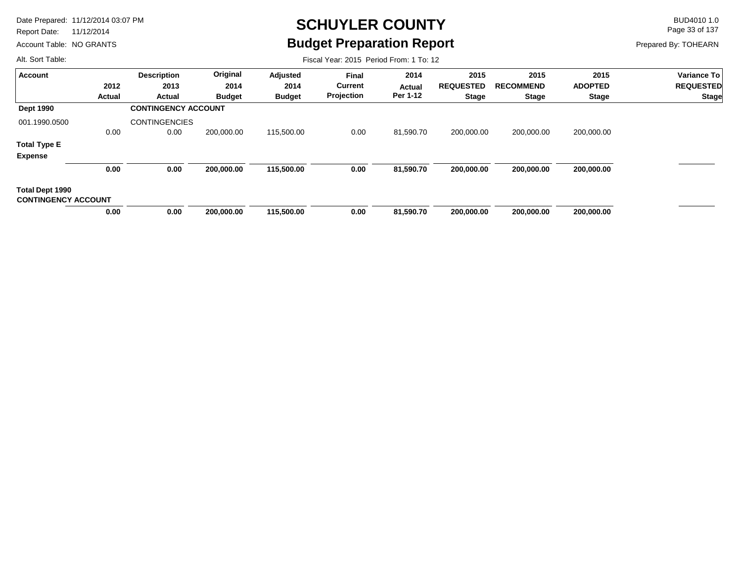Report Date: 11/12/2014

Account Table: NO GRANTS

# **SCHUYLER COUNTY** BUD4010 1.0 **Budget Preparation Report**

Fiscal Year: 2015 Period From: 1 To: 12

Page 33 of 137

Prepared By: TOHEARN

| Account                                       |               | <b>Description</b>         | Original      | Adjusted      | <b>Final</b>   | 2014          | 2015             | 2015             | 2015           | Variance To               |
|-----------------------------------------------|---------------|----------------------------|---------------|---------------|----------------|---------------|------------------|------------------|----------------|---------------------------|
|                                               | 2012          | 2013                       | 2014          | 2014          | <b>Current</b> | <b>Actual</b> | <b>REQUESTED</b> | <b>RECOMMEND</b> | <b>ADOPTED</b> | <b>REQUESTED</b><br>Stage |
|                                               | <b>Actual</b> | Actual                     | <b>Budget</b> | <b>Budget</b> | Projection     | Per 1-12      | <b>Stage</b>     | <b>Stage</b>     | <b>Stage</b>   |                           |
| <b>Dept 1990</b>                              |               | <b>CONTINGENCY ACCOUNT</b> |               |               |                |               |                  |                  |                |                           |
| 001.1990.0500                                 |               | <b>CONTINGENCIES</b>       |               |               |                |               |                  |                  |                |                           |
|                                               | 0.00          | 0.00                       | 200,000.00    | 115,500.00    | 0.00           | 81,590.70     | 200,000.00       | 200,000.00       | 200,000.00     |                           |
| <b>Total Type E</b>                           |               |                            |               |               |                |               |                  |                  |                |                           |
| <b>Expense</b>                                |               |                            |               |               |                |               |                  |                  |                |                           |
|                                               | 0.00          | 0.00                       | 200,000.00    | 115,500.00    | 0.00           | 81,590.70     | 200,000.00       | 200,000.00       | 200,000.00     |                           |
| Total Dept 1990<br><b>CONTINGENCY ACCOUNT</b> |               |                            |               |               |                |               |                  |                  |                |                           |
|                                               | 0.00          | 0.00                       | 200,000.00    | 115,500.00    | 0.00           | 81,590.70     | 200,000.00       | 200,000.00       | 200,000.00     |                           |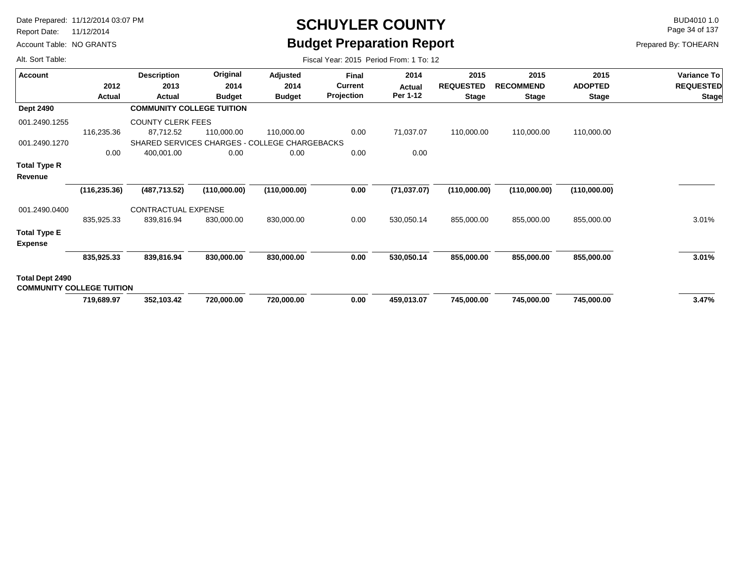Report Date: 11/12/2014

Account Table: NO GRANTS

# **SCHUYLER COUNTY** BUD4010 1.0 **Budget Preparation Report**

Fiscal Year: 2015 Period From: 1 To: 12

Page 34 of 137

| Alt. Sort Table: |  |
|------------------|--|
|                  |  |

| <b>Account</b>                   |               | <b>Description</b>                            | Original      | Adjusted      | <b>Final</b> | 2014         | 2015             | 2015             | 2015           | <b>Variance To</b> |
|----------------------------------|---------------|-----------------------------------------------|---------------|---------------|--------------|--------------|------------------|------------------|----------------|--------------------|
|                                  | 2012          | 2013                                          | 2014          | 2014          | Current      | Actual       | <b>REQUESTED</b> | <b>RECOMMEND</b> | <b>ADOPTED</b> | <b>REQUESTED</b>   |
|                                  | Actual        | Actual                                        | <b>Budget</b> | <b>Budget</b> | Projection   | Per 1-12     | <b>Stage</b>     | <b>Stage</b>     | <b>Stage</b>   | <b>Stage</b>       |
| <b>Dept 2490</b>                 |               | <b>COMMUNITY COLLEGE TUITION</b>              |               |               |              |              |                  |                  |                |                    |
| 001.2490.1255                    |               | <b>COUNTY CLERK FEES</b>                      |               |               |              |              |                  |                  |                |                    |
|                                  | 116,235.36    | 87,712.52                                     | 110,000.00    | 110,000.00    | 0.00         | 71,037.07    | 110,000.00       | 110,000.00       | 110,000.00     |                    |
| 001.2490.1270                    |               | SHARED SERVICES CHARGES - COLLEGE CHARGEBACKS |               |               |              |              |                  |                  |                |                    |
|                                  | 0.00          | 400,001.00                                    | 0.00          | 0.00          | 0.00         | 0.00         |                  |                  |                |                    |
| Total Type R                     |               |                                               |               |               |              |              |                  |                  |                |                    |
| Revenue                          |               |                                               |               |               |              |              |                  |                  |                |                    |
|                                  | (116, 235.36) | (487, 713.52)                                 | (110,000.00)  | (110,000.00)  | 0.00         | (71, 037.07) | (110,000.00)     | (110,000.00)     | (110,000.00)   |                    |
| 001.2490.0400                    |               | CONTRACTUAL EXPENSE                           |               |               |              |              |                  |                  |                |                    |
|                                  | 835,925.33    | 839,816.94                                    | 830,000.00    | 830,000.00    | 0.00         | 530,050.14   | 855,000.00       | 855,000.00       | 855,000.00     | 3.01%              |
| <b>Total Type E</b>              |               |                                               |               |               |              |              |                  |                  |                |                    |
| <b>Expense</b>                   |               |                                               |               |               |              |              |                  |                  |                |                    |
|                                  | 835,925.33    | 839,816.94                                    | 830,000.00    | 830,000.00    | 0.00         | 530,050.14   | 855,000.00       | 855,000.00       | 855,000.00     | 3.01%              |
| Total Dept 2490                  |               |                                               |               |               |              |              |                  |                  |                |                    |
| <b>COMMUNITY COLLEGE TUITION</b> |               |                                               |               |               |              |              |                  |                  |                |                    |
|                                  | 719,689.97    | 352,103.42                                    | 720,000.00    | 720,000.00    | 0.00         | 459,013.07   | 745,000.00       | 745,000.00       | 745,000.00     | 3.47%              |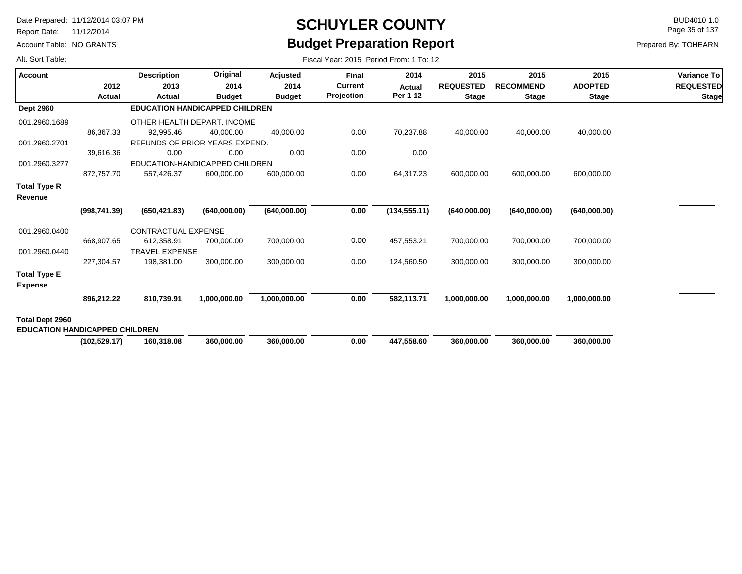Report Date: 11/12/2014

Alt. Sort Table:

Account Table: NO GRANTS

# **SCHUYLER COUNTY** BUD4010 1.0 **Budget Preparation Report**

Fiscal Year: 2015 Period From: 1 To: 12

Page 35 of 137

| <b>Account</b>                        |               | <b>Description</b>    | Original                              | Adjusted      | <b>Final</b>   | 2014          | 2015             | 2015             | 2015           | Variance To      |
|---------------------------------------|---------------|-----------------------|---------------------------------------|---------------|----------------|---------------|------------------|------------------|----------------|------------------|
|                                       | 2012          | 2013                  | 2014                                  | 2014          | <b>Current</b> | Actual        | <b>REQUESTED</b> | <b>RECOMMEND</b> | <b>ADOPTED</b> | <b>REQUESTED</b> |
|                                       | Actual        | Actual                | <b>Budget</b>                         | <b>Budget</b> | Projection     | Per 1-12      | <b>Stage</b>     | <b>Stage</b>     | <b>Stage</b>   | <b>Stage</b>     |
| <b>Dept 2960</b>                      |               |                       | <b>EDUCATION HANDICAPPED CHILDREN</b> |               |                |               |                  |                  |                |                  |
| 001.2960.1689                         |               |                       | OTHER HEALTH DEPART. INCOME           |               |                |               |                  |                  |                |                  |
|                                       | 86,367.33     | 92,995.46             | 40,000.00                             | 40,000.00     | 0.00           | 70,237.88     | 40,000.00        | 40,000.00        | 40,000.00      |                  |
| 001.2960.2701                         |               |                       | REFUNDS OF PRIOR YEARS EXPEND.        |               |                |               |                  |                  |                |                  |
|                                       | 39,616.36     | 0.00                  | 0.00                                  | 0.00          | 0.00           | 0.00          |                  |                  |                |                  |
| 001.2960.3277                         |               |                       | EDUCATION-HANDICAPPED CHILDREN        |               |                |               |                  |                  |                |                  |
|                                       | 872,757.70    | 557,426.37            | 600,000.00                            | 600,000.00    | 0.00           | 64,317.23     | 600,000.00       | 600,000.00       | 600,000.00     |                  |
| <b>Total Type R</b>                   |               |                       |                                       |               |                |               |                  |                  |                |                  |
| Revenue                               |               |                       |                                       |               |                |               |                  |                  |                |                  |
|                                       | (998, 741.39) | (650, 421.83)         | (640,000.00)                          | (640,000.00)  | 0.00           | (134, 555.11) | (640,000.00)     | (640,000.00)     | (640,000.00)   |                  |
| 001.2960.0400                         |               | CONTRACTUAL EXPENSE   |                                       |               |                |               |                  |                  |                |                  |
|                                       | 668,907.65    | 612,358.91            | 700,000.00                            | 700,000.00    | 0.00           | 457,553.21    | 700,000.00       | 700,000.00       | 700,000.00     |                  |
| 001.2960.0440                         |               | <b>TRAVEL EXPENSE</b> |                                       |               |                |               |                  |                  |                |                  |
|                                       | 227,304.57    | 198,381.00            | 300,000.00                            | 300,000.00    | 0.00           | 124,560.50    | 300,000.00       | 300,000.00       | 300,000.00     |                  |
| <b>Total Type E</b>                   |               |                       |                                       |               |                |               |                  |                  |                |                  |
| <b>Expense</b>                        |               |                       |                                       |               |                |               |                  |                  |                |                  |
|                                       | 896,212.22    | 810,739.91            | 1,000,000.00                          | 1,000,000.00  | 0.00           | 582,113.71    | 1,000,000.00     | 1,000,000.00     | 1,000,000.00   |                  |
| <b>Total Dept 2960</b>                |               |                       |                                       |               |                |               |                  |                  |                |                  |
| <b>EDUCATION HANDICAPPED CHILDREN</b> |               |                       |                                       |               |                |               |                  |                  |                |                  |
|                                       | (102, 529.17) | 160,318.08            | 360,000.00                            | 360,000.00    | 0.00           | 447,558.60    | 360,000.00       | 360,000.00       | 360,000.00     |                  |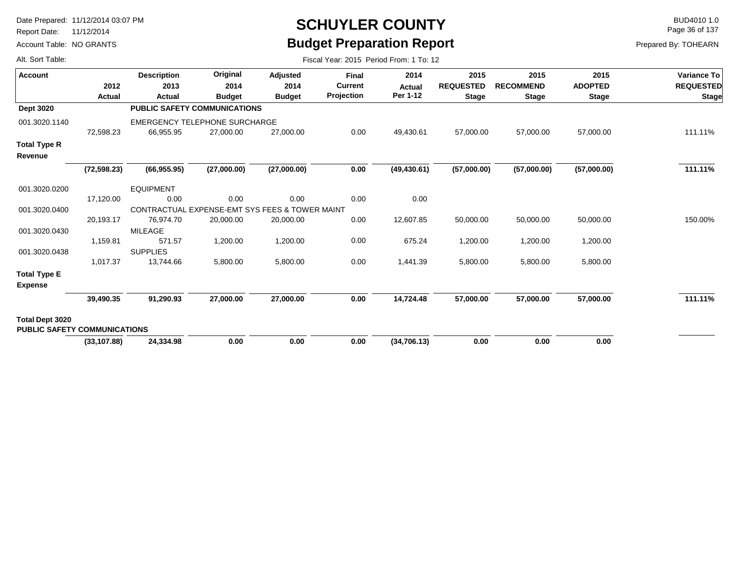Report Date: 11/12/2014

Account Table: NO GRANTS

# **SCHUYLER COUNTY** BUD4010 1.0 **Budget Preparation Report**

Fiscal Year: 2015 Period From: 1 To: 12

Page 36 of 137

Prepared By: TOHEARN

| <b>Account</b>                                         |              | <b>Description</b>                             | Original      | <b>Adjusted</b> | <b>Final</b>   | 2014         | 2015             | 2015             | 2015           | Variance To      |
|--------------------------------------------------------|--------------|------------------------------------------------|---------------|-----------------|----------------|--------------|------------------|------------------|----------------|------------------|
|                                                        | 2012         | 2013                                           | 2014          | 2014            | <b>Current</b> | Actual       | <b>REQUESTED</b> | <b>RECOMMEND</b> | <b>ADOPTED</b> | <b>REQUESTED</b> |
|                                                        | Actual       | Actual                                         | <b>Budget</b> | <b>Budget</b>   | Projection     | Per 1-12     | <b>Stage</b>     | <b>Stage</b>     | <b>Stage</b>   | <b>Stage</b>     |
| Dept 3020                                              |              | <b>PUBLIC SAFETY COMMUNICATIONS</b>            |               |                 |                |              |                  |                  |                |                  |
| 001.3020.1140                                          |              | <b>EMERGENCY TELEPHONE SURCHARGE</b>           |               |                 |                |              |                  |                  |                |                  |
|                                                        | 72,598.23    | 66,955.95                                      | 27,000.00     | 27,000.00       | 0.00           | 49,430.61    | 57,000.00        | 57,000.00        | 57,000.00      | 111.11%          |
| Total Type R<br>Revenue                                |              |                                                |               |                 |                |              |                  |                  |                |                  |
|                                                        | (72, 598.23) | (66, 955.95)                                   | (27,000.00)   | (27,000.00)     | 0.00           | (49, 430.61) | (57,000.00)      | (57,000.00)      | (57,000.00)    | 111.11%          |
| 001.3020.0200                                          |              | <b>EQUIPMENT</b>                               |               |                 |                |              |                  |                  |                |                  |
|                                                        | 17,120.00    | 0.00                                           | 0.00          | 0.00            | 0.00           | 0.00         |                  |                  |                |                  |
| 001.3020.0400                                          |              | CONTRACTUAL EXPENSE-EMT SYS FEES & TOWER MAINT |               |                 |                |              |                  |                  |                |                  |
|                                                        | 20,193.17    | 76,974.70                                      | 20,000.00     | 20,000.00       | 0.00           | 12,607.85    | 50,000.00        | 50,000.00        | 50,000.00      | 150.00%          |
| 001.3020.0430                                          |              | MILEAGE                                        |               |                 |                |              |                  |                  |                |                  |
|                                                        | 1,159.81     | 571.57                                         | 1,200.00      | 1,200.00        | 0.00           | 675.24       | 1,200.00         | 1,200.00         | 1,200.00       |                  |
| 001.3020.0438                                          |              | <b>SUPPLIES</b>                                |               |                 |                |              |                  |                  |                |                  |
|                                                        | 1,017.37     | 13,744.66                                      | 5,800.00      | 5,800.00        | 0.00           | 1,441.39     | 5,800.00         | 5,800.00         | 5,800.00       |                  |
| <b>Total Type E</b><br><b>Expense</b>                  |              |                                                |               |                 |                |              |                  |                  |                |                  |
|                                                        | 39,490.35    | 91,290.93                                      | 27,000.00     | 27,000.00       | 0.00           | 14,724.48    | 57,000.00        | 57,000.00        | 57,000.00      | 111.11%          |
| Total Dept 3020<br><b>PUBLIC SAFETY COMMUNICATIONS</b> |              |                                                |               |                 |                |              |                  |                  |                |                  |
|                                                        | (33, 107.88) | 24,334.98                                      | 0.00          | 0.00            | 0.00           | (34,706.13)  | 0.00             | 0.00             | 0.00           |                  |
|                                                        |              |                                                |               |                 |                |              |                  |                  |                |                  |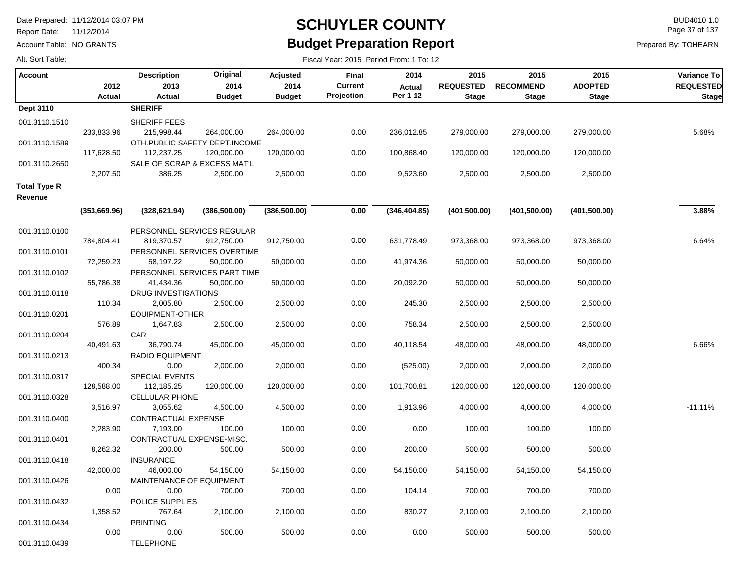TELEPHONE

Report Date: 11/12/2014

Alt. Sort Table:

001.3110.0439

Account Table: NO GRANTS

## **SCHUYLER COUNTY** BUD4010 1.0 **Budget Preparation Report**

Fiscal Year: 2015 Period From: 1 To: 12

Page 37 of 137

| Account                        | 2012<br>Actual    | <b>Description</b><br>2013<br>Actual                      | Original<br>2014<br><b>Budget</b> | Adjusted<br>2014<br><b>Budget</b> | Final<br><b>Current</b><br>Projection | 2014<br><b>Actual</b><br>Per 1-12 | 2015<br><b>REQUESTED</b><br><b>Stage</b> | 2015<br><b>RECOMMEND</b><br><b>Stage</b> | 2015<br><b>ADOPTED</b><br><b>Stage</b> | Variance To<br><b>REQUESTED</b><br><b>Stage</b> |
|--------------------------------|-------------------|-----------------------------------------------------------|-----------------------------------|-----------------------------------|---------------------------------------|-----------------------------------|------------------------------------------|------------------------------------------|----------------------------------------|-------------------------------------------------|
| Dept 3110                      |                   | <b>SHERIFF</b>                                            |                                   |                                   |                                       |                                   |                                          |                                          |                                        |                                                 |
| 001.3110.1510                  | 233,833.96        | SHERIFF FEES<br>215,998.44                                | 264,000.00                        | 264,000.00                        | 0.00                                  | 236,012.85                        | 279,000.00                               | 279,000.00                               | 279,000.00                             | 5.68%                                           |
| 001.3110.1589                  | 117,628.50        | OTH.PUBLIC SAFETY DEPT.INCOME<br>112,237.25               | 120,000.00                        | 120,000.00                        | 0.00                                  | 100,868.40                        | 120,000.00                               | 120,000.00                               | 120,000.00                             |                                                 |
| 001.3110.2650                  | 2,207.50          | SALE OF SCRAP & EXCESS MAT'L<br>386.25                    | 2,500.00                          | 2,500.00                          | 0.00                                  | 9,523.60                          | 2,500.00                                 | 2,500.00                                 | 2,500.00                               |                                                 |
| Total Type R<br>Revenue        |                   |                                                           |                                   |                                   |                                       |                                   |                                          |                                          |                                        |                                                 |
|                                | (353, 669.96)     | (328, 621.94)                                             | (386, 500.00)                     | (386, 500.00)                     | 0.00                                  | (346, 404.85)                     | (401, 500.00)                            | (401, 500.00)                            | (401, 500.00)                          | 3.88%                                           |
| 001.3110.0100                  | 784,804.41        | PERSONNEL SERVICES REGULAR<br>819,370.57                  | 912,750.00                        | 912,750.00                        | 0.00                                  | 631,778.49                        | 973,368.00                               | 973,368.00                               | 973,368.00                             | 6.64%                                           |
| 001.3110.0101                  | 72,259.23         | PERSONNEL SERVICES OVERTIME<br>58,197.22                  | 50,000.00                         | 50,000.00                         | 0.00                                  | 41,974.36                         | 50,000.00                                | 50,000.00                                | 50,000.00                              |                                                 |
| 001.3110.0102                  | 55,786.38         | PERSONNEL SERVICES PART TIME<br>41,434.36                 | 50,000.00                         | 50,000.00                         | 0.00                                  | 20,092.20                         | 50,000.00                                | 50,000.00                                | 50,000.00                              |                                                 |
| 001.3110.0118<br>001.3110.0201 | 110.34            | DRUG INVESTIGATIONS<br>2,005.80<br><b>EQUIPMENT-OTHER</b> | 2,500.00                          | 2,500.00                          | 0.00                                  | 245.30                            | 2,500.00                                 | 2,500.00                                 | 2,500.00                               |                                                 |
| 001.3110.0204                  | 576.89            | 1,647.83<br><b>CAR</b>                                    | 2,500.00                          | 2,500.00                          | 0.00                                  | 758.34                            | 2,500.00                                 | 2,500.00                                 | 2,500.00                               |                                                 |
| 001.3110.0213                  | 40,491.63         | 36,790.74<br><b>RADIO EQUIPMENT</b>                       | 45,000.00                         | 45,000.00                         | 0.00                                  | 40,118.54                         | 48,000.00                                | 48,000.00                                | 48,000.00                              | 6.66%                                           |
| 001.3110.0317                  | 400.34            | 0.00<br><b>SPECIAL EVENTS</b>                             | 2,000.00                          | 2,000.00                          | 0.00                                  | (525.00)                          | 2,000.00                                 | 2,000.00                                 | 2,000.00                               |                                                 |
| 001.3110.0328                  | 128,588.00        | 112,185.25<br><b>CELLULAR PHONE</b>                       | 120,000.00                        | 120,000.00                        | 0.00                                  | 101,700.81                        | 120,000.00                               | 120,000.00                               | 120,000.00                             |                                                 |
| 001.3110.0400                  | 3,516.97          | 3,055.62<br>CONTRACTUAL EXPENSE                           | 4,500.00                          | 4,500.00                          | 0.00                                  | 1,913.96                          | 4,000.00                                 | 4,000.00                                 | 4,000.00                               | $-11.11%$                                       |
| 001.3110.0401                  | 2,283.90          | 7,193.00<br>CONTRACTUAL EXPENSE-MISC.                     | 100.00                            | 100.00                            | 0.00                                  | 0.00                              | 100.00                                   | 100.00                                   | 100.00                                 |                                                 |
| 001.3110.0418                  | 8,262.32          | 200.00<br><b>INSURANCE</b>                                | 500.00                            | 500.00                            | 0.00                                  | 200.00                            | 500.00                                   | 500.00                                   | 500.00                                 |                                                 |
| 001.3110.0426                  | 42,000.00<br>0.00 | 46,000.00<br>MAINTENANCE OF EQUIPMENT<br>0.00             | 54,150.00<br>700.00               | 54,150.00<br>700.00               | 0.00<br>0.00                          | 54,150.00<br>104.14               | 54,150.00<br>700.00                      | 54,150.00<br>700.00                      | 54,150.00<br>700.00                    |                                                 |
| 001.3110.0432                  | 1,358.52          | POLICE SUPPLIES<br>767.64                                 | 2,100.00                          | 2,100.00                          | 0.00                                  | 830.27                            | 2,100.00                                 | 2,100.00                                 | 2,100.00                               |                                                 |
| 001.3110.0434                  | 0.00              | <b>PRINTING</b><br>0.00                                   | 500.00                            | 500.00                            | 0.00                                  | 0.00                              | 500.00                                   | 500.00                                   | 500.00                                 |                                                 |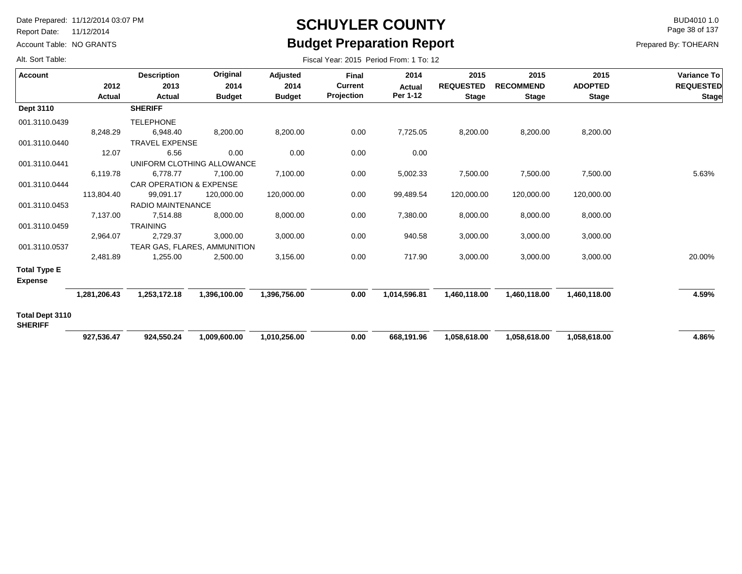Report Date: 11/12/2014

Account Table: NO GRANTS

# **SCHUYLER COUNTY** BUD4010 1.0 **Budget Preparation Report**

Fiscal Year: 2015 Period From: 1 To: 12

Page 38 of 137

Prepared By: TOHEARN

| <b>Account</b>                    |              | <b>Description</b>           | Original      | Adjusted      | <b>Final</b>   | 2014          | 2015             | 2015             | 2015           | Variance To      |
|-----------------------------------|--------------|------------------------------|---------------|---------------|----------------|---------------|------------------|------------------|----------------|------------------|
|                                   | 2012         | 2013                         | 2014          | 2014          | <b>Current</b> | <b>Actual</b> | <b>REQUESTED</b> | <b>RECOMMEND</b> | <b>ADOPTED</b> | <b>REQUESTED</b> |
|                                   | Actual       | Actual                       | <b>Budget</b> | <b>Budget</b> | Projection     | Per 1-12      | <b>Stage</b>     | <b>Stage</b>     | <b>Stage</b>   | <b>Stage</b>     |
| Dept 3110                         |              | <b>SHERIFF</b>               |               |               |                |               |                  |                  |                |                  |
| 001.3110.0439                     |              | <b>TELEPHONE</b>             |               |               |                |               |                  |                  |                |                  |
|                                   | 8,248.29     | 6,948.40                     | 8,200.00      | 8,200.00      | 0.00           | 7,725.05      | 8,200.00         | 8,200.00         | 8,200.00       |                  |
| 001.3110.0440                     |              | <b>TRAVEL EXPENSE</b>        |               |               |                |               |                  |                  |                |                  |
|                                   | 12.07        | 6.56                         | 0.00          | 0.00          | 0.00           | 0.00          |                  |                  |                |                  |
| 001.3110.0441                     |              | UNIFORM CLOTHING ALLOWANCE   |               |               |                |               |                  |                  |                |                  |
|                                   | 6,119.78     | 6,778.77                     | 7,100.00      | 7,100.00      | 0.00           | 5,002.33      | 7,500.00         | 7,500.00         | 7,500.00       | 5.63%            |
| 001.3110.0444                     |              | CAR OPERATION & EXPENSE      |               |               |                |               |                  |                  |                |                  |
|                                   | 113,804.40   | 99,091.17                    | 120,000.00    | 120,000.00    | 0.00           | 99,489.54     | 120,000.00       | 120,000.00       | 120,000.00     |                  |
| 001.3110.0453                     |              | <b>RADIO MAINTENANCE</b>     |               |               |                |               |                  |                  |                |                  |
|                                   | 7,137.00     | 7,514.88                     | 8,000.00      | 8,000.00      | 0.00           | 7,380.00      | 8,000.00         | 8,000.00         | 8,000.00       |                  |
| 001.3110.0459                     |              | <b>TRAINING</b>              |               |               |                |               |                  |                  |                |                  |
|                                   | 2,964.07     | 2,729.37                     | 3,000.00      | 3,000.00      | 0.00           | 940.58        | 3,000.00         | 3,000.00         | 3,000.00       |                  |
| 001.3110.0537                     |              | TEAR GAS, FLARES, AMMUNITION |               |               |                |               |                  |                  |                |                  |
|                                   | 2,481.89     | 1,255.00                     | 2,500.00      | 3,156.00      | 0.00           | 717.90        | 3,000.00         | 3,000.00         | 3,000.00       | 20.00%           |
| <b>Total Type E</b>               |              |                              |               |               |                |               |                  |                  |                |                  |
| <b>Expense</b>                    |              |                              |               |               |                |               |                  |                  |                |                  |
|                                   | 1,281,206.43 | 1,253,172.18                 | 1,396,100.00  | 1,396,756.00  | 0.00           | 1,014,596.81  | 1,460,118.00     | 1,460,118.00     | 1,460,118.00   | 4.59%            |
| Total Dept 3110<br><b>SHERIFF</b> |              |                              |               |               |                |               |                  |                  |                |                  |
|                                   | 927,536.47   | 924,550.24                   | 1,009,600.00  | 1,010,256.00  | 0.00           | 668,191.96    | 1,058,618.00     | 1,058,618.00     | 1,058,618.00   | 4.86%            |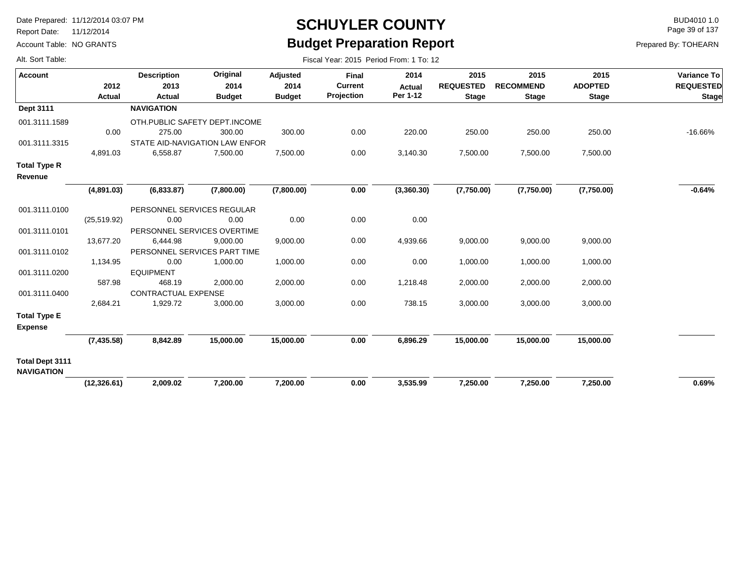Report Date: 11/12/2014

Alt. Sort Table:

Account Table: NO GRANTS

# **SCHUYLER COUNTY** BUD4010 1.0 **Budget Preparation Report**

Fiscal Year: 2015 Period From: 1 To: 12

Page 39 of 137

| <b>Account</b>                              | 2012         | <b>Description</b><br>2013     | Original<br>2014 | Adjusted<br>2014 | <b>Final</b><br><b>Current</b> | 2014<br><b>Actual</b> | 2015<br><b>REQUESTED</b> | 2015<br><b>RECOMMEND</b> | 2015<br><b>ADOPTED</b> | Variance To<br><b>REQUESTED</b> |
|---------------------------------------------|--------------|--------------------------------|------------------|------------------|--------------------------------|-----------------------|--------------------------|--------------------------|------------------------|---------------------------------|
|                                             | Actual       | Actual                         | <b>Budget</b>    | <b>Budget</b>    | Projection                     | Per 1-12              | <b>Stage</b>             | <b>Stage</b>             | <b>Stage</b>           | <b>Stage</b>                    |
| Dept 3111                                   |              | <b>NAVIGATION</b>              |                  |                  |                                |                       |                          |                          |                        |                                 |
| 001.3111.1589                               |              | OTH.PUBLIC SAFETY DEPT.INCOME  |                  |                  |                                |                       |                          |                          |                        |                                 |
|                                             | 0.00         | 275.00                         | 300.00           | 300.00           | 0.00                           | 220.00                | 250.00                   | 250.00                   | 250.00                 | $-16.66%$                       |
| 001.3111.3315                               |              | STATE AID-NAVIGATION LAW ENFOR |                  |                  |                                |                       |                          |                          |                        |                                 |
|                                             | 4,891.03     | 6,558.87                       | 7,500.00         | 7,500.00         | 0.00                           | 3,140.30              | 7,500.00                 | 7,500.00                 | 7,500.00               |                                 |
| <b>Total Type R</b>                         |              |                                |                  |                  |                                |                       |                          |                          |                        |                                 |
| Revenue                                     |              |                                |                  |                  |                                |                       |                          |                          |                        |                                 |
|                                             | (4,891.03)   | (6,833.87)                     | (7,800.00)       | (7,800.00)       | 0.00                           | (3,360.30)            | (7,750.00)               | (7,750.00)               | (7,750.00)             | $-0.64%$                        |
| 001.3111.0100                               |              | PERSONNEL SERVICES REGULAR     |                  |                  |                                |                       |                          |                          |                        |                                 |
|                                             | (25, 519.92) | 0.00                           | 0.00             | 0.00             | 0.00                           | 0.00                  |                          |                          |                        |                                 |
| 001.3111.0101                               |              | PERSONNEL SERVICES OVERTIME    |                  |                  |                                |                       |                          |                          |                        |                                 |
|                                             | 13,677.20    | 6,444.98                       | 9,000.00         | 9,000.00         | 0.00                           | 4,939.66              | 9,000.00                 | 9,000.00                 | 9,000.00               |                                 |
| 001.3111.0102                               |              | PERSONNEL SERVICES PART TIME   |                  |                  |                                |                       |                          |                          |                        |                                 |
|                                             | 1,134.95     | 0.00                           | 1,000.00         | 1,000.00         | 0.00                           | 0.00                  | 1,000.00                 | 1,000.00                 | 1,000.00               |                                 |
| 001.3111.0200                               |              | <b>EQUIPMENT</b>               |                  |                  |                                |                       |                          |                          |                        |                                 |
|                                             | 587.98       | 468.19                         | 2,000.00         | 2,000.00         | 0.00                           | 1,218.48              | 2,000.00                 | 2,000.00                 | 2,000.00               |                                 |
| 001.3111.0400                               |              | CONTRACTUAL EXPENSE            |                  |                  |                                |                       |                          |                          |                        |                                 |
|                                             | 2,684.21     | 1,929.72                       | 3,000.00         | 3,000.00         | 0.00                           | 738.15                | 3,000.00                 | 3,000.00                 | 3,000.00               |                                 |
| <b>Total Type E</b><br><b>Expense</b>       |              |                                |                  |                  |                                |                       |                          |                          |                        |                                 |
|                                             | (7, 435.58)  | 8,842.89                       | 15,000.00        | 15,000.00        | 0.00                           | 6,896.29              | 15,000.00                | 15,000.00                | 15,000.00              |                                 |
| <b>Total Dept 3111</b><br><b>NAVIGATION</b> |              |                                |                  |                  |                                |                       |                          |                          |                        |                                 |
|                                             | (12, 326.61) | 2,009.02                       | 7,200.00         | 7,200.00         | 0.00                           | 3,535.99              | 7,250.00                 | 7,250.00                 | 7,250.00               | 0.69%                           |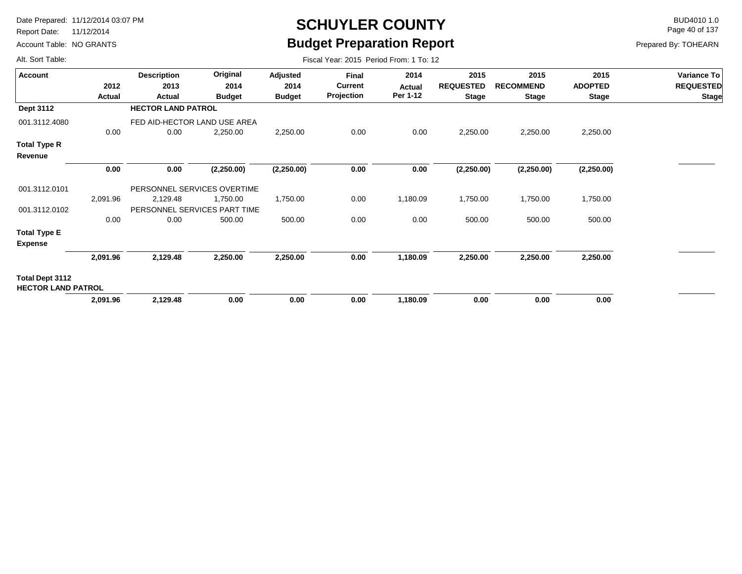Report Date: 11/12/2014

Account Table: NO GRANTS

# **SCHUYLER COUNTY** BUD4010 1.0 **Budget Preparation Report**

Fiscal Year: 2015 Period From: 1 To: 12

Page 40 of 137

| Alt. Sort Table: |  |
|------------------|--|
|                  |  |

| <b>Account</b>                               | 2012     | <b>Description</b><br>2013   | Original<br>2014 | Adjusted<br>2014 | Final<br><b>Current</b> | 2014<br>Actual | 2015<br><b>REQUESTED</b> | 2015<br><b>RECOMMEND</b> | 2015<br><b>ADOPTED</b> | Variance To<br><b>REQUESTED</b> |
|----------------------------------------------|----------|------------------------------|------------------|------------------|-------------------------|----------------|--------------------------|--------------------------|------------------------|---------------------------------|
|                                              | Actual   | Actual                       | <b>Budget</b>    | <b>Budget</b>    | Projection              | Per 1-12       | <b>Stage</b>             | <b>Stage</b>             | <b>Stage</b>           | <b>Stage</b>                    |
| <b>Dept 3112</b>                             |          | <b>HECTOR LAND PATROL</b>    |                  |                  |                         |                |                          |                          |                        |                                 |
| 001.3112.4080                                |          | FED AID-HECTOR LAND USE AREA |                  |                  |                         |                |                          |                          |                        |                                 |
|                                              | 0.00     | 0.00                         | 2,250.00         | 2,250.00         | 0.00                    | 0.00           | 2,250.00                 | 2,250.00                 | 2,250.00               |                                 |
| <b>Total Type R</b><br>Revenue               |          |                              |                  |                  |                         |                |                          |                          |                        |                                 |
|                                              | 0.00     | 0.00                         | (2,250.00)       | (2,250.00)       | 0.00                    | 0.00           | (2,250.00)               | (2,250.00)               | (2,250.00)             |                                 |
| 001.3112.0101                                |          | PERSONNEL SERVICES OVERTIME  |                  |                  |                         |                |                          |                          |                        |                                 |
|                                              | 2,091.96 | 2,129.48                     | 1,750.00         | 1,750.00         | 0.00                    | 1,180.09       | 1,750.00                 | 1,750.00                 | 1,750.00               |                                 |
| 001.3112.0102                                |          | PERSONNEL SERVICES PART TIME |                  |                  |                         |                |                          |                          |                        |                                 |
|                                              | 0.00     | 0.00                         | 500.00           | 500.00           | 0.00                    | 0.00           | 500.00                   | 500.00                   | 500.00                 |                                 |
| <b>Total Type E</b>                          |          |                              |                  |                  |                         |                |                          |                          |                        |                                 |
| <b>Expense</b>                               |          |                              |                  |                  |                         |                |                          |                          |                        |                                 |
|                                              | 2,091.96 | 2,129.48                     | 2,250.00         | 2,250.00         | 0.00                    | 1,180.09       | 2,250.00                 | 2,250.00                 | 2,250.00               |                                 |
| Total Dept 3112<br><b>HECTOR LAND PATROL</b> |          |                              |                  |                  |                         |                |                          |                          |                        |                                 |
|                                              | 2,091.96 | 2,129.48                     | 0.00             | 0.00             | 0.00                    | 1,180.09       | 0.00                     | 0.00                     | 0.00                   |                                 |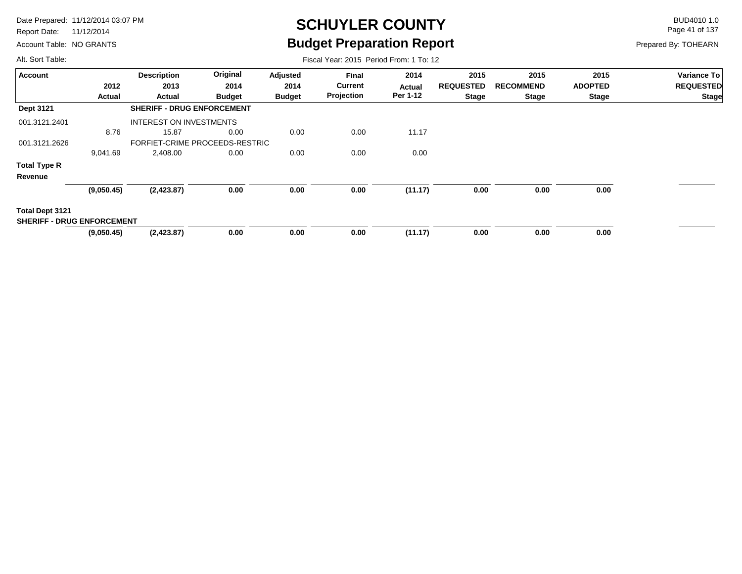Report Date: 11/12/2014

Account Table: NO GRANTS

# **SCHUYLER COUNTY** BUD4010 1.0 **Budget Preparation Report**

Fiscal Year: 2015 Period From: 1 To: 12

Page 41 of 137

Prepared By: TOHEARN

| <b>Account</b>                    |            | <b>Description</b>                | Original      | Adjusted      | <b>Final</b>   | 2014     | 2015             | 2015             | 2015           | <b>Variance To</b> |
|-----------------------------------|------------|-----------------------------------|---------------|---------------|----------------|----------|------------------|------------------|----------------|--------------------|
|                                   | 2012       | 2013                              | 2014          | 2014          | <b>Current</b> | Actual   | <b>REQUESTED</b> | <b>RECOMMEND</b> | <b>ADOPTED</b> | <b>REQUESTED</b>   |
|                                   | Actual     | <b>Actual</b>                     | <b>Budget</b> | <b>Budget</b> | Projection     | Per 1-12 | <b>Stage</b>     | <b>Stage</b>     | <b>Stage</b>   | <b>Stage</b>       |
| <b>Dept 3121</b>                  |            | <b>SHERIFF - DRUG ENFORCEMENT</b> |               |               |                |          |                  |                  |                |                    |
| 001.3121.2401                     |            | <b>INTEREST ON INVESTMENTS</b>    |               |               |                |          |                  |                  |                |                    |
|                                   | 8.76       | 15.87                             | 0.00          | 0.00          | 0.00           | 11.17    |                  |                  |                |                    |
| 001.3121.2626                     |            | FORFIET-CRIME PROCEEDS-RESTRIC    |               |               |                |          |                  |                  |                |                    |
|                                   | 9,041.69   | 2,408.00                          | 0.00          | 0.00          | 0.00           | 0.00     |                  |                  |                |                    |
| <b>Total Type R</b>               |            |                                   |               |               |                |          |                  |                  |                |                    |
| Revenue                           |            |                                   |               |               |                |          |                  |                  |                |                    |
|                                   | (9,050.45) | (2, 423.87)                       | 0.00          | 0.00          | 0.00           | (11.17)  | 0.00             | 0.00             | 0.00           |                    |
| Total Dept 3121                   |            |                                   |               |               |                |          |                  |                  |                |                    |
| <b>SHERIFF - DRUG ENFORCEMENT</b> |            |                                   |               |               |                |          |                  |                  |                |                    |
|                                   | (9,050.45) | (2,423.87)                        | 0.00          | 0.00          | 0.00           | (11.17)  | 0.00             | 0.00             | 0.00           |                    |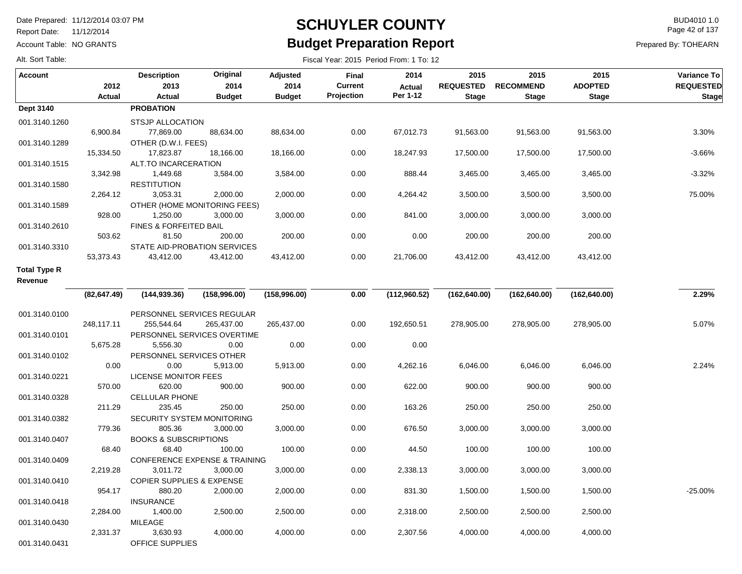Report Date: 11/12/2014

Account Table: NO GRANTS

### **SCHUYLER COUNTY** BUD4010 1.0 **Budget Preparation Report**

Fiscal Year: 2015 Period From: 1 To: 12

Page 42 of 137

Prepared By: TOHEARN

| <b>Account</b>                 | 2012         | <b>Description</b><br>2013               | Original<br>2014 | Adjusted<br>2014 | <b>Final</b><br><b>Current</b> | 2014<br><b>Actual</b> | 2015<br><b>REQUESTED</b> | 2015<br><b>RECOMMEND</b> | 2015<br><b>ADOPTED</b> | Variance To<br><b>REQUESTED</b> |
|--------------------------------|--------------|------------------------------------------|------------------|------------------|--------------------------------|-----------------------|--------------------------|--------------------------|------------------------|---------------------------------|
|                                | Actual       | Actual                                   | <b>Budget</b>    | <b>Budget</b>    | Projection                     | Per 1-12              | <b>Stage</b>             | <b>Stage</b>             | <b>Stage</b>           | <b>Stage</b>                    |
| Dept 3140                      |              | <b>PROBATION</b>                         |                  |                  |                                |                       |                          |                          |                        |                                 |
| 001.3140.1260                  |              | <b>STSJP ALLOCATION</b>                  |                  |                  |                                |                       |                          |                          |                        |                                 |
|                                | 6,900.84     | 77,869.00                                | 88,634.00        | 88,634.00        | 0.00                           | 67,012.73             | 91,563.00                | 91,563.00                | 91,563.00              | 3.30%                           |
| 001.3140.1289                  |              | OTHER (D.W.I. FEES)                      |                  |                  |                                |                       |                          |                          |                        |                                 |
|                                | 15,334.50    | 17,823.87                                | 18,166.00        | 18,166.00        | 0.00                           | 18,247.93             | 17,500.00                | 17,500.00                | 17,500.00              | $-3.66%$                        |
| 001.3140.1515                  |              | ALT.TO INCARCERATION                     |                  |                  |                                |                       |                          |                          |                        |                                 |
|                                | 3,342.98     | 1,449.68                                 | 3,584.00         | 3,584.00         | 0.00                           | 888.44                | 3,465.00                 | 3,465.00                 | 3,465.00               | $-3.32%$                        |
| 001.3140.1580                  |              | <b>RESTITUTION</b>                       |                  |                  |                                |                       |                          |                          |                        |                                 |
|                                | 2,264.12     | 3,053.31                                 | 2,000.00         | 2,000.00         | 0.00                           | 4,264.42              | 3,500.00                 | 3,500.00                 | 3,500.00               | 75.00%                          |
| 001.3140.1589                  |              | OTHER (HOME MONITORING FEES)             |                  |                  |                                |                       |                          |                          |                        |                                 |
|                                | 928.00       | 1,250.00                                 | 3,000.00         | 3,000.00         | 0.00                           | 841.00                | 3,000.00                 | 3,000.00                 | 3,000.00               |                                 |
| 001.3140.2610                  |              | FINES & FORFEITED BAIL                   |                  |                  |                                |                       |                          |                          |                        |                                 |
|                                | 503.62       | 81.50                                    | 200.00           | 200.00           | 0.00                           | 0.00                  | 200.00                   | 200.00                   | 200.00                 |                                 |
| 001.3140.3310                  |              | STATE AID-PROBATION SERVICES             |                  |                  |                                |                       |                          |                          |                        |                                 |
|                                | 53,373.43    | 43,412.00                                | 43,412.00        | 43,412.00        | 0.00                           | 21,706.00             | 43,412.00                | 43,412.00                | 43,412.00              |                                 |
| <b>Total Type R</b><br>Revenue |              |                                          |                  |                  |                                |                       |                          |                          |                        |                                 |
|                                | (82, 647.49) | (144, 939.36)                            | (158,996.00)     | (158,996.00)     | 0.00                           | (112,960.52)          | (162, 640.00)            | (162, 640.00)            | (162, 640.00)          | 2.29%                           |
|                                |              |                                          |                  |                  |                                |                       |                          |                          |                        |                                 |
| 001.3140.0100                  |              | PERSONNEL SERVICES REGULAR               |                  |                  |                                |                       |                          |                          |                        |                                 |
|                                | 248,117.11   | 255,544.64                               | 265,437.00       | 265,437.00       | 0.00                           | 192,650.51            | 278,905.00               | 278,905.00               | 278,905.00             | 5.07%                           |
| 001.3140.0101                  |              | PERSONNEL SERVICES OVERTIME              |                  |                  |                                |                       |                          |                          |                        |                                 |
|                                | 5,675.28     | 5,556.30                                 | 0.00             | 0.00             | 0.00                           | 0.00                  |                          |                          |                        |                                 |
| 001.3140.0102                  |              | PERSONNEL SERVICES OTHER                 |                  |                  |                                |                       |                          |                          |                        |                                 |
|                                | 0.00         | 0.00                                     | 5,913.00         | 5,913.00         | 0.00                           | 4,262.16              | 6,046.00                 | 6,046.00                 | 6,046.00               | 2.24%                           |
| 001.3140.0221                  |              | <b>LICENSE MONITOR FEES</b>              |                  |                  |                                |                       |                          |                          |                        |                                 |
|                                | 570.00       | 620.00                                   | 900.00           | 900.00           | 0.00                           | 622.00                | 900.00                   | 900.00                   | 900.00                 |                                 |
| 001.3140.0328                  |              | <b>CELLULAR PHONE</b>                    |                  |                  |                                |                       |                          |                          |                        |                                 |
|                                | 211.29       | 235.45                                   | 250.00           | 250.00           | 0.00                           | 163.26                | 250.00                   | 250.00                   | 250.00                 |                                 |
| 001.3140.0382                  |              | <b>SECURITY SYSTEM MONITORING</b>        |                  |                  |                                |                       |                          |                          |                        |                                 |
|                                | 779.36       | 805.36                                   | 3,000.00         | 3,000.00         | 0.00                           | 676.50                | 3,000.00                 | 3,000.00                 | 3,000.00               |                                 |
| 001.3140.0407                  |              | <b>BOOKS &amp; SUBSCRIPTIONS</b>         |                  |                  |                                |                       |                          |                          |                        |                                 |
|                                | 68.40        | 68.40                                    | 100.00           | 100.00           | 0.00                           | 44.50                 | 100.00                   | 100.00                   | 100.00                 |                                 |
| 001.3140.0409                  |              | <b>CONFERENCE EXPENSE &amp; TRAINING</b> |                  |                  |                                |                       |                          |                          |                        |                                 |
|                                | 2,219.28     | 3,011.72                                 | 3,000.00         | 3,000.00         | 0.00                           | 2,338.13              | 3,000.00                 | 3,000.00                 | 3,000.00               |                                 |
| 001.3140.0410                  |              | <b>COPIER SUPPLIES &amp; EXPENSE</b>     |                  |                  |                                |                       |                          |                          |                        |                                 |
|                                | 954.17       | 880.20                                   | 2,000.00         | 2,000.00         | 0.00                           | 831.30                | 1,500.00                 | 1,500.00                 | 1,500.00               | $-25.00%$                       |
| 001.3140.0418                  |              | <b>INSURANCE</b>                         |                  |                  |                                |                       |                          |                          |                        |                                 |
|                                | 2,284.00     | 1,400.00                                 | 2,500.00         | 2,500.00         | 0.00                           | 2,318.00              | 2,500.00                 | 2,500.00                 | 2,500.00               |                                 |
| 001.3140.0430                  |              | <b>MILEAGE</b>                           |                  |                  |                                |                       |                          |                          |                        |                                 |
|                                | 2,331.37     | 3,630.93                                 | 4,000.00         | 4,000.00         | 0.00                           | 2,307.56              | 4,000.00                 | 4,000.00                 | 4,000.00               |                                 |
| 001.3140.0431                  |              | OFFICE SUPPLIES                          |                  |                  |                                |                       |                          |                          |                        |                                 |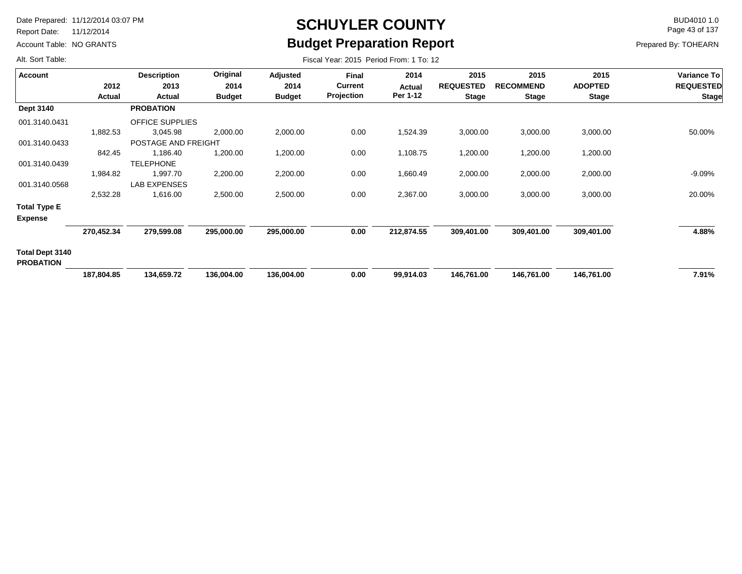Report Date: 11/12/2014

Account Table: NO GRANTS

## **SCHUYLER COUNTY** BUD4010 1.0 **Budget Preparation Report**

Fiscal Year: 2015 Period From: 1 To: 12

Page 43 of 137

Prepared By: TOHEARN

| Account                               |            | <b>Description</b>     | Original      | Adjusted      | <b>Final</b>   | 2014       | 2015             | 2015             | 2015           | Variance To      |
|---------------------------------------|------------|------------------------|---------------|---------------|----------------|------------|------------------|------------------|----------------|------------------|
|                                       | 2012       | 2013                   | 2014          | 2014          | <b>Current</b> | Actual     | <b>REQUESTED</b> | <b>RECOMMEND</b> | <b>ADOPTED</b> | <b>REQUESTED</b> |
|                                       | Actual     | Actual                 | <b>Budget</b> | <b>Budget</b> | Projection     | Per 1-12   | <b>Stage</b>     | <b>Stage</b>     | <b>Stage</b>   | <b>Stage</b>     |
| Dept 3140                             |            | <b>PROBATION</b>       |               |               |                |            |                  |                  |                |                  |
| 001.3140.0431                         |            | <b>OFFICE SUPPLIES</b> |               |               |                |            |                  |                  |                |                  |
|                                       | 1,882.53   | 3,045.98               | 2,000.00      | 2,000.00      | 0.00           | 1,524.39   | 3,000.00         | 3,000.00         | 3,000.00       | 50.00%           |
| 001.3140.0433                         |            | POSTAGE AND FREIGHT    |               |               |                |            |                  |                  |                |                  |
|                                       | 842.45     | 1,186.40               | 1,200.00      | 1,200.00      | 0.00           | 1,108.75   | 1,200.00         | 1,200.00         | 1,200.00       |                  |
| 001.3140.0439                         |            | <b>TELEPHONE</b>       |               |               |                |            |                  |                  |                |                  |
|                                       | 1,984.82   | 1,997.70               | 2,200.00      | 2,200.00      | 0.00           | 1,660.49   | 2,000.00         | 2,000.00         | 2,000.00       | $-9.09\%$        |
| 001.3140.0568                         |            | LAB EXPENSES           |               |               |                |            |                  |                  |                |                  |
|                                       | 2,532.28   | 1,616.00               | 2,500.00      | 2,500.00      | 0.00           | 2,367.00   | 3,000.00         | 3,000.00         | 3,000.00       | 20.00%           |
| <b>Total Type E</b><br><b>Expense</b> |            |                        |               |               |                |            |                  |                  |                |                  |
|                                       | 270,452.34 | 279,599.08             | 295,000.00    | 295,000.00    | 0.00           | 212,874.55 | 309,401.00       | 309,401.00       | 309,401.00     | 4.88%            |
| Total Dept 3140<br><b>PROBATION</b>   |            |                        |               |               |                |            |                  |                  |                |                  |
|                                       | 187,804.85 | 134,659.72             | 136,004.00    | 136,004.00    | 0.00           | 99,914.03  | 146,761.00       | 146,761.00       | 146,761.00     | 7.91%            |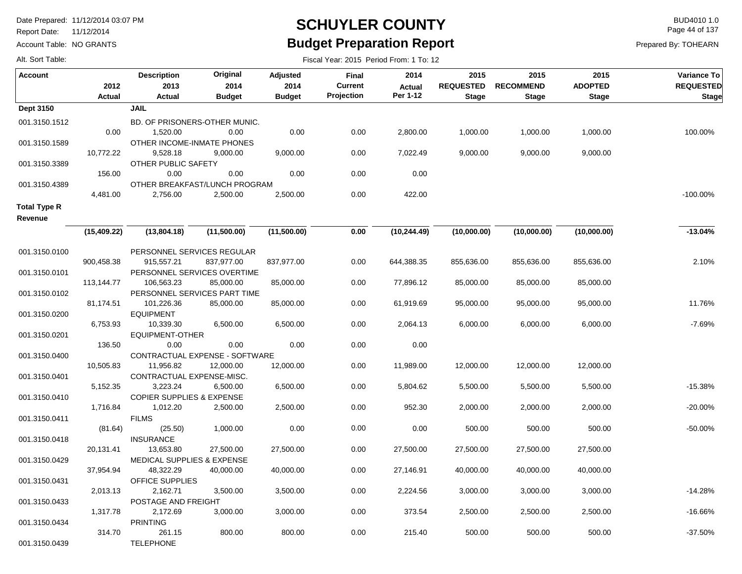Report Date: 11/12/2014

Account Table: NO GRANTS

### **SCHUYLER COUNTY** BUD4010 1.0 **Budget Preparation Report**

Fiscal Year: 2015 Period From: 1 To: 12

Page 44 of 137

|  | Alt. Sort Table: |
|--|------------------|
|  |                  |

| <b>Account</b>      | 2012          | <b>Description</b><br>2013             | Original<br>2014               | Adjusted<br>2014 | <b>Final</b><br><b>Current</b> | 2014<br><b>Actual</b> | 2015<br><b>REQUESTED</b> | 2015<br><b>RECOMMEND</b> | 2015<br><b>ADOPTED</b> | Variance To<br><b>REQUESTED</b> |
|---------------------|---------------|----------------------------------------|--------------------------------|------------------|--------------------------------|-----------------------|--------------------------|--------------------------|------------------------|---------------------------------|
|                     | <b>Actual</b> | Actual                                 | <b>Budget</b>                  | <b>Budget</b>    | Projection                     | Per 1-12              | <b>Stage</b>             | <b>Stage</b>             | <b>Stage</b>           | <b>Stage</b>                    |
| Dept 3150           |               | <b>JAIL</b>                            |                                |                  |                                |                       |                          |                          |                        |                                 |
| 001.3150.1512       |               |                                        | BD. OF PRISONERS-OTHER MUNIC.  |                  |                                |                       |                          |                          |                        |                                 |
|                     | 0.00          | 1,520.00                               | 0.00                           | 0.00             | 0.00                           | 2,800.00              | 1,000.00                 | 1,000.00                 | 1,000.00               | 100.00%                         |
| 001.3150.1589       |               | OTHER INCOME-INMATE PHONES             |                                |                  |                                |                       |                          |                          |                        |                                 |
|                     | 10,772.22     | 9,528.18                               | 9,000.00                       | 9,000.00         | 0.00                           | 7,022.49              | 9,000.00                 | 9,000.00                 | 9,000.00               |                                 |
| 001.3150.3389       |               | OTHER PUBLIC SAFETY                    |                                |                  |                                |                       |                          |                          |                        |                                 |
|                     | 156.00        | 0.00                                   | 0.00                           | 0.00             | 0.00                           | 0.00                  |                          |                          |                        |                                 |
| 001.3150.4389       |               |                                        | OTHER BREAKFAST/LUNCH PROGRAM  |                  |                                |                       |                          |                          |                        |                                 |
|                     | 4,481.00      | 2,756.00                               | 2,500.00                       | 2,500.00         | 0.00                           | 422.00                |                          |                          |                        | $-100.00\%$                     |
| <b>Total Type R</b> |               |                                        |                                |                  |                                |                       |                          |                          |                        |                                 |
| Revenue             |               |                                        |                                |                  |                                |                       |                          |                          |                        |                                 |
|                     | (15, 409.22)  | (13,804.18)                            | (11,500.00)                    | (11,500.00)      | 0.00                           | (10, 244.49)          | (10,000.00)              | (10,000.00)              | (10,000.00)            | $-13.04%$                       |
| 001.3150.0100       |               | PERSONNEL SERVICES REGULAR             |                                |                  |                                |                       |                          |                          |                        |                                 |
|                     | 900,458.38    | 915,557.21                             | 837,977.00                     | 837,977.00       | 0.00                           | 644,388.35            | 855,636.00               | 855,636.00               | 855,636.00             | 2.10%                           |
| 001.3150.0101       |               | PERSONNEL SERVICES OVERTIME            |                                |                  |                                |                       |                          |                          |                        |                                 |
|                     | 113,144.77    | 106,563.23                             | 85,000.00                      | 85,000.00        | 0.00                           | 77,896.12             | 85,000.00                | 85,000.00                | 85,000.00              |                                 |
| 001.3150.0102       |               |                                        | PERSONNEL SERVICES PART TIME   |                  |                                |                       |                          |                          |                        |                                 |
|                     | 81,174.51     | 101,226.36                             | 85,000.00                      | 85,000.00        | 0.00                           | 61,919.69             | 95,000.00                | 95,000.00                | 95,000.00              | 11.76%                          |
| 001.3150.0200       |               | <b>EQUIPMENT</b>                       |                                |                  |                                |                       |                          |                          |                        |                                 |
|                     | 6,753.93      | 10,339.30                              | 6,500.00                       | 6,500.00         | 0.00                           | 2,064.13              | 6,000.00                 | 6,000.00                 | 6,000.00               | $-7.69%$                        |
| 001.3150.0201       |               | <b>EQUIPMENT-OTHER</b>                 |                                |                  |                                |                       |                          |                          |                        |                                 |
|                     | 136.50        | 0.00                                   | 0.00                           | 0.00             | 0.00                           | 0.00                  |                          |                          |                        |                                 |
| 001.3150.0400       | 10,505.83     |                                        | CONTRACTUAL EXPENSE - SOFTWARE |                  | 0.00                           | 11,989.00             | 12,000.00                |                          |                        |                                 |
| 001.3150.0401       |               | 11,956.82<br>CONTRACTUAL EXPENSE-MISC. | 12,000.00                      | 12,000.00        |                                |                       |                          | 12,000.00                | 12,000.00              |                                 |
|                     | 5,152.35      | 3,223.24                               | 6,500.00                       | 6,500.00         | 0.00                           | 5,804.62              | 5,500.00                 | 5,500.00                 | 5,500.00               | $-15.38%$                       |
| 001.3150.0410       |               | <b>COPIER SUPPLIES &amp; EXPENSE</b>   |                                |                  |                                |                       |                          |                          |                        |                                 |
|                     | 1,716.84      | 1,012.20                               | 2,500.00                       | 2,500.00         | 0.00                           | 952.30                | 2,000.00                 | 2,000.00                 | 2,000.00               | $-20.00%$                       |
| 001.3150.0411       |               | <b>FILMS</b>                           |                                |                  |                                |                       |                          |                          |                        |                                 |
|                     | (81.64)       | (25.50)                                | 1,000.00                       | 0.00             | 0.00                           | 0.00                  | 500.00                   | 500.00                   | 500.00                 | -50.00%                         |
| 001.3150.0418       |               | <b>INSURANCE</b>                       |                                |                  |                                |                       |                          |                          |                        |                                 |
|                     | 20,131.41     | 13,653.80                              | 27,500.00                      | 27,500.00        | 0.00                           | 27,500.00             | 27,500.00                | 27,500.00                | 27,500.00              |                                 |
| 001.3150.0429       |               | <b>MEDICAL SUPPLIES &amp; EXPENSE</b>  |                                |                  |                                |                       |                          |                          |                        |                                 |
|                     | 37,954.94     | 48,322.29                              | 40,000.00                      | 40,000.00        | 0.00                           | 27,146.91             | 40,000.00                | 40,000.00                | 40,000.00              |                                 |
| 001.3150.0431       |               | <b>OFFICE SUPPLIES</b>                 |                                |                  |                                |                       |                          |                          |                        |                                 |
|                     | 2,013.13      | 2,162.71                               | 3,500.00                       | 3,500.00         | 0.00                           | 2,224.56              | 3,000.00                 | 3,000.00                 | 3,000.00               | $-14.28%$                       |
| 001.3150.0433       |               | POSTAGE AND FREIGHT                    |                                |                  |                                |                       |                          |                          |                        |                                 |
|                     | 1,317.78      | 2,172.69                               | 3,000.00                       | 3,000.00         | 0.00                           | 373.54                | 2,500.00                 | 2,500.00                 | 2,500.00               | $-16.66%$                       |
| 001.3150.0434       |               | <b>PRINTING</b>                        |                                |                  |                                |                       |                          |                          |                        |                                 |
|                     | 314.70        | 261.15                                 | 800.00                         | 800.00           | 0.00                           | 215.40                | 500.00                   | 500.00                   | 500.00                 | $-37.50%$                       |
| 001.3150.0439       |               | <b>TELEPHONE</b>                       |                                |                  |                                |                       |                          |                          |                        |                                 |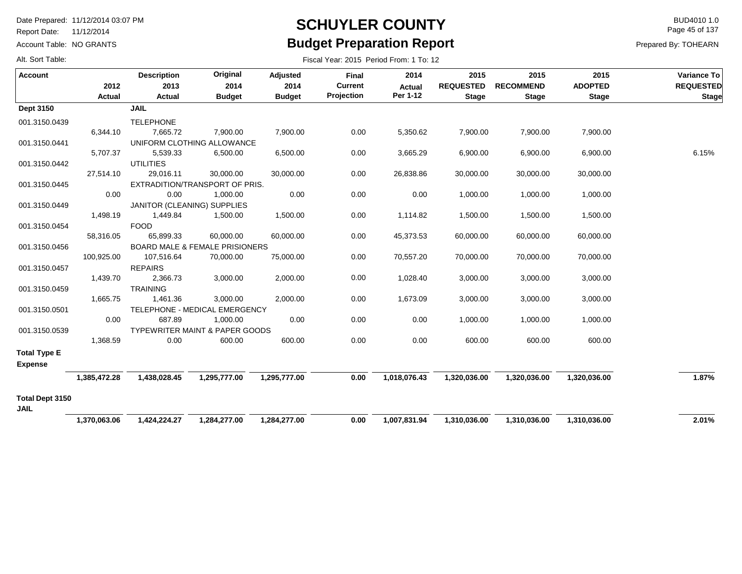Report Date: 11/12/2014

Account Table: NO GRANTS

### **SCHUYLER COUNTY** BUD4010 1.0 **Budget Preparation Report**

Fiscal Year: 2015 Period From: 1 To: 12

Page 45 of 137

| <b>Account</b>                        | 2012<br>Actual | <b>Description</b><br>2013<br>Actual | Original<br>2014<br><b>Budget</b>         | Adjusted<br>2014<br><b>Budget</b> | <b>Final</b><br><b>Current</b><br>Projection | 2014<br><b>Actual</b><br>Per 1-12 | 2015<br><b>REQUESTED</b><br><b>Stage</b> | 2015<br><b>RECOMMEND</b><br><b>Stage</b> | 2015<br><b>ADOPTED</b><br><b>Stage</b> | Variance To<br><b>REQUESTED</b><br><b>Stage</b> |
|---------------------------------------|----------------|--------------------------------------|-------------------------------------------|-----------------------------------|----------------------------------------------|-----------------------------------|------------------------------------------|------------------------------------------|----------------------------------------|-------------------------------------------------|
| <b>Dept 3150</b>                      |                | <b>JAIL</b>                          |                                           |                                   |                                              |                                   |                                          |                                          |                                        |                                                 |
| 001.3150.0439                         | 6.344.10       | <b>TELEPHONE</b><br>7,665.72         | 7,900.00                                  | 7,900.00                          | 0.00                                         | 5,350.62                          | 7,900.00                                 | 7,900.00                                 | 7,900.00                               |                                                 |
| 001.3150.0441                         |                |                                      | UNIFORM CLOTHING ALLOWANCE                |                                   |                                              |                                   |                                          |                                          |                                        |                                                 |
|                                       | 5,707.37       | 5,539.33                             | 6,500.00                                  | 6,500.00                          | 0.00                                         | 3,665.29                          | 6,900.00                                 | 6,900.00                                 | 6,900.00                               | 6.15%                                           |
| 001.3150.0442                         |                | <b>UTILITIES</b>                     |                                           |                                   |                                              |                                   |                                          |                                          |                                        |                                                 |
|                                       | 27,514.10      | 29,016.11                            | 30,000.00                                 | 30,000.00                         | 0.00                                         | 26,838.86                         | 30,000.00                                | 30,000.00                                | 30,000.00                              |                                                 |
| 001.3150.0445                         |                |                                      | EXTRADITION/TRANSPORT OF PRIS.            |                                   |                                              |                                   |                                          |                                          |                                        |                                                 |
|                                       | 0.00           | 0.00                                 | 1,000.00                                  | 0.00                              | 0.00                                         | 0.00                              | 1,000.00                                 | 1,000.00                                 | 1,000.00                               |                                                 |
| 001.3150.0449                         |                |                                      | JANITOR (CLEANING) SUPPLIES               |                                   |                                              |                                   |                                          |                                          |                                        |                                                 |
|                                       | 1,498.19       | 1,449.84                             | 1,500.00                                  | 1,500.00                          | 0.00                                         | 1,114.82                          | 1,500.00                                 | 1,500.00                                 | 1,500.00                               |                                                 |
| 001.3150.0454                         | 58,316.05      | <b>FOOD</b><br>65,899.33             | 60,000.00                                 |                                   | 0.00                                         | 45,373.53                         |                                          |                                          |                                        |                                                 |
| 001.3150.0456                         |                |                                      | <b>BOARD MALE &amp; FEMALE PRISIONERS</b> | 60,000.00                         |                                              |                                   | 60,000.00                                | 60,000.00                                | 60,000.00                              |                                                 |
|                                       | 100,925.00     | 107,516.64                           | 70,000.00                                 | 75,000.00                         | 0.00                                         | 70,557.20                         | 70,000.00                                | 70,000.00                                | 70,000.00                              |                                                 |
| 001.3150.0457                         |                | <b>REPAIRS</b>                       |                                           |                                   |                                              |                                   |                                          |                                          |                                        |                                                 |
|                                       | 1,439.70       | 2,366.73                             | 3,000.00                                  | 2,000.00                          | 0.00                                         | 1,028.40                          | 3,000.00                                 | 3,000.00                                 | 3,000.00                               |                                                 |
| 001.3150.0459                         |                | <b>TRAINING</b>                      |                                           |                                   |                                              |                                   |                                          |                                          |                                        |                                                 |
|                                       | 1,665.75       | 1,461.36                             | 3,000.00                                  | 2,000.00                          | 0.00                                         | 1,673.09                          | 3,000.00                                 | 3,000.00                                 | 3,000.00                               |                                                 |
| 001.3150.0501                         |                |                                      | TELEPHONE - MEDICAL EMERGENCY             |                                   |                                              |                                   |                                          |                                          |                                        |                                                 |
|                                       | 0.00           | 687.89                               | 1,000.00                                  | 0.00                              | 0.00                                         | 0.00                              | 1,000.00                                 | 1,000.00                                 | 1,000.00                               |                                                 |
| 001.3150.0539                         |                |                                      | <b>TYPEWRITER MAINT &amp; PAPER GOODS</b> |                                   |                                              |                                   |                                          |                                          |                                        |                                                 |
|                                       | 1,368.59       | 0.00                                 | 600.00                                    | 600.00                            | 0.00                                         | 0.00                              | 600.00                                   | 600.00                                   | 600.00                                 |                                                 |
| <b>Total Type E</b><br><b>Expense</b> |                |                                      |                                           |                                   |                                              |                                   |                                          |                                          |                                        |                                                 |
|                                       | 1,385,472.28   | 1,438,028.45                         | 1,295,777.00                              | 1,295,777.00                      | 0.00                                         | 1,018,076.43                      | 1,320,036.00                             | 1,320,036.00                             | 1,320,036.00                           | 1.87%                                           |
| Total Dept 3150<br><b>JAIL</b>        |                |                                      |                                           |                                   |                                              |                                   |                                          |                                          |                                        |                                                 |
|                                       | 1,370,063.06   | 1,424,224.27                         | 1,284,277.00                              | 1,284,277.00                      | 0.00                                         | 1,007,831.94                      | 1,310,036.00                             | 1,310,036.00                             | 1,310,036.00                           | 2.01%                                           |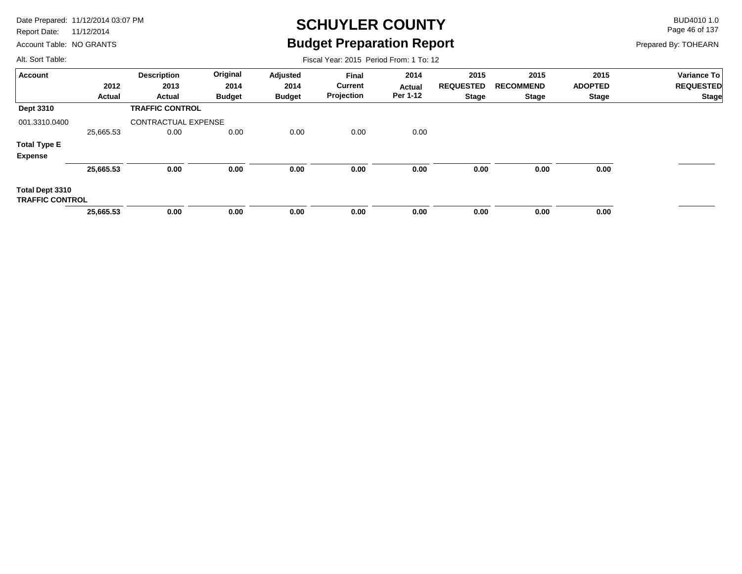Report Date: 11/12/2014

Account Table: NO GRANTS

# **SCHUYLER COUNTY** BUD4010 1.0 **Budget Preparation Report**

Fiscal Year: 2015 Period From: 1 To: 12

Page 46 of 137

Prepared By: TOHEARN

| <b>Account</b>         |               | <b>Description</b>         | Original      | Adjusted      | Final          | 2014     | 2015             | 2015             | 2015           | Variance To      |
|------------------------|---------------|----------------------------|---------------|---------------|----------------|----------|------------------|------------------|----------------|------------------|
|                        | 2012          | 2013                       | 2014          | 2014          | <b>Current</b> | Actual   | <b>REQUESTED</b> | <b>RECOMMEND</b> | <b>ADOPTED</b> | <b>REQUESTED</b> |
|                        | <b>Actual</b> | Actual                     | <b>Budget</b> | <b>Budget</b> | Projection     | Per 1-12 | <b>Stage</b>     | <b>Stage</b>     | Stage          | <b>Stage</b>     |
| Dept 3310              |               | <b>TRAFFIC CONTROL</b>     |               |               |                |          |                  |                  |                |                  |
| 001.3310.0400          |               | <b>CONTRACTUAL EXPENSE</b> |               |               |                |          |                  |                  |                |                  |
|                        | 25,665.53     | 0.00                       | 0.00          | 0.00          | 0.00           | 0.00     |                  |                  |                |                  |
| <b>Total Type E</b>    |               |                            |               |               |                |          |                  |                  |                |                  |
| <b>Expense</b>         |               |                            |               |               |                |          |                  |                  |                |                  |
|                        | 25,665.53     | 0.00                       | 0.00          | 0.00          | 0.00           | 0.00     | 0.00             | 0.00             | 0.00           |                  |
| Total Dept 3310        |               |                            |               |               |                |          |                  |                  |                |                  |
| <b>TRAFFIC CONTROL</b> |               |                            |               |               |                |          |                  |                  |                |                  |
|                        | 25,665.53     | 0.00                       | 0.00          | 0.00          | 0.00           | 0.00     | 0.00             | 0.00             | 0.00           |                  |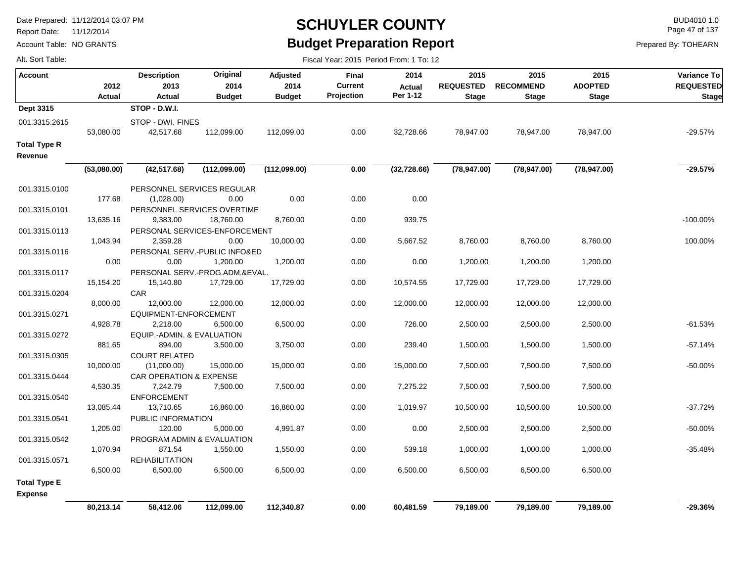Report Date: 11/12/2014

Account Table: NO GRANTS

### **SCHUYLER COUNTY** BUD4010 1.0 **Budget Preparation Report**

Fiscal Year: 2015 Period From: 1 To: 12

Page 47 of 137

|  | Alt. Sort Table: |
|--|------------------|
|  |                  |

| <b>Account</b>                        | 2012<br><b>Actual</b> | <b>Description</b><br>2013<br>Actual | Original<br>2014<br><b>Budget</b> | Adjusted<br>2014<br><b>Budget</b> | Final<br>Current<br>Projection | 2014<br><b>Actual</b><br>Per 1-12 | 2015<br><b>REQUESTED</b><br><b>Stage</b> | 2015<br><b>RECOMMEND</b><br><b>Stage</b> | 2015<br><b>ADOPTED</b><br><b>Stage</b> | Variance To<br><b>REQUESTED</b><br><b>Stage</b> |
|---------------------------------------|-----------------------|--------------------------------------|-----------------------------------|-----------------------------------|--------------------------------|-----------------------------------|------------------------------------------|------------------------------------------|----------------------------------------|-------------------------------------------------|
| Dept 3315                             |                       | STOP - D.W.I.                        |                                   |                                   |                                |                                   |                                          |                                          |                                        |                                                 |
| 001.3315.2615                         | 53,080.00             | STOP - DWI, FINES<br>42,517.68       | 112,099.00                        | 112,099.00                        | 0.00                           | 32,728.66                         | 78,947.00                                | 78,947.00                                | 78,947.00                              | $-29.57%$                                       |
| <b>Total Type R</b><br>Revenue        |                       |                                      |                                   |                                   |                                |                                   |                                          |                                          |                                        |                                                 |
|                                       | (53,080.00)           | (42, 517.68)                         | (112,099.00)                      | (112,099.00)                      | 0.00                           | (32, 728.66)                      | (78, 947.00)                             | (78, 947.00)                             | (78, 947.00)                           | $-29.57%$                                       |
| 001.3315.0100                         |                       | PERSONNEL SERVICES REGULAR           |                                   |                                   |                                |                                   |                                          |                                          |                                        |                                                 |
|                                       | 177.68                | (1,028.00)                           | 0.00                              | 0.00                              | 0.00                           | 0.00                              |                                          |                                          |                                        |                                                 |
| 001.3315.0101                         |                       | PERSONNEL SERVICES OVERTIME          |                                   |                                   |                                |                                   |                                          |                                          |                                        |                                                 |
|                                       | 13,635.16             | 9,383.00                             | 18,760.00                         | 8,760.00                          | 0.00                           | 939.75                            |                                          |                                          |                                        | $-100.00\%$                                     |
| 001.3315.0113                         |                       | PERSONAL SERVICES-ENFORCEMENT        |                                   |                                   |                                |                                   |                                          |                                          |                                        |                                                 |
|                                       | 1,043.94              | 2,359.28                             | 0.00                              | 10,000.00                         | 0.00                           | 5,667.52                          | 8,760.00                                 | 8,760.00                                 | 8,760.00                               | 100.00%                                         |
| 001.3315.0116                         |                       | PERSONAL SERV .- PUBLIC INFO&ED      |                                   |                                   |                                |                                   |                                          |                                          |                                        |                                                 |
|                                       | 0.00                  | 0.00                                 | 1,200.00                          | 1,200.00                          | 0.00                           | 0.00                              | 1,200.00                                 | 1,200.00                                 | 1,200.00                               |                                                 |
| 001.3315.0117                         |                       | PERSONAL SERV.-PROG.ADM.&EVAL.       |                                   |                                   |                                |                                   |                                          |                                          |                                        |                                                 |
|                                       | 15,154.20             | 15,140.80                            | 17,729.00                         | 17,729.00                         | 0.00                           | 10,574.55                         | 17,729.00                                | 17,729.00                                | 17,729.00                              |                                                 |
| 001.3315.0204                         |                       | CAR                                  |                                   |                                   |                                |                                   |                                          |                                          |                                        |                                                 |
|                                       | 8,000.00              | 12,000.00                            | 12,000.00                         | 12,000.00                         | 0.00                           | 12,000.00                         | 12,000.00                                | 12,000.00                                | 12,000.00                              |                                                 |
| 001.3315.0271                         |                       | EQUIPMENT-ENFORCEMENT                |                                   |                                   |                                |                                   |                                          |                                          |                                        |                                                 |
|                                       | 4,928.78              | 2,218.00                             | 6,500.00                          | 6,500.00                          | 0.00                           | 726.00                            | 2,500.00                                 | 2,500.00                                 | 2,500.00                               | $-61.53%$                                       |
| 001.3315.0272                         |                       | EQUIP.-ADMIN. & EVALUATION           |                                   |                                   |                                |                                   |                                          |                                          |                                        |                                                 |
|                                       | 881.65                | 894.00                               | 3,500.00                          | 3,750.00                          | 0.00                           | 239.40                            | 1,500.00                                 | 1,500.00                                 | 1,500.00                               | $-57.14%$                                       |
| 001.3315.0305                         |                       | <b>COURT RELATED</b>                 |                                   |                                   |                                |                                   |                                          |                                          |                                        |                                                 |
|                                       | 10,000.00             | (11,000.00)                          | 15,000.00                         | 15,000.00                         | 0.00                           | 15,000.00                         | 7,500.00                                 | 7,500.00                                 | 7,500.00                               | $-50.00%$                                       |
| 001.3315.0444                         |                       | CAR OPERATION & EXPENSE              |                                   |                                   |                                |                                   |                                          |                                          |                                        |                                                 |
|                                       | 4,530.35              | 7,242.79                             | 7,500.00                          | 7,500.00                          | 0.00                           | 7,275.22                          | 7,500.00                                 | 7,500.00                                 | 7,500.00                               |                                                 |
| 001.3315.0540                         |                       | <b>ENFORCEMENT</b>                   |                                   |                                   |                                | 1,019.97                          |                                          |                                          |                                        | $-37.72%$                                       |
|                                       | 13,085.44             | 13,710.65<br>PUBLIC INFORMATION      | 16,860.00                         | 16,860.00                         | 0.00                           |                                   | 10,500.00                                | 10,500.00                                | 10,500.00                              |                                                 |
| 001.3315.0541                         | 1,205.00              | 120.00                               | 5,000.00                          | 4,991.87                          | 0.00                           | 0.00                              | 2,500.00                                 | 2,500.00                                 | 2,500.00                               | -50.00%                                         |
|                                       |                       | PROGRAM ADMIN & EVALUATION           |                                   |                                   |                                |                                   |                                          |                                          |                                        |                                                 |
| 001.3315.0542                         | 1,070.94              | 871.54                               | 1,550.00                          | 1,550.00                          | 0.00                           | 539.18                            | 1,000.00                                 | 1,000.00                                 | 1,000.00                               | $-35.48%$                                       |
| 001.3315.0571                         |                       | <b>REHABILITATION</b>                |                                   |                                   |                                |                                   |                                          |                                          |                                        |                                                 |
|                                       | 6.500.00              | 6,500.00                             | 6,500.00                          | 6,500.00                          | 0.00                           | 6,500.00                          | 6,500.00                                 | 6,500.00                                 | 6,500.00                               |                                                 |
|                                       |                       |                                      |                                   |                                   |                                |                                   |                                          |                                          |                                        |                                                 |
| <b>Total Type E</b><br><b>Expense</b> |                       |                                      |                                   |                                   |                                |                                   |                                          |                                          |                                        |                                                 |
|                                       | 80,213.14             | 58,412.06                            | 112,099.00                        | 112,340.87                        | 0.00                           | 60,481.59                         | 79,189.00                                | 79,189.00                                | 79,189.00                              | $-29.36%$                                       |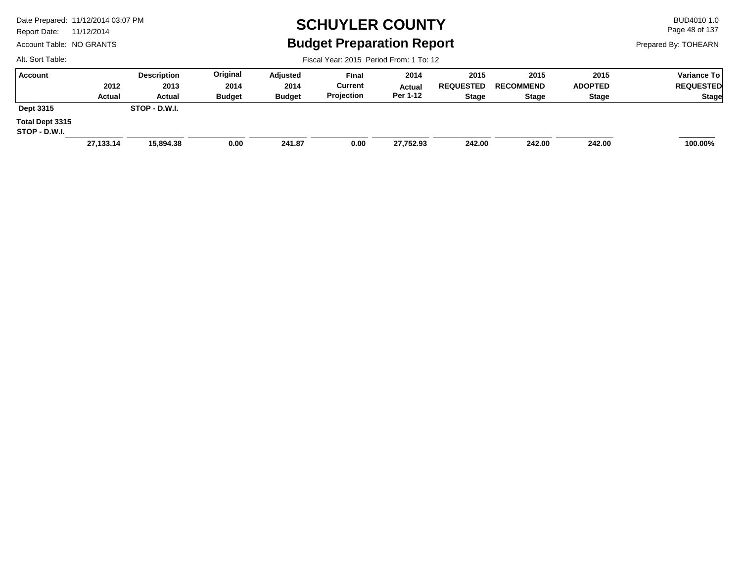Report Date: 11/12/2014

Account Table: NO GRANTS

## **SCHUYLER COUNTY** BUD4010 1.0 **Budget Preparation Report**

Fiscal Year: 2015 Period From: 1 To: 12

Page 48 of 137

Prepared By: TOHEARN

| Account                          |           | <b>Description</b> | Original      | Adjusted      | Final          | 2014      | 2015             | 2015             | 2015           | <b>Variance To</b> |
|----------------------------------|-----------|--------------------|---------------|---------------|----------------|-----------|------------------|------------------|----------------|--------------------|
|                                  | 2012      | 2013               | 2014          | 2014          | <b>Current</b> | Actual    | <b>REQUESTED</b> | <b>RECOMMEND</b> | <b>ADOPTED</b> | <b>REQUESTED</b>   |
|                                  | Actual    | Actual             | <b>Budget</b> | <b>Budget</b> | Projection     | Per 1-12  | <b>Stage</b>     | <b>Stage</b>     | <b>Stage</b>   | <b>Stage</b>       |
| Dept 3315                        |           | STOP - D.W.I.      |               |               |                |           |                  |                  |                |                    |
| Total Dept 3315<br>STOP - D.W.I. |           |                    |               |               |                |           |                  |                  |                |                    |
|                                  | 27,133.14 | 15,894.38          | 0.00          | 241.87        | 0.00           | 27,752.93 | 242.00           | 242.00           | 242.00         | 100.00%            |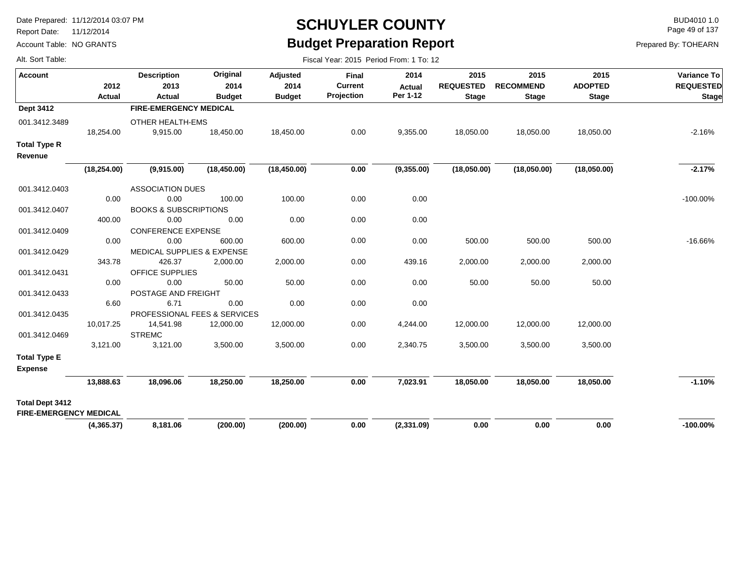Report Date: 11/12/2014

Account Table: NO GRANTS

# **SCHUYLER COUNTY** BUD4010 1.0 **Budget Preparation Report**

Fiscal Year: 2015 Period From: 1 To: 12

Page 49 of 137

Prepared By: TOHEARN

| <b>Account</b>                                          | 2012<br>Actual | <b>Description</b><br>2013<br>Actual  | Original<br>2014<br><b>Budget</b> | Adjusted<br>2014<br><b>Budget</b> | <b>Final</b><br><b>Current</b><br>Projection | 2014<br><b>Actual</b><br>Per 1-12 | 2015<br><b>REQUESTED</b><br><b>Stage</b> | 2015<br><b>RECOMMEND</b><br><b>Stage</b> | 2015<br><b>ADOPTED</b><br><b>Stage</b> | Variance To<br><b>REQUESTED</b><br><b>Stage</b> |
|---------------------------------------------------------|----------------|---------------------------------------|-----------------------------------|-----------------------------------|----------------------------------------------|-----------------------------------|------------------------------------------|------------------------------------------|----------------------------------------|-------------------------------------------------|
| <b>Dept 3412</b>                                        |                | <b>FIRE-EMERGENCY MEDICAL</b>         |                                   |                                   |                                              |                                   |                                          |                                          |                                        |                                                 |
| 001.3412.3489                                           | 18,254.00      | OTHER HEALTH-EMS<br>9,915.00          | 18,450.00                         | 18,450.00                         | 0.00                                         | 9,355.00                          | 18,050.00                                | 18,050.00                                | 18,050.00                              | $-2.16%$                                        |
| <b>Total Type R</b><br>Revenue                          |                |                                       |                                   |                                   |                                              |                                   |                                          |                                          |                                        |                                                 |
|                                                         | (18, 254.00)   | (9,915.00)                            | (18, 450.00)                      | (18, 450.00)                      | 0.00                                         | (9,355.00)                        | (18,050.00)                              | (18,050.00)                              | (18,050.00)                            | $-2.17%$                                        |
| 001.3412.0403                                           |                | <b>ASSOCIATION DUES</b>               |                                   |                                   |                                              |                                   |                                          |                                          |                                        |                                                 |
|                                                         | 0.00           | 0.00                                  | 100.00                            | 100.00                            | 0.00                                         | 0.00                              |                                          |                                          |                                        | $-100.00\%$                                     |
| 001.3412.0407                                           |                | <b>BOOKS &amp; SUBSCRIPTIONS</b>      |                                   |                                   |                                              |                                   |                                          |                                          |                                        |                                                 |
|                                                         | 400.00         | 0.00                                  | 0.00                              | 0.00                              | 0.00                                         | 0.00                              |                                          |                                          |                                        |                                                 |
| 001.3412.0409                                           |                | <b>CONFERENCE EXPENSE</b>             |                                   |                                   |                                              |                                   |                                          |                                          |                                        |                                                 |
|                                                         | 0.00           | 0.00                                  | 600.00                            | 600.00                            | 0.00                                         | 0.00                              | 500.00                                   | 500.00                                   | 500.00                                 | $-16.66%$                                       |
| 001.3412.0429                                           |                | <b>MEDICAL SUPPLIES &amp; EXPENSE</b> |                                   |                                   |                                              |                                   |                                          |                                          |                                        |                                                 |
|                                                         | 343.78         | 426.37                                | 2,000.00                          | 2,000.00                          | 0.00                                         | 439.16                            | 2,000.00                                 | 2,000.00                                 | 2,000.00                               |                                                 |
| 001.3412.0431                                           |                | <b>OFFICE SUPPLIES</b>                |                                   |                                   |                                              |                                   |                                          |                                          |                                        |                                                 |
|                                                         | 0.00           | 0.00                                  | 50.00                             | 50.00                             | 0.00                                         | 0.00                              | 50.00                                    | 50.00                                    | 50.00                                  |                                                 |
| 001.3412.0433                                           |                | POSTAGE AND FREIGHT                   |                                   |                                   |                                              |                                   |                                          |                                          |                                        |                                                 |
|                                                         | 6.60           | 6.71                                  | 0.00                              | 0.00                              | 0.00                                         | 0.00                              |                                          |                                          |                                        |                                                 |
| 001.3412.0435                                           |                | PROFESSIONAL FEES & SERVICES          |                                   |                                   |                                              |                                   |                                          |                                          |                                        |                                                 |
|                                                         | 10,017.25      | 14,541.98                             | 12,000.00                         | 12,000.00                         | 0.00                                         | 4,244.00                          | 12,000.00                                | 12,000.00                                | 12,000.00                              |                                                 |
| 001.3412.0469                                           |                | <b>STREMC</b>                         |                                   |                                   |                                              |                                   |                                          |                                          |                                        |                                                 |
|                                                         | 3,121.00       | 3,121.00                              | 3,500.00                          | 3,500.00                          | 0.00                                         | 2,340.75                          | 3,500.00                                 | 3,500.00                                 | 3,500.00                               |                                                 |
| <b>Total Type E</b><br><b>Expense</b>                   |                |                                       |                                   |                                   |                                              |                                   |                                          |                                          |                                        |                                                 |
|                                                         | 13,888.63      | 18,096.06                             | 18,250.00                         | 18,250.00                         | 0.00                                         | 7,023.91                          | 18,050.00                                | 18,050.00                                | 18,050.00                              | $-1.10%$                                        |
| <b>Total Dept 3412</b><br><b>FIRE-EMERGENCY MEDICAL</b> |                |                                       |                                   |                                   |                                              |                                   |                                          |                                          |                                        |                                                 |
|                                                         | (4,365.37)     | 8,181.06                              | (200.00)                          | (200.00)                          | 0.00                                         | (2,331.09)                        | 0.00                                     | 0.00                                     | 0.00                                   | $-100.00\%$                                     |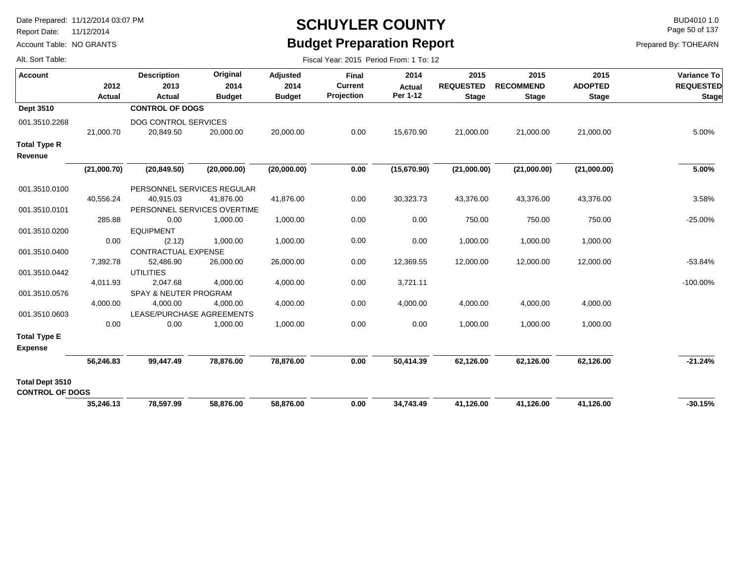Report Date: 11/12/2014

Account Table: NO GRANTS

# **SCHUYLER COUNTY** BUD4010 1.0 **Budget Preparation Report**

Fiscal Year: 2015 Period From: 1 To: 12

Page 50 of 137

| Alt. Sort Table: |  |
|------------------|--|
|                  |  |

| <b>Account</b>                            | 2012<br>Actual | <b>Description</b><br>2013<br>Actual | Original<br>2014<br><b>Budget</b> | Adjusted<br>2014<br><b>Budget</b> | Final<br><b>Current</b><br>Projection | 2014<br><b>Actual</b><br>Per 1-12 | 2015<br><b>REQUESTED</b><br><b>Stage</b> | 2015<br><b>RECOMMEND</b><br><b>Stage</b> | 2015<br><b>ADOPTED</b><br><b>Stage</b> | Variance To<br><b>REQUESTED</b><br><b>Stage</b> |
|-------------------------------------------|----------------|--------------------------------------|-----------------------------------|-----------------------------------|---------------------------------------|-----------------------------------|------------------------------------------|------------------------------------------|----------------------------------------|-------------------------------------------------|
| Dept 3510                                 |                | <b>CONTROL OF DOGS</b>               |                                   |                                   |                                       |                                   |                                          |                                          |                                        |                                                 |
| 001.3510.2268                             |                | DOG CONTROL SERVICES                 |                                   |                                   |                                       |                                   |                                          |                                          |                                        |                                                 |
|                                           | 21,000.70      | 20,849.50                            | 20,000.00                         | 20,000.00                         | 0.00                                  | 15,670.90                         | 21,000.00                                | 21,000.00                                | 21,000.00                              | 5.00%                                           |
| <b>Total Type R</b><br>Revenue            |                |                                      |                                   |                                   |                                       |                                   |                                          |                                          |                                        |                                                 |
|                                           | (21,000.70)    | (20, 849.50)                         | (20,000.00)                       | (20,000.00)                       | 0.00                                  | (15,670.90)                       | (21,000.00)                              | (21,000.00)                              | (21,000.00)                            | 5.00%                                           |
| 001.3510.0100                             |                | PERSONNEL SERVICES REGULAR           |                                   |                                   |                                       |                                   |                                          |                                          |                                        |                                                 |
|                                           | 40,556.24      | 40,915.03                            | 41,876.00                         | 41,876.00                         | 0.00                                  | 30,323.73                         | 43,376.00                                | 43,376.00                                | 43,376.00                              | 3.58%                                           |
| 001.3510.0101                             |                | PERSONNEL SERVICES OVERTIME          |                                   |                                   |                                       |                                   |                                          |                                          |                                        |                                                 |
|                                           | 285.88         | 0.00                                 | 1,000.00                          | 1,000.00                          | 0.00                                  | 0.00                              | 750.00                                   | 750.00                                   | 750.00                                 | $-25.00%$                                       |
| 001.3510.0200                             |                | <b>EQUIPMENT</b>                     |                                   |                                   |                                       |                                   |                                          |                                          |                                        |                                                 |
|                                           | 0.00           | (2.12)                               | 1,000.00                          | 1,000.00                          | 0.00                                  | 0.00                              | 1,000.00                                 | 1,000.00                                 | 1,000.00                               |                                                 |
| 001.3510.0400                             |                | <b>CONTRACTUAL EXPENSE</b>           |                                   |                                   |                                       |                                   |                                          |                                          |                                        |                                                 |
|                                           | 7,392.78       | 52,486.90                            | 26,000.00                         | 26,000.00                         | 0.00                                  | 12,369.55                         | 12,000.00                                | 12,000.00                                | 12,000.00                              | $-53.84%$                                       |
| 001.3510.0442                             | 4,011.93       | <b>UTILITIES</b><br>2,047.68         | 4,000.00                          | 4,000.00                          | 0.00                                  | 3,721.11                          |                                          |                                          |                                        | $-100.00\%$                                     |
| 001.3510.0576                             |                | <b>SPAY &amp; NEUTER PROGRAM</b>     |                                   |                                   |                                       |                                   |                                          |                                          |                                        |                                                 |
|                                           | 4,000.00       | 4,000.00                             | 4,000.00                          | 4,000.00                          | 0.00                                  | 4,000.00                          | 4,000.00                                 | 4,000.00                                 | 4,000.00                               |                                                 |
| 001.3510.0603                             |                | LEASE/PURCHASE AGREEMENTS            |                                   |                                   |                                       |                                   |                                          |                                          |                                        |                                                 |
|                                           | 0.00           | 0.00                                 | 1,000.00                          | 1,000.00                          | 0.00                                  | 0.00                              | 1,000.00                                 | 1,000.00                                 | 1,000.00                               |                                                 |
| <b>Total Type E</b>                       |                |                                      |                                   |                                   |                                       |                                   |                                          |                                          |                                        |                                                 |
| <b>Expense</b>                            |                |                                      |                                   |                                   |                                       |                                   |                                          |                                          |                                        |                                                 |
|                                           | 56,246.83      | 99,447.49                            | 78,876.00                         | 78,876.00                         | 0.00                                  | 50,414.39                         | 62,126.00                                | 62,126.00                                | 62,126.00                              | $-21.24%$                                       |
| Total Dept 3510<br><b>CONTROL OF DOGS</b> |                |                                      |                                   |                                   |                                       |                                   |                                          |                                          |                                        |                                                 |
|                                           | 35,246.13      | 78,597.99                            | 58,876.00                         | 58,876.00                         | 0.00                                  | 34,743.49                         | 41,126.00                                | 41,126.00                                | 41,126.00                              | $-30.15%$                                       |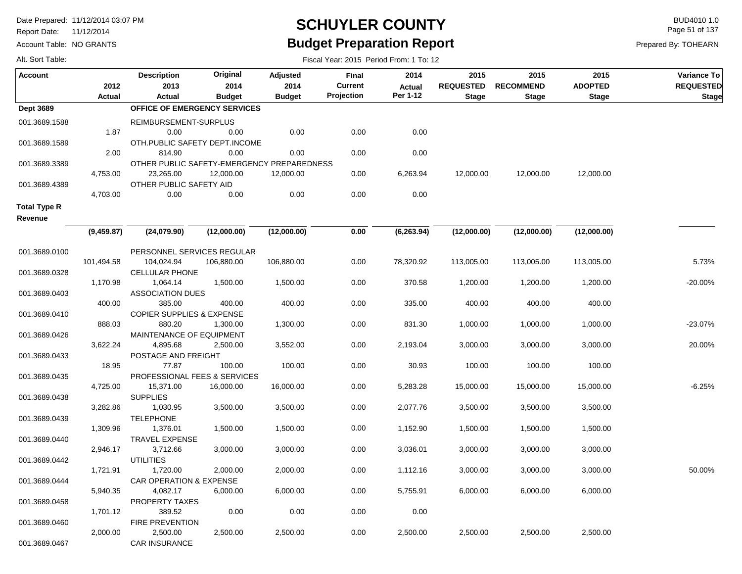Report Date: 11/12/2014

Account Table: NO GRANTS

## **SCHUYLER COUNTY** BUD4010 1.0 **Budget Preparation Report**

Fiscal Year: 2015 Period From: 1 To: 12

Page 51 of 137

|  |  | Alt. Sort Table: |  |  |
|--|--|------------------|--|--|
|--|--|------------------|--|--|

| <b>Account</b>      |               | <b>Description</b>                         | Original      | <b>Adjusted</b> | Final          | 2014          | 2015             | 2015             | 2015           | Variance To      |
|---------------------|---------------|--------------------------------------------|---------------|-----------------|----------------|---------------|------------------|------------------|----------------|------------------|
|                     | 2012          | 2013                                       | 2014          | 2014            | <b>Current</b> | <b>Actual</b> | <b>REQUESTED</b> | <b>RECOMMEND</b> | <b>ADOPTED</b> | <b>REQUESTED</b> |
|                     | <b>Actual</b> | Actual                                     | <b>Budget</b> | <b>Budget</b>   | Projection     | Per 1-12      | <b>Stage</b>     | <b>Stage</b>     | <b>Stage</b>   | <b>Stage</b>     |
| <b>Dept 3689</b>    |               | OFFICE OF EMERGENCY SERVICES               |               |                 |                |               |                  |                  |                |                  |
| 001.3689.1588       |               | REIMBURSEMENT-SURPLUS                      |               |                 |                |               |                  |                  |                |                  |
|                     | 1.87          | 0.00                                       | 0.00          | 0.00            | 0.00           | 0.00          |                  |                  |                |                  |
| 001.3689.1589       |               | OTH.PUBLIC SAFETY DEPT.INCOME              |               |                 |                |               |                  |                  |                |                  |
|                     | 2.00          | 814.90                                     | 0.00          | 0.00            | 0.00           | 0.00          |                  |                  |                |                  |
| 001.3689.3389       |               | OTHER PUBLIC SAFETY-EMERGENCY PREPAREDNESS |               |                 |                |               |                  |                  |                |                  |
|                     | 4,753.00      | 23,265.00                                  | 12,000.00     | 12,000.00       | 0.00           | 6,263.94      | 12,000.00        | 12,000.00        | 12,000.00      |                  |
| 001.3689.4389       |               | OTHER PUBLIC SAFETY AID                    |               |                 |                |               |                  |                  |                |                  |
|                     | 4,703.00      | 0.00                                       | 0.00          | 0.00            | 0.00           | 0.00          |                  |                  |                |                  |
| <b>Total Type R</b> |               |                                            |               |                 |                |               |                  |                  |                |                  |
| Revenue             |               |                                            |               |                 |                |               |                  |                  |                |                  |
|                     | (9,459.87)    | (24,079.90)                                | (12,000.00)   | (12,000.00)     | 0.00           | (6, 263.94)   | (12,000.00)      | (12,000.00)      | (12,000.00)    |                  |
|                     |               |                                            |               |                 |                |               |                  |                  |                |                  |
| 001.3689.0100       |               | PERSONNEL SERVICES REGULAR                 |               |                 |                |               |                  |                  |                |                  |
|                     | 101,494.58    | 104,024.94                                 | 106,880.00    | 106,880.00      | 0.00           | 78,320.92     | 113,005.00       | 113,005.00       | 113,005.00     | 5.73%            |
| 001.3689.0328       |               | <b>CELLULAR PHONE</b>                      |               |                 |                |               |                  |                  |                |                  |
|                     | 1,170.98      | 1,064.14                                   | 1,500.00      | 1,500.00        | 0.00           | 370.58        | 1,200.00         | 1,200.00         | 1,200.00       | $-20.00%$        |
| 001.3689.0403       |               | <b>ASSOCIATION DUES</b>                    |               |                 |                |               |                  |                  |                |                  |
|                     | 400.00        | 385.00                                     | 400.00        | 400.00          | 0.00           | 335.00        | 400.00           | 400.00           | 400.00         |                  |
| 001.3689.0410       |               | <b>COPIER SUPPLIES &amp; EXPENSE</b>       |               |                 |                |               |                  |                  |                |                  |
|                     | 888.03        | 880.20                                     | 1,300.00      | 1,300.00        | 0.00           | 831.30        | 1,000.00         | 1,000.00         | 1,000.00       | -23.07%          |
| 001.3689.0426       |               | MAINTENANCE OF EQUIPMENT                   |               |                 |                |               |                  |                  |                |                  |
|                     | 3,622.24      | 4,895.68                                   | 2,500.00      | 3,552.00        | 0.00           | 2,193.04      | 3,000.00         | 3,000.00         | 3,000.00       | 20.00%           |
| 001.3689.0433       |               | POSTAGE AND FREIGHT                        |               |                 |                |               |                  |                  |                |                  |
|                     | 18.95         | 77.87                                      | 100.00        | 100.00          | 0.00           | 30.93         | 100.00           | 100.00           | 100.00         |                  |
| 001.3689.0435       |               | PROFESSIONAL FEES & SERVICES               |               |                 |                |               |                  |                  |                |                  |
|                     | 4,725.00      | 15,371.00                                  | 16,000.00     | 16,000.00       | 0.00           | 5,283.28      | 15,000.00        | 15,000.00        | 15,000.00      | $-6.25%$         |
| 001.3689.0438       |               | <b>SUPPLIES</b>                            |               |                 |                |               |                  |                  |                |                  |
|                     | 3,282.86      | 1,030.95                                   | 3,500.00      | 3,500.00        | 0.00           | 2,077.76      | 3,500.00         | 3,500.00         | 3,500.00       |                  |
| 001.3689.0439       | 1,309.96      | <b>TELEPHONE</b>                           |               |                 |                |               |                  |                  |                |                  |
|                     |               | 1,376.01<br><b>TRAVEL EXPENSE</b>          | 1,500.00      | 1,500.00        | 0.00           | 1,152.90      | 1,500.00         | 1,500.00         | 1,500.00       |                  |
| 001.3689.0440       | 2,946.17      | 3,712.66                                   | 3,000.00      | 3,000.00        | 0.00           | 3,036.01      | 3,000.00         | 3,000.00         | 3,000.00       |                  |
| 001.3689.0442       |               | <b>UTILITIES</b>                           |               |                 |                |               |                  |                  |                |                  |
|                     | 1,721.91      | 1,720.00                                   | 2,000.00      | 2,000.00        | 0.00           | 1,112.16      | 3,000.00         | 3,000.00         | 3,000.00       | 50.00%           |
| 001.3689.0444       |               | CAR OPERATION & EXPENSE                    |               |                 |                |               |                  |                  |                |                  |
|                     | 5,940.35      | 4,082.17                                   | 6,000.00      | 6,000.00        | 0.00           | 5,755.91      | 6,000.00         | 6,000.00         | 6,000.00       |                  |
| 001.3689.0458       |               | <b>PROPERTY TAXES</b>                      |               |                 |                |               |                  |                  |                |                  |
|                     | 1,701.12      | 389.52                                     | 0.00          | 0.00            | 0.00           | 0.00          |                  |                  |                |                  |
| 001.3689.0460       |               | <b>FIRE PREVENTION</b>                     |               |                 |                |               |                  |                  |                |                  |
|                     | 2,000.00      | 2,500.00                                   | 2,500.00      | 2,500.00        | 0.00           | 2,500.00      | 2,500.00         | 2,500.00         | 2,500.00       |                  |
| 001.3689.0467       |               | <b>CAR INSURANCE</b>                       |               |                 |                |               |                  |                  |                |                  |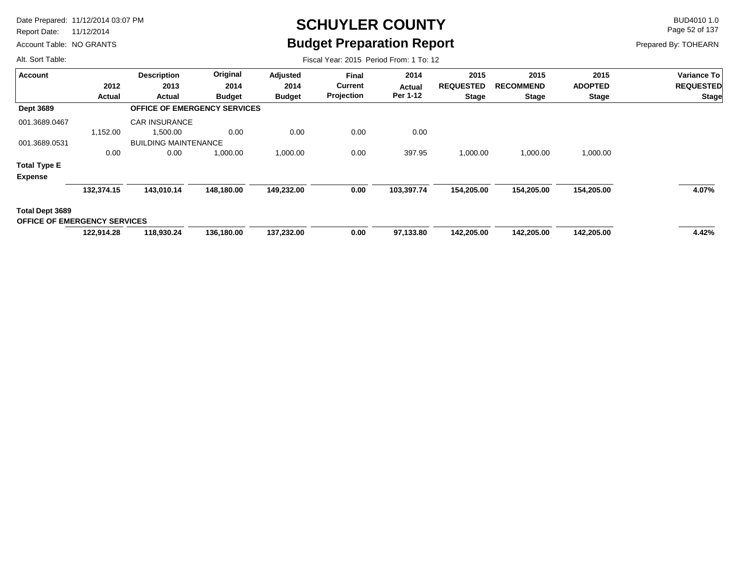Report Date: 11/12/2014

Account Table: NO GRANTS

# **SCHUYLER COUNTY** BUD4010 1.0 **Budget Preparation Report**

Fiscal Year: 2015 Period From: 1 To: 12

Page 52 of 137

Prepared By: TOHEARN

| <b>Account</b>                                         |               | <b>Description</b>                  | Original      | Adjusted      | <b>Final</b>   | 2014       | 2015             | 2015             | 2015           | <b>Variance To</b> |
|--------------------------------------------------------|---------------|-------------------------------------|---------------|---------------|----------------|------------|------------------|------------------|----------------|--------------------|
|                                                        | 2012          | 2013                                | 2014          | 2014          | <b>Current</b> | Actual     | <b>REQUESTED</b> | <b>RECOMMEND</b> | <b>ADOPTED</b> | <b>REQUESTED</b>   |
|                                                        | <b>Actual</b> | <b>Actual</b>                       | <b>Budget</b> | <b>Budget</b> | Projection     | Per 1-12   | <b>Stage</b>     | <b>Stage</b>     | <b>Stage</b>   | <b>Stage</b>       |
| <b>Dept 3689</b>                                       |               | <b>OFFICE OF EMERGENCY SERVICES</b> |               |               |                |            |                  |                  |                |                    |
| 001.3689.0467                                          |               | <b>CAR INSURANCE</b>                |               |               |                |            |                  |                  |                |                    |
|                                                        | 1,152.00      | 1,500.00                            | 0.00          | 0.00          | 0.00           | 0.00       |                  |                  |                |                    |
| 001.3689.0531                                          |               | <b>BUILDING MAINTENANCE</b>         |               |               |                |            |                  |                  |                |                    |
|                                                        | 0.00          | 0.00                                | 1,000.00      | 1,000.00      | 0.00           | 397.95     | 1,000.00         | 1,000.00         | 1,000.00       |                    |
| <b>Total Type E</b>                                    |               |                                     |               |               |                |            |                  |                  |                |                    |
| <b>Expense</b>                                         |               |                                     |               |               |                |            |                  |                  |                |                    |
|                                                        | 132,374.15    | 143,010.14                          | 148,180.00    | 149,232.00    | 0.00           | 103,397.74 | 154,205.00       | 154,205.00       | 154,205.00     | 4.07%              |
| Total Dept 3689<br><b>OFFICE OF EMERGENCY SERVICES</b> |               |                                     |               |               |                |            |                  |                  |                |                    |
|                                                        | 122,914.28    | 118,930.24                          | 136,180.00    | 137,232.00    | 0.00           | 97,133.80  | 142,205.00       | 142,205.00       | 142,205.00     | 4.42%              |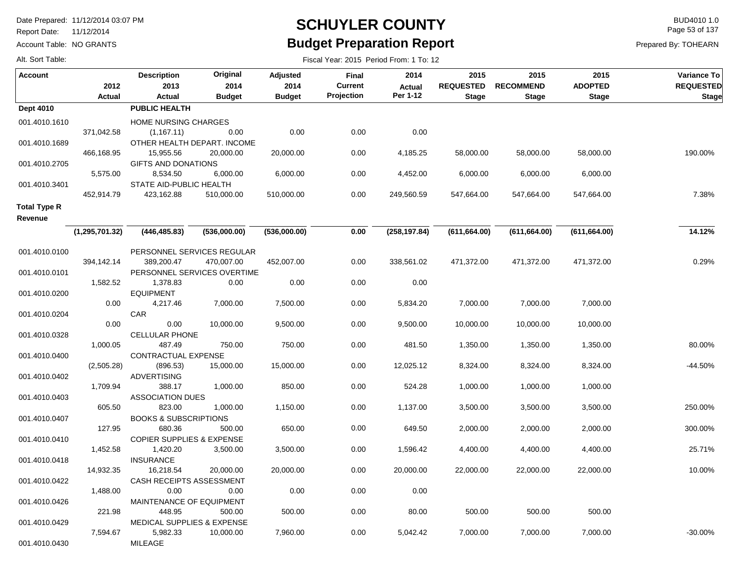Report Date: 11/12/2014

Account Table: NO GRANTS

## **SCHUYLER COUNTY** BUD4010 1.0 **Budget Preparation Report**

Fiscal Year: 2015 Period From: 1 To: 12

Page 53 of 137

Prepared By: TOHEARN

| <b>Account</b>      |                  | <b>Description</b>                    | Original                            | Adjusted      | <b>Final</b>   | 2014          | 2015             | 2015             | 2015           | Variance To      |
|---------------------|------------------|---------------------------------------|-------------------------------------|---------------|----------------|---------------|------------------|------------------|----------------|------------------|
|                     | 2012             | 2013                                  | 2014                                | 2014          | <b>Current</b> | <b>Actual</b> | <b>REQUESTED</b> | <b>RECOMMEND</b> | <b>ADOPTED</b> | <b>REQUESTED</b> |
|                     | <b>Actual</b>    | <b>Actual</b>                         | <b>Budget</b>                       | <b>Budget</b> | Projection     | Per 1-12      | <b>Stage</b>     | <b>Stage</b>     | <b>Stage</b>   | <b>Stage</b>     |
| Dept 4010           |                  | <b>PUBLIC HEALTH</b>                  |                                     |               |                |               |                  |                  |                |                  |
| 001.4010.1610       |                  | HOME NURSING CHARGES                  |                                     |               |                |               |                  |                  |                |                  |
|                     | 371,042.58       | (1, 167.11)                           | 0.00                                | 0.00          | 0.00           | 0.00          |                  |                  |                |                  |
| 001.4010.1689       |                  |                                       | OTHER HEALTH DEPART. INCOME         |               |                |               |                  |                  |                |                  |
|                     | 466,168.95       | 15,955.56                             | 20,000.00                           | 20,000.00     | 0.00           | 4,185.25      | 58,000.00        | 58,000.00        | 58,000.00      | 190.00%          |
| 001.4010.2705       |                  | <b>GIFTS AND DONATIONS</b>            |                                     |               |                |               |                  |                  |                |                  |
|                     | 5,575.00         | 8,534.50                              | 6,000.00                            | 6,000.00      | 0.00           | 4,452.00      | 6,000.00         | 6,000.00         | 6,000.00       |                  |
| 001.4010.3401       |                  | STATE AID-PUBLIC HEALTH               |                                     |               |                |               |                  |                  |                |                  |
|                     | 452,914.79       | 423,162.88                            | 510,000.00                          | 510,000.00    | 0.00           | 249,560.59    | 547,664.00       | 547,664.00       | 547,664.00     | 7.38%            |
| <b>Total Type R</b> |                  |                                       |                                     |               |                |               |                  |                  |                |                  |
| Revenue             |                  |                                       |                                     |               |                |               |                  |                  |                |                  |
|                     | (1, 295, 701.32) | (446, 485.83)                         | (536,000.00)                        | (536,000.00)  | 0.00           | (258, 197.84) | (611, 664.00)    | (611, 664.00)    | (611, 664.00)  | 14.12%           |
|                     |                  |                                       |                                     |               |                |               |                  |                  |                |                  |
| 001.4010.0100       |                  |                                       | PERSONNEL SERVICES REGULAR          |               |                |               |                  |                  |                |                  |
|                     | 394,142.14       | 389,200.47                            | 470,007.00                          | 452,007.00    | 0.00           | 338,561.02    | 471,372.00       | 471,372.00       | 471,372.00     | 0.29%            |
| 001.4010.0101       | 1,582.52         | 1,378.83                              | PERSONNEL SERVICES OVERTIME<br>0.00 | 0.00          | 0.00           | 0.00          |                  |                  |                |                  |
|                     |                  | <b>EQUIPMENT</b>                      |                                     |               |                |               |                  |                  |                |                  |
| 001.4010.0200       | 0.00             | 4,217.46                              | 7,000.00                            | 7,500.00      | 0.00           | 5,834.20      | 7,000.00         | 7,000.00         | 7,000.00       |                  |
| 001.4010.0204       |                  | <b>CAR</b>                            |                                     |               |                |               |                  |                  |                |                  |
|                     | 0.00             | 0.00                                  | 10,000.00                           | 9,500.00      | 0.00           | 9,500.00      | 10,000.00        | 10,000.00        | 10,000.00      |                  |
| 001.4010.0328       |                  | <b>CELLULAR PHONE</b>                 |                                     |               |                |               |                  |                  |                |                  |
|                     | 1,000.05         | 487.49                                | 750.00                              | 750.00        | 0.00           | 481.50        | 1,350.00         | 1,350.00         | 1,350.00       | 80.00%           |
| 001.4010.0400       |                  | CONTRACTUAL EXPENSE                   |                                     |               |                |               |                  |                  |                |                  |
|                     | (2,505.28)       | (896.53)                              | 15,000.00                           | 15,000.00     | 0.00           | 12,025.12     | 8,324.00         | 8,324.00         | 8,324.00       | -44.50%          |
| 001.4010.0402       |                  | <b>ADVERTISING</b>                    |                                     |               |                |               |                  |                  |                |                  |
|                     | 1,709.94         | 388.17                                | 1,000.00                            | 850.00        | 0.00           | 524.28        | 1,000.00         | 1,000.00         | 1,000.00       |                  |
| 001.4010.0403       |                  | <b>ASSOCIATION DUES</b>               |                                     |               |                |               |                  |                  |                |                  |
|                     | 605.50           | 823.00                                | 1,000.00                            | 1,150.00      | 0.00           | 1,137.00      | 3,500.00         | 3,500.00         | 3,500.00       | 250.00%          |
| 001.4010.0407       |                  | <b>BOOKS &amp; SUBSCRIPTIONS</b>      |                                     |               |                |               |                  |                  |                |                  |
|                     | 127.95           | 680.36                                | 500.00                              | 650.00        | 0.00           | 649.50        | 2,000.00         | 2,000.00         | 2,000.00       | 300.00%          |
| 001.4010.0410       |                  | <b>COPIER SUPPLIES &amp; EXPENSE</b>  |                                     |               |                |               |                  |                  |                |                  |
|                     | 1,452.58         | 1,420.20                              | 3,500.00                            | 3,500.00      | 0.00           | 1,596.42      | 4,400.00         | 4,400.00         | 4,400.00       | 25.71%           |
| 001.4010.0418       | 14,932.35        | <b>INSURANCE</b><br>16,218.54         | 20,000.00                           | 20,000.00     | 0.00           | 20,000.00     | 22,000.00        | 22,000.00        | 22,000.00      | 10.00%           |
| 001.4010.0422       |                  | <b>CASH RECEIPTS ASSESSMENT</b>       |                                     |               |                |               |                  |                  |                |                  |
|                     | 1,488.00         | 0.00                                  | 0.00                                | 0.00          | 0.00           | 0.00          |                  |                  |                |                  |
| 001.4010.0426       |                  | MAINTENANCE OF EQUIPMENT              |                                     |               |                |               |                  |                  |                |                  |
|                     | 221.98           | 448.95                                | 500.00                              | 500.00        | 0.00           | 80.00         | 500.00           | 500.00           | 500.00         |                  |
| 001.4010.0429       |                  | <b>MEDICAL SUPPLIES &amp; EXPENSE</b> |                                     |               |                |               |                  |                  |                |                  |
|                     | 7,594.67         | 5,982.33                              | 10,000.00                           | 7,960.00      | 0.00           | 5,042.42      | 7,000.00         | 7,000.00         | 7,000.00       | $-30.00%$        |
| 001.4010.0430       |                  | MILEAGE                               |                                     |               |                |               |                  |                  |                |                  |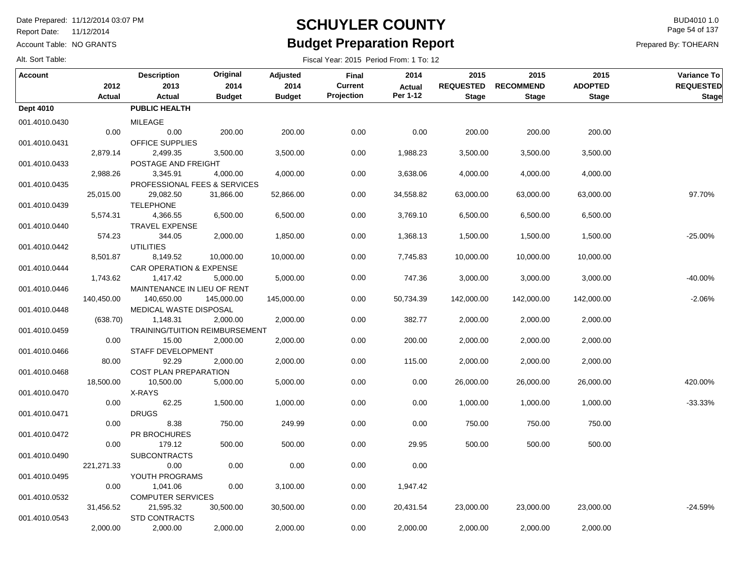Report Date: 11/12/2014

Account Table: NO GRANTS

### **SCHUYLER COUNTY** BUD4010 1.0 **Budget Preparation Report**

Fiscal Year: 2015 Period From: 1 To: 12

Page 54 of 137

Prepared By: TOHEARN

| <b>Account</b>   |               | <b>Description</b>                    | Original      | Adjusted      | Final          | 2014          | 2015             | 2015             | 2015           | Variance To      |
|------------------|---------------|---------------------------------------|---------------|---------------|----------------|---------------|------------------|------------------|----------------|------------------|
|                  | 2012          | 2013                                  | 2014          | 2014          | <b>Current</b> | <b>Actual</b> | <b>REQUESTED</b> | <b>RECOMMEND</b> | <b>ADOPTED</b> | <b>REQUESTED</b> |
|                  | <b>Actual</b> | Actual                                | <b>Budget</b> | <b>Budget</b> | Projection     | Per 1-12      | <b>Stage</b>     | <b>Stage</b>     | <b>Stage</b>   | <b>Stage</b>     |
| <b>Dept 4010</b> |               | PUBLIC HEALTH                         |               |               |                |               |                  |                  |                |                  |
| 001.4010.0430    |               | MILEAGE                               |               |               |                |               |                  |                  |                |                  |
|                  | 0.00          | 0.00                                  | 200.00        | 200.00        | 0.00           | 0.00          | 200.00           | 200.00           | 200.00         |                  |
| 001.4010.0431    |               | OFFICE SUPPLIES                       |               |               |                |               |                  |                  |                |                  |
|                  | 2,879.14      | 2,499.35                              | 3,500.00      | 3,500.00      | 0.00           | 1,988.23      | 3,500.00         | 3,500.00         | 3,500.00       |                  |
| 001.4010.0433    |               | POSTAGE AND FREIGHT                   |               |               |                |               |                  |                  |                |                  |
|                  | 2,988.26      | 3,345.91                              | 4,000.00      | 4,000.00      | 0.00           | 3,638.06      | 4,000.00         | 4,000.00         | 4,000.00       |                  |
| 001.4010.0435    |               | PROFESSIONAL FEES & SERVICES          |               |               |                |               |                  |                  |                |                  |
|                  | 25,015.00     | 29,082.50                             | 31,866.00     | 52,866.00     | 0.00           | 34,558.82     | 63,000.00        | 63,000.00        | 63,000.00      | 97.70%           |
| 001.4010.0439    |               | <b>TELEPHONE</b>                      |               |               |                |               |                  |                  |                |                  |
|                  | 5,574.31      | 4,366.55                              | 6,500.00      | 6,500.00      | 0.00           | 3,769.10      | 6,500.00         | 6,500.00         | 6,500.00       |                  |
| 001.4010.0440    |               | <b>TRAVEL EXPENSE</b>                 |               |               |                |               |                  |                  |                |                  |
|                  | 574.23        | 344.05                                | 2,000.00      | 1,850.00      | 0.00           | 1,368.13      | 1,500.00         | 1,500.00         | 1,500.00       | $-25.00%$        |
| 001.4010.0442    |               | <b>UTILITIES</b>                      |               |               |                |               |                  |                  |                |                  |
|                  | 8,501.87      | 8,149.52                              | 10,000.00     | 10,000.00     | 0.00           | 7,745.83      | 10,000.00        | 10,000.00        | 10,000.00      |                  |
| 001.4010.0444    |               | <b>CAR OPERATION &amp; EXPENSE</b>    |               |               |                |               |                  |                  |                |                  |
|                  | 1,743.62      | 1,417.42                              | 5,000.00      | 5,000.00      | 0.00           | 747.36        | 3,000.00         | 3,000.00         | 3,000.00       | -40.00%          |
| 001.4010.0446    |               | MAINTENANCE IN LIEU OF RENT           |               |               |                |               |                  |                  |                |                  |
|                  | 140,450.00    | 140,650.00                            | 145,000.00    | 145,000.00    | 0.00           | 50,734.39     | 142,000.00       | 142,000.00       | 142,000.00     | $-2.06%$         |
| 001.4010.0448    |               | MEDICAL WASTE DISPOSAL                |               |               |                |               |                  |                  |                |                  |
|                  | (638.70)      | 1,148.31                              | 2,000.00      | 2,000.00      | 0.00           | 382.77        | 2,000.00         | 2,000.00         | 2,000.00       |                  |
| 001.4010.0459    |               | <b>TRAINING/TUITION REIMBURSEMENT</b> |               |               |                |               |                  |                  |                |                  |
|                  | 0.00          | 15.00                                 | 2,000.00      | 2,000.00      | 0.00           | 200.00        | 2,000.00         | 2,000.00         | 2,000.00       |                  |
| 001.4010.0466    |               | STAFF DEVELOPMENT                     |               |               |                |               |                  |                  |                |                  |
|                  | 80.00         | 92.29                                 | 2,000.00      | 2,000.00      | 0.00           | 115.00        | 2,000.00         | 2,000.00         | 2,000.00       |                  |
| 001.4010.0468    |               | <b>COST PLAN PREPARATION</b>          |               |               |                |               |                  |                  |                |                  |
|                  | 18,500.00     | 10,500.00                             | 5,000.00      | 5,000.00      | 0.00           | 0.00          | 26,000.00        | 26,000.00        | 26,000.00      | 420.00%          |
| 001.4010.0470    |               | X-RAYS                                |               |               |                |               |                  |                  |                |                  |
|                  | 0.00          | 62.25                                 | 1,500.00      | 1,000.00      | 0.00           | 0.00          | 1,000.00         | 1,000.00         | 1,000.00       | $-33.33%$        |
| 001.4010.0471    |               | <b>DRUGS</b>                          |               |               |                |               |                  |                  |                |                  |
|                  | 0.00          | 8.38                                  | 750.00        | 249.99        | 0.00           | 0.00          | 750.00           | 750.00           | 750.00         |                  |
| 001.4010.0472    |               | PR BROCHURES                          |               |               |                |               |                  |                  |                |                  |
|                  | 0.00          | 179.12                                | 500.00        | 500.00        | 0.00           | 29.95         | 500.00           | 500.00           | 500.00         |                  |
| 001.4010.0490    |               | <b>SUBCONTRACTS</b>                   |               |               |                |               |                  |                  |                |                  |
|                  | 221, 271. 33  | 0.00                                  | 0.00          | 0.00          | 0.00           | 0.00          |                  |                  |                |                  |
| 001.4010.0495    |               | YOUTH PROGRAMS                        |               |               |                |               |                  |                  |                |                  |
|                  | 0.00          | 1,041.06                              | 0.00          | 3,100.00      | 0.00           | 1,947.42      |                  |                  |                |                  |
| 001.4010.0532    |               | <b>COMPUTER SERVICES</b>              |               |               |                |               |                  |                  |                |                  |
|                  | 31,456.52     | 21,595.32                             | 30,500.00     | 30,500.00     | 0.00           | 20,431.54     | 23,000.00        | 23,000.00        | 23,000.00      | $-24.59%$        |
| 001.4010.0543    |               | <b>STD CONTRACTS</b>                  |               |               |                |               |                  |                  |                |                  |
|                  | 2,000.00      | 2,000.00                              | 2,000.00      | 2,000.00      | 0.00           | 2,000.00      | 2,000.00         | 2,000.00         | 2,000.00       |                  |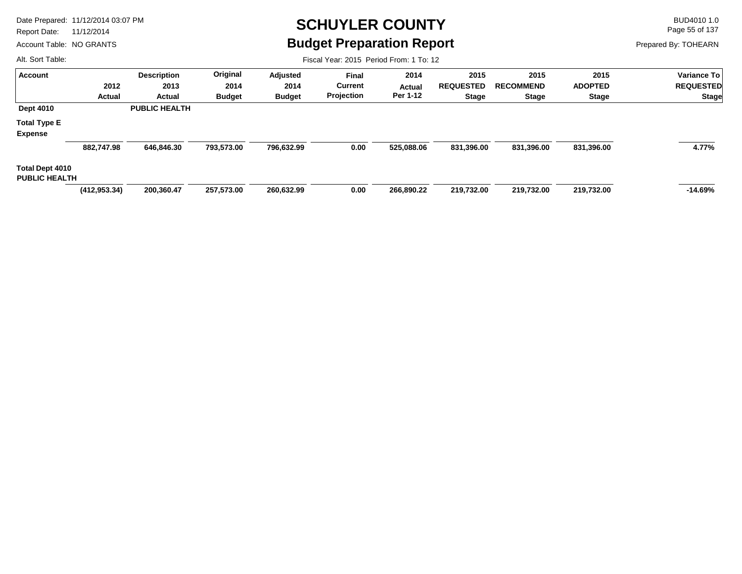Report Date: 11/12/2014

Account Table: NO GRANTS

### **SCHUYLER COUNTY** BUD4010 1.0 **Budget Preparation Report**

Fiscal Year: 2015 Period From: 1 To: 12

Page 55 of 137

Prepared By: TOHEARN

| <b>Account</b>                          |                | <b>Description</b>   | Original      | Adjusted      | <b>Final</b>   | 2014       | 2015             | 2015             | 2015           | <b>Variance To</b> |
|-----------------------------------------|----------------|----------------------|---------------|---------------|----------------|------------|------------------|------------------|----------------|--------------------|
|                                         | 2012           | 2013                 | 2014          | 2014          | <b>Current</b> | Actual     | <b>REQUESTED</b> | <b>RECOMMEND</b> | <b>ADOPTED</b> | <b>REQUESTED</b>   |
|                                         | Actual         | Actual               | <b>Budget</b> | <b>Budget</b> | Projection     | Per 1-12   | <b>Stage</b>     | <b>Stage</b>     | <b>Stage</b>   | <b>Stage</b>       |
| <b>Dept 4010</b>                        |                | <b>PUBLIC HEALTH</b> |               |               |                |            |                  |                  |                |                    |
| <b>Total Type E</b>                     |                |                      |               |               |                |            |                  |                  |                |                    |
| <b>Expense</b>                          |                |                      |               |               |                |            |                  |                  |                |                    |
|                                         | 882,747.98     | 646,846.30           | 793,573.00    | 796,632.99    | 0.00           | 525,088.06 | 831,396.00       | 831,396.00       | 831,396.00     | 4.77%              |
| Total Dept 4010<br><b>PUBLIC HEALTH</b> |                |                      |               |               |                |            |                  |                  |                |                    |
|                                         | (412, 953, 34) | 200,360.47           | 257,573.00    | 260,632.99    | 0.00           | 266,890.22 | 219,732.00       | 219,732.00       | 219,732.00     | $-14.69%$          |
|                                         |                |                      |               |               |                |            |                  |                  |                |                    |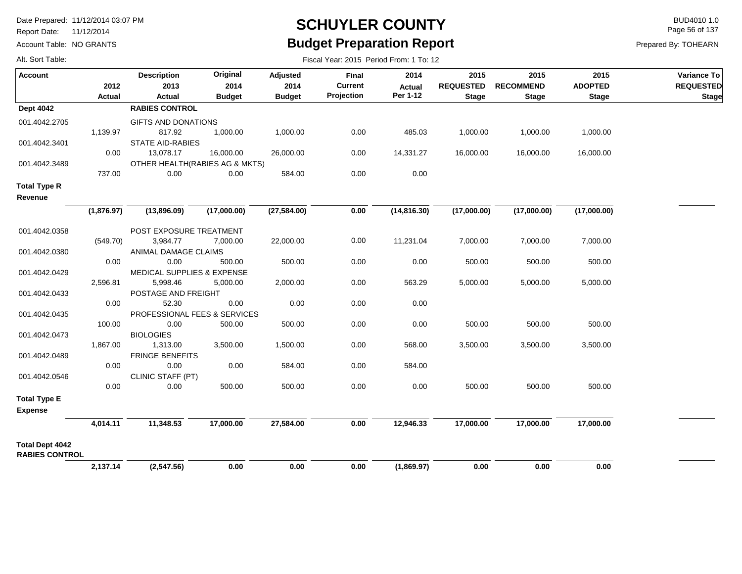Report Date: 11/12/2014

Alt. Sort Table:

Account Table: NO GRANTS

### **SCHUYLER COUNTY** BUD4010 1.0 **Budget Preparation Report**

Fiscal Year: 2015 Period From: 1 To: 12

Page 56 of 137

| Account                                         | 2012<br>Actual | <b>Description</b><br>2013<br>Actual  | Original<br>2014<br><b>Budget</b> | Adjusted<br>2014<br><b>Budget</b> | <b>Final</b><br><b>Current</b><br>Projection | 2014<br><b>Actual</b><br>Per 1-12 | 2015<br><b>REQUESTED</b><br><b>Stage</b> | 2015<br><b>RECOMMEND</b><br><b>Stage</b> | 2015<br><b>ADOPTED</b><br><b>Stage</b> | Variance To<br><b>REQUESTED</b><br><b>Stage</b> |
|-------------------------------------------------|----------------|---------------------------------------|-----------------------------------|-----------------------------------|----------------------------------------------|-----------------------------------|------------------------------------------|------------------------------------------|----------------------------------------|-------------------------------------------------|
| <b>Dept 4042</b>                                |                | <b>RABIES CONTROL</b>                 |                                   |                                   |                                              |                                   |                                          |                                          |                                        |                                                 |
| 001.4042.2705                                   |                | GIFTS AND DONATIONS                   |                                   |                                   |                                              |                                   |                                          |                                          |                                        |                                                 |
|                                                 | 1,139.97       | 817.92                                | 1,000.00                          | 1,000.00                          | 0.00                                         | 485.03                            | 1,000.00                                 | 1,000.00                                 | 1,000.00                               |                                                 |
| 001.4042.3401                                   |                | <b>STATE AID-RABIES</b>               |                                   |                                   |                                              |                                   |                                          |                                          |                                        |                                                 |
|                                                 | 0.00           | 13,078.17                             | 16,000.00                         | 26,000.00                         | 0.00                                         | 14,331.27                         | 16,000.00                                | 16,000.00                                | 16,000.00                              |                                                 |
| 001.4042.3489                                   |                | OTHER HEALTH(RABIES AG & MKTS)        |                                   |                                   |                                              |                                   |                                          |                                          |                                        |                                                 |
|                                                 | 737.00         | 0.00                                  | 0.00                              | 584.00                            | 0.00                                         | 0.00                              |                                          |                                          |                                        |                                                 |
| <b>Total Type R</b><br>Revenue                  |                |                                       |                                   |                                   |                                              |                                   |                                          |                                          |                                        |                                                 |
|                                                 | (1,876.97)     | (13,896.09)                           | (17,000.00)                       | (27, 584.00)                      | 0.00                                         | (14, 816.30)                      | (17,000.00)                              | (17,000.00)                              | (17,000.00)                            |                                                 |
| 001.4042.0358                                   |                | POST EXPOSURE TREATMENT               |                                   |                                   |                                              |                                   |                                          |                                          |                                        |                                                 |
|                                                 | (549.70)       | 3,984.77                              | 7,000.00                          | 22,000.00                         | 0.00                                         | 11,231.04                         | 7,000.00                                 | 7,000.00                                 | 7,000.00                               |                                                 |
| 001.4042.0380                                   |                | ANIMAL DAMAGE CLAIMS                  |                                   |                                   |                                              |                                   |                                          |                                          |                                        |                                                 |
|                                                 | 0.00           | 0.00                                  | 500.00                            | 500.00                            | 0.00                                         | 0.00                              | 500.00                                   | 500.00                                   | 500.00                                 |                                                 |
| 001.4042.0429                                   |                | <b>MEDICAL SUPPLIES &amp; EXPENSE</b> |                                   |                                   |                                              |                                   |                                          |                                          |                                        |                                                 |
|                                                 | 2,596.81       | 5,998.46                              | 5,000.00                          | 2,000.00                          | 0.00                                         | 563.29                            | 5,000.00                                 | 5,000.00                                 | 5,000.00                               |                                                 |
| 001.4042.0433                                   |                | POSTAGE AND FREIGHT                   |                                   |                                   |                                              |                                   |                                          |                                          |                                        |                                                 |
|                                                 | 0.00           | 52.30                                 | 0.00                              | 0.00                              | 0.00                                         | 0.00                              |                                          |                                          |                                        |                                                 |
| 001.4042.0435                                   |                | PROFESSIONAL FEES & SERVICES          |                                   |                                   |                                              |                                   |                                          |                                          |                                        |                                                 |
|                                                 | 100.00         | 0.00                                  | 500.00                            | 500.00                            | 0.00                                         | 0.00                              | 500.00                                   | 500.00                                   | 500.00                                 |                                                 |
| 001.4042.0473                                   | 1,867.00       | <b>BIOLOGIES</b><br>1,313.00          | 3,500.00                          | 1,500.00                          | 0.00                                         | 568.00                            | 3,500.00                                 | 3,500.00                                 | 3,500.00                               |                                                 |
| 001.4042.0489                                   |                | <b>FRINGE BENEFITS</b>                |                                   |                                   |                                              |                                   |                                          |                                          |                                        |                                                 |
|                                                 | 0.00           | 0.00                                  | 0.00                              | 584.00                            | 0.00                                         | 584.00                            |                                          |                                          |                                        |                                                 |
| 001.4042.0546                                   |                | CLINIC STAFF (PT)                     |                                   |                                   |                                              |                                   |                                          |                                          |                                        |                                                 |
|                                                 | 0.00           | 0.00                                  | 500.00                            | 500.00                            | 0.00                                         | 0.00                              | 500.00                                   | 500.00                                   | 500.00                                 |                                                 |
| <b>Total Type E</b>                             |                |                                       |                                   |                                   |                                              |                                   |                                          |                                          |                                        |                                                 |
| <b>Expense</b>                                  |                |                                       |                                   |                                   |                                              |                                   |                                          |                                          |                                        |                                                 |
|                                                 |                |                                       |                                   |                                   |                                              |                                   |                                          |                                          |                                        |                                                 |
|                                                 | 4,014.11       | 11,348.53                             | 17,000.00                         | 27,584.00                         | 0.00                                         | 12,946.33                         | 17,000.00                                | 17,000.00                                | 17,000.00                              |                                                 |
| <b>Total Dept 4042</b><br><b>RABIES CONTROL</b> |                |                                       |                                   |                                   |                                              |                                   |                                          |                                          |                                        |                                                 |
|                                                 | 2,137.14       | (2,547.56)                            | 0.00                              | 0.00                              | 0.00                                         | (1,869.97)                        | 0.00                                     | 0.00                                     | 0.00                                   |                                                 |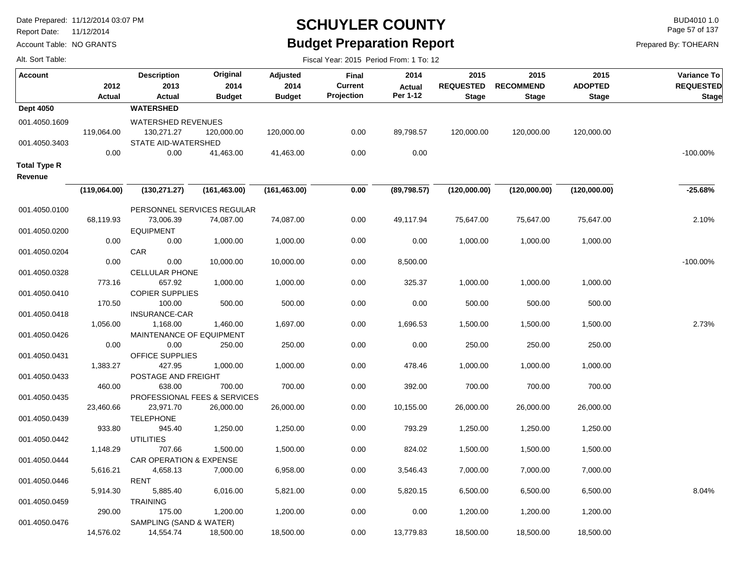Report Date: 11/12/2014

Alt. Sort Table:

Account Table: NO GRANTS

## **SCHUYLER COUNTY** BUD4010 1.0 **Budget Preparation Report**

Fiscal Year: 2015 Period From: 1 To: 12

Page 57 of 137

| <b>Account</b>                 | 2012<br>Actual | <b>Description</b><br>2013<br>Actual           | Original<br>2014<br><b>Budget</b> | Adjusted<br>2014<br><b>Budget</b> | Final<br><b>Current</b><br>Projection | 2014<br><b>Actual</b><br>Per 1-12 | 2015<br><b>REQUESTED</b><br><b>Stage</b> | 2015<br><b>RECOMMEND</b><br><b>Stage</b> | 2015<br><b>ADOPTED</b><br><b>Stage</b> | Variance To<br><b>REQUESTED</b><br><b>Stage</b> |
|--------------------------------|----------------|------------------------------------------------|-----------------------------------|-----------------------------------|---------------------------------------|-----------------------------------|------------------------------------------|------------------------------------------|----------------------------------------|-------------------------------------------------|
| <b>Dept 4050</b>               |                | <b>WATERSHED</b>                               |                                   |                                   |                                       |                                   |                                          |                                          |                                        |                                                 |
| 001.4050.1609                  | 119,064.00     | <b>WATERSHED REVENUES</b><br>130,271.27        | 120,000.00                        | 120,000.00                        | 0.00                                  | 89,798.57                         | 120,000.00                               | 120,000.00                               | 120,000.00                             |                                                 |
| 001.4050.3403                  | 0.00           | STATE AID-WATERSHED<br>0.00                    | 41,463.00                         | 41,463.00                         | 0.00                                  | 0.00                              |                                          |                                          |                                        | $-100.00\%$                                     |
| <b>Total Type R</b><br>Revenue |                |                                                |                                   |                                   |                                       |                                   |                                          |                                          |                                        |                                                 |
|                                | (119,064.00)   | (130, 271.27)                                  | (161, 463.00)                     | (161, 463.00)                     | 0.00                                  | (89,798.57)                       | (120,000.00)                             | (120,000.00)                             | (120,000.00)                           | $-25.68%$                                       |
| 001.4050.0100                  | 68,119.93      | PERSONNEL SERVICES REGULAR<br>73,006.39        | 74,087.00                         | 74,087.00                         | 0.00                                  | 49,117.94                         | 75,647.00                                | 75,647.00                                | 75,647.00                              | 2.10%                                           |
| 001.4050.0200                  |                | <b>EQUIPMENT</b>                               |                                   |                                   |                                       |                                   |                                          |                                          |                                        |                                                 |
| 001.4050.0204                  | 0.00           | 0.00<br>CAR                                    | 1,000.00                          | 1,000.00                          | 0.00                                  | 0.00                              | 1,000.00                                 | 1,000.00                                 | 1,000.00                               |                                                 |
| 001.4050.0328                  | 0.00           | 0.00<br><b>CELLULAR PHONE</b>                  | 10,000.00                         | 10,000.00                         | 0.00                                  | 8,500.00                          |                                          |                                          |                                        | $-100.00\%$                                     |
| 001.4050.0410                  | 773.16         | 657.92<br><b>COPIER SUPPLIES</b>               | 1,000.00                          | 1,000.00                          | 0.00                                  | 325.37                            | 1,000.00                                 | 1,000.00                                 | 1,000.00                               |                                                 |
| 001.4050.0418                  | 170.50         | 100.00<br><b>INSURANCE-CAR</b>                 | 500.00                            | 500.00                            | 0.00                                  | 0.00                              | 500.00                                   | 500.00                                   | 500.00                                 |                                                 |
| 001.4050.0426                  | 1,056.00       | 1,168.00<br>MAINTENANCE OF EQUIPMENT           | 1,460.00                          | 1,697.00                          | 0.00                                  | 1,696.53                          | 1,500.00                                 | 1,500.00                                 | 1,500.00                               | 2.73%                                           |
| 001.4050.0431                  | 0.00           | 0.00<br><b>OFFICE SUPPLIES</b>                 | 250.00                            | 250.00                            | 0.00                                  | 0.00                              | 250.00                                   | 250.00                                   | 250.00                                 |                                                 |
| 001.4050.0433                  | 1,383.27       | 427.95<br>POSTAGE AND FREIGHT                  | 1,000.00                          | 1,000.00                          | 0.00                                  | 478.46                            | 1,000.00                                 | 1,000.00                                 | 1,000.00                               |                                                 |
| 001.4050.0435                  | 460.00         | 638.00<br>PROFESSIONAL FEES & SERVICES         | 700.00                            | 700.00                            | 0.00                                  | 392.00                            | 700.00                                   | 700.00                                   | 700.00                                 |                                                 |
| 001.4050.0439                  | 23,460.66      | 23,971.70<br><b>TELEPHONE</b>                  | 26,000.00                         | 26,000.00                         | 0.00                                  | 10,155.00                         | 26,000.00                                | 26,000.00                                | 26,000.00                              |                                                 |
| 001.4050.0442                  | 933.80         | 945.40<br><b>UTILITIES</b>                     | 1,250.00                          | 1,250.00                          | 0.00                                  | 793.29                            | 1,250.00                                 | 1,250.00                                 | 1,250.00                               |                                                 |
|                                | 1,148.29       | 707.66                                         | 1,500.00                          | 1,500.00                          | 0.00                                  | 824.02                            | 1,500.00                                 | 1,500.00                                 | 1,500.00                               |                                                 |
| 001.4050.0444                  | 5,616.21       | <b>CAR OPERATION &amp; EXPENSE</b><br>4,658.13 | 7,000.00                          | 6,958.00                          | 0.00                                  | 3,546.43                          | 7,000.00                                 | 7,000.00                                 | 7,000.00                               |                                                 |
| 001.4050.0446                  | 5,914.30       | RENT<br>5,885.40                               | 6,016.00                          | 5,821.00                          | 0.00                                  | 5,820.15                          | 6,500.00                                 | 6,500.00                                 | 6,500.00                               | 8.04%                                           |
| 001.4050.0459                  | 290.00         | <b>TRAINING</b><br>175.00                      | 1,200.00                          | 1,200.00                          | 0.00                                  | 0.00                              | 1,200.00                                 | 1,200.00                                 | 1,200.00                               |                                                 |
| 001.4050.0476                  | 14.576.02      | SAMPLING (SAND & WATER)<br>14.554.74           | 18.500.00                         | 18.500.00                         | 0.00                                  | 13.779.83                         | 18.500.00                                | 18.500.00                                | 18.500.00                              |                                                 |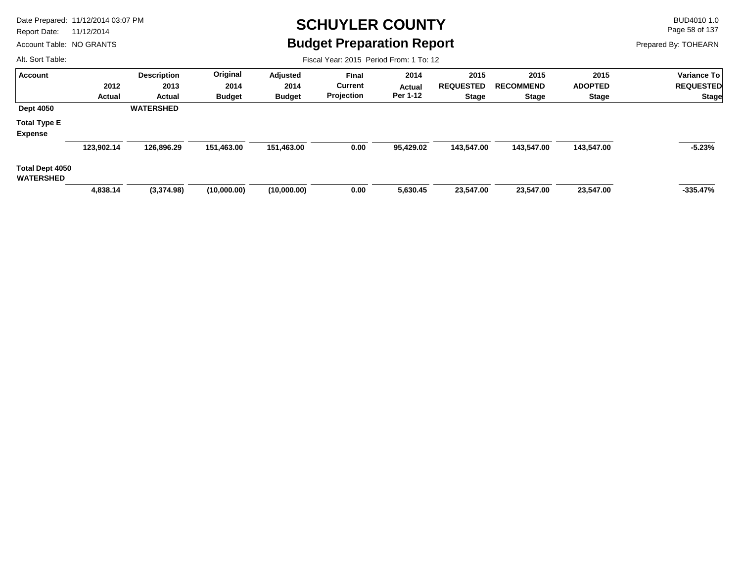Report Date: 11/12/2014

Account Table: NO GRANTS

### **SCHUYLER COUNTY** BUD4010 1.0 **Budget Preparation Report**

Fiscal Year: 2015 Period From: 1 To: 12

Page 58 of 137

Prepared By: TOHEARN

| <b>Account</b>                      |            | <b>Description</b> | Original      | Adjusted      | <b>Final</b>   | 2014          | 2015             | 2015             | 2015           | Variance To      |
|-------------------------------------|------------|--------------------|---------------|---------------|----------------|---------------|------------------|------------------|----------------|------------------|
|                                     | 2012       | 2013               | 2014          | 2014          | <b>Current</b> | <b>Actual</b> | <b>REQUESTED</b> | <b>RECOMMEND</b> | <b>ADOPTED</b> | <b>REQUESTED</b> |
|                                     | Actual     | Actual             | <b>Budget</b> | <b>Budget</b> | Projection     | Per 1-12      | <b>Stage</b>     | Stage            | <b>Stage</b>   | <b>Stage</b>     |
| <b>Dept 4050</b>                    |            | <b>WATERSHED</b>   |               |               |                |               |                  |                  |                |                  |
| <b>Total Type E</b>                 |            |                    |               |               |                |               |                  |                  |                |                  |
| <b>Expense</b>                      |            |                    |               |               |                |               |                  |                  |                |                  |
|                                     | 123,902.14 | 126,896.29         | 151,463.00    | 151,463.00    | 0.00           | 95,429.02     | 143,547.00       | 143,547.00       | 143,547.00     | $-5.23%$         |
| Total Dept 4050<br><b>WATERSHED</b> |            |                    |               |               |                |               |                  |                  |                |                  |
|                                     | 4,838.14   | (3,374.98)         | (10,000.00)   | (10,000.00)   | 0.00           | 5,630.45      | 23,547.00        | 23,547.00        | 23,547.00      | $-335.47%$       |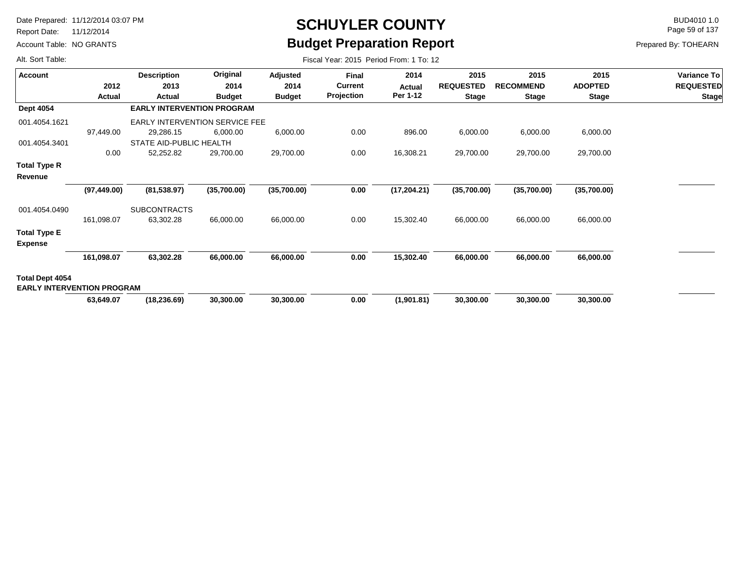Report Date: 11/12/2014

Account Table: NO GRANTS

# **SCHUYLER COUNTY** BUD4010 1.0 **Budget Preparation Report**

Fiscal Year: 2015 Period From: 1 To: 12

Page 59 of 137

Prepared By: TOHEARN

| <b>Account</b>                                       |              | <b>Description</b>                    | Original      | Adjusted      | <b>Final</b>   | 2014         | 2015             | 2015             | 2015           | Variance To      |
|------------------------------------------------------|--------------|---------------------------------------|---------------|---------------|----------------|--------------|------------------|------------------|----------------|------------------|
|                                                      | 2012         | 2013                                  | 2014          | 2014          | <b>Current</b> | Actual       | <b>REQUESTED</b> | <b>RECOMMEND</b> | <b>ADOPTED</b> | <b>REQUESTED</b> |
|                                                      | Actual       | Actual                                | <b>Budget</b> | <b>Budget</b> | Projection     | Per 1-12     | <b>Stage</b>     | <b>Stage</b>     | <b>Stage</b>   | <b>Stage</b>     |
| <b>Dept 4054</b>                                     |              | <b>EARLY INTERVENTION PROGRAM</b>     |               |               |                |              |                  |                  |                |                  |
| 001.4054.1621                                        |              | <b>EARLY INTERVENTION SERVICE FEE</b> |               |               |                |              |                  |                  |                |                  |
|                                                      | 97,449.00    | 29,286.15                             | 6,000.00      | 6,000.00      | 0.00           | 896.00       | 6,000.00         | 6,000.00         | 6,000.00       |                  |
| 001.4054.3401                                        |              | STATE AID-PUBLIC HEALTH               |               |               |                |              |                  |                  |                |                  |
|                                                      | 0.00         | 52,252.82                             | 29,700.00     | 29,700.00     | 0.00           | 16,308.21    | 29,700.00        | 29,700.00        | 29,700.00      |                  |
| Total Type R                                         |              |                                       |               |               |                |              |                  |                  |                |                  |
| Revenue                                              |              |                                       |               |               |                |              |                  |                  |                |                  |
|                                                      | (97, 449.00) | (81, 538.97)                          | (35,700.00)   | (35,700.00)   | 0.00           | (17, 204.21) | (35,700.00)      | (35,700.00)      | (35,700.00)    |                  |
| 001.4054.0490                                        |              | <b>SUBCONTRACTS</b>                   |               |               |                |              |                  |                  |                |                  |
|                                                      | 161,098.07   | 63,302.28                             | 66,000.00     | 66,000.00     | 0.00           | 15,302.40    | 66,000.00        | 66,000.00        | 66,000.00      |                  |
| <b>Total Type E</b><br><b>Expense</b>                |              |                                       |               |               |                |              |                  |                  |                |                  |
|                                                      | 161,098.07   | 63,302.28                             | 66,000.00     | 66,000.00     | 0.00           | 15,302.40    | 66,000.00        | 66,000.00        | 66,000.00      |                  |
| Total Dept 4054<br><b>EARLY INTERVENTION PROGRAM</b> |              |                                       |               |               |                |              |                  |                  |                |                  |
|                                                      | 63,649.07    | (18, 236.69)                          | 30,300.00     | 30,300.00     | 0.00           | (1,901.81)   | 30,300.00        | 30,300.00        | 30,300.00      |                  |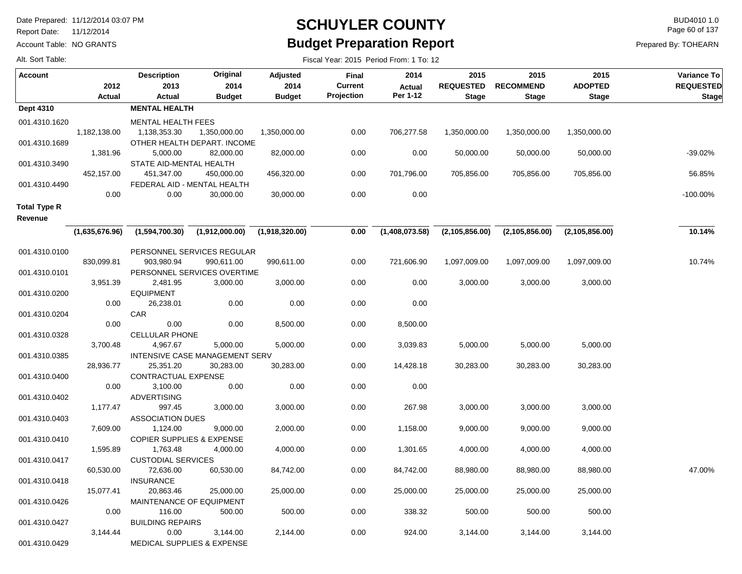Report Date: 11/12/2014

Account Table: NO GRANTS

## **SCHUYLER COUNTY** BUD4010 1.0 **Budget Preparation Report**

Fiscal Year: 2015 Period From: 1 To: 12

Page 60 of 137

Prepared By: TOHEARN

| <b>Account</b>      |                | <b>Description</b>                   | Original                       | Adjusted       | <b>Final</b>   | 2014           | 2015             | 2015             | 2015             | Variance To      |
|---------------------|----------------|--------------------------------------|--------------------------------|----------------|----------------|----------------|------------------|------------------|------------------|------------------|
|                     | 2012           | 2013                                 | 2014                           | 2014           | <b>Current</b> | <b>Actual</b>  | <b>REQUESTED</b> | <b>RECOMMEND</b> | <b>ADOPTED</b>   | <b>REQUESTED</b> |
|                     | Actual         | <b>Actual</b>                        | <b>Budget</b>                  | <b>Budget</b>  | Projection     | Per 1-12       | <b>Stage</b>     | <b>Stage</b>     | <b>Stage</b>     | <b>Stage</b>     |
| Dept 4310           |                | <b>MENTAL HEALTH</b>                 |                                |                |                |                |                  |                  |                  |                  |
| 001.4310.1620       |                | MENTAL HEALTH FEES                   |                                |                |                |                |                  |                  |                  |                  |
|                     | 1,182,138.00   | 1,138,353.30                         | 1,350,000.00                   | 1,350,000.00   | 0.00           | 706,277.58     | 1,350,000.00     | 1,350,000.00     | 1,350,000.00     |                  |
| 001.4310.1689       |                |                                      | OTHER HEALTH DEPART. INCOME    |                |                |                |                  |                  |                  |                  |
|                     | 1,381.96       | 5,000.00                             | 82,000.00                      | 82,000.00      | 0.00           | 0.00           | 50,000.00        | 50,000.00        | 50,000.00        | -39.02%          |
| 001.4310.3490       |                | STATE AID-MENTAL HEALTH              |                                |                |                |                |                  |                  |                  |                  |
|                     | 452,157.00     | 451,347.00                           | 450,000.00                     | 456,320.00     | 0.00           | 701,796.00     | 705,856.00       | 705,856.00       | 705,856.00       | 56.85%           |
| 001.4310.4490       |                |                                      | FEDERAL AID - MENTAL HEALTH    |                |                |                |                  |                  |                  |                  |
|                     | 0.00           | 0.00                                 | 30,000.00                      | 30,000.00      | 0.00           | 0.00           |                  |                  |                  | $-100.00\%$      |
| <b>Total Type R</b> |                |                                      |                                |                |                |                |                  |                  |                  |                  |
| Revenue             |                |                                      |                                |                |                |                |                  |                  |                  |                  |
|                     | (1,635,676.96) | (1,594,700.30)                       | (1,912,000.00)                 | (1,918,320.00) | 0.00           | (1,408,073.58) | (2, 105, 856.00) | (2, 105, 856.00) | (2, 105, 856.00) | 10.14%           |
|                     |                |                                      |                                |                |                |                |                  |                  |                  |                  |
| 001.4310.0100       |                |                                      | PERSONNEL SERVICES REGULAR     |                |                |                |                  |                  |                  |                  |
|                     | 830,099.81     | 903,980.94                           | 990,611.00                     | 990,611.00     | 0.00           | 721,606.90     | 1,097,009.00     | 1,097,009.00     | 1,097,009.00     | 10.74%           |
| 001.4310.0101       |                |                                      | PERSONNEL SERVICES OVERTIME    |                |                |                |                  |                  |                  |                  |
|                     | 3,951.39       | 2,481.95                             | 3,000.00                       | 3,000.00       | 0.00           | 0.00           | 3,000.00         | 3,000.00         | 3,000.00         |                  |
| 001.4310.0200       |                | <b>EQUIPMENT</b>                     |                                |                |                |                |                  |                  |                  |                  |
|                     | 0.00           | 26,238.01                            | 0.00                           | 0.00           | 0.00           | 0.00           |                  |                  |                  |                  |
| 001.4310.0204       |                | <b>CAR</b>                           |                                |                |                |                |                  |                  |                  |                  |
|                     | 0.00           | 0.00                                 | 0.00                           | 8,500.00       | 0.00           | 8,500.00       |                  |                  |                  |                  |
| 001.4310.0328       |                | <b>CELLULAR PHONE</b>                |                                |                |                |                |                  |                  |                  |                  |
|                     | 3,700.48       | 4,967.67                             | 5,000.00                       | 5,000.00       | 0.00           | 3,039.83       | 5,000.00         | 5,000.00         | 5,000.00         |                  |
| 001.4310.0385       |                |                                      | INTENSIVE CASE MANAGEMENT SERV |                |                |                |                  |                  |                  |                  |
|                     | 28,936.77      | 25,351.20                            | 30,283.00                      | 30,283.00      | 0.00           | 14,428.18      | 30,283.00        | 30,283.00        | 30,283.00        |                  |
| 001.4310.0400       | 0.00           | CONTRACTUAL EXPENSE<br>3,100.00      | 0.00                           | 0.00           | 0.00           | 0.00           |                  |                  |                  |                  |
| 001.4310.0402       |                | <b>ADVERTISING</b>                   |                                |                |                |                |                  |                  |                  |                  |
|                     | 1,177.47       | 997.45                               | 3,000.00                       | 3,000.00       | 0.00           | 267.98         | 3,000.00         | 3,000.00         | 3,000.00         |                  |
| 001.4310.0403       |                | <b>ASSOCIATION DUES</b>              |                                |                |                |                |                  |                  |                  |                  |
|                     | 7,609.00       | 1,124.00                             | 9,000.00                       | 2,000.00       | 0.00           | 1,158.00       | 9,000.00         | 9,000.00         | 9,000.00         |                  |
| 001.4310.0410       |                | <b>COPIER SUPPLIES &amp; EXPENSE</b> |                                |                |                |                |                  |                  |                  |                  |
|                     | 1,595.89       | 1,763.48                             | 4,000.00                       | 4,000.00       | 0.00           | 1,301.65       | 4,000.00         | 4,000.00         | 4,000.00         |                  |
| 001.4310.0417       |                | <b>CUSTODIAL SERVICES</b>            |                                |                |                |                |                  |                  |                  |                  |
|                     | 60,530.00      | 72,636.00                            | 60,530.00                      | 84,742.00      | 0.00           | 84,742.00      | 88,980.00        | 88,980.00        | 88,980.00        | 47.00%           |
| 001.4310.0418       |                | <b>INSURANCE</b>                     |                                |                |                |                |                  |                  |                  |                  |
|                     | 15,077.41      | 20,863.46                            | 25,000.00                      | 25,000.00      | 0.00           | 25,000.00      | 25,000.00        | 25,000.00        | 25,000.00        |                  |
| 001.4310.0426       |                |                                      | MAINTENANCE OF EQUIPMENT       |                |                |                |                  |                  |                  |                  |
|                     | 0.00           | 116.00                               | 500.00                         | 500.00         | 0.00           | 338.32         | 500.00           | 500.00           | 500.00           |                  |
| 001.4310.0427       |                | <b>BUILDING REPAIRS</b>              |                                |                |                |                |                  |                  |                  |                  |
|                     | 3,144.44       | 0.00                                 | 3,144.00                       | 2,144.00       | 0.00           | 924.00         | 3,144.00         | 3,144.00         | 3,144.00         |                  |
| 001.4310.0429       |                |                                      | MEDICAL SUPPLIES & EXPENSE     |                |                |                |                  |                  |                  |                  |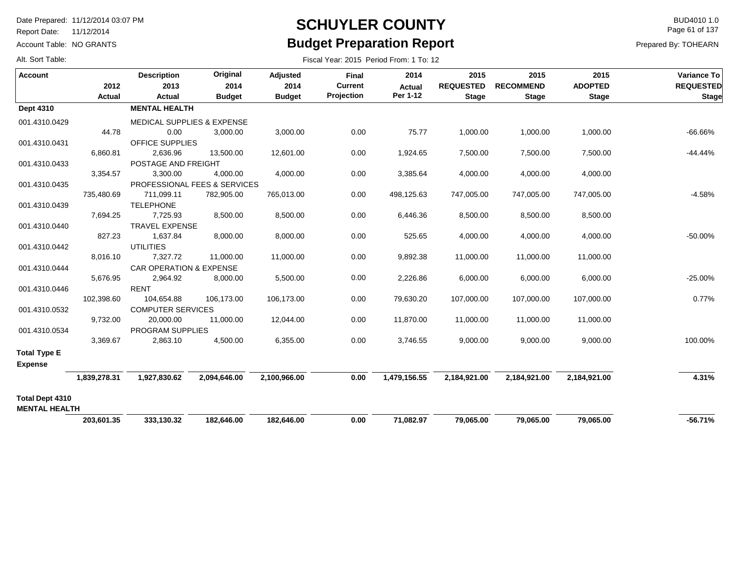Report Date: 11/12/2014

Account Table: NO GRANTS

## **SCHUYLER COUNTY** BUD4010 1.0 **Budget Preparation Report**

Fiscal Year: 2015 Period From: 1 To: 12

Page 61 of 137

| <b>Account</b>                          |                | <b>Description</b>                    | Original                                | Adjusted              | Final                        | 2014               | 2015                             | 2015                             | 2015                           | <b>Variance To</b>               |
|-----------------------------------------|----------------|---------------------------------------|-----------------------------------------|-----------------------|------------------------------|--------------------|----------------------------------|----------------------------------|--------------------------------|----------------------------------|
|                                         | 2012<br>Actual | 2013<br>Actual                        | 2014<br><b>Budget</b>                   | 2014<br><b>Budget</b> | <b>Current</b><br>Projection | Actual<br>Per 1-12 | <b>REQUESTED</b><br><b>Stage</b> | <b>RECOMMEND</b><br><b>Stage</b> | <b>ADOPTED</b><br><b>Stage</b> | <b>REQUESTED</b><br><b>Stage</b> |
| <b>Dept 4310</b>                        |                | <b>MENTAL HEALTH</b>                  |                                         |                       |                              |                    |                                  |                                  |                                |                                  |
| 001.4310.0429                           |                | <b>MEDICAL SUPPLIES &amp; EXPENSE</b> |                                         |                       |                              |                    |                                  |                                  |                                |                                  |
|                                         | 44.78          | 0.00                                  | 3,000.00                                | 3,000.00              | 0.00                         | 75.77              | 1,000.00                         | 1,000.00                         | 1,000.00                       | $-66.66%$                        |
| 001.4310.0431                           |                | OFFICE SUPPLIES                       |                                         |                       |                              |                    |                                  |                                  |                                |                                  |
|                                         | 6,860.81       | 2,636.96                              | 13,500.00                               | 12,601.00             | 0.00                         | 1,924.65           | 7,500.00                         | 7,500.00                         | 7,500.00                       | $-44.44%$                        |
| 001.4310.0433                           |                | POSTAGE AND FREIGHT                   |                                         |                       |                              |                    |                                  |                                  |                                |                                  |
|                                         | 3,354.57       | 3,300.00                              | 4,000.00                                | 4,000.00              | 0.00                         | 3,385.64           | 4,000.00                         | 4,000.00                         | 4,000.00                       |                                  |
| 001.4310.0435                           |                |                                       | <b>PROFESSIONAL FEES &amp; SERVICES</b> |                       |                              |                    |                                  |                                  |                                |                                  |
|                                         | 735,480.69     | 711,099.11                            | 782,905.00                              | 765,013.00            | 0.00                         | 498,125.63         | 747,005.00                       | 747,005.00                       | 747,005.00                     | $-4.58%$                         |
| 001.4310.0439                           |                | <b>TELEPHONE</b>                      |                                         |                       |                              |                    |                                  |                                  |                                |                                  |
|                                         | 7,694.25       | 7,725.93                              | 8,500.00                                | 8,500.00              | 0.00                         | 6,446.36           | 8,500.00                         | 8,500.00                         | 8,500.00                       |                                  |
| 001.4310.0440                           |                | <b>TRAVEL EXPENSE</b>                 |                                         |                       |                              |                    |                                  |                                  |                                |                                  |
|                                         | 827.23         | 1,637.84                              | 8,000.00                                | 8,000.00              | 0.00                         | 525.65             | 4,000.00                         | 4,000.00                         | 4,000.00                       | $-50.00\%$                       |
| 001.4310.0442                           |                | <b>UTILITIES</b>                      |                                         |                       |                              |                    |                                  |                                  |                                |                                  |
|                                         | 8,016.10       | 7,327.72                              | 11,000.00                               | 11,000.00             | 0.00                         | 9,892.38           | 11,000.00                        | 11,000.00                        | 11,000.00                      |                                  |
| 001.4310.0444                           |                | <b>CAR OPERATION &amp; EXPENSE</b>    |                                         |                       |                              |                    |                                  |                                  |                                |                                  |
|                                         | 5,676.95       | 2,964.92                              | 8,000.00                                | 5,500.00              | 0.00                         | 2,226.86           | 6,000.00                         | 6,000.00                         | 6,000.00                       | $-25.00%$                        |
| 001.4310.0446                           |                | <b>RENT</b>                           |                                         |                       |                              |                    |                                  |                                  |                                |                                  |
|                                         | 102,398.60     | 104,654.88                            | 106,173.00                              | 106,173.00            | 0.00                         | 79,630.20          | 107,000.00                       | 107,000.00                       | 107,000.00                     | 0.77%                            |
| 001.4310.0532                           |                | <b>COMPUTER SERVICES</b>              |                                         |                       |                              |                    |                                  |                                  |                                |                                  |
|                                         | 9,732.00       | 20,000.00                             | 11,000.00                               | 12,044.00             | 0.00                         | 11,870.00          | 11,000.00                        | 11,000.00                        | 11,000.00                      |                                  |
| 001.4310.0534                           |                | <b>PROGRAM SUPPLIES</b>               |                                         |                       |                              |                    |                                  |                                  |                                |                                  |
|                                         | 3,369.67       | 2,863.10                              | 4,500.00                                | 6,355.00              | 0.00                         | 3,746.55           | 9,000.00                         | 9,000.00                         | 9,000.00                       | 100.00%                          |
| <b>Total Type E</b>                     |                |                                       |                                         |                       |                              |                    |                                  |                                  |                                |                                  |
| <b>Expense</b>                          |                |                                       |                                         |                       |                              |                    |                                  |                                  |                                |                                  |
|                                         | 1,839,278.31   | 1,927,830.62                          | 2,094,646.00                            | 2,100,966.00          | 0.00                         | 1,479,156.55       | 2,184,921.00                     | 2,184,921.00                     | 2,184,921.00                   | 4.31%                            |
| Total Dept 4310<br><b>MENTAL HEALTH</b> |                |                                       |                                         |                       |                              |                    |                                  |                                  |                                |                                  |
|                                         | 203,601.35     | 333,130.32                            | 182,646.00                              | 182,646.00            | 0.00                         | 71,082.97          | 79,065.00                        | 79,065.00                        | 79,065.00                      | $-56.71%$                        |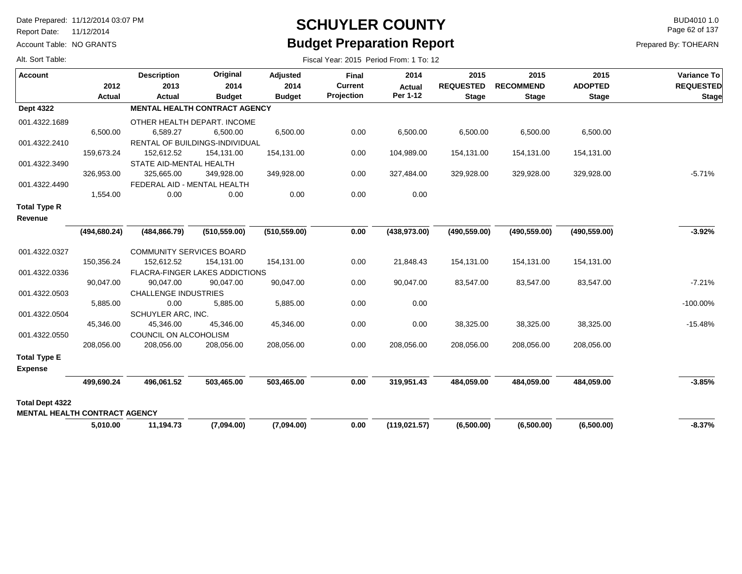Report Date: 11/12/2014

Account Table: NO GRANTS

# **SCHUYLER COUNTY** BUD4010 1.0 **Budget Preparation Report**

Page 62 of 137

| Alt. Sort Table:                     |               | Fiscal Year: 2015 Period From: 1 To: 12 |                                       |               |                |               |                  |                  |                |                  |  |  |  |
|--------------------------------------|---------------|-----------------------------------------|---------------------------------------|---------------|----------------|---------------|------------------|------------------|----------------|------------------|--|--|--|
| <b>Account</b>                       |               | <b>Description</b>                      | Original                              | Adjusted      | <b>Final</b>   | 2014          | 2015             | 2015             | 2015           | Variance To      |  |  |  |
|                                      | 2012          | 2013                                    | 2014                                  | 2014          | <b>Current</b> | <b>Actual</b> | <b>REQUESTED</b> | <b>RECOMMEND</b> | <b>ADOPTED</b> | <b>REQUESTED</b> |  |  |  |
|                                      | <b>Actual</b> | Actual                                  | <b>Budget</b>                         | <b>Budget</b> | Projection     | Per 1-12      | <b>Stage</b>     | <b>Stage</b>     | <b>Stage</b>   | <b>Stage</b>     |  |  |  |
| <b>Dept 4322</b>                     |               |                                         | <b>MENTAL HEALTH CONTRACT AGENCY</b>  |               |                |               |                  |                  |                |                  |  |  |  |
| 001.4322.1689                        |               |                                         | OTHER HEALTH DEPART. INCOME           |               |                |               |                  |                  |                |                  |  |  |  |
|                                      | 6,500.00      | 6,589.27                                | 6,500.00                              | 6,500.00      | 0.00           | 6,500.00      | 6,500.00         | 6,500.00         | 6,500.00       |                  |  |  |  |
| 001.4322.2410                        |               |                                         | RENTAL OF BUILDINGS-INDIVIDUAL        |               |                |               |                  |                  |                |                  |  |  |  |
|                                      | 159,673.24    | 152,612.52                              | 154,131.00                            | 154,131.00    | 0.00           | 104,989.00    | 154,131.00       | 154,131.00       | 154,131.00     |                  |  |  |  |
| 001.4322.3490                        |               | STATE AID-MENTAL HEALTH                 |                                       |               |                |               |                  |                  |                |                  |  |  |  |
|                                      | 326,953.00    | 325,665.00                              | 349,928.00                            | 349,928.00    | 0.00           | 327,484.00    | 329,928.00       | 329,928.00       | 329,928.00     | $-5.71%$         |  |  |  |
| 001.4322.4490                        |               | FEDERAL AID - MENTAL HEALTH             |                                       |               |                |               |                  |                  |                |                  |  |  |  |
|                                      | 1,554.00      | 0.00                                    | 0.00                                  | 0.00          | 0.00           | 0.00          |                  |                  |                |                  |  |  |  |
| <b>Total Type R</b>                  |               |                                         |                                       |               |                |               |                  |                  |                |                  |  |  |  |
| Revenue                              |               |                                         |                                       |               |                |               |                  |                  |                |                  |  |  |  |
|                                      | (494, 680.24) | (484, 866.79)                           | (510, 559.00)                         | (510, 559.00) | 0.00           | (438, 973.00) | (490, 559.00)    | (490, 559.00)    | (490, 559.00)  | $-3.92%$         |  |  |  |
| 001.4322.0327                        |               | <b>COMMUNITY SERVICES BOARD</b>         |                                       |               |                |               |                  |                  |                |                  |  |  |  |
|                                      | 150,356.24    | 152,612.52                              | 154,131.00                            | 154,131.00    | 0.00           | 21,848.43     | 154,131.00       | 154,131.00       | 154,131.00     |                  |  |  |  |
| 001.4322.0336                        |               |                                         | <b>FLACRA-FINGER LAKES ADDICTIONS</b> |               |                |               |                  |                  |                |                  |  |  |  |
|                                      | 90,047.00     | 90,047.00                               | 90,047.00                             | 90,047.00     | 0.00           | 90,047.00     | 83,547.00        | 83,547.00        | 83,547.00      | $-7.21%$         |  |  |  |
| 001.4322.0503                        |               | <b>CHALLENGE INDUSTRIES</b>             |                                       |               |                |               |                  |                  |                |                  |  |  |  |
|                                      | 5,885.00      | 0.00                                    | 5,885.00                              | 5,885.00      | 0.00           | 0.00          |                  |                  |                | $-100.00\%$      |  |  |  |
| 001.4322.0504                        |               | SCHUYLER ARC, INC.                      |                                       |               |                |               |                  |                  |                |                  |  |  |  |
|                                      | 45,346.00     | 45,346.00                               | 45,346.00                             | 45,346.00     | 0.00           | 0.00          | 38,325.00        | 38,325.00        | 38,325.00      | $-15.48%$        |  |  |  |
| 001.4322.0550                        |               | COUNCIL ON ALCOHOLISM                   |                                       |               |                |               |                  |                  |                |                  |  |  |  |
|                                      | 208,056.00    | 208,056.00                              | 208,056.00                            | 208,056.00    | 0.00           | 208,056.00    | 208,056.00       | 208,056.00       | 208,056.00     |                  |  |  |  |
| <b>Total Type E</b>                  |               |                                         |                                       |               |                |               |                  |                  |                |                  |  |  |  |
| <b>Expense</b>                       |               |                                         |                                       |               |                |               |                  |                  |                |                  |  |  |  |
|                                      | 499,690.24    | 496,061.52                              | 503,465.00                            | 503,465.00    | 0.00           | 319,951.43    | 484,059.00       | 484,059.00       | 484,059.00     | $-3.85%$         |  |  |  |
| <b>Total Dept 4322</b>               |               |                                         |                                       |               |                |               |                  |                  |                |                  |  |  |  |
| <b>MENTAL HEALTH CONTRACT AGENCY</b> |               |                                         |                                       |               |                |               |                  |                  |                |                  |  |  |  |
|                                      | 5,010.00      | 11,194.73                               | (7,094.00)                            | (7,094.00)    | 0.00           | (119.021.57)  | (6,500.00)       | (6,500.00)       | (6,500.00)     | $-8.37%$         |  |  |  |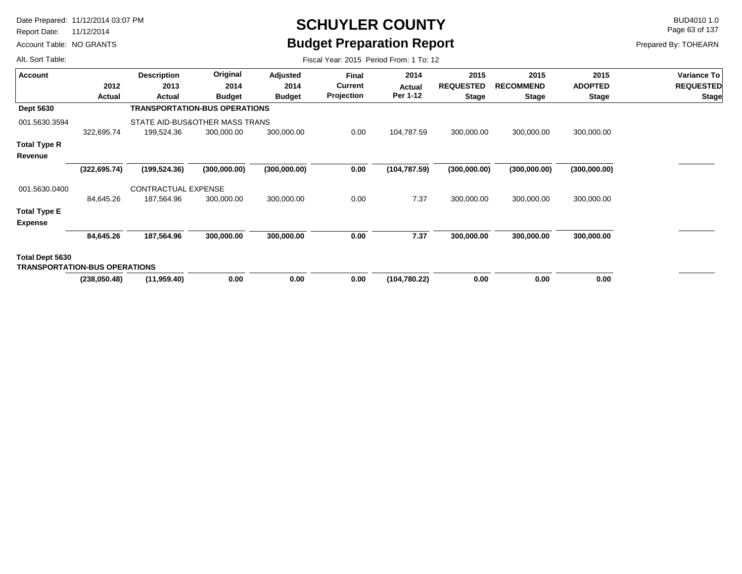Report Date: 11/12/2014

Account Table: NO GRANTS

# **SCHUYLER COUNTY** BUD4010 1.0 **Budget Preparation Report**

Fiscal Year: 2015 Period From: 1 To: 12

Page 63 of 137

Prepared By: TOHEARN

| <b>Account</b>                                          |               | <b>Description</b>                   | Original      | Adjusted      | Final          | 2014          | 2015             | 2015             | 2015           | Variance To      |
|---------------------------------------------------------|---------------|--------------------------------------|---------------|---------------|----------------|---------------|------------------|------------------|----------------|------------------|
|                                                         | 2012          | 2013                                 | 2014          | 2014          | <b>Current</b> | Actual        | <b>REQUESTED</b> | <b>RECOMMEND</b> | <b>ADOPTED</b> | <b>REQUESTED</b> |
|                                                         | Actual        | Actual                               | <b>Budget</b> | <b>Budget</b> | Projection     | Per 1-12      | <b>Stage</b>     | <b>Stage</b>     | <b>Stage</b>   | <b>Stage</b>     |
| <b>Dept 5630</b>                                        |               | <b>TRANSPORTATION-BUS OPERATIONS</b> |               |               |                |               |                  |                  |                |                  |
| 001.5630.3594                                           |               | STATE AID-BUS&OTHER MASS TRANS       |               |               |                |               |                  |                  |                |                  |
|                                                         | 322,695.74    | 199,524.36                           | 300,000.00    | 300,000.00    | 0.00           | 104,787.59    | 300,000.00       | 300,000.00       | 300,000.00     |                  |
| <b>Total Type R</b>                                     |               |                                      |               |               |                |               |                  |                  |                |                  |
| Revenue                                                 |               |                                      |               |               |                |               |                  |                  |                |                  |
|                                                         | (322, 695.74) | (199, 524.36)                        | (300,000.00)  | (300,000.00)  | 0.00           | (104, 787.59) | (300,000.00)     | (300,000.00)     | (300,000.00)   |                  |
| 001.5630.0400                                           |               | <b>CONTRACTUAL EXPENSE</b>           |               |               |                |               |                  |                  |                |                  |
|                                                         | 84,645.26     | 187,564.96                           | 300,000.00    | 300,000.00    | 0.00           | 7.37          | 300,000.00       | 300,000.00       | 300,000.00     |                  |
| <b>Total Type E</b>                                     |               |                                      |               |               |                |               |                  |                  |                |                  |
| <b>Expense</b>                                          |               |                                      |               |               |                |               |                  |                  |                |                  |
|                                                         | 84,645.26     | 187,564.96                           | 300,000.00    | 300,000.00    | 0.00           | 7.37          | 300,000.00       | 300,000.00       | 300,000.00     |                  |
| Total Dept 5630<br><b>TRANSPORTATION-BUS OPERATIONS</b> |               |                                      |               |               |                |               |                  |                  |                |                  |
|                                                         | (238,050.48)  | (11, 959.40)                         | 0.00          | 0.00          | 0.00           | (104, 780.22) | 0.00             | 0.00             | 0.00           |                  |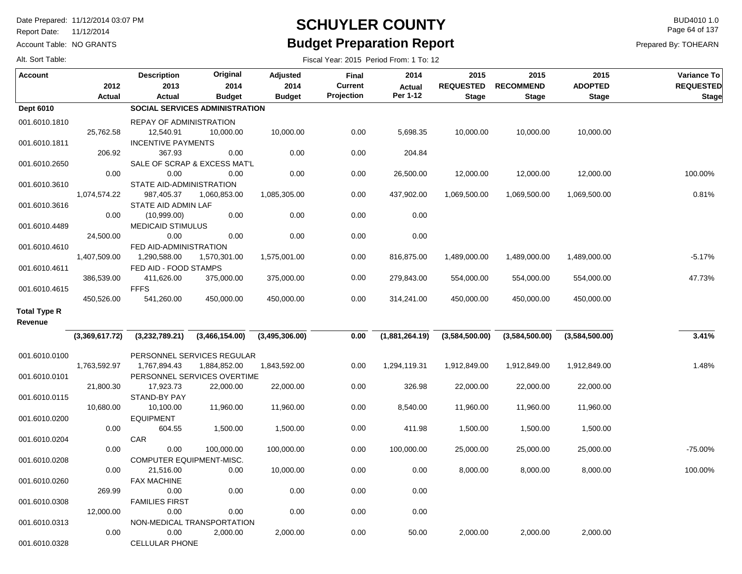Report Date: 11/12/2014

Account Table: NO GRANTS

# **SCHUYLER COUNTY** BUD4010 1.0 **Budget Preparation Report**

Fiscal Year: 2015 Period From: 1 To: 12

Page 64 of 137

Prepared By: TOHEARN

| <b>Account</b>      | 2012           | <b>Description</b><br>2013     | Original<br>2014                      | Adjusted<br>2014 | <b>Final</b><br><b>Current</b> | 2014<br><b>Actual</b> | 2015<br><b>REQUESTED</b> | 2015<br><b>RECOMMEND</b> | 2015<br><b>ADOPTED</b> | <b>Variance To</b><br><b>REQUESTED</b> |
|---------------------|----------------|--------------------------------|---------------------------------------|------------------|--------------------------------|-----------------------|--------------------------|--------------------------|------------------------|----------------------------------------|
|                     | <b>Actual</b>  | Actual                         | <b>Budget</b>                         | <b>Budget</b>    | Projection                     | Per 1-12              | <b>Stage</b>             | <b>Stage</b>             | <b>Stage</b>           | <b>Stage</b>                           |
| Dept 6010           |                |                                | <b>SOCIAL SERVICES ADMINISTRATION</b> |                  |                                |                       |                          |                          |                        |                                        |
| 001.6010.1810       |                | <b>REPAY OF ADMINISTRATION</b> |                                       |                  |                                |                       |                          |                          |                        |                                        |
|                     | 25,762.58      | 12,540.91                      | 10,000.00                             | 10,000.00        | 0.00                           | 5,698.35              | 10,000.00                | 10,000.00                | 10,000.00              |                                        |
| 001.6010.1811       |                | <b>INCENTIVE PAYMENTS</b>      |                                       |                  |                                |                       |                          |                          |                        |                                        |
|                     | 206.92         | 367.93                         | 0.00                                  | 0.00             | 0.00                           | 204.84                |                          |                          |                        |                                        |
| 001.6010.2650       |                |                                | SALE OF SCRAP & EXCESS MAT'L          |                  |                                |                       |                          |                          |                        |                                        |
|                     | 0.00           | 0.00                           | 0.00                                  | 0.00             | 0.00                           | 26,500.00             | 12,000.00                | 12,000.00                | 12,000.00              | 100.00%                                |
| 001.6010.3610       |                | STATE AID-ADMINISTRATION       |                                       |                  |                                |                       |                          |                          |                        |                                        |
|                     | 1,074,574.22   | 987,405.37                     | 1,060,853.00                          | 1,085,305.00     | 0.00                           | 437,902.00            | 1,069,500.00             | 1,069,500.00             | 1,069,500.00           | 0.81%                                  |
| 001.6010.3616       |                | STATE AID ADMIN LAF            |                                       |                  |                                |                       |                          |                          |                        |                                        |
|                     | 0.00           | (10,999.00)                    | 0.00                                  | 0.00             | 0.00                           | 0.00                  |                          |                          |                        |                                        |
| 001.6010.4489       |                | <b>MEDICAID STIMULUS</b>       |                                       |                  |                                |                       |                          |                          |                        |                                        |
|                     | 24,500.00      | 0.00                           | 0.00                                  | 0.00             | 0.00                           | 0.00                  |                          |                          |                        |                                        |
| 001.6010.4610       |                | FED AID-ADMINISTRATION         |                                       |                  |                                |                       |                          |                          |                        |                                        |
|                     | 1,407,509.00   | 1,290,588.00                   | 1,570,301.00                          | 1,575,001.00     | 0.00                           | 816,875.00            | 1,489,000.00             | 1,489,000.00             | 1,489,000.00           | $-5.17%$                               |
| 001.6010.4611       |                | FED AID - FOOD STAMPS          |                                       |                  |                                |                       |                          |                          |                        |                                        |
|                     | 386,539.00     | 411,626.00                     | 375,000.00                            | 375,000.00       | 0.00                           | 279,843.00            | 554,000.00               | 554,000.00               | 554,000.00             | 47.73%                                 |
| 001.6010.4615       |                | <b>FFFS</b>                    |                                       |                  |                                |                       |                          |                          |                        |                                        |
|                     | 450,526.00     | 541,260.00                     | 450,000.00                            | 450,000.00       | 0.00                           | 314,241.00            | 450,000.00               | 450,000.00               | 450,000.00             |                                        |
|                     |                |                                |                                       |                  |                                |                       |                          |                          |                        |                                        |
| <b>Total Type R</b> |                |                                |                                       |                  |                                |                       |                          |                          |                        |                                        |
| Revenue             |                |                                |                                       |                  |                                |                       |                          |                          |                        |                                        |
|                     | (3,369,617.72) | (3,232,789.21)                 | (3,466,154.00)                        | (3,495,306.00)   | 0.00                           | (1,881,264.19)        | (3,584,500.00)           | (3,584,500.00)           | (3,584,500.00)         | 3.41%                                  |
|                     |                |                                |                                       |                  |                                |                       |                          |                          |                        |                                        |
| 001.6010.0100       |                |                                | PERSONNEL SERVICES REGULAR            |                  |                                |                       |                          |                          |                        |                                        |
|                     | 1,763,592.97   | 1,767,894.43                   | 1,884,852.00                          | 1,843,592.00     | 0.00                           | 1,294,119.31          | 1,912,849.00             | 1,912,849.00             | 1,912,849.00           | 1.48%                                  |
| 001.6010.0101       |                |                                | PERSONNEL SERVICES OVERTIME           |                  |                                |                       |                          |                          |                        |                                        |
|                     | 21,800.30      | 17,923.73                      | 22,000.00                             | 22,000.00        | 0.00                           | 326.98                | 22,000.00                | 22,000.00                | 22,000.00              |                                        |
| 001.6010.0115       |                | STAND-BY PAY                   |                                       |                  |                                |                       |                          |                          |                        |                                        |
|                     | 10,680.00      | 10,100.00                      | 11,960.00                             | 11,960.00        | 0.00                           | 8,540.00              | 11,960.00                | 11,960.00                | 11,960.00              |                                        |
| 001.6010.0200       |                | <b>EQUIPMENT</b>               |                                       |                  |                                |                       |                          |                          |                        |                                        |
|                     | 0.00           | 604.55                         | 1,500.00                              | 1,500.00         | 0.00                           | 411.98                | 1,500.00                 | 1,500.00                 | 1,500.00               |                                        |
| 001.6010.0204       |                | CAR                            |                                       |                  |                                |                       |                          |                          |                        |                                        |
|                     | 0.00           | 0.00                           | 100,000.00                            | 100,000.00       | 0.00                           | 100,000.00            | 25,000.00                | 25,000.00                | 25,000.00              | -75.00%                                |
| 001.6010.0208       |                | COMPUTER EQUIPMENT-MISC.       |                                       |                  |                                |                       |                          |                          |                        |                                        |
|                     | 0.00           | 21,516.00                      | 0.00                                  | 10,000.00        | 0.00                           | 0.00                  | 8,000.00                 | 8,000.00                 | 8,000.00               | 100.00%                                |
| 001.6010.0260       |                | <b>FAX MACHINE</b>             |                                       |                  |                                |                       |                          |                          |                        |                                        |
|                     | 269.99         | 0.00                           | 0.00                                  | 0.00             | 0.00                           | 0.00                  |                          |                          |                        |                                        |
| 001.6010.0308       |                | <b>FAMILIES FIRST</b>          |                                       |                  |                                |                       |                          |                          |                        |                                        |
|                     | 12,000.00      | 0.00                           | 0.00                                  | 0.00             | 0.00                           | 0.00                  |                          |                          |                        |                                        |
| 001.6010.0313       |                |                                | NON-MEDICAL TRANSPORTATION            |                  |                                |                       |                          |                          |                        |                                        |
|                     | 0.00           | 0.00                           | 2,000.00                              | 2,000.00         | 0.00                           | 50.00                 | 2,000.00                 | 2,000.00                 | 2,000.00               |                                        |
| 001.6010.0328       |                | <b>CELLULAR PHONE</b>          |                                       |                  |                                |                       |                          |                          |                        |                                        |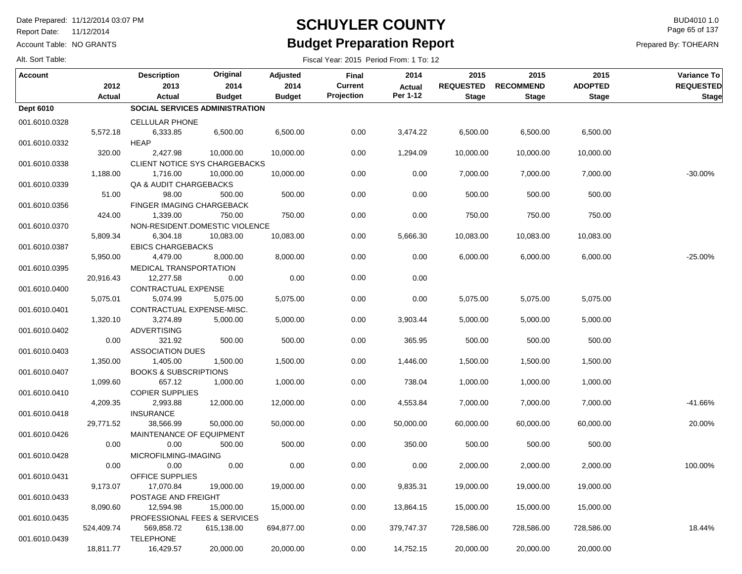Report Date: 11/12/2014

Account Table: NO GRANTS

### **SCHUYLER COUNTY** BUD4010 1.0 **Budget Preparation Report**

Fiscal Year: 2015 Period From: 1 To: 12

Page 65 of 137

| Alt. Sort Table: |  |  |  |
|------------------|--|--|--|
|------------------|--|--|--|

| Account          | 2012       | <b>Description</b><br>2013            | Original<br>2014 | Adjusted<br>2014 | Final<br><b>Current</b> | 2014<br><b>Actual</b> | 2015<br><b>REQUESTED</b> | 2015<br><b>RECOMMEND</b> | 2015<br><b>ADOPTED</b> | Variance To<br><b>REQUESTED</b> |
|------------------|------------|---------------------------------------|------------------|------------------|-------------------------|-----------------------|--------------------------|--------------------------|------------------------|---------------------------------|
|                  | Actual     | Actual                                | <b>Budget</b>    | <b>Budget</b>    | Projection              | Per 1-12              | <b>Stage</b>             | <b>Stage</b>             | <b>Stage</b>           | <b>Stage</b>                    |
| <b>Dept 6010</b> |            | SOCIAL SERVICES ADMINISTRATION        |                  |                  |                         |                       |                          |                          |                        |                                 |
| 001.6010.0328    |            | <b>CELLULAR PHONE</b>                 |                  |                  |                         |                       |                          |                          |                        |                                 |
|                  | 5,572.18   | 6,333.85                              | 6,500.00         | 6,500.00         | 0.00                    | 3,474.22              | 6,500.00                 | 6,500.00                 | 6,500.00               |                                 |
| 001.6010.0332    |            | <b>HEAP</b>                           |                  |                  |                         |                       |                          |                          |                        |                                 |
|                  | 320.00     | 2,427.98                              | 10,000.00        | 10,000.00        | 0.00                    | 1,294.09              | 10,000.00                | 10,000.00                | 10,000.00              |                                 |
| 001.6010.0338    |            | CLIENT NOTICE SYS CHARGEBACKS         |                  |                  |                         |                       |                          |                          |                        |                                 |
|                  | 1,188.00   | 1,716.00                              | 10,000.00        | 10,000.00        | 0.00                    | 0.00                  | 7,000.00                 | 7,000.00                 | 7,000.00               | $-30.00%$                       |
| 001.6010.0339    |            | QA & AUDIT CHARGEBACKS                |                  |                  |                         |                       |                          |                          |                        |                                 |
|                  | 51.00      | 98.00                                 | 500.00           | 500.00           | 0.00                    | 0.00                  | 500.00                   | 500.00                   | 500.00                 |                                 |
| 001.6010.0356    |            | <b>FINGER IMAGING CHARGEBACK</b>      |                  |                  |                         |                       |                          |                          |                        |                                 |
|                  | 424.00     | 1,339.00                              | 750.00           | 750.00           | 0.00                    | 0.00                  | 750.00                   | 750.00                   | 750.00                 |                                 |
| 001.6010.0370    |            | NON-RESIDENT.DOMESTIC VIOLENCE        |                  |                  |                         |                       |                          |                          |                        |                                 |
|                  | 5,809.34   | 6,304.18                              | 10,083.00        | 10,083.00        | 0.00                    | 5,666.30              | 10,083.00                | 10,083.00                | 10,083.00              |                                 |
| 001.6010.0387    |            | <b>EBICS CHARGEBACKS</b>              |                  |                  |                         |                       |                          |                          |                        |                                 |
|                  | 5,950.00   | 4,479.00                              | 8,000.00         | 8,000.00         | 0.00                    | 0.00                  | 6,000.00                 | 6,000.00                 | 6,000.00               | $-25.00%$                       |
| 001.6010.0395    |            | MEDICAL TRANSPORTATION                |                  |                  |                         |                       |                          |                          |                        |                                 |
|                  | 20,916.43  | 12,277.58                             | 0.00             | 0.00             | 0.00                    | 0.00                  |                          |                          |                        |                                 |
| 001.6010.0400    |            | CONTRACTUAL EXPENSE                   |                  |                  |                         |                       |                          |                          |                        |                                 |
|                  | 5,075.01   | 5,074.99                              | 5,075.00         | 5,075.00         | 0.00                    | 0.00                  | 5,075.00                 | 5,075.00                 | 5,075.00               |                                 |
| 001.6010.0401    | 1,320.10   | CONTRACTUAL EXPENSE-MISC.<br>3,274.89 | 5,000.00         |                  | 0.00                    | 3,903.44              | 5,000.00                 | 5,000.00                 | 5,000.00               |                                 |
|                  |            | <b>ADVERTISING</b>                    |                  | 5,000.00         |                         |                       |                          |                          |                        |                                 |
| 001.6010.0402    | 0.00       | 321.92                                | 500.00           | 500.00           | 0.00                    | 365.95                | 500.00                   | 500.00                   | 500.00                 |                                 |
| 001.6010.0403    |            | <b>ASSOCIATION DUES</b>               |                  |                  |                         |                       |                          |                          |                        |                                 |
|                  | 1,350.00   | 1,405.00                              | 1,500.00         | 1,500.00         | 0.00                    | 1,446.00              | 1,500.00                 | 1,500.00                 | 1,500.00               |                                 |
| 001.6010.0407    |            | <b>BOOKS &amp; SUBSCRIPTIONS</b>      |                  |                  |                         |                       |                          |                          |                        |                                 |
|                  | 1,099.60   | 657.12                                | 1,000.00         | 1,000.00         | 0.00                    | 738.04                | 1,000.00                 | 1,000.00                 | 1,000.00               |                                 |
| 001.6010.0410    |            | <b>COPIER SUPPLIES</b>                |                  |                  |                         |                       |                          |                          |                        |                                 |
|                  | 4,209.35   | 2,993.88                              | 12,000.00        | 12,000.00        | 0.00                    | 4,553.84              | 7,000.00                 | 7,000.00                 | 7,000.00               | $-41.66%$                       |
| 001.6010.0418    |            | <b>INSURANCE</b>                      |                  |                  |                         |                       |                          |                          |                        |                                 |
|                  | 29,771.52  | 38,566.99                             | 50,000.00        | 50,000.00        | 0.00                    | 50,000.00             | 60,000.00                | 60,000.00                | 60,000.00              | 20.00%                          |
| 001.6010.0426    |            | MAINTENANCE OF EQUIPMENT              |                  |                  |                         |                       |                          |                          |                        |                                 |
|                  | 0.00       | 0.00                                  | 500.00           | 500.00           | 0.00                    | 350.00                | 500.00                   | 500.00                   | 500.00                 |                                 |
| 001.6010.0428    |            | MICROFILMING-IMAGING                  |                  |                  |                         |                       |                          |                          |                        |                                 |
|                  | 0.00       | 0.00                                  | 0.00             | 0.00             | 0.00                    | 0.00                  | 2,000.00                 | 2,000.00                 | 2,000.00               | 100.00%                         |
| 001.6010.0431    |            | <b>OFFICE SUPPLIES</b>                |                  |                  |                         |                       |                          |                          |                        |                                 |
|                  | 9,173.07   | 17,070.84                             | 19,000.00        | 19,000.00        | 0.00                    | 9,835.31              | 19,000.00                | 19,000.00                | 19,000.00              |                                 |
| 001.6010.0433    |            | POSTAGE AND FREIGHT                   |                  |                  |                         |                       |                          |                          |                        |                                 |
|                  | 8,090.60   | 12,594.98                             | 15,000.00        | 15,000.00        | 0.00                    | 13,864.15             | 15,000.00                | 15,000.00                | 15,000.00              |                                 |
| 001.6010.0435    |            | PROFESSIONAL FEES & SERVICES          |                  |                  |                         |                       |                          |                          |                        |                                 |
|                  | 524,409.74 | 569,858.72                            | 615,138.00       | 694,877.00       | 0.00                    | 379,747.37            | 728,586.00               | 728,586.00               | 728,586.00             | 18.44%                          |
| 001.6010.0439    |            | <b>TELEPHONE</b>                      |                  |                  |                         |                       |                          |                          |                        |                                 |
|                  | 18,811.77  | 16,429.57                             | 20,000.00        | 20,000.00        | 0.00                    | 14,752.15             | 20,000.00                | 20,000.00                | 20,000.00              |                                 |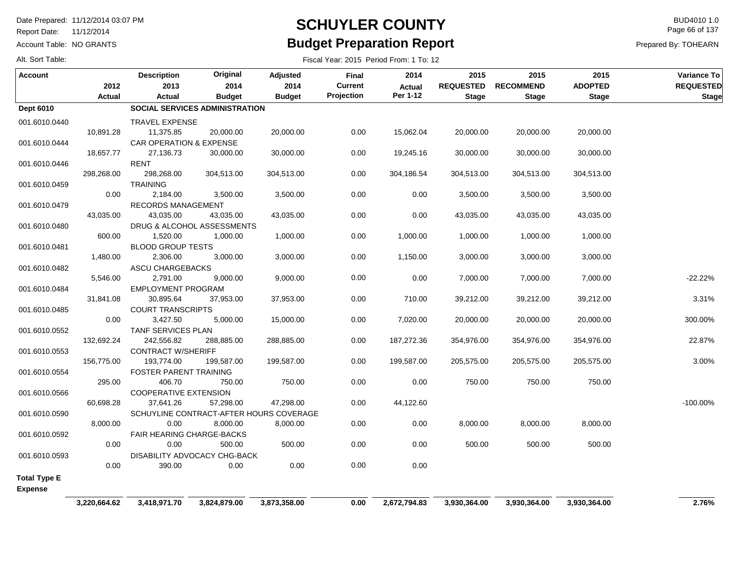Report Date: 11/12/2014

Alt. Sort Table:

Account Table: NO GRANTS

## **SCHUYLER COUNTY** BUD4010 1.0 **Budget Preparation Report**

Fiscal Year: 2015 Period From: 1 To: 12

Page 66 of 137

| <b>Account</b>      |              | <b>Description</b>                 | Original                              | Adjusted                                | Final      | 2014         | 2015             | 2015             | 2015           | <b>Variance To</b> |
|---------------------|--------------|------------------------------------|---------------------------------------|-----------------------------------------|------------|--------------|------------------|------------------|----------------|--------------------|
|                     | 2012         | 2013                               | 2014                                  | 2014                                    | Current    | Actual       | <b>REQUESTED</b> | <b>RECOMMEND</b> | <b>ADOPTED</b> | <b>REQUESTED</b>   |
|                     | Actual       | Actual                             | <b>Budget</b>                         | <b>Budget</b>                           | Projection | Per 1-12     | <b>Stage</b>     | <b>Stage</b>     | <b>Stage</b>   | <b>Stage</b>       |
| <b>Dept 6010</b>    |              |                                    | <b>SOCIAL SERVICES ADMINISTRATION</b> |                                         |            |              |                  |                  |                |                    |
| 001.6010.0440       |              | <b>TRAVEL EXPENSE</b>              |                                       |                                         |            |              |                  |                  |                |                    |
|                     | 10,891.28    | 11,375.85                          | 20,000.00                             | 20,000.00                               | 0.00       | 15,062.04    | 20,000.00        | 20,000.00        | 20,000.00      |                    |
| 001.6010.0444       |              | <b>CAR OPERATION &amp; EXPENSE</b> |                                       |                                         |            |              |                  |                  |                |                    |
|                     | 18,657.77    | 27,136.73                          | 30,000.00                             | 30,000.00                               | 0.00       | 19,245.16    | 30,000.00        | 30,000.00        | 30,000.00      |                    |
| 001.6010.0446       |              | RENT                               |                                       |                                         |            |              |                  |                  |                |                    |
|                     | 298,268.00   | 298,268.00                         | 304,513.00                            | 304,513.00                              | 0.00       | 304,186.54   | 304,513.00       | 304,513.00       | 304,513.00     |                    |
| 001.6010.0459       |              | <b>TRAINING</b>                    |                                       |                                         |            |              |                  |                  |                |                    |
|                     | 0.00         | 2,184.00                           | 3,500.00                              | 3,500.00                                | 0.00       | 0.00         | 3,500.00         | 3,500.00         | 3,500.00       |                    |
| 001.6010.0479       |              | RECORDS MANAGEMENT                 |                                       |                                         |            |              |                  |                  |                |                    |
|                     | 43,035.00    | 43,035.00                          | 43,035.00                             | 43,035.00                               | 0.00       | 0.00         | 43,035.00        | 43,035.00        | 43,035.00      |                    |
| 001.6010.0480       |              |                                    | DRUG & ALCOHOL ASSESSMENTS            |                                         |            |              |                  |                  |                |                    |
|                     | 600.00       | 1,520.00                           | 1,000.00                              | 1,000.00                                | 0.00       | 1,000.00     | 1,000.00         | 1,000.00         | 1,000.00       |                    |
| 001.6010.0481       |              | <b>BLOOD GROUP TESTS</b>           |                                       |                                         |            |              |                  |                  |                |                    |
|                     | 1,480.00     | 2,306.00                           | 3,000.00                              | 3,000.00                                | 0.00       | 1,150.00     | 3,000.00         | 3,000.00         | 3,000.00       |                    |
| 001.6010.0482       |              | <b>ASCU CHARGEBACKS</b>            |                                       |                                         |            |              |                  |                  |                |                    |
|                     | 5,546.00     | 2,791.00                           | 9,000.00                              | 9,000.00                                | 0.00       | 0.00         | 7,000.00         | 7,000.00         | 7,000.00       | $-22.22%$          |
| 001.6010.0484       |              | EMPLOYMENT PROGRAM                 |                                       |                                         |            |              |                  |                  |                |                    |
|                     | 31,841.08    | 30,895.64                          | 37,953.00                             | 37,953.00                               | 0.00       | 710.00       | 39,212.00        | 39,212.00        | 39,212.00      | 3.31%              |
| 001.6010.0485       |              | <b>COURT TRANSCRIPTS</b>           |                                       |                                         |            |              |                  |                  |                |                    |
|                     | 0.00         | 3,427.50                           | 5,000.00                              | 15,000.00                               | 0.00       | 7,020.00     | 20,000.00        | 20,000.00        | 20,000.00      | 300.00%            |
| 001.6010.0552       |              | TANF SERVICES PLAN                 |                                       |                                         |            |              |                  |                  |                |                    |
|                     | 132,692.24   | 242,556.82                         | 288,885.00                            | 288,885.00                              | 0.00       | 187,272.36   | 354,976.00       | 354,976.00       | 354,976.00     | 22.87%             |
| 001.6010.0553       |              | <b>CONTRACT W/SHERIFF</b>          |                                       |                                         |            |              |                  |                  |                |                    |
|                     | 156,775.00   | 193,774.00                         | 199,587.00                            | 199,587.00                              | 0.00       | 199,587.00   | 205,575.00       | 205,575.00       | 205,575.00     | 3.00%              |
| 001.6010.0554       | 295.00       | FOSTER PARENT TRAINING<br>406.70   | 750.00                                | 750.00                                  | 0.00       | 0.00         | 750.00           | 750.00           | 750.00         |                    |
|                     |              | <b>COOPERATIVE EXTENSION</b>       |                                       |                                         |            |              |                  |                  |                |                    |
| 001.6010.0566       | 60,698.28    | 37,641.26                          | 57,298.00                             | 47,298.00                               | 0.00       | 44,122.60    |                  |                  |                | $-100.00%$         |
| 001.6010.0590       |              |                                    |                                       | SCHUYLINE CONTRACT-AFTER HOURS COVERAGE |            |              |                  |                  |                |                    |
|                     | 8,000.00     | 0.00                               | 8,000.00                              | 8,000.00                                | 0.00       | 0.00         | 8,000.00         | 8,000.00         | 8,000.00       |                    |
| 001.6010.0592       |              | <b>FAIR HEARING CHARGE-BACKS</b>   |                                       |                                         |            |              |                  |                  |                |                    |
|                     | 0.00         | 0.00                               | 500.00                                | 500.00                                  | 0.00       | 0.00         | 500.00           | 500.00           | 500.00         |                    |
| 001.6010.0593       |              |                                    | DISABILITY ADVOCACY CHG-BACK          |                                         |            |              |                  |                  |                |                    |
|                     | 0.00         | 390.00                             | 0.00                                  | 0.00                                    | 0.00       | 0.00         |                  |                  |                |                    |
| <b>Total Type E</b> |              |                                    |                                       |                                         |            |              |                  |                  |                |                    |
| <b>Expense</b>      |              |                                    |                                       |                                         |            |              |                  |                  |                |                    |
|                     |              |                                    |                                       |                                         |            |              |                  |                  |                |                    |
|                     | 3,220,664.62 | 3,418,971.70                       | 3,824,879.00                          | 3,873,358.00                            | 0.00       | 2,672,794.83 | 3,930,364.00     | 3,930,364.00     | 3,930,364.00   | 2.76%              |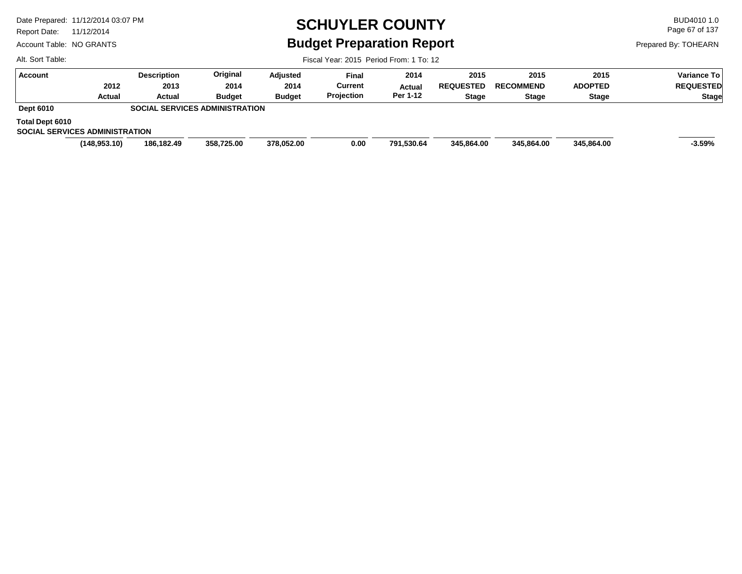Report Date: 11/12/2014

Alt. Sort Table:

Account Table: NO GRANTS

# **SCHUYLER COUNTY** BUD4010 1.0 **Budget Preparation Report**

Page 67 of 137

Prepared By: TOHEARN

Fiscal Year: 2015 Period From: 1 To: 12

| <b>Account</b>                        | <b>Description</b> | Original                              | Adjusted      | <b>Final</b> | 2014          | 2015             | 2015             | 2015           | Variance To      |
|---------------------------------------|--------------------|---------------------------------------|---------------|--------------|---------------|------------------|------------------|----------------|------------------|
| 2012                                  | 2013               | 2014                                  | 2014          | Current      | <b>Actual</b> | <b>REQUESTED</b> | <b>RECOMMEND</b> | <b>ADOPTED</b> | <b>REQUESTED</b> |
| Actual                                | Actual             | <b>Budget</b>                         | <b>Budget</b> | Projection   | Per 1-12      | Stage            | <b>Stage</b>     | Stage          | <b>Stage</b>     |
| <b>Dept 6010</b>                      |                    | <b>SOCIAL SERVICES ADMINISTRATION</b> |               |              |               |                  |                  |                |                  |
| Total Dept 6010                       |                    |                                       |               |              |               |                  |                  |                |                  |
| <b>SOCIAL SERVICES ADMINISTRATION</b> |                    |                                       |               |              |               |                  |                  |                |                  |
| (148, 953.10)                         | 186,182.49         | 358,725.00                            | 378.052.00    | 0.00         | 791,530.64    | 345,864.00       | 345.864.00       | 345.864.00     | $-3.59%$         |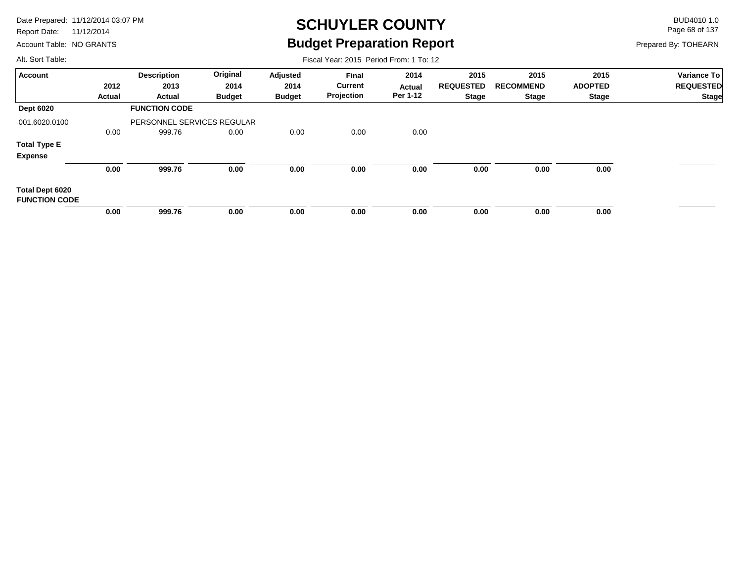Report Date: 11/12/2014

Account Table: NO GRANTS

## **SCHUYLER COUNTY** BUD4010 1.0 **Budget Preparation Report**

Fiscal Year: 2015 Period From: 1 To: 12

Page 68 of 137

Prepared By: TOHEARN

| <b>Account</b>                          |               | <b>Description</b>         | Original      | Adjusted      | Final          | 2014     | 2015             | 2015             | 2015           | <b>Variance To</b> |
|-----------------------------------------|---------------|----------------------------|---------------|---------------|----------------|----------|------------------|------------------|----------------|--------------------|
|                                         | 2012          | 2013                       | 2014          | 2014          | <b>Current</b> | Actual   | <b>REQUESTED</b> | <b>RECOMMEND</b> | <b>ADOPTED</b> | <b>REQUESTED</b>   |
|                                         | <b>Actual</b> | Actual                     | <b>Budget</b> | <b>Budget</b> | Projection     | Per 1-12 | <b>Stage</b>     | <b>Stage</b>     | Stage          | <b>Stage</b>       |
| <b>Dept 6020</b>                        |               | <b>FUNCTION CODE</b>       |               |               |                |          |                  |                  |                |                    |
| 001.6020.0100                           |               | PERSONNEL SERVICES REGULAR |               |               |                |          |                  |                  |                |                    |
|                                         | 0.00          | 999.76                     | 0.00          | 0.00          | 0.00           | 0.00     |                  |                  |                |                    |
| <b>Total Type E</b>                     |               |                            |               |               |                |          |                  |                  |                |                    |
| <b>Expense</b>                          |               |                            |               |               |                |          |                  |                  |                |                    |
|                                         | 0.00          | 999.76                     | 0.00          | 0.00          | 0.00           | 0.00     | 0.00             | 0.00             | 0.00           |                    |
| Total Dept 6020<br><b>FUNCTION CODE</b> |               |                            |               |               |                |          |                  |                  |                |                    |
|                                         | 0.00          | 999.76                     | 0.00          | 0.00          | 0.00           | 0.00     | 0.00             | 0.00             | 0.00           |                    |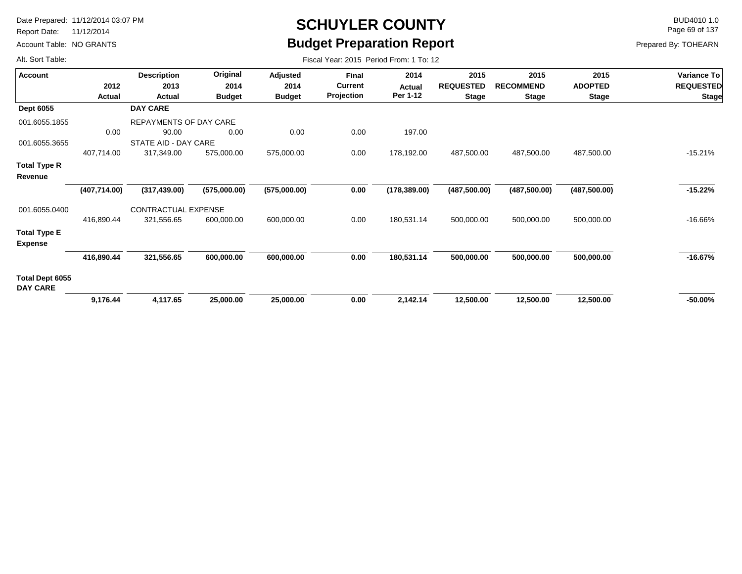Report Date: 11/12/2014

Account Table: NO GRANTS

# **SCHUYLER COUNTY** BUD4010 1.0 **Budget Preparation Report**

Fiscal Year: 2015 Period From: 1 To: 12

Page 69 of 137

| <b>Account</b>                     |               | <b>Description</b>         | Original      | Adjusted      | Final          | 2014          | 2015             | 2015             | 2015           | Variance To      |
|------------------------------------|---------------|----------------------------|---------------|---------------|----------------|---------------|------------------|------------------|----------------|------------------|
|                                    | 2012          | 2013                       | 2014          | 2014          | <b>Current</b> | Actual        | <b>REQUESTED</b> | <b>RECOMMEND</b> | <b>ADOPTED</b> | <b>REQUESTED</b> |
|                                    | Actual        | Actual                     | <b>Budget</b> | <b>Budget</b> | Projection     | Per 1-12      | <b>Stage</b>     | <b>Stage</b>     | <b>Stage</b>   | <b>Stage</b>     |
| <b>Dept 6055</b>                   |               | <b>DAY CARE</b>            |               |               |                |               |                  |                  |                |                  |
| 001.6055.1855                      |               | REPAYMENTS OF DAY CARE     |               |               |                |               |                  |                  |                |                  |
|                                    | 0.00          | 90.00                      | 0.00          | 0.00          | 0.00           | 197.00        |                  |                  |                |                  |
| 001.6055.3655                      |               | STATE AID - DAY CARE       |               |               |                |               |                  |                  |                |                  |
|                                    | 407,714.00    | 317,349.00                 | 575,000.00    | 575,000.00    | 0.00           | 178,192.00    | 487,500.00       | 487,500.00       | 487,500.00     | $-15.21%$        |
| Total Type R                       |               |                            |               |               |                |               |                  |                  |                |                  |
| Revenue                            |               |                            |               |               |                |               |                  |                  |                |                  |
|                                    | (407, 714.00) | (317, 439.00)              | (575,000.00)  | (575,000.00)  | 0.00           | (178, 389.00) | (487, 500.00)    | (487, 500.00)    | (487, 500.00)  | $-15.22%$        |
| 001.6055.0400                      |               | <b>CONTRACTUAL EXPENSE</b> |               |               |                |               |                  |                  |                |                  |
|                                    | 416,890.44    | 321,556.65                 | 600,000.00    | 600,000.00    | 0.00           | 180,531.14    | 500,000.00       | 500,000.00       | 500,000.00     | $-16.66%$        |
| <b>Total Type E</b>                |               |                            |               |               |                |               |                  |                  |                |                  |
| <b>Expense</b>                     |               |                            |               |               |                |               |                  |                  |                |                  |
|                                    | 416,890.44    | 321,556.65                 | 600,000.00    | 600,000.00    | 0.00           | 180,531.14    | 500,000.00       | 500,000.00       | 500,000.00     | $-16.67%$        |
| Total Dept 6055<br><b>DAY CARE</b> |               |                            |               |               |                |               |                  |                  |                |                  |
|                                    | 9,176.44      | 4,117.65                   | 25,000.00     | 25,000.00     | 0.00           | 2,142.14      | 12,500.00        | 12,500.00        | 12,500.00      | $-50.00\%$       |
|                                    |               |                            |               |               |                |               |                  |                  |                |                  |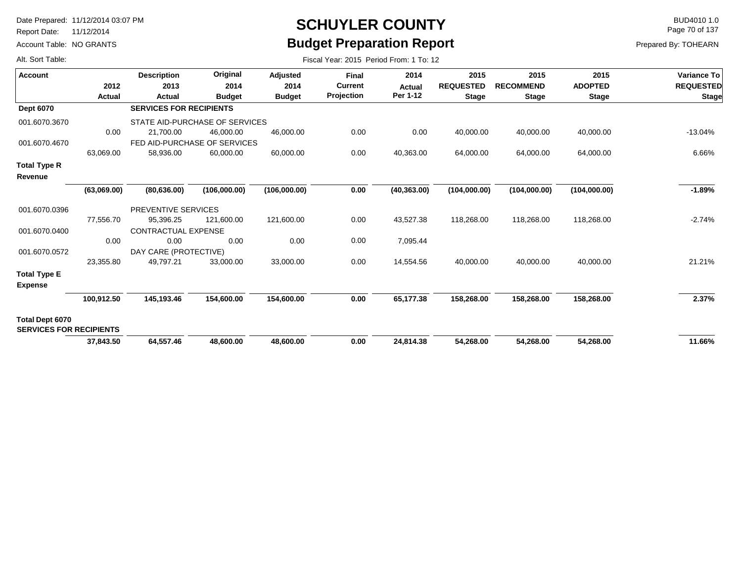Report Date: 11/12/2014

Account Table: NO GRANTS

# **SCHUYLER COUNTY** BUD4010 1.0 **Budget Preparation Report**

Fiscal Year: 2015 Period From: 1 To: 12

Page 70 of 137

|  |  |  | Alt. Sort Table: |
|--|--|--|------------------|
|--|--|--|------------------|

| Account                                                  | 2012        | <b>Description</b><br>2013     | Original<br>2014                            | Adjusted<br>2014 | <b>Final</b><br><b>Current</b> | 2014<br><b>Actual</b> | 2015<br><b>REQUESTED</b> | 2015<br><b>RECOMMEND</b> | 2015<br><b>ADOPTED</b> | Variance To<br><b>REQUESTED</b> |
|----------------------------------------------------------|-------------|--------------------------------|---------------------------------------------|------------------|--------------------------------|-----------------------|--------------------------|--------------------------|------------------------|---------------------------------|
|                                                          | Actual      | Actual                         | <b>Budget</b>                               | <b>Budget</b>    | Projection                     | Per 1-12              | <b>Stage</b>             | <b>Stage</b>             | <b>Stage</b>           | <b>Stage</b>                    |
| <b>Dept 6070</b>                                         |             | <b>SERVICES FOR RECIPIENTS</b> |                                             |                  |                                |                       |                          |                          |                        |                                 |
| 001.6070.3670                                            | 0.00        | 21,700.00                      | STATE AID-PURCHASE OF SERVICES<br>46,000.00 | 46,000.00        | 0.00                           | 0.00                  | 40,000.00                | 40,000.00                | 40,000.00              | $-13.04%$                       |
| 001.6070.4670                                            |             |                                | FED AID-PURCHASE OF SERVICES                |                  |                                |                       |                          |                          |                        |                                 |
|                                                          | 63,069.00   | 58,936.00                      | 60,000.00                                   | 60,000.00        | 0.00                           | 40,363.00             | 64,000.00                | 64,000.00                | 64,000.00              | 6.66%                           |
| <b>Total Type R</b><br>Revenue                           |             |                                |                                             |                  |                                |                       |                          |                          |                        |                                 |
|                                                          | (63,069.00) | (80, 636.00)                   | (106,000.00)                                | (106,000.00)     | 0.00                           | (40, 363.00)          | (104,000.00)             | (104,000.00)             | (104,000.00)           | $-1.89%$                        |
| 001.6070.0396                                            |             | PREVENTIVE SERVICES            |                                             |                  |                                |                       |                          |                          |                        |                                 |
|                                                          | 77,556.70   | 95,396.25                      | 121.600.00                                  | 121,600.00       | 0.00                           | 43,527.38             | 118,268.00               | 118,268.00               | 118,268.00             | $-2.74%$                        |
| 001.6070.0400                                            |             | <b>CONTRACTUAL EXPENSE</b>     |                                             |                  |                                |                       |                          |                          |                        |                                 |
|                                                          | 0.00        | 0.00                           | 0.00                                        | 0.00             | 0.00                           | 7,095.44              |                          |                          |                        |                                 |
| 001.6070.0572                                            |             | DAY CARE (PROTECTIVE)          |                                             |                  |                                |                       |                          |                          |                        |                                 |
|                                                          | 23,355.80   | 49,797.21                      | 33,000.00                                   | 33,000.00        | 0.00                           | 14,554.56             | 40,000.00                | 40,000.00                | 40,000.00              | 21.21%                          |
| <b>Total Type E</b><br><b>Expense</b>                    |             |                                |                                             |                  |                                |                       |                          |                          |                        |                                 |
|                                                          | 100,912.50  | 145,193.46                     | 154,600.00                                  | 154,600.00       | 0.00                           | 65,177.38             | 158,268.00               | 158,268.00               | 158,268.00             | 2.37%                           |
| <b>Total Dept 6070</b><br><b>SERVICES FOR RECIPIENTS</b> |             |                                |                                             |                  |                                |                       |                          |                          |                        |                                 |
|                                                          | 37,843.50   | 64,557.46                      | 48,600.00                                   | 48,600.00        | 0.00                           | 24,814.38             | 54,268.00                | 54,268.00                | 54,268.00              | 11.66%                          |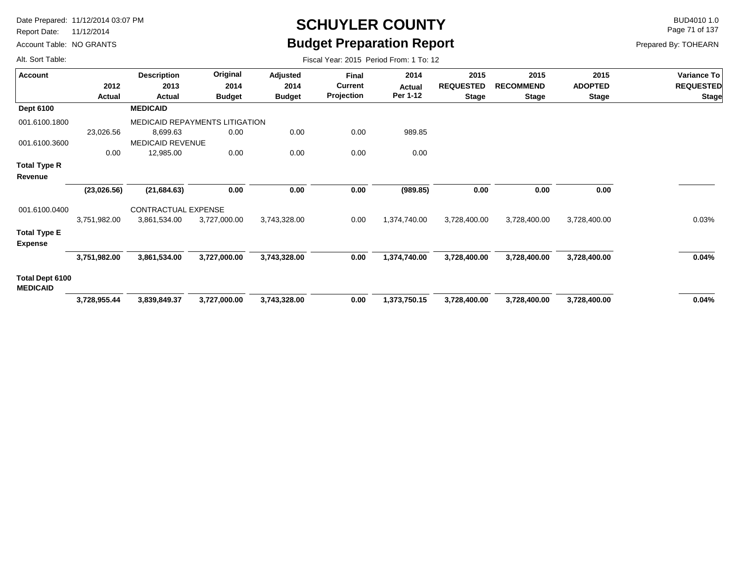Report Date: 11/12/2014

Account Table: NO GRANTS

## **SCHUYLER COUNTY** BUD4010 1.0 **Budget Preparation Report**

Fiscal Year: 2015 Period From: 1 To: 12

Page 71 of 137

| <b>Account</b>                     |               | <b>Description</b>      | Original                              | <b>Adjusted</b> | <b>Final</b>      | 2014         | 2015             | 2015             | 2015           | <b>Variance To</b> |
|------------------------------------|---------------|-------------------------|---------------------------------------|-----------------|-------------------|--------------|------------------|------------------|----------------|--------------------|
|                                    | 2012          | 2013                    | 2014                                  | 2014            | <b>Current</b>    | Actual       | <b>REQUESTED</b> | <b>RECOMMEND</b> | <b>ADOPTED</b> | <b>REQUESTED</b>   |
|                                    | <b>Actual</b> | Actual                  | <b>Budget</b>                         | <b>Budget</b>   | <b>Projection</b> | Per 1-12     | <b>Stage</b>     | <b>Stage</b>     | <b>Stage</b>   | <b>Stage</b>       |
| <b>Dept 6100</b>                   |               | <b>MEDICAID</b>         |                                       |                 |                   |              |                  |                  |                |                    |
| 001.6100.1800                      |               |                         | <b>MEDICAID REPAYMENTS LITIGATION</b> |                 |                   |              |                  |                  |                |                    |
|                                    | 23,026.56     | 8,699.63                | 0.00                                  | 0.00            | 0.00              | 989.85       |                  |                  |                |                    |
| 001.6100.3600                      |               | <b>MEDICAID REVENUE</b> |                                       |                 |                   |              |                  |                  |                |                    |
|                                    | 0.00          | 12,985.00               | 0.00                                  | 0.00            | 0.00              | 0.00         |                  |                  |                |                    |
| Total Type R                       |               |                         |                                       |                 |                   |              |                  |                  |                |                    |
| Revenue                            |               |                         |                                       |                 |                   |              |                  |                  |                |                    |
|                                    | (23,026.56)   | (21, 684.63)            | 0.00                                  | 0.00            | 0.00              | (989.85)     | 0.00             | 0.00             | 0.00           |                    |
| 001.6100.0400                      |               | CONTRACTUAL EXPENSE     |                                       |                 |                   |              |                  |                  |                |                    |
|                                    | 3,751,982.00  | 3,861,534.00            | 3,727,000.00                          | 3,743,328.00    | 0.00              | 1,374,740.00 | 3,728,400.00     | 3,728,400.00     | 3,728,400.00   | 0.03%              |
| <b>Total Type E</b>                |               |                         |                                       |                 |                   |              |                  |                  |                |                    |
| <b>Expense</b>                     |               |                         |                                       |                 |                   |              |                  |                  |                |                    |
|                                    | 3,751,982.00  | 3,861,534.00            | 3,727,000.00                          | 3,743,328.00    | 0.00              | 1,374,740.00 | 3,728,400.00     | 3,728,400.00     | 3,728,400.00   | 0.04%              |
| Total Dept 6100<br><b>MEDICAID</b> |               |                         |                                       |                 |                   |              |                  |                  |                |                    |
|                                    | 3,728,955.44  | 3,839,849.37            | 3,727,000.00                          | 3,743,328.00    | 0.00              | 1,373,750.15 | 3,728,400.00     | 3,728,400.00     | 3,728,400.00   | 0.04%              |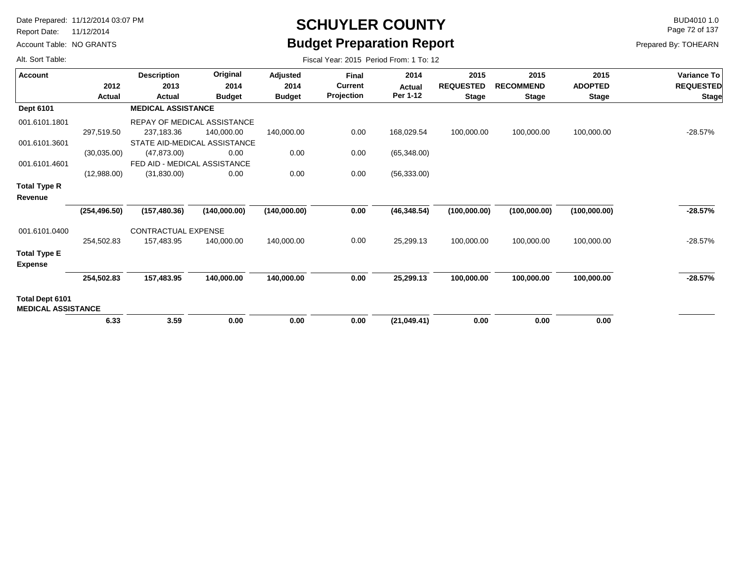Report Date: 11/12/2014

Account Table: NO GRANTS

### **SCHUYLER COUNTY** BUD4010 1.0 **Budget Preparation Report**

Page 72 of 137

| Alt. Sort Table:                             |               |                              |                                    |               | Fiscal Year: 2015 Period From: 1 To: 12 |                           |                  |                  |                |                  |
|----------------------------------------------|---------------|------------------------------|------------------------------------|---------------|-----------------------------------------|---------------------------|------------------|------------------|----------------|------------------|
| <b>Account</b>                               |               | <b>Description</b>           | Original                           | Adjusted      | <b>Final</b>                            | 2014                      | 2015             | 2015             | 2015           | Variance To      |
|                                              | 2012          | 2013                         | 2014                               | 2014          | <b>Current</b><br>Projection            | <b>Actual</b><br>Per 1-12 | <b>REQUESTED</b> | <b>RECOMMEND</b> | <b>ADOPTED</b> | <b>REQUESTED</b> |
|                                              | Actual        | Actual                       | <b>Budget</b>                      | <b>Budget</b> |                                         |                           | <b>Stage</b>     | <b>Stage</b>     | <b>Stage</b>   | <b>Stage</b>     |
| <b>Dept 6101</b>                             |               | <b>MEDICAL ASSISTANCE</b>    |                                    |               |                                         |                           |                  |                  |                |                  |
| 001.6101.1801                                |               |                              | <b>REPAY OF MEDICAL ASSISTANCE</b> |               |                                         |                           |                  |                  |                |                  |
|                                              | 297,519.50    | 237,183.36                   | 140,000.00                         | 140,000.00    | 0.00                                    | 168,029.54                | 100,000.00       | 100,000.00       | 100,000.00     | $-28.57%$        |
| 001.6101.3601                                |               |                              | STATE AID-MEDICAL ASSISTANCE       |               |                                         |                           |                  |                  |                |                  |
|                                              | (30,035.00)   | (47, 873.00)                 | 0.00                               | 0.00          | 0.00                                    | (65,348.00)               |                  |                  |                |                  |
| 001.6101.4601                                |               | FED AID - MEDICAL ASSISTANCE |                                    |               |                                         |                           |                  |                  |                |                  |
|                                              | (12,988.00)   | (31,830.00)                  | 0.00                               | 0.00          | 0.00                                    | (56, 333.00)              |                  |                  |                |                  |
| <b>Total Type R</b>                          |               |                              |                                    |               |                                         |                           |                  |                  |                |                  |
| Revenue                                      |               |                              |                                    |               |                                         |                           |                  |                  |                |                  |
|                                              | (254, 496.50) | (157, 480.36)                | (140,000.00)                       | (140,000.00)  | 0.00                                    | (46, 348.54)              | (100,000.00)     | (100,000.00)     | (100,000.00)   | $-28.57%$        |
| 001.6101.0400                                |               | CONTRACTUAL EXPENSE          |                                    |               |                                         |                           |                  |                  |                |                  |
|                                              | 254,502.83    | 157,483.95                   | 140,000.00                         | 140,000.00    | 0.00                                    | 25,299.13                 | 100,000.00       | 100,000.00       | 100,000.00     | $-28.57%$        |
| <b>Total Type E</b>                          |               |                              |                                    |               |                                         |                           |                  |                  |                |                  |
| <b>Expense</b>                               |               |                              |                                    |               |                                         |                           |                  |                  |                |                  |
|                                              | 254,502.83    | 157,483.95                   | 140,000.00                         | 140,000.00    | 0.00                                    | 25,299.13                 | 100,000.00       | 100,000.00       | 100,000.00     | $-28.57%$        |
| Total Dept 6101<br><b>MEDICAL ASSISTANCE</b> |               |                              |                                    |               |                                         |                           |                  |                  |                |                  |
|                                              | 6.33          | 3.59                         | 0.00                               | 0.00          | 0.00                                    | (21,049.41)               | 0.00             | 0.00             | 0.00           |                  |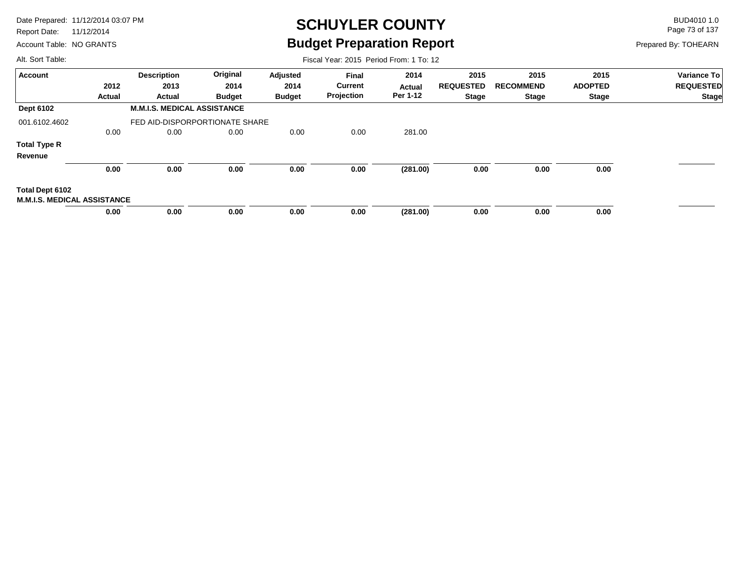Report Date: 11/12/2014

Account Table: NO GRANTS

## **SCHUYLER COUNTY** BUD4010 1.0 **Budget Preparation Report**

Fiscal Year: 2015 Period From: 1 To: 12

Page 73 of 137

Prepared By: TOHEARN

| <b>Account</b>                     |        | <b>Description</b>                 | Original      | Adjusted      | <b>Final</b>   | 2014     | 2015             | 2015             | 2015           | <b>Variance To</b> |
|------------------------------------|--------|------------------------------------|---------------|---------------|----------------|----------|------------------|------------------|----------------|--------------------|
|                                    | 2012   | 2013                               | 2014          | 2014          | <b>Current</b> | Actual   | <b>REQUESTED</b> | <b>RECOMMEND</b> | <b>ADOPTED</b> | <b>REQUESTED</b>   |
|                                    | Actual | Actual                             | <b>Budget</b> | <b>Budget</b> | Projection     | Per 1-12 | <b>Stage</b>     | Stage            | Stage          | <b>Stage</b>       |
| <b>Dept 6102</b>                   |        | <b>M.M.I.S. MEDICAL ASSISTANCE</b> |               |               |                |          |                  |                  |                |                    |
| 001.6102.4602                      |        | FED AID-DISPORPORTIONATE SHARE     |               |               |                |          |                  |                  |                |                    |
|                                    | 0.00   | 0.00                               | 0.00          | 0.00          | 0.00           | 281.00   |                  |                  |                |                    |
| <b>Total Type R</b>                |        |                                    |               |               |                |          |                  |                  |                |                    |
| Revenue                            |        |                                    |               |               |                |          |                  |                  |                |                    |
|                                    | 0.00   | 0.00                               | 0.00          | 0.00          | 0.00           | (281.00) | 0.00             | 0.00             | 0.00           |                    |
| Total Dept 6102                    |        |                                    |               |               |                |          |                  |                  |                |                    |
| <b>M.M.I.S. MEDICAL ASSISTANCE</b> |        |                                    |               |               |                |          |                  |                  |                |                    |
|                                    | 0.00   | 0.00                               | 0.00          | 0.00          | 0.00           | (281.00) | 0.00             | 0.00             | 0.00           |                    |
|                                    |        |                                    |               |               |                |          |                  |                  |                |                    |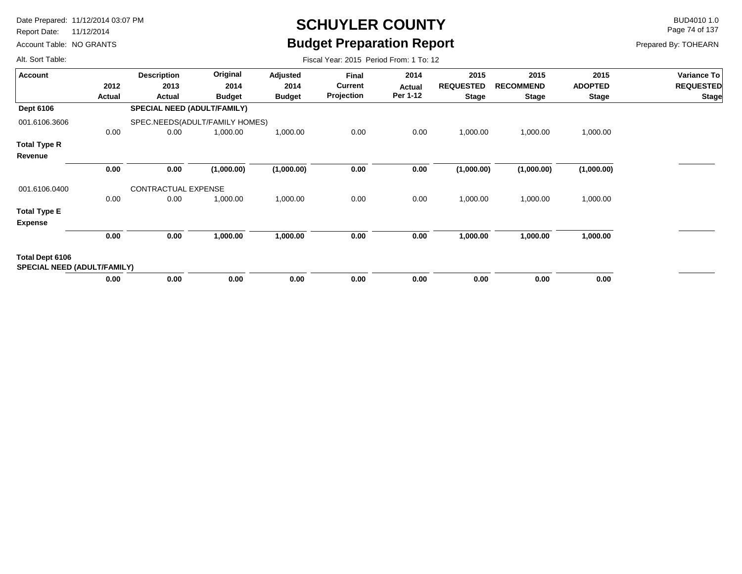Report Date: 11/12/2014

Account Table: NO GRANTS

# **SCHUYLER COUNTY** BUD4010 1.0 **Budget Preparation Report**

Fiscal Year: 2015 Period From: 1 To: 12

Page 74 of 137

Prepared By: TOHEARN

| <b>Account</b>                                        |        | <b>Description</b>                 | Original      | Adjusted      | <b>Final</b>   | 2014     | 2015             | 2015             | 2015           | Variance To      |
|-------------------------------------------------------|--------|------------------------------------|---------------|---------------|----------------|----------|------------------|------------------|----------------|------------------|
|                                                       | 2012   | 2013                               | 2014          | 2014          | <b>Current</b> | Actual   | <b>REQUESTED</b> | <b>RECOMMEND</b> | <b>ADOPTED</b> | <b>REQUESTED</b> |
|                                                       | Actual | Actual                             | <b>Budget</b> | <b>Budget</b> | Projection     | Per 1-12 | <b>Stage</b>     | <b>Stage</b>     | <b>Stage</b>   | <b>Stage</b>     |
| <b>Dept 6106</b>                                      |        | <b>SPECIAL NEED (ADULT/FAMILY)</b> |               |               |                |          |                  |                  |                |                  |
| 001.6106.3606                                         |        | SPEC.NEEDS(ADULT/FAMILY HOMES)     |               |               |                |          |                  |                  |                |                  |
|                                                       | 0.00   | 0.00                               | 1,000.00      | 1,000.00      | 0.00           | 0.00     | 1,000.00         | 1,000.00         | 1,000.00       |                  |
| <b>Total Type R</b>                                   |        |                                    |               |               |                |          |                  |                  |                |                  |
| Revenue                                               |        |                                    |               |               |                |          |                  |                  |                |                  |
|                                                       | 0.00   | 0.00                               | (1,000.00)    | (1,000.00)    | 0.00           | 0.00     | (1,000.00)       | (1,000.00)       | (1,000.00)     |                  |
| 001.6106.0400                                         |        | CONTRACTUAL EXPENSE                |               |               |                |          |                  |                  |                |                  |
|                                                       | 0.00   | 0.00                               | 1,000.00      | 1,000.00      | 0.00           | 0.00     | 1,000.00         | 1,000.00         | 1,000.00       |                  |
| <b>Total Type E</b><br><b>Expense</b>                 |        |                                    |               |               |                |          |                  |                  |                |                  |
|                                                       | 0.00   | 0.00                               | 1,000.00      | 1,000.00      | 0.00           | 0.00     | 1,000.00         | 1,000.00         | 1,000.00       |                  |
| Total Dept 6106<br><b>SPECIAL NEED (ADULT/FAMILY)</b> |        |                                    |               |               |                |          |                  |                  |                |                  |
|                                                       | 0.00   | 0.00                               | 0.00          | 0.00          | 0.00           | 0.00     | 0.00             | 0.00             | 0.00           |                  |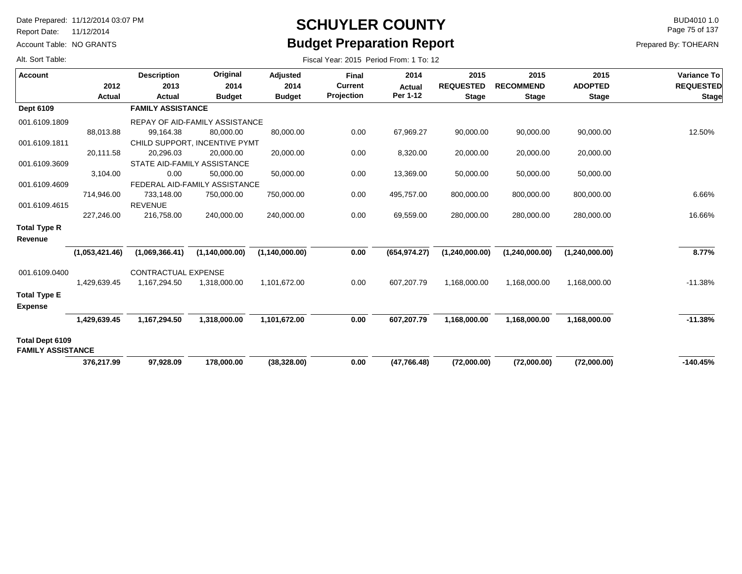Report Date: 11/12/2014

Account Table: NO GRANTS

# **SCHUYLER COUNTY** BUD4010 1.0 **Budget Preparation Report**

Fiscal Year: 2015 Period From: 1 To: 12

Page 75 of 137

| Alt. Sort Table: |  |
|------------------|--|
|------------------|--|

| <b>Account</b>           |                       | <b>Description</b>         | Original                       | <b>Adjusted</b>       | <b>Final</b>                 | 2014                      | 2015                             | 2015                             | 2015                           | Variance To                      |
|--------------------------|-----------------------|----------------------------|--------------------------------|-----------------------|------------------------------|---------------------------|----------------------------------|----------------------------------|--------------------------------|----------------------------------|
|                          | 2012<br><b>Actual</b> | 2013<br>Actual             | 2014<br><b>Budget</b>          | 2014<br><b>Budget</b> | <b>Current</b><br>Projection | <b>Actual</b><br>Per 1-12 | <b>REQUESTED</b><br><b>Stage</b> | <b>RECOMMEND</b><br><b>Stage</b> | <b>ADOPTED</b><br><b>Stage</b> | <b>REQUESTED</b><br><b>Stage</b> |
| Dept 6109                |                       | <b>FAMILY ASSISTANCE</b>   |                                |                       |                              |                           |                                  |                                  |                                |                                  |
| 001.6109.1809            |                       |                            | REPAY OF AID-FAMILY ASSISTANCE |                       |                              |                           |                                  |                                  |                                |                                  |
|                          | 88.013.88             | 99,164.38                  | 80,000.00                      | 80,000.00             | 0.00                         | 67,969.27                 | 90,000.00                        | 90,000.00                        | 90,000.00                      | 12.50%                           |
| 001.6109.1811            |                       |                            | CHILD SUPPORT, INCENTIVE PYMT  |                       |                              |                           |                                  |                                  |                                |                                  |
|                          | 20,111.58             | 20,296.03                  | 20,000.00                      | 20,000.00             | 0.00                         | 8,320.00                  | 20,000.00                        | 20,000.00                        | 20,000.00                      |                                  |
| 001.6109.3609            |                       |                            | STATE AID-FAMILY ASSISTANCE    |                       |                              |                           |                                  |                                  |                                |                                  |
|                          | 3,104.00              | 0.00                       | 50,000.00                      | 50,000.00             | 0.00                         | 13,369.00                 | 50,000.00                        | 50,000.00                        | 50,000.00                      |                                  |
| 001.6109.4609            |                       |                            | FEDERAL AID-FAMILY ASSISTANCE  |                       |                              |                           |                                  |                                  |                                |                                  |
|                          | 714,946.00            | 733,148.00                 | 750,000.00                     | 750,000.00            | 0.00                         | 495,757.00                | 800,000.00                       | 800,000.00                       | 800,000.00                     | 6.66%                            |
| 001.6109.4615            |                       | <b>REVENUE</b>             |                                |                       |                              |                           |                                  |                                  |                                |                                  |
|                          | 227,246.00            | 216,758.00                 | 240,000.00                     | 240,000.00            | 0.00                         | 69,559.00                 | 280,000.00                       | 280,000.00                       | 280,000.00                     | 16.66%                           |
| <b>Total Type R</b>      |                       |                            |                                |                       |                              |                           |                                  |                                  |                                |                                  |
| Revenue                  |                       |                            |                                |                       |                              |                           |                                  |                                  |                                |                                  |
|                          | (1,053,421.46)        | (1,069,366.41)             | (1,140,000.00)                 | (1,140,000.00)        | 0.00                         | (654, 974.27)             | (1,240,000.00)                   | (1,240,000.00)                   | (1,240,000.00)                 | 8.77%                            |
| 001.6109.0400            |                       | <b>CONTRACTUAL EXPENSE</b> |                                |                       |                              |                           |                                  |                                  |                                |                                  |
|                          | 1,429,639.45          | 1,167,294.50               | 1,318,000.00                   | 1,101,672.00          | 0.00                         | 607,207.79                | 1,168,000.00                     | 1,168,000.00                     | 1,168,000.00                   | $-11.38%$                        |
| <b>Total Type E</b>      |                       |                            |                                |                       |                              |                           |                                  |                                  |                                |                                  |
| <b>Expense</b>           |                       |                            |                                |                       |                              |                           |                                  |                                  |                                |                                  |
|                          | 1,429,639.45          | 1,167,294.50               | 1,318,000.00                   | 1,101,672.00          | 0.00                         | 607,207.79                | 1,168,000.00                     | 1,168,000.00                     | 1,168,000.00                   | $-11.38%$                        |
| Total Dept 6109          |                       |                            |                                |                       |                              |                           |                                  |                                  |                                |                                  |
| <b>FAMILY ASSISTANCE</b> |                       |                            |                                |                       |                              |                           |                                  |                                  |                                |                                  |
|                          | 376,217.99            | 97,928.09                  | 178,000.00                     | (38, 328.00)          | 0.00                         | (47, 766.48)              | (72,000.00)                      | (72,000.00)                      | (72,000.00)                    | $-140.45%$                       |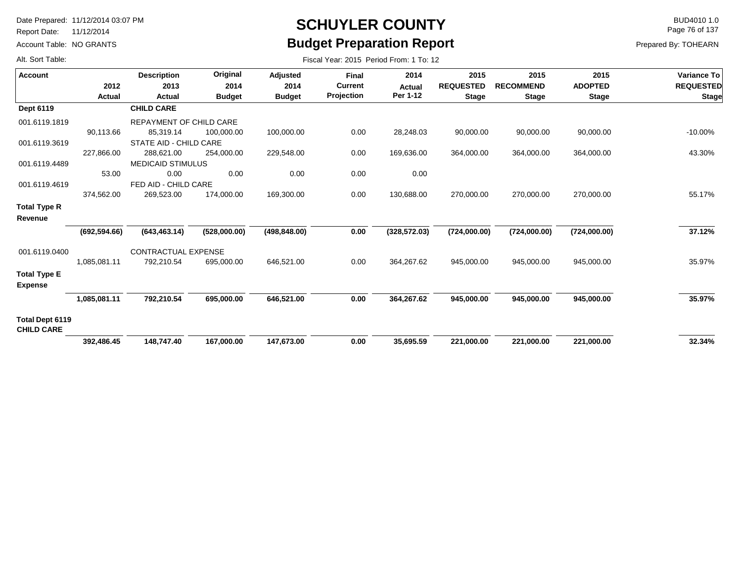Report Date: 11/12/2014

Account Table: NO GRANTS

## **SCHUYLER COUNTY** BUD4010 1.0 **Budget Preparation Report**

Fiscal Year: 2015 Period From: 1 To: 12

Page 76 of 137

Prepared By: TOHEARN

| <b>Account</b>                        |               | <b>Description</b>       | Original      | <b>Adjusted</b> | <b>Final</b>   | 2014          | 2015             | 2015             | 2015           | Variance To      |
|---------------------------------------|---------------|--------------------------|---------------|-----------------|----------------|---------------|------------------|------------------|----------------|------------------|
|                                       | 2012          | 2013                     | 2014          | 2014            | <b>Current</b> | Actual        | <b>REQUESTED</b> | <b>RECOMMEND</b> | <b>ADOPTED</b> | <b>REQUESTED</b> |
|                                       | Actual        | Actual                   | <b>Budget</b> | <b>Budget</b>   | Projection     | Per 1-12      | <b>Stage</b>     | <b>Stage</b>     | <b>Stage</b>   | <b>Stage</b>     |
| Dept 6119                             |               | <b>CHILD CARE</b>        |               |                 |                |               |                  |                  |                |                  |
| 001.6119.1819                         |               | REPAYMENT OF CHILD CARE  |               |                 |                |               |                  |                  |                |                  |
|                                       | 90,113.66     | 85,319.14                | 100,000.00    | 100,000.00      | 0.00           | 28,248.03     | 90,000.00        | 90,000.00        | 90,000.00      | $-10.00%$        |
| 001.6119.3619                         |               | STATE AID - CHILD CARE   |               |                 |                |               |                  |                  |                |                  |
|                                       | 227.866.00    | 288,621.00               | 254,000.00    | 229,548.00      | 0.00           | 169,636.00    | 364,000.00       | 364,000.00       | 364,000.00     | 43.30%           |
| 001.6119.4489                         |               | <b>MEDICAID STIMULUS</b> |               |                 |                |               |                  |                  |                |                  |
|                                       | 53.00         | 0.00                     | 0.00          | 0.00            | 0.00           | 0.00          |                  |                  |                |                  |
| 001.6119.4619                         |               | FED AID - CHILD CARE     |               |                 |                |               |                  |                  |                |                  |
|                                       | 374,562.00    | 269,523.00               | 174,000.00    | 169,300.00      | 0.00           | 130,688.00    | 270,000.00       | 270,000.00       | 270,000.00     | 55.17%           |
| <b>Total Type R</b><br>Revenue        |               |                          |               |                 |                |               |                  |                  |                |                  |
|                                       | (692, 594.66) | (643, 463.14)            | (528,000.00)  | (498, 848.00)   | 0.00           | (328, 572.03) | (724,000.00)     | (724,000.00)     | (724,000.00)   | 37.12%           |
| 001.6119.0400                         |               | CONTRACTUAL EXPENSE      |               |                 |                |               |                  |                  |                |                  |
|                                       | 1,085,081.11  | 792,210.54               | 695,000.00    | 646,521.00      | 0.00           | 364,267.62    | 945,000.00       | 945,000.00       | 945,000.00     | 35.97%           |
| <b>Total Type E</b><br><b>Expense</b> |               |                          |               |                 |                |               |                  |                  |                |                  |
|                                       | 1,085,081.11  | 792,210.54               | 695,000.00    | 646,521.00      | 0.00           | 364,267.62    | 945,000.00       | 945,000.00       | 945,000.00     | 35.97%           |
| Total Dept 6119<br><b>CHILD CARE</b>  |               |                          |               |                 |                |               |                  |                  |                |                  |
|                                       | 392,486.45    | 148,747.40               | 167.000.00    | 147,673.00      | 0.00           | 35,695.59     | 221.000.00       | 221,000.00       | 221,000.00     | 32.34%           |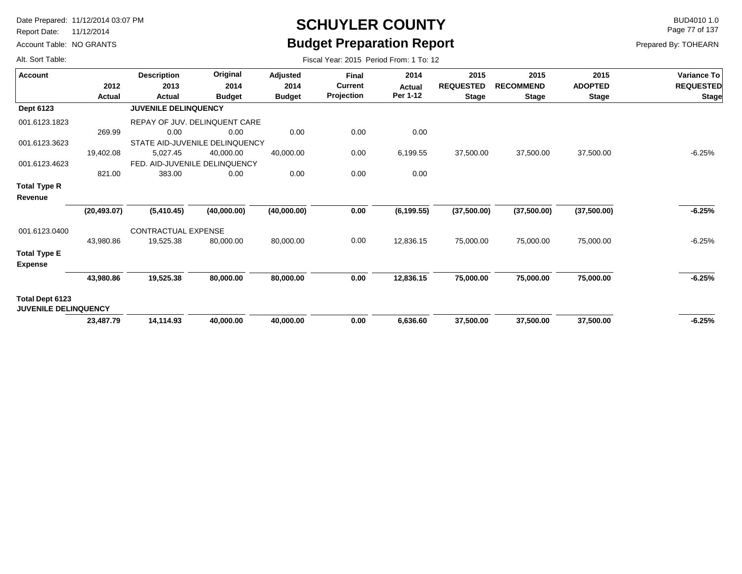Report Date: 11/12/2014

Account Table: NO GRANTS

## **SCHUYLER COUNTY** BUD4010 1.0 **Budget Preparation Report**

Page 77 of 137

| Alt. Sort Table:                               |                | Fiscal Year: 2015 Period From: 1 To: 12 |                                       |                                   |                                              |                                   |                                          |                                          |                                        |                                                        |  |  |  |  |
|------------------------------------------------|----------------|-----------------------------------------|---------------------------------------|-----------------------------------|----------------------------------------------|-----------------------------------|------------------------------------------|------------------------------------------|----------------------------------------|--------------------------------------------------------|--|--|--|--|
| <b>Account</b>                                 | 2012<br>Actual | <b>Description</b><br>2013<br>Actual    | Original<br>2014<br><b>Budget</b>     | Adjusted<br>2014<br><b>Budget</b> | <b>Final</b><br><b>Current</b><br>Projection | 2014<br><b>Actual</b><br>Per 1-12 | 2015<br><b>REQUESTED</b><br><b>Stage</b> | 2015<br><b>RECOMMEND</b><br><b>Stage</b> | 2015<br><b>ADOPTED</b><br><b>Stage</b> | <b>Variance To</b><br><b>REQUESTED</b><br><b>Stage</b> |  |  |  |  |
| <b>Dept 6123</b>                               |                | <b>JUVENILE DELINQUENCY</b>             |                                       |                                   |                                              |                                   |                                          |                                          |                                        |                                                        |  |  |  |  |
| 001.6123.1823                                  |                |                                         | REPAY OF JUV. DELINQUENT CARE         |                                   |                                              |                                   |                                          |                                          |                                        |                                                        |  |  |  |  |
|                                                | 269.99         | 0.00                                    | 0.00                                  | 0.00                              | 0.00                                         | 0.00                              |                                          |                                          |                                        |                                                        |  |  |  |  |
| 001.6123.3623                                  |                |                                         | STATE AID-JUVENILE DELINQUENCY        |                                   |                                              |                                   |                                          |                                          |                                        |                                                        |  |  |  |  |
|                                                | 19,402.08      | 5,027.45                                | 40,000.00                             | 40,000.00                         | 0.00                                         | 6,199.55                          | 37,500.00                                | 37,500.00                                | 37,500.00                              | $-6.25%$                                               |  |  |  |  |
| 001.6123.4623                                  | 821.00         | 383.00                                  | FED. AID-JUVENILE DELINQUENCY<br>0.00 | 0.00                              | 0.00                                         | 0.00                              |                                          |                                          |                                        |                                                        |  |  |  |  |
| <b>Total Type R</b><br>Revenue                 |                |                                         |                                       |                                   |                                              |                                   |                                          |                                          |                                        |                                                        |  |  |  |  |
|                                                | (20, 493.07)   | (5,410.45)                              | (40,000.00)                           | (40,000.00)                       | 0.00                                         | (6, 199.55)                       | (37,500.00)                              | (37,500.00)                              | (37,500.00)                            | $-6.25%$                                               |  |  |  |  |
| 001.6123.0400                                  | 43,980.86      | CONTRACTUAL EXPENSE<br>19,525.38        | 80,000.00                             |                                   | 0.00                                         | 12,836.15                         | 75,000.00                                | 75,000.00                                | 75,000.00                              | $-6.25%$                                               |  |  |  |  |
|                                                |                |                                         |                                       | 80,000.00                         |                                              |                                   |                                          |                                          |                                        |                                                        |  |  |  |  |
| <b>Total Type E</b><br><b>Expense</b>          |                |                                         |                                       |                                   |                                              |                                   |                                          |                                          |                                        |                                                        |  |  |  |  |
|                                                | 43,980.86      | 19,525.38                               | 80,000.00                             | 80,000.00                         | 0.00                                         | 12,836.15                         | 75,000.00                                | 75,000.00                                | 75,000.00                              | $-6.25%$                                               |  |  |  |  |
| Total Dept 6123<br><b>JUVENILE DELINQUENCY</b> |                |                                         |                                       |                                   |                                              |                                   |                                          |                                          |                                        |                                                        |  |  |  |  |
|                                                | 23,487.79      | 14,114.93                               | 40,000.00                             | 40,000.00                         | 0.00                                         | 6,636.60                          | 37,500.00                                | 37,500.00                                | 37,500.00                              | $-6.25%$                                               |  |  |  |  |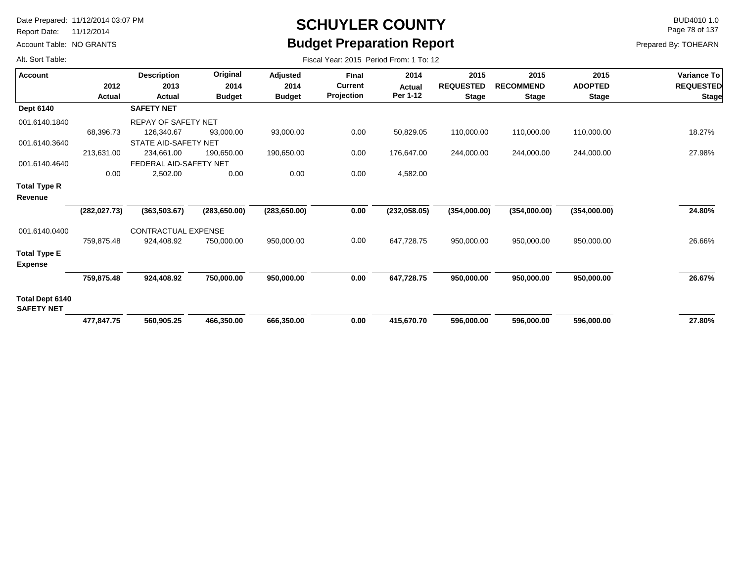Report Date: 11/12/2014

Account Table: NO GRANTS

### **SCHUYLER COUNTY** BUD4010 1.0 **Budget Preparation Report**

Page 78 of 137

| Alt. Sort Table:                      |               | Fiscal Year: 2015 Period From: 1 To: 12 |                  |                  |                                |                |                          |                          |                        |                                 |  |  |  |  |
|---------------------------------------|---------------|-----------------------------------------|------------------|------------------|--------------------------------|----------------|--------------------------|--------------------------|------------------------|---------------------------------|--|--|--|--|
| <b>Account</b>                        | 2012          | <b>Description</b><br>2013              | Original<br>2014 | Adjusted<br>2014 | <b>Final</b><br><b>Current</b> | 2014<br>Actual | 2015<br><b>REQUESTED</b> | 2015<br><b>RECOMMEND</b> | 2015<br><b>ADOPTED</b> | Variance To<br><b>REQUESTED</b> |  |  |  |  |
|                                       | Actual        | Actual                                  | <b>Budget</b>    | <b>Budget</b>    | Projection                     | Per 1-12       | <b>Stage</b>             | <b>Stage</b>             | <b>Stage</b>           | <b>Stage</b>                    |  |  |  |  |
| <b>Dept 6140</b>                      |               | <b>SAFETY NET</b>                       |                  |                  |                                |                |                          |                          |                        |                                 |  |  |  |  |
| 001.6140.1840                         |               | <b>REPAY OF SAFETY NET</b>              |                  |                  |                                |                |                          |                          |                        |                                 |  |  |  |  |
|                                       | 68,396.73     | 126,340.67                              | 93,000.00        | 93,000.00        | 0.00                           | 50,829.05      | 110,000.00               | 110,000.00               | 110,000.00             | 18.27%                          |  |  |  |  |
| 001.6140.3640                         |               | STATE AID-SAFETY NET                    |                  |                  |                                |                |                          |                          |                        |                                 |  |  |  |  |
|                                       | 213,631.00    | 234,661.00                              | 190,650.00       | 190,650.00       | 0.00                           | 176,647.00     | 244,000.00               | 244,000.00               | 244,000.00             | 27.98%                          |  |  |  |  |
| 001.6140.4640                         |               | FEDERAL AID-SAFETY NET                  |                  |                  |                                |                |                          |                          |                        |                                 |  |  |  |  |
|                                       | 0.00          | 2,502.00                                | 0.00             | 0.00             | 0.00                           | 4,582.00       |                          |                          |                        |                                 |  |  |  |  |
| Total Type R                          |               |                                         |                  |                  |                                |                |                          |                          |                        |                                 |  |  |  |  |
| Revenue                               |               |                                         |                  |                  |                                |                |                          |                          |                        |                                 |  |  |  |  |
|                                       | (282, 027.73) | (363,503.67)                            | (283, 650.00)    | (283, 650.00)    | 0.00                           | (232, 058.05)  | (354,000.00)             | (354,000.00)             | (354,000.00)           | 24.80%                          |  |  |  |  |
| 001.6140.0400                         |               | CONTRACTUAL EXPENSE                     |                  |                  |                                |                |                          |                          |                        |                                 |  |  |  |  |
|                                       | 759,875.48    | 924,408.92                              | 750,000.00       | 950,000.00       | 0.00                           | 647,728.75     | 950,000.00               | 950,000.00               | 950,000.00             | 26.66%                          |  |  |  |  |
| <b>Total Type E</b><br><b>Expense</b> |               |                                         |                  |                  |                                |                |                          |                          |                        |                                 |  |  |  |  |
|                                       | 759,875.48    | 924,408.92                              | 750,000.00       | 950,000.00       | 0.00                           | 647,728.75     | 950,000.00               | 950,000.00               | 950,000.00             | 26.67%                          |  |  |  |  |
| Total Dept 6140<br><b>SAFETY NET</b>  |               |                                         |                  |                  |                                |                |                          |                          |                        |                                 |  |  |  |  |
|                                       | 477,847.75    | 560,905.25                              | 466.350.00       | 666,350.00       | 0.00                           | 415,670.70     | 596,000.00               | 596,000.00               | 596,000.00             | 27.80%                          |  |  |  |  |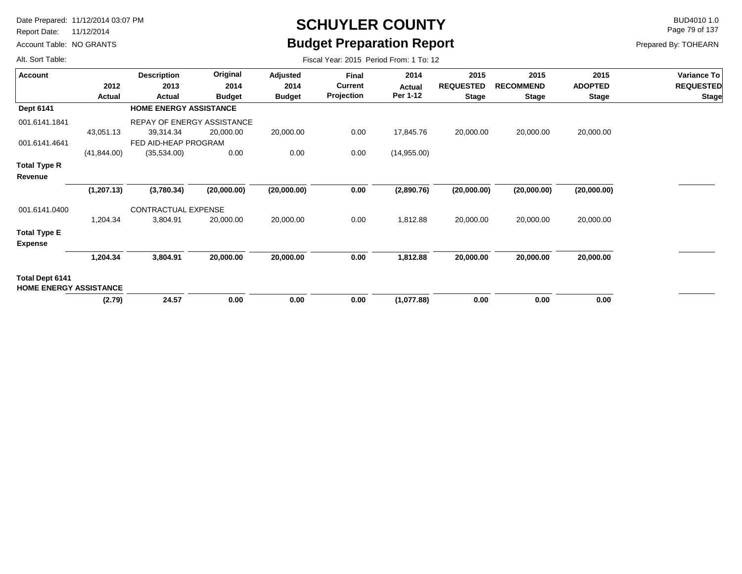Report Date: 11/12/2014

Account Table: NO GRANTS

# **SCHUYLER COUNTY** BUD4010 1.0 **Budget Preparation Report**

Page 79 of 137

| Alt. Sort Table:                                        |                | Fiscal Year: 2015 Period From: 1 To: 12 |                                   |                                   |                                       |                                   |                                          |                                          |                                        |                                                 |  |  |  |  |
|---------------------------------------------------------|----------------|-----------------------------------------|-----------------------------------|-----------------------------------|---------------------------------------|-----------------------------------|------------------------------------------|------------------------------------------|----------------------------------------|-------------------------------------------------|--|--|--|--|
| <b>Account</b>                                          | 2012<br>Actual | <b>Description</b><br>2013<br>Actual    | Original<br>2014<br><b>Budget</b> | Adjusted<br>2014<br><b>Budget</b> | Final<br><b>Current</b><br>Projection | 2014<br><b>Actual</b><br>Per 1-12 | 2015<br><b>REQUESTED</b><br><b>Stage</b> | 2015<br><b>RECOMMEND</b><br><b>Stage</b> | 2015<br><b>ADOPTED</b><br><b>Stage</b> | Variance To<br><b>REQUESTED</b><br><b>Stage</b> |  |  |  |  |
| Dept 6141                                               |                | <b>HOME ENERGY ASSISTANCE</b>           |                                   |                                   |                                       |                                   |                                          |                                          |                                        |                                                 |  |  |  |  |
| 001.6141.1841                                           |                | REPAY OF ENERGY ASSISTANCE              |                                   |                                   |                                       |                                   |                                          |                                          |                                        |                                                 |  |  |  |  |
|                                                         | 43,051.13      | 39,314.34                               | 20,000.00                         | 20,000.00                         | 0.00                                  | 17,845.76                         | 20,000.00                                | 20,000.00                                | 20,000.00                              |                                                 |  |  |  |  |
| 001.6141.4641                                           |                | FED AID-HEAP PROGRAM                    |                                   |                                   |                                       |                                   |                                          |                                          |                                        |                                                 |  |  |  |  |
|                                                         | (41, 844.00)   | (35,534.00)                             | 0.00                              | 0.00                              | 0.00                                  | (14, 955.00)                      |                                          |                                          |                                        |                                                 |  |  |  |  |
| <b>Total Type R</b>                                     |                |                                         |                                   |                                   |                                       |                                   |                                          |                                          |                                        |                                                 |  |  |  |  |
| Revenue                                                 |                |                                         |                                   |                                   |                                       |                                   |                                          |                                          |                                        |                                                 |  |  |  |  |
|                                                         | (1, 207.13)    | (3,780.34)                              | (20,000.00)                       | (20,000.00)                       | 0.00                                  | (2,890.76)                        | (20,000.00)                              | (20,000.00)                              | (20,000.00)                            |                                                 |  |  |  |  |
| 001.6141.0400                                           |                | CONTRACTUAL EXPENSE                     |                                   |                                   |                                       |                                   |                                          |                                          |                                        |                                                 |  |  |  |  |
|                                                         | 1,204.34       | 3,804.91                                | 20,000.00                         | 20,000.00                         | 0.00                                  | 1,812.88                          | 20,000.00                                | 20,000.00                                | 20,000.00                              |                                                 |  |  |  |  |
| <b>Total Type E</b><br><b>Expense</b>                   |                |                                         |                                   |                                   |                                       |                                   |                                          |                                          |                                        |                                                 |  |  |  |  |
|                                                         | 1,204.34       | 3,804.91                                | 20,000.00                         | 20,000.00                         | 0.00                                  | 1,812.88                          | 20,000.00                                | 20,000.00                                | 20,000.00                              |                                                 |  |  |  |  |
| <b>Total Dept 6141</b><br><b>HOME ENERGY ASSISTANCE</b> |                |                                         |                                   |                                   |                                       |                                   |                                          |                                          |                                        |                                                 |  |  |  |  |
|                                                         | (2.79)         | 24.57                                   | 0.00                              | 0.00                              | 0.00                                  | (1,077.88)                        | 0.00                                     | 0.00                                     | 0.00                                   |                                                 |  |  |  |  |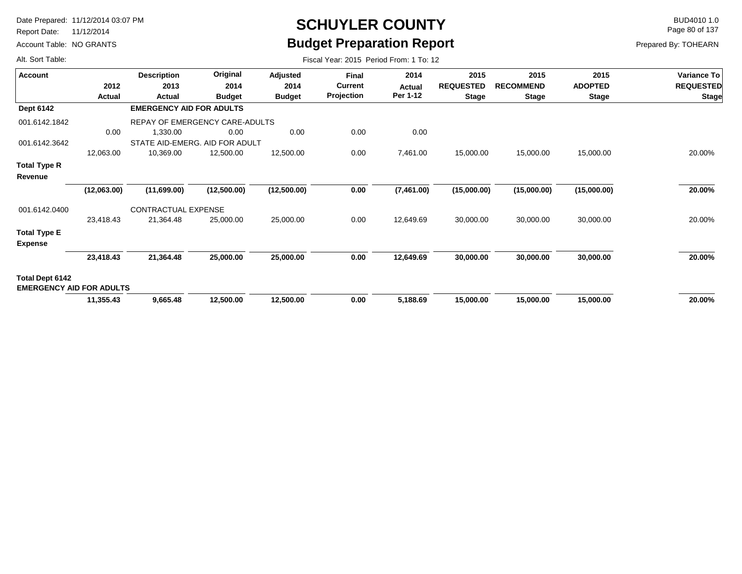Report Date: 11/12/2014

Alt. Sort Table:

Account Table: NO GRANTS

# **SCHUYLER COUNTY** BUD4010 1.0 **Budget Preparation Report**

Page 80 of 137

| <b>Account</b>                                     |             | <b>Description</b>              | Original      | Adjusted      | <b>Final</b>                 | 2014       | 2015             | 2015             | 2015           | Variance To      |
|----------------------------------------------------|-------------|---------------------------------|---------------|---------------|------------------------------|------------|------------------|------------------|----------------|------------------|
|                                                    | 2012        | 2013                            | 2014          | 2014          | <b>Current</b><br>Projection | Actual     | <b>REQUESTED</b> | <b>RECOMMEND</b> | <b>ADOPTED</b> | <b>REQUESTED</b> |
|                                                    | Actual      | Actual                          | <b>Budget</b> | <b>Budget</b> |                              | Per 1-12   | <b>Stage</b>     | <b>Stage</b>     | <b>Stage</b>   | <b>Stage</b>     |
| Dept 6142                                          |             | <b>EMERGENCY AID FOR ADULTS</b> |               |               |                              |            |                  |                  |                |                  |
| 001.6142.1842                                      |             | REPAY OF EMERGENCY CARE-ADULTS  |               |               |                              |            |                  |                  |                |                  |
|                                                    | 0.00        | 1,330.00                        | 0.00          | 0.00          | 0.00                         | 0.00       |                  |                  |                |                  |
| 001.6142.3642                                      |             | STATE AID-EMERG. AID FOR ADULT  |               |               |                              |            |                  |                  |                |                  |
|                                                    | 12,063.00   | 10,369.00                       | 12,500.00     | 12,500.00     | 0.00                         | 7,461.00   | 15,000.00        | 15,000.00        | 15,000.00      | 20.00%           |
| Total Type R<br>Revenue                            |             |                                 |               |               |                              |            |                  |                  |                |                  |
|                                                    | (12,063.00) | (11,699.00)                     | (12,500.00)   | (12,500.00)   | 0.00                         | (7,461.00) | (15,000.00)      | (15,000.00)      | (15,000.00)    | 20.00%           |
| 001.6142.0400                                      |             | CONTRACTUAL EXPENSE             |               |               |                              |            |                  |                  |                |                  |
|                                                    | 23,418.43   | 21,364.48                       | 25,000.00     | 25,000.00     | 0.00                         | 12,649.69  | 30,000.00        | 30,000.00        | 30,000.00      | 20.00%           |
| <b>Total Type E</b><br><b>Expense</b>              |             |                                 |               |               |                              |            |                  |                  |                |                  |
|                                                    | 23,418.43   | 21,364.48                       | 25,000.00     | 25,000.00     | 0.00                         | 12,649.69  | 30,000.00        | 30,000.00        | 30,000.00      | 20.00%           |
| Total Dept 6142<br><b>EMERGENCY AID FOR ADULTS</b> |             |                                 |               |               |                              |            |                  |                  |                |                  |
|                                                    | 11,355.43   | 9,665.48                        | 12,500.00     | 12,500.00     | 0.00                         | 5,188.69   | 15,000.00        | 15,000.00        | 15,000.00      | 20.00%           |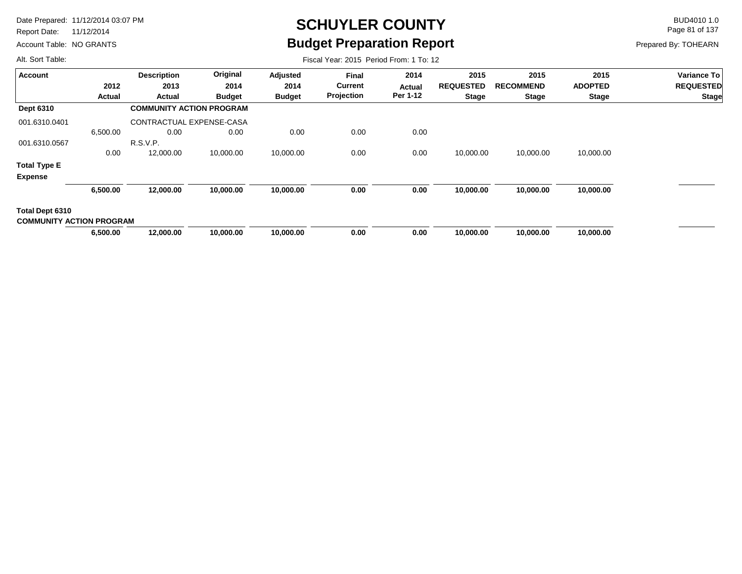Report Date: 11/12/2014

Account Table: NO GRANTS

# **SCHUYLER COUNTY** BUD4010 1.0 **Budget Preparation Report**

Fiscal Year: 2015 Period From: 1 To: 12

Page 81 of 137

Prepared By: TOHEARN

| <b>Account</b>                                     |          | <b>Description</b>              | Original      | Adjusted      | <b>Final</b>   | 2014     | 2015             | 2015             | 2015           | <b>Variance To</b> |
|----------------------------------------------------|----------|---------------------------------|---------------|---------------|----------------|----------|------------------|------------------|----------------|--------------------|
|                                                    | 2012     | 2013                            | 2014          | 2014          | <b>Current</b> | Actual   | <b>REQUESTED</b> | <b>RECOMMEND</b> | <b>ADOPTED</b> | <b>REQUESTED</b>   |
|                                                    | Actual   | Actual                          | <b>Budget</b> | <b>Budget</b> | Projection     | Per 1-12 | <b>Stage</b>     | <b>Stage</b>     | <b>Stage</b>   | <b>Stage</b>       |
| Dept 6310                                          |          | <b>COMMUNITY ACTION PROGRAM</b> |               |               |                |          |                  |                  |                |                    |
| 001.6310.0401                                      |          | CONTRACTUAL EXPENSE-CASA        |               |               |                |          |                  |                  |                |                    |
|                                                    | 6,500.00 | 0.00                            | 0.00          | 0.00          | 0.00           | 0.00     |                  |                  |                |                    |
| 001.6310.0567                                      |          | R.S.V.P.                        |               |               |                |          |                  |                  |                |                    |
|                                                    | 0.00     | 12,000.00                       | 10,000.00     | 10,000.00     | 0.00           | 0.00     | 10,000.00        | 10,000.00        | 10,000.00      |                    |
| <b>Total Type E</b><br><b>Expense</b>              |          |                                 |               |               |                |          |                  |                  |                |                    |
|                                                    | 6,500.00 | 12,000.00                       | 10,000.00     | 10,000.00     | 0.00           | 0.00     | 10,000.00        | 10,000.00        | 10,000.00      |                    |
| Total Dept 6310<br><b>COMMUNITY ACTION PROGRAM</b> |          |                                 |               |               |                |          |                  |                  |                |                    |
|                                                    | 6,500.00 | 12,000.00                       | 10,000.00     | 10,000.00     | 0.00           | 0.00     | 10,000.00        | 10,000.00        | 10,000.00      |                    |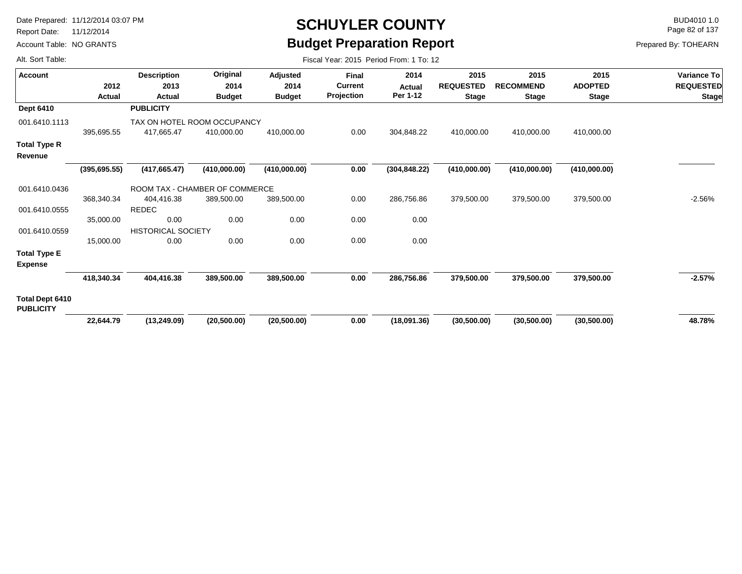Report Date: 11/12/2014

Account Table: NO GRANTS

# **SCHUYLER COUNTY** BUD4010 1.0 **Budget Preparation Report**

Fiscal Year: 2015 Period From: 1 To: 12

Page 82 of 137

Prepared By: TOHEARN

| <b>Account</b>                             |               | <b>Description</b>        | Original                       | Adjusted      | <b>Final</b>   | 2014          | 2015             | 2015             | 2015           | <b>Variance To</b> |
|--------------------------------------------|---------------|---------------------------|--------------------------------|---------------|----------------|---------------|------------------|------------------|----------------|--------------------|
|                                            | 2012          | 2013                      | 2014                           | 2014          | <b>Current</b> | Actual        | <b>REQUESTED</b> | <b>RECOMMEND</b> | <b>ADOPTED</b> | <b>REQUESTED</b>   |
|                                            | Actual        | Actual                    | <b>Budget</b>                  | <b>Budget</b> | Projection     | Per 1-12      | <b>Stage</b>     | <b>Stage</b>     | <b>Stage</b>   | <b>Stage</b>       |
| <b>Dept 6410</b>                           |               | <b>PUBLICITY</b>          |                                |               |                |               |                  |                  |                |                    |
| 001.6410.1113                              |               |                           | TAX ON HOTEL ROOM OCCUPANCY    |               |                |               |                  |                  |                |                    |
|                                            | 395,695.55    | 417,665.47                | 410,000.00                     | 410,000.00    | 0.00           | 304,848.22    | 410,000.00       | 410,000.00       | 410,000.00     |                    |
| <b>Total Type R</b><br>Revenue             |               |                           |                                |               |                |               |                  |                  |                |                    |
|                                            | (395, 695.55) | (417, 665.47)             | (410,000.00)                   | (410,000.00)  | 0.00           | (304, 848.22) | (410,000.00)     | (410,000.00)     | (410,000.00)   |                    |
| 001.6410.0436                              |               |                           | ROOM TAX - CHAMBER OF COMMERCE |               |                |               |                  |                  |                |                    |
|                                            | 368,340.34    | 404,416.38                | 389,500.00                     | 389,500.00    | 0.00           | 286,756.86    | 379,500.00       | 379,500.00       | 379,500.00     | $-2.56%$           |
| 001.6410.0555                              |               | <b>REDEC</b>              |                                |               |                |               |                  |                  |                |                    |
|                                            | 35,000.00     | 0.00                      | 0.00                           | 0.00          | 0.00           | 0.00          |                  |                  |                |                    |
| 001.6410.0559                              |               | <b>HISTORICAL SOCIETY</b> |                                |               |                |               |                  |                  |                |                    |
|                                            | 15,000.00     | 0.00                      | 0.00                           | 0.00          | 0.00           | 0.00          |                  |                  |                |                    |
| <b>Total Type E</b>                        |               |                           |                                |               |                |               |                  |                  |                |                    |
| <b>Expense</b>                             |               |                           |                                |               |                |               |                  |                  |                |                    |
|                                            | 418,340.34    | 404,416.38                | 389,500.00                     | 389,500.00    | 0.00           | 286,756.86    | 379,500.00       | 379,500.00       | 379,500.00     | $-2.57\%$          |
| <b>Total Dept 6410</b><br><b>PUBLICITY</b> |               |                           |                                |               |                |               |                  |                  |                |                    |
|                                            | 22,644.79     | (13, 249.09)              | (20,500.00)                    | (20,500.00)   | 0.00           | (18,091.36)   | (30,500.00)      | (30,500.00)      | (30,500.00)    | 48.78%             |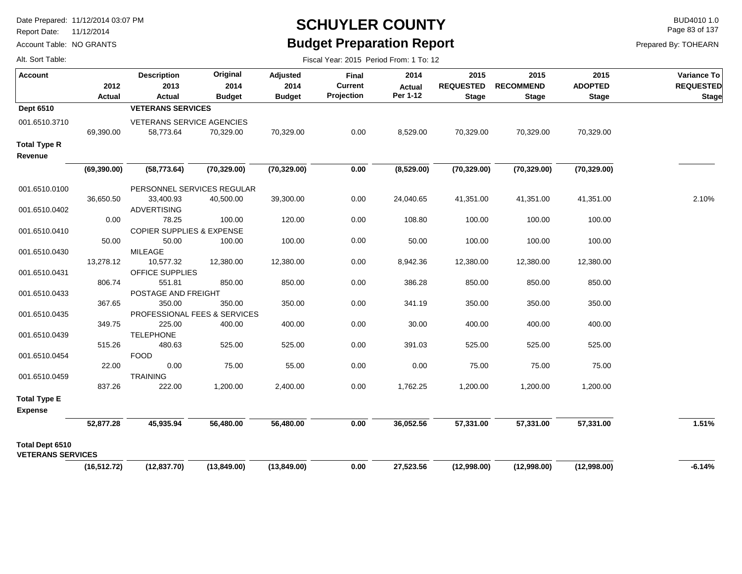Report Date: 11/12/2014

Account Table: NO GRANTS

## **SCHUYLER COUNTY** BUD4010 1.0 **Budget Preparation Report**

Fiscal Year: 2015 Period From: 1 To: 12

Page 83 of 137

Prepared By: TOHEARN

| Account                                     | 2012          | <b>Description</b><br>2013             | Original<br>2014 | Adjusted<br>2014 | Final<br><b>Current</b> | 2014<br><b>Actual</b> | 2015<br><b>REQUESTED</b> | 2015<br><b>RECOMMEND</b> | 2015<br><b>ADOPTED</b> | Variance To<br><b>REQUESTED</b> |
|---------------------------------------------|---------------|----------------------------------------|------------------|------------------|-------------------------|-----------------------|--------------------------|--------------------------|------------------------|---------------------------------|
|                                             | <b>Actual</b> | Actual                                 | <b>Budget</b>    | <b>Budget</b>    | Projection              | Per 1-12              | <b>Stage</b>             | <b>Stage</b>             | <b>Stage</b>           | <b>Stage</b>                    |
| <b>Dept 6510</b>                            |               | <b>VETERANS SERVICES</b>               |                  |                  |                         |                       |                          |                          |                        |                                 |
| 001.6510.3710                               | 69,390.00     | VETERANS SERVICE AGENCIES<br>58,773.64 | 70,329.00        | 70,329.00        | 0.00                    | 8,529.00              | 70,329.00                | 70,329.00                | 70,329.00              |                                 |
| <b>Total Type R</b>                         |               |                                        |                  |                  |                         |                       |                          |                          |                        |                                 |
| Revenue                                     |               |                                        |                  |                  |                         |                       |                          |                          |                        |                                 |
|                                             | (69, 390.00)  | (58, 773.64)                           | (70, 329.00)     | (70, 329.00)     | $0.00\,$                | (8,529.00)            | (70, 329.00)             | (70, 329.00)             | (70, 329.00)           |                                 |
| 001.6510.0100                               |               | PERSONNEL SERVICES REGULAR             |                  |                  |                         |                       |                          |                          |                        |                                 |
|                                             | 36,650.50     | 33,400.93                              | 40,500.00        | 39,300.00        | 0.00                    | 24,040.65             | 41,351.00                | 41,351.00                | 41,351.00              | 2.10%                           |
| 001.6510.0402                               | 0.00          | <b>ADVERTISING</b><br>78.25            | 100.00           | 120.00           | 0.00                    | 108.80                | 100.00                   | 100.00                   | 100.00                 |                                 |
| 001.6510.0410                               |               | <b>COPIER SUPPLIES &amp; EXPENSE</b>   |                  |                  |                         |                       |                          |                          |                        |                                 |
|                                             | 50.00         | 50.00                                  | 100.00           | 100.00           | 0.00                    | 50.00                 | 100.00                   | 100.00                   | 100.00                 |                                 |
| 001.6510.0430                               |               | <b>MILEAGE</b>                         |                  |                  |                         |                       |                          |                          |                        |                                 |
|                                             | 13,278.12     | 10,577.32                              | 12,380.00        | 12,380.00        | 0.00                    | 8,942.36              | 12,380.00                | 12,380.00                | 12,380.00              |                                 |
| 001.6510.0431                               | 806.74        | <b>OFFICE SUPPLIES</b><br>551.81       | 850.00           | 850.00           | 0.00                    | 386.28                | 850.00                   | 850.00                   | 850.00                 |                                 |
| 001.6510.0433                               |               | POSTAGE AND FREIGHT                    |                  |                  |                         |                       |                          |                          |                        |                                 |
|                                             | 367.65        | 350.00                                 | 350.00           | 350.00           | 0.00                    | 341.19                | 350.00                   | 350.00                   | 350.00                 |                                 |
| 001.6510.0435                               |               | PROFESSIONAL FEES & SERVICES           |                  |                  |                         |                       |                          |                          |                        |                                 |
|                                             | 349.75        | 225.00                                 | 400.00           | 400.00           | 0.00                    | 30.00                 | 400.00                   | 400.00                   | 400.00                 |                                 |
| 001.6510.0439                               |               | <b>TELEPHONE</b>                       |                  |                  |                         |                       |                          |                          |                        |                                 |
|                                             | 515.26        | 480.63                                 | 525.00           | 525.00           | 0.00                    | 391.03                | 525.00                   | 525.00                   | 525.00                 |                                 |
| 001.6510.0454                               |               | <b>FOOD</b>                            |                  |                  |                         |                       |                          |                          |                        |                                 |
|                                             | 22.00         | 0.00                                   | 75.00            | 55.00            | 0.00                    | 0.00                  | 75.00                    | 75.00                    | 75.00                  |                                 |
| 001.6510.0459                               |               | TRAINING                               |                  |                  |                         |                       |                          |                          |                        |                                 |
|                                             | 837.26        | 222.00                                 | 1,200.00         | 2,400.00         | 0.00                    | 1,762.25              | 1,200.00                 | 1,200.00                 | 1,200.00               |                                 |
| <b>Total Type E</b>                         |               |                                        |                  |                  |                         |                       |                          |                          |                        |                                 |
| <b>Expense</b>                              |               |                                        |                  |                  |                         |                       |                          |                          |                        |                                 |
|                                             | 52,877.28     | 45,935.94                              | 56,480.00        | 56,480.00        | 0.00                    | 36,052.56             | 57,331.00                | 57,331.00                | 57,331.00              | 1.51%                           |
| Total Dept 6510<br><b>VETERANS SERVICES</b> |               |                                        |                  |                  |                         |                       |                          |                          |                        |                                 |
|                                             | (16, 512.72)  | (12, 837.70)                           | (13,849.00)      | (13,849.00)      | 0.00                    | 27,523.56             | (12,998.00)              | (12,998.00)              | (12,998.00)            | $-6.14%$                        |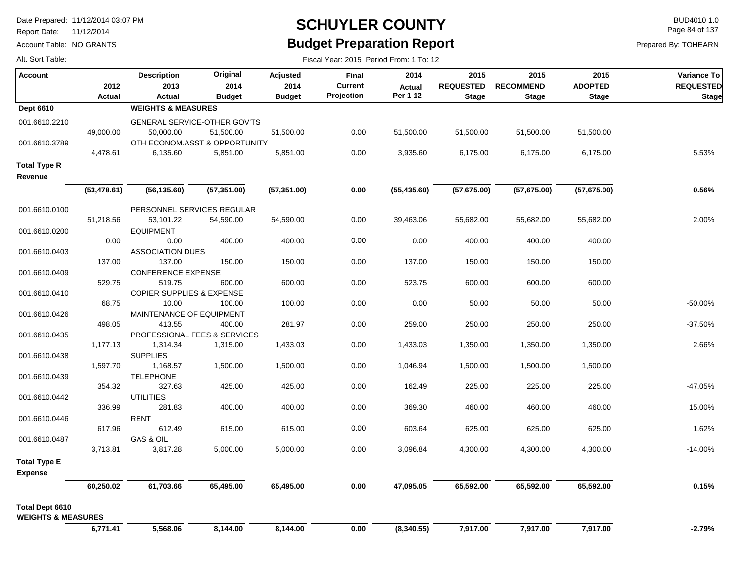Report Date: 11/12/2014

Alt. Sort Table:

Account Table: NO GRANTS

#### **SCHUYLER COUNTY** BUD4010 1.0 **Budget Preparation Report**

Fiscal Year: 2015 Period From: 1 To: 12

Page 84 of 137

| <b>Account</b>                                          |               | <b>Description</b>                   | Original      | <b>Adjusted</b> | <b>Final</b>   | 2014          | 2015             | 2015             | 2015           | <b>Variance To</b> |
|---------------------------------------------------------|---------------|--------------------------------------|---------------|-----------------|----------------|---------------|------------------|------------------|----------------|--------------------|
|                                                         | 2012          | 2013                                 | 2014          | 2014            | <b>Current</b> | <b>Actual</b> | <b>REQUESTED</b> | <b>RECOMMEND</b> | <b>ADOPTED</b> | <b>REQUESTED</b>   |
|                                                         | <b>Actual</b> | <b>Actual</b>                        | <b>Budget</b> | <b>Budget</b>   | Projection     | Per 1-12      | <b>Stage</b>     | <b>Stage</b>     | <b>Stage</b>   | <b>Stage</b>       |
| <b>Dept 6610</b>                                        |               | <b>WEIGHTS &amp; MEASURES</b>        |               |                 |                |               |                  |                  |                |                    |
| 001.6610.2210                                           |               | <b>GENERAL SERVICE-OTHER GOV'TS</b>  |               |                 |                |               |                  |                  |                |                    |
|                                                         | 49,000.00     | 50,000.00                            | 51,500.00     | 51,500.00       | 0.00           | 51,500.00     | 51,500.00        | 51,500.00        | 51,500.00      |                    |
| 001.6610.3789                                           |               | OTH ECONOM.ASST & OPPORTUNITY        |               |                 |                |               |                  |                  |                |                    |
|                                                         | 4,478.61      | 6,135.60                             | 5,851.00      | 5,851.00        | 0.00           | 3,935.60      | 6,175.00         | 6,175.00         | 6,175.00       | 5.53%              |
| <b>Total Type R</b>                                     |               |                                      |               |                 |                |               |                  |                  |                |                    |
| Revenue                                                 |               |                                      |               |                 |                |               |                  |                  |                |                    |
|                                                         | (53, 478.61)  | (56, 135.60)                         | (57, 351.00)  | (57, 351.00)    | 0.00           | (55, 435.60)  | (57,675.00)      | (57,675.00)      | (57, 675.00)   | 0.56%              |
|                                                         |               |                                      |               |                 |                |               |                  |                  |                |                    |
| 001.6610.0100                                           |               | PERSONNEL SERVICES REGULAR           |               |                 |                |               |                  |                  |                |                    |
|                                                         | 51,218.56     | 53,101.22                            | 54,590.00     | 54,590.00       | 0.00           | 39,463.06     | 55,682.00        | 55,682.00        | 55,682.00      | 2.00%              |
| 001.6610.0200                                           |               | <b>EQUIPMENT</b>                     |               |                 |                |               |                  |                  |                |                    |
|                                                         | 0.00          | 0.00                                 | 400.00        | 400.00          | 0.00           | 0.00          | 400.00           | 400.00           | 400.00         |                    |
| 001.6610.0403                                           |               | <b>ASSOCIATION DUES</b>              |               |                 |                |               |                  |                  |                |                    |
|                                                         | 137.00        | 137.00                               | 150.00        | 150.00          | 0.00           | 137.00        | 150.00           | 150.00           | 150.00         |                    |
| 001.6610.0409                                           |               | <b>CONFERENCE EXPENSE</b>            |               |                 |                |               |                  |                  |                |                    |
|                                                         | 529.75        | 519.75                               | 600.00        | 600.00          | 0.00           | 523.75        | 600.00           | 600.00           | 600.00         |                    |
| 001.6610.0410                                           |               | <b>COPIER SUPPLIES &amp; EXPENSE</b> |               |                 |                |               |                  |                  |                |                    |
|                                                         | 68.75         | 10.00                                | 100.00        | 100.00          | 0.00           | 0.00          | 50.00            | 50.00            | 50.00          | $-50.00%$          |
| 001.6610.0426                                           |               | MAINTENANCE OF EQUIPMENT             |               |                 |                |               |                  |                  |                |                    |
|                                                         | 498.05        | 413.55                               | 400.00        | 281.97          | 0.00           | 259.00        | 250.00           | 250.00           | 250.00         | $-37.50%$          |
| 001.6610.0435                                           |               | PROFESSIONAL FEES & SERVICES         |               |                 |                |               |                  |                  |                |                    |
|                                                         | 1,177.13      | 1,314.34                             | 1,315.00      | 1,433.03        | 0.00           | 1,433.03      | 1,350.00         | 1,350.00         | 1,350.00       | 2.66%              |
| 001.6610.0438                                           |               | <b>SUPPLIES</b>                      |               |                 |                |               |                  |                  |                |                    |
|                                                         | 1,597.70      | 1,168.57                             | 1,500.00      | 1,500.00        | 0.00           | 1,046.94      | 1,500.00         | 1,500.00         | 1,500.00       |                    |
| 001.6610.0439                                           |               | <b>TELEPHONE</b>                     |               |                 |                |               |                  |                  |                |                    |
|                                                         | 354.32        | 327.63                               | 425.00        | 425.00          | 0.00           | 162.49        | 225.00           | 225.00           | 225.00         | -47.05%            |
| 001.6610.0442                                           |               | <b>UTILITIES</b>                     |               |                 |                |               |                  |                  |                |                    |
|                                                         | 336.99        | 281.83                               | 400.00        | 400.00          | 0.00           | 369.30        | 460.00           | 460.00           | 460.00         | 15.00%             |
| 001.6610.0446                                           | 617.96        | <b>RENT</b><br>612.49                |               |                 |                | 603.64        | 625.00           | 625.00           | 625.00         | 1.62%              |
|                                                         |               |                                      | 615.00        | 615.00          | 0.00           |               |                  |                  |                |                    |
| 001.6610.0487                                           | 3,713.81      | GAS & OIL<br>3,817.28                | 5,000.00      | 5,000.00        | 0.00           | 3,096.84      | 4,300.00         | 4,300.00         | 4,300.00       | $-14.00%$          |
|                                                         |               |                                      |               |                 |                |               |                  |                  |                |                    |
| <b>Total Type E</b><br><b>Expense</b>                   |               |                                      |               |                 |                |               |                  |                  |                |                    |
|                                                         | 60,250.02     | 61,703.66                            | 65,495.00     | 65,495.00       | $0.00\,$       | 47,095.05     | 65,592.00        | 65,592.00        | 65,592.00      | 0.15%              |
| <b>Total Dept 6610</b><br><b>WEIGHTS &amp; MEASURES</b> |               |                                      |               |                 |                |               |                  |                  |                |                    |
|                                                         | 6,771.41      | 5,568.06                             | 8,144.00      | 8,144.00        | 0.00           | (8,340.55)    | 7,917.00         | 7,917.00         | 7,917.00       | $-2.79%$           |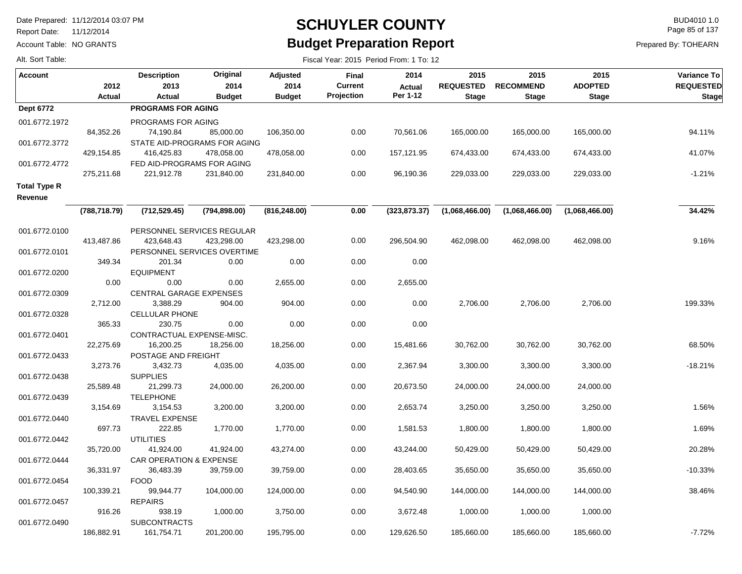Report Date: 11/12/2014

Alt. Sort Table:

Account Table: NO GRANTS

#### **SCHUYLER COUNTY** BUD4010 1.0 **Budget Preparation Report**

Fiscal Year: 2015 Period From: 1 To: 12

Page 85 of 137

| <b>Account</b>                 | 2012          | <b>Description</b><br>2013            | Original<br>2014 | Adjusted<br>2014 | Final<br><b>Current</b> | 2014<br><b>Actual</b> | 2015<br><b>REQUESTED</b> | 2015<br><b>RECOMMEND</b> | 2015<br><b>ADOPTED</b> | Variance To<br><b>REQUESTED</b> |
|--------------------------------|---------------|---------------------------------------|------------------|------------------|-------------------------|-----------------------|--------------------------|--------------------------|------------------------|---------------------------------|
|                                | Actual        | Actual                                | <b>Budget</b>    | <b>Budget</b>    | Projection              | Per 1-12              | <b>Stage</b>             | <b>Stage</b>             | <b>Stage</b>           | <b>Stage</b>                    |
| <b>Dept 6772</b>               |               | <b>PROGRAMS FOR AGING</b>             |                  |                  |                         |                       |                          |                          |                        |                                 |
| 001.6772.1972                  |               | PROGRAMS FOR AGING                    |                  |                  |                         |                       |                          |                          |                        |                                 |
|                                | 84,352.26     | 74,190.84                             | 85,000.00        | 106,350.00       | 0.00                    | 70,561.06             | 165,000.00               | 165,000.00               | 165,000.00             | 94.11%                          |
| 001.6772.3772                  |               | STATE AID-PROGRAMS FOR AGING          |                  |                  |                         |                       |                          |                          |                        |                                 |
|                                | 429,154.85    | 416,425.83                            | 478,058.00       | 478,058.00       | 0.00                    | 157,121.95            | 674,433.00               | 674,433.00               | 674,433.00             | 41.07%                          |
| 001.6772.4772                  |               | FED AID-PROGRAMS FOR AGING            |                  |                  |                         |                       |                          |                          |                        |                                 |
|                                | 275,211.68    | 221,912.78                            | 231,840.00       | 231,840.00       | 0.00                    | 96,190.36             | 229,033.00               | 229,033.00               | 229,033.00             | $-1.21%$                        |
| <b>Total Type R</b><br>Revenue |               |                                       |                  |                  |                         |                       |                          |                          |                        |                                 |
|                                | (788, 718.79) | (712, 529.45)                         | (794, 898.00)    | (816, 248.00)    | 0.00                    | (323, 873.37)         | (1,068,466.00)           | (1,068,466.00)           | (1,068,466.00)         | 34.42%                          |
|                                |               |                                       |                  |                  |                         |                       |                          |                          |                        |                                 |
| 001.6772.0100                  |               | PERSONNEL SERVICES REGULAR            |                  |                  |                         |                       |                          |                          |                        |                                 |
|                                | 413,487.86    | 423,648.43                            | 423,298.00       | 423,298.00       | 0.00                    | 296,504.90            | 462,098.00               | 462,098.00               | 462,098.00             | 9.16%                           |
| 001.6772.0101                  | 349.34        | PERSONNEL SERVICES OVERTIME<br>201.34 | 0.00             | 0.00             | 0.00                    | 0.00                  |                          |                          |                        |                                 |
| 001.6772.0200                  |               | <b>EQUIPMENT</b>                      |                  |                  |                         |                       |                          |                          |                        |                                 |
|                                | 0.00          | 0.00                                  | 0.00             | 2,655.00         | 0.00                    | 2,655.00              |                          |                          |                        |                                 |
| 001.6772.0309                  |               | <b>CENTRAL GARAGE EXPENSES</b>        |                  |                  |                         |                       |                          |                          |                        |                                 |
|                                | 2,712.00      | 3,388.29                              | 904.00           | 904.00           | 0.00                    | 0.00                  | 2,706.00                 | 2,706.00                 | 2,706.00               | 199.33%                         |
| 001.6772.0328                  |               | <b>CELLULAR PHONE</b>                 |                  |                  |                         |                       |                          |                          |                        |                                 |
|                                | 365.33        | 230.75                                | 0.00             | 0.00             | 0.00                    | 0.00                  |                          |                          |                        |                                 |
| 001.6772.0401                  |               | CONTRACTUAL EXPENSE-MISC.             |                  |                  |                         |                       |                          |                          |                        |                                 |
|                                | 22,275.69     | 16,200.25                             | 18,256.00        | 18,256.00        | 0.00                    | 15,481.66             | 30,762.00                | 30,762.00                | 30,762.00              | 68.50%                          |
| 001.6772.0433                  |               | POSTAGE AND FREIGHT                   |                  |                  |                         |                       |                          |                          |                        |                                 |
|                                | 3,273.76      | 3,432.73                              | 4,035.00         | 4,035.00         | 0.00                    | 2,367.94              | 3,300.00                 | 3,300.00                 | 3,300.00               | $-18.21%$                       |
| 001.6772.0438                  |               | <b>SUPPLIES</b>                       |                  |                  |                         |                       |                          |                          |                        |                                 |
|                                | 25,589.48     | 21,299.73                             | 24,000.00        | 26,200.00        | 0.00                    | 20,673.50             | 24,000.00                | 24,000.00                | 24,000.00              |                                 |
| 001.6772.0439                  |               | <b>TELEPHONE</b>                      |                  |                  |                         |                       |                          |                          |                        |                                 |
|                                | 3,154.69      | 3,154.53                              | 3,200.00         | 3,200.00         | 0.00                    | 2,653.74              | 3,250.00                 | 3,250.00                 | 3,250.00               | 1.56%                           |
| 001.6772.0440                  |               | <b>TRAVEL EXPENSE</b>                 |                  |                  |                         |                       |                          |                          |                        |                                 |
|                                | 697.73        | 222.85                                | 1,770.00         | 1,770.00         | 0.00                    | 1,581.53              | 1,800.00                 | 1,800.00                 | 1,800.00               | 1.69%                           |
| 001.6772.0442                  |               | <b>UTILITIES</b>                      |                  |                  |                         |                       |                          |                          |                        |                                 |
|                                | 35,720.00     | 41,924.00                             | 41,924.00        | 43,274.00        | 0.00                    | 43,244.00             | 50,429.00                | 50,429.00                | 50,429.00              | 20.28%                          |
| 001.6772.0444                  |               | <b>CAR OPERATION &amp; EXPENSE</b>    |                  |                  |                         |                       |                          |                          |                        |                                 |
|                                | 36,331.97     | 36,483.39                             | 39,759.00        | 39,759.00        | 0.00                    | 28,403.65             | 35,650.00                | 35,650.00                | 35,650.00              | $-10.33%$                       |
| 001.6772.0454                  |               | <b>FOOD</b>                           |                  |                  |                         |                       |                          |                          |                        |                                 |
|                                | 100,339.21    | 99,944.77                             | 104,000.00       | 124,000.00       | 0.00                    | 94,540.90             | 144,000.00               | 144,000.00               | 144,000.00             | 38.46%                          |
| 001.6772.0457                  | 916.26        | <b>REPAIRS</b><br>938.19              | 1,000.00         | 3,750.00         | 0.00                    | 3,672.48              | 1,000.00                 | 1,000.00                 | 1,000.00               |                                 |
| 001.6772.0490                  |               | <b>SUBCONTRACTS</b>                   |                  |                  |                         |                       |                          |                          |                        |                                 |
|                                | 186.882.91    | 161.754.71                            | 201.200.00       | 195.795.00       | 0.00                    | 129.626.50            | 185.660.00               | 185.660.00               | 185.660.00             | $-7.72%$                        |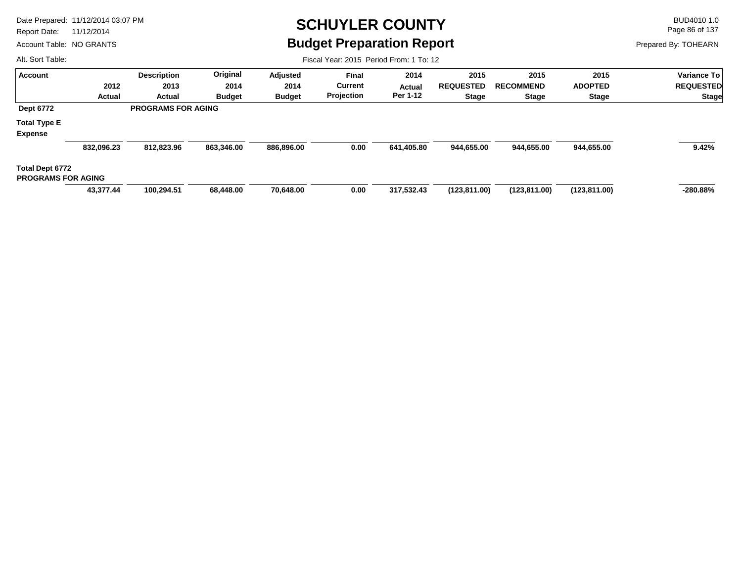Report Date: 11/12/2014

Account Table: NO GRANTS

#### **SCHUYLER COUNTY** BUD4010 1.0 **Budget Preparation Report**

Fiscal Year: 2015 Period From: 1 To: 12

Page 86 of 137

Prepared By: TOHEARN

| <b>Account</b>            |            | <b>Description</b>        | Original      | Adjusted      | <b>Final</b>   | 2014          | 2015             | 2015             | 2015           | <b>Variance To</b> |
|---------------------------|------------|---------------------------|---------------|---------------|----------------|---------------|------------------|------------------|----------------|--------------------|
|                           | 2012       | 2013                      | 2014          | 2014          | <b>Current</b> | <b>Actual</b> | <b>REQUESTED</b> | <b>RECOMMEND</b> | <b>ADOPTED</b> | <b>REQUESTED</b>   |
|                           | Actual     | Actual                    | <b>Budget</b> | <b>Budget</b> | Projection     | Per 1-12      | <b>Stage</b>     | <b>Stage</b>     | <b>Stage</b>   | <b>Stage</b>       |
| <b>Dept 6772</b>          |            | <b>PROGRAMS FOR AGING</b> |               |               |                |               |                  |                  |                |                    |
| <b>Total Type E</b>       |            |                           |               |               |                |               |                  |                  |                |                    |
| <b>Expense</b>            |            |                           |               |               |                |               |                  |                  |                |                    |
|                           | 832,096.23 | 812,823.96                | 863,346.00    | 886,896.00    | 0.00           | 641,405.80    | 944,655.00       | 944,655.00       | 944,655.00     | 9.42%              |
| Total Dept 6772           |            |                           |               |               |                |               |                  |                  |                |                    |
| <b>PROGRAMS FOR AGING</b> |            |                           |               |               |                |               |                  |                  |                |                    |
|                           | 43,377.44  | 100,294.51                | 68,448.00     | 70,648.00     | 0.00           | 317.532.43    | (123, 811.00)    | (123,811.00)     | (123, 811.00)  | $-280.88\%$        |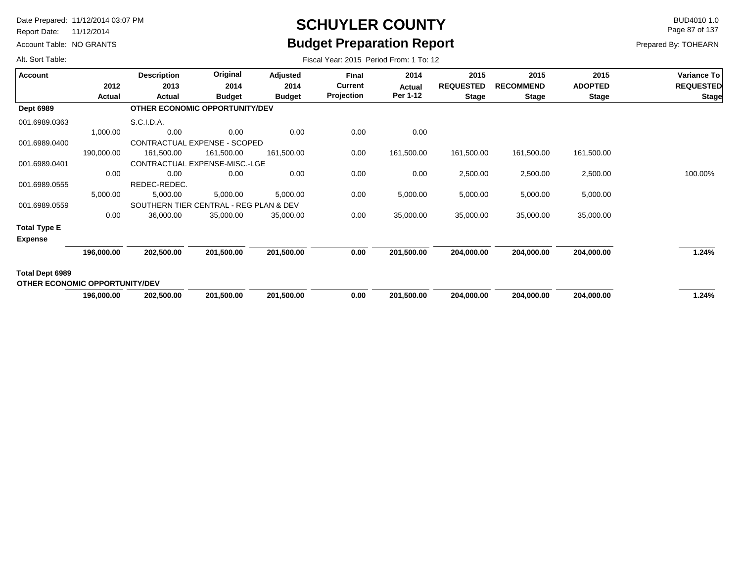Report Date: 11/12/2014

Alt. Sort Table:

Account Table: NO GRANTS

## **SCHUYLER COUNTY** BUD4010 1.0 **Budget Preparation Report**

Page 87 of 137

|  | Fiscal Year: 2015 Period From: 1 To: 12 |  |  |  |  |
|--|-----------------------------------------|--|--|--|--|
|--|-----------------------------------------|--|--|--|--|

|                                       |            |                    | Original                               |               |                |            |                  |                  |                |                  |
|---------------------------------------|------------|--------------------|----------------------------------------|---------------|----------------|------------|------------------|------------------|----------------|------------------|
| <b>Account</b>                        |            | <b>Description</b> |                                        | Adjusted      | Final          | 2014       | 2015             | 2015             | 2015           | Variance To      |
|                                       | 2012       | 2013               | 2014                                   | 2014          | <b>Current</b> | Actual     | <b>REQUESTED</b> | <b>RECOMMEND</b> | <b>ADOPTED</b> | <b>REQUESTED</b> |
|                                       | Actual     | Actual             | <b>Budget</b>                          | <b>Budget</b> | Projection     | Per 1-12   | <b>Stage</b>     | <b>Stage</b>     | <b>Stage</b>   | <b>Stage</b>     |
| <b>Dept 6989</b>                      |            |                    | OTHER ECONOMIC OPPORTUNITY/DEV         |               |                |            |                  |                  |                |                  |
| 001.6989.0363                         |            | S.C.I.D.A.         |                                        |               |                |            |                  |                  |                |                  |
|                                       | 1,000.00   | 0.00               | 0.00                                   | 0.00          | 0.00           | 0.00       |                  |                  |                |                  |
| 001.6989.0400                         |            |                    | CONTRACTUAL EXPENSE - SCOPED           |               |                |            |                  |                  |                |                  |
|                                       | 190,000.00 | 161,500.00         | 161,500.00                             | 161,500.00    | 0.00           | 161,500.00 | 161,500.00       | 161,500.00       | 161,500.00     |                  |
| 001.6989.0401                         |            |                    | CONTRACTUAL EXPENSE-MISC.-LGE          |               |                |            |                  |                  |                |                  |
|                                       | 0.00       | 0.00               | 0.00                                   | 0.00          | 0.00           | 0.00       | 2,500.00         | 2,500.00         | 2,500.00       | 100.00%          |
| 001.6989.0555                         |            | REDEC-REDEC.       |                                        |               |                |            |                  |                  |                |                  |
|                                       | 5,000.00   | 5,000.00           | 5,000.00                               | 5,000.00      | 0.00           | 5,000.00   | 5,000.00         | 5,000.00         | 5,000.00       |                  |
| 001.6989.0559                         |            |                    | SOUTHERN TIER CENTRAL - REG PLAN & DEV |               |                |            |                  |                  |                |                  |
|                                       | 0.00       | 36,000.00          | 35,000.00                              | 35,000.00     | 0.00           | 35,000.00  | 35,000.00        | 35,000.00        | 35,000.00      |                  |
| <b>Total Type E</b>                   |            |                    |                                        |               |                |            |                  |                  |                |                  |
| <b>Expense</b>                        |            |                    |                                        |               |                |            |                  |                  |                |                  |
|                                       | 196,000.00 | 202,500.00         | 201,500.00                             | 201,500.00    | 0.00           | 201,500.00 | 204,000.00       | 204,000.00       | 204,000.00     | 1.24%            |
| Total Dept 6989                       |            |                    |                                        |               |                |            |                  |                  |                |                  |
| <b>OTHER ECONOMIC OPPORTUNITY/DEV</b> |            |                    |                                        |               |                |            |                  |                  |                |                  |
|                                       | 196,000.00 | 202,500.00         | 201,500.00                             | 201,500.00    | 0.00           | 201,500.00 | 204,000.00       | 204,000.00       | 204,000.00     | 1.24%            |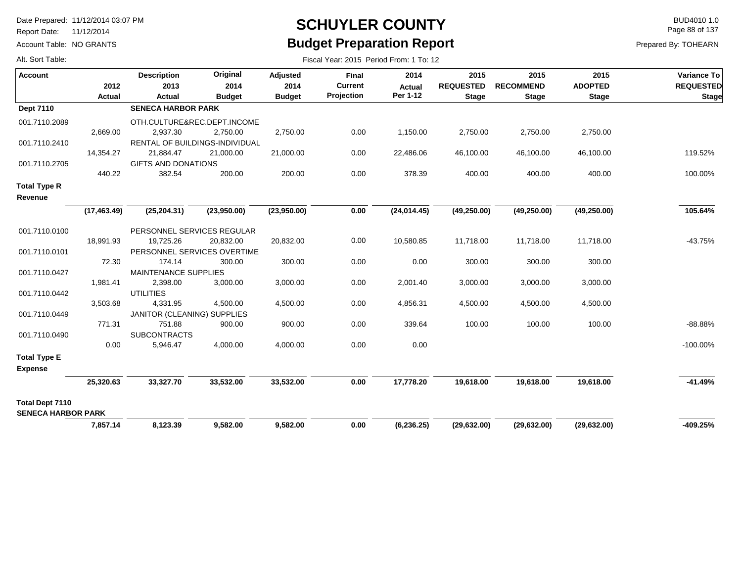Report Date: 11/12/2014

Account Table: NO GRANTS

#### **SCHUYLER COUNTY** BUD4010 1.0 **Budget Preparation Report**

Page 88 of 137

| Alt. Sort Table:                             |                | Fiscal Year: 2015 Period From: 1 To: 12 |                       |                       |                              |                    |                                  |                                  |                                |                                  |  |  |  |
|----------------------------------------------|----------------|-----------------------------------------|-----------------------|-----------------------|------------------------------|--------------------|----------------------------------|----------------------------------|--------------------------------|----------------------------------|--|--|--|
| <b>Account</b>                               |                | <b>Description</b>                      | Original              | Adjusted              | Final                        | 2014               | 2015                             | 2015                             | 2015                           | <b>Variance To</b>               |  |  |  |
|                                              | 2012<br>Actual | 2013<br>Actual                          | 2014<br><b>Budget</b> | 2014<br><b>Budget</b> | <b>Current</b><br>Projection | Actual<br>Per 1-12 | <b>REQUESTED</b><br><b>Stage</b> | <b>RECOMMEND</b><br><b>Stage</b> | <b>ADOPTED</b><br><b>Stage</b> | <b>REQUESTED</b><br><b>Stage</b> |  |  |  |
| <b>Dept 7110</b>                             |                | <b>SENECA HARBOR PARK</b>               |                       |                       |                              |                    |                                  |                                  |                                |                                  |  |  |  |
| 001.7110.2089                                |                | OTH.CULTURE&REC.DEPT.INCOME             |                       |                       |                              |                    |                                  |                                  |                                |                                  |  |  |  |
|                                              | 2,669.00       | 2,937.30                                | 2,750.00              | 2,750.00              | 0.00                         | 1,150.00           | 2,750.00                         | 2,750.00                         | 2,750.00                       |                                  |  |  |  |
| 001.7110.2410                                |                | RENTAL OF BUILDINGS-INDIVIDUAL          |                       |                       |                              |                    |                                  |                                  |                                |                                  |  |  |  |
|                                              | 14,354.27      | 21,884.47                               | 21,000.00             | 21,000.00             | 0.00                         | 22,486.06          | 46,100.00                        | 46,100.00                        | 46,100.00                      | 119.52%                          |  |  |  |
| 001.7110.2705                                |                | GIFTS AND DONATIONS                     |                       |                       |                              |                    |                                  |                                  |                                |                                  |  |  |  |
|                                              | 440.22         | 382.54                                  | 200.00                | 200.00                | 0.00                         | 378.39             | 400.00                           | 400.00                           | 400.00                         | 100.00%                          |  |  |  |
| <b>Total Type R</b>                          |                |                                         |                       |                       |                              |                    |                                  |                                  |                                |                                  |  |  |  |
| Revenue                                      |                |                                         |                       |                       |                              |                    |                                  |                                  |                                |                                  |  |  |  |
|                                              | (17, 463.49)   | (25, 204.31)                            | (23,950.00)           | (23,950.00)           | 0.00                         | (24, 014.45)       | (49, 250.00)                     | (49, 250.00)                     | (49, 250.00)                   | 105.64%                          |  |  |  |
| 001.7110.0100                                |                | PERSONNEL SERVICES REGULAR              |                       |                       |                              |                    |                                  |                                  |                                |                                  |  |  |  |
|                                              | 18,991.93      | 19,725.26                               | 20,832.00             | 20,832.00             | 0.00                         | 10,580.85          | 11,718.00                        | 11,718.00                        | 11,718.00                      | $-43.75%$                        |  |  |  |
| 001.7110.0101                                |                | PERSONNEL SERVICES OVERTIME             |                       |                       |                              |                    |                                  |                                  |                                |                                  |  |  |  |
|                                              | 72.30          | 174.14                                  | 300.00                | 300.00                | 0.00                         | 0.00               | 300.00                           | 300.00                           | 300.00                         |                                  |  |  |  |
| 001.7110.0427                                |                | <b>MAINTENANCE SUPPLIES</b>             |                       |                       |                              |                    |                                  |                                  |                                |                                  |  |  |  |
|                                              | 1,981.41       | 2,398.00                                | 3,000.00              | 3,000.00              | 0.00                         | 2,001.40           | 3,000.00                         | 3,000.00                         | 3,000.00                       |                                  |  |  |  |
| 001.7110.0442                                |                | <b>UTILITIES</b>                        |                       |                       |                              |                    |                                  |                                  |                                |                                  |  |  |  |
|                                              | 3,503.68       | 4,331.95                                | 4,500.00              | 4,500.00              | 0.00                         | 4,856.31           | 4,500.00                         | 4,500.00                         | 4,500.00                       |                                  |  |  |  |
| 001.7110.0449                                |                | JANITOR (CLEANING) SUPPLIES             |                       |                       |                              |                    |                                  |                                  |                                |                                  |  |  |  |
|                                              | 771.31         | 751.88                                  | 900.00                | 900.00                | 0.00                         | 339.64             | 100.00                           | 100.00                           | 100.00                         | $-88.88%$                        |  |  |  |
| 001.7110.0490                                |                | <b>SUBCONTRACTS</b>                     |                       |                       |                              |                    |                                  |                                  |                                |                                  |  |  |  |
|                                              | 0.00           | 5,946.47                                | 4,000.00              | 4,000.00              | 0.00                         | 0.00               |                                  |                                  |                                | $-100.00\%$                      |  |  |  |
| <b>Total Type E</b><br><b>Expense</b>        |                |                                         |                       |                       |                              |                    |                                  |                                  |                                |                                  |  |  |  |
|                                              | 25,320.63      | 33,327.70                               | 33,532.00             | 33,532.00             | 0.00                         | 17,778.20          | 19,618.00                        | 19,618.00                        | 19,618.00                      | $-41.49%$                        |  |  |  |
| Total Dept 7110<br><b>SENECA HARBOR PARK</b> |                |                                         |                       |                       |                              |                    |                                  |                                  |                                |                                  |  |  |  |
|                                              | 7,857.14       | 8,123.39                                | 9,582.00              | 9,582.00              | 0.00                         | (6, 236.25)        | (29, 632.00)                     | (29, 632.00)                     | (29, 632.00)                   | -409.25%                         |  |  |  |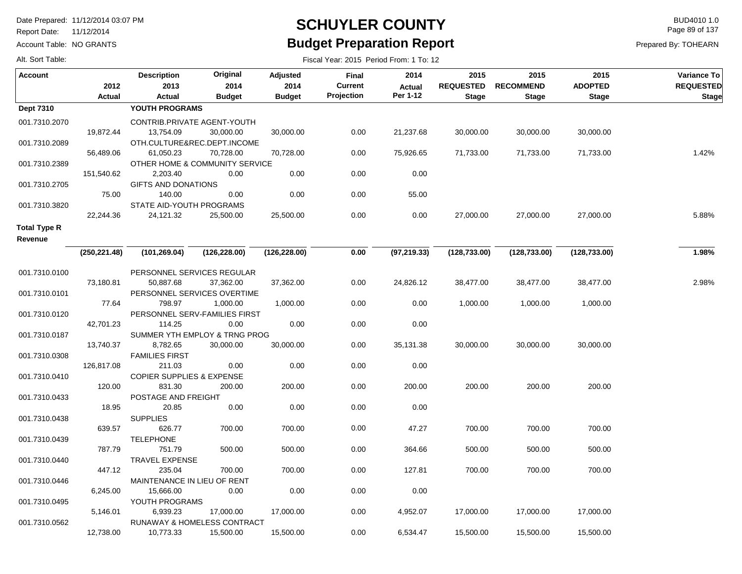Report Date: 11/12/2014

Account Table: NO GRANTS

#### **SCHUYLER COUNTY** BUD4010 1.0 **Budget Preparation Report**

Fiscal Year: 2015 Period From: 1 To: 12

Page 89 of 137

| Alt. Sort Table: |  |
|------------------|--|
|                  |  |

| Account             | 2012          | <b>Description</b><br>2013           | Original<br>2014 | Adjusted<br>2014 | Final<br><b>Current</b><br>Projection | 2014<br>Actual<br>Per 1-12 | 2015<br><b>REQUESTED</b> | 2015<br><b>RECOMMEND</b> | 2015<br><b>ADOPTED</b> | <b>Variance To</b><br><b>REQUESTED</b> |
|---------------------|---------------|--------------------------------------|------------------|------------------|---------------------------------------|----------------------------|--------------------------|--------------------------|------------------------|----------------------------------------|
|                     | Actual        | Actual                               | <b>Budget</b>    | <b>Budget</b>    |                                       |                            | <b>Stage</b>             | <b>Stage</b>             | <b>Stage</b>           | <b>Stage</b>                           |
| <b>Dept 7310</b>    |               | YOUTH PROGRAMS                       |                  |                  |                                       |                            |                          |                          |                        |                                        |
| 001.7310.2070       |               | CONTRIB.PRIVATE AGENT-YOUTH          |                  |                  |                                       |                            |                          |                          |                        |                                        |
|                     | 19,872.44     | 13,754.09                            | 30,000.00        | 30,000.00        | 0.00                                  | 21,237.68                  | 30,000.00                | 30,000.00                | 30,000.00              |                                        |
| 001.7310.2089       |               | OTH.CULTURE&REC.DEPT.INCOME          |                  |                  |                                       |                            |                          |                          |                        |                                        |
|                     | 56,489.06     | 61,050.23                            | 70,728.00        | 70,728.00        | 0.00                                  | 75,926.65                  | 71,733.00                | 71,733.00                | 71,733.00              | 1.42%                                  |
| 001.7310.2389       |               | OTHER HOME & COMMUNITY SERVICE       |                  |                  |                                       |                            |                          |                          |                        |                                        |
|                     | 151,540.62    | 2,203.40                             | 0.00             | $0.00\,$         | 0.00                                  | 0.00                       |                          |                          |                        |                                        |
| 001.7310.2705       |               | <b>GIFTS AND DONATIONS</b>           |                  |                  |                                       |                            |                          |                          |                        |                                        |
|                     | 75.00         | 140.00                               | 0.00             | 0.00             | 0.00                                  | 55.00                      |                          |                          |                        |                                        |
| 001.7310.3820       |               | STATE AID-YOUTH PROGRAMS             |                  |                  |                                       |                            |                          |                          |                        |                                        |
|                     | 22,244.36     | 24,121.32                            | 25,500.00        | 25,500.00        | 0.00                                  | 0.00                       | 27,000.00                | 27,000.00                | 27,000.00              | 5.88%                                  |
| <b>Total Type R</b> |               |                                      |                  |                  |                                       |                            |                          |                          |                        |                                        |
| Revenue             |               |                                      |                  |                  |                                       |                            |                          |                          |                        |                                        |
|                     | (250, 221.48) | (101, 269.04)                        | (126, 228.00)    | (126, 228.00)    | 0.00                                  | (97, 219.33)               | (128, 733.00)            | (128, 733.00)            | (128, 733.00)          | 1.98%                                  |
|                     |               |                                      |                  |                  |                                       |                            |                          |                          |                        |                                        |
| 001.7310.0100       |               | PERSONNEL SERVICES REGULAR           |                  |                  |                                       |                            |                          |                          |                        |                                        |
|                     | 73,180.81     | 50,887.68                            | 37,362.00        | 37,362.00        | 0.00                                  | 24,826.12                  | 38,477.00                | 38,477.00                | 38,477.00              | 2.98%                                  |
| 001.7310.0101       |               | PERSONNEL SERVICES OVERTIME          |                  |                  |                                       |                            |                          |                          |                        |                                        |
|                     | 77.64         | 798.97                               | 1,000.00         | 1,000.00         | 0.00                                  | 0.00                       | 1,000.00                 | 1,000.00                 | 1,000.00               |                                        |
| 001.7310.0120       |               | PERSONNEL SERV-FAMILIES FIRST        |                  |                  |                                       |                            |                          |                          |                        |                                        |
|                     | 42,701.23     | 114.25                               | 0.00             | 0.00             | 0.00                                  | 0.00                       |                          |                          |                        |                                        |
| 001.7310.0187       |               | SUMMER YTH EMPLOY & TRNG PROG        |                  |                  |                                       |                            |                          |                          |                        |                                        |
|                     | 13,740.37     | 8,782.65                             | 30,000.00        | 30,000.00        | 0.00                                  | 35,131.38                  | 30,000.00                | 30,000.00                | 30,000.00              |                                        |
| 001.7310.0308       |               | <b>FAMILIES FIRST</b>                |                  |                  |                                       |                            |                          |                          |                        |                                        |
|                     | 126,817.08    | 211.03                               | 0.00             | 0.00             | 0.00                                  | 0.00                       |                          |                          |                        |                                        |
| 001.7310.0410       |               | <b>COPIER SUPPLIES &amp; EXPENSE</b> |                  |                  |                                       |                            |                          |                          |                        |                                        |
|                     | 120.00        | 831.30                               | 200.00           | 200.00           | 0.00                                  | 200.00                     | 200.00                   | 200.00                   | 200.00                 |                                        |
| 001.7310.0433       |               | POSTAGE AND FREIGHT                  |                  |                  |                                       |                            |                          |                          |                        |                                        |
|                     | 18.95         | 20.85                                | 0.00             | 0.00             | 0.00                                  | 0.00                       |                          |                          |                        |                                        |
| 001.7310.0438       |               | <b>SUPPLIES</b>                      |                  |                  |                                       |                            |                          |                          |                        |                                        |
|                     | 639.57        | 626.77                               | 700.00           | 700.00           | 0.00                                  | 47.27                      | 700.00                   | 700.00                   | 700.00                 |                                        |
| 001.7310.0439       |               | <b>TELEPHONE</b>                     |                  |                  |                                       |                            |                          |                          |                        |                                        |
|                     | 787.79        | 751.79                               | 500.00           | 500.00           | 0.00                                  | 364.66                     | 500.00                   | 500.00                   | 500.00                 |                                        |
| 001.7310.0440       |               | <b>TRAVEL EXPENSE</b>                |                  |                  |                                       |                            |                          |                          |                        |                                        |
|                     | 447.12        | 235.04                               | 700.00           | 700.00           | 0.00                                  | 127.81                     | 700.00                   | 700.00                   | 700.00                 |                                        |
| 001.7310.0446       |               | MAINTENANCE IN LIEU OF RENT          |                  |                  |                                       |                            |                          |                          |                        |                                        |
|                     | 6,245.00      | 15,666.00                            | 0.00             | 0.00             | 0.00                                  | 0.00                       |                          |                          |                        |                                        |
| 001.7310.0495       |               | YOUTH PROGRAMS                       |                  |                  |                                       |                            |                          |                          |                        |                                        |
|                     | 5,146.01      | 6,939.23                             | 17,000.00        | 17,000.00        | 0.00                                  | 4,952.07                   | 17,000.00                | 17,000.00                | 17,000.00              |                                        |
| 001.7310.0562       |               | RUNAWAY & HOMELESS CONTRACT          |                  |                  |                                       |                            |                          |                          |                        |                                        |
|                     | 12,738.00     | 10,773.33                            | 15,500.00        | 15,500.00        | 0.00                                  | 6,534.47                   | 15,500.00                | 15,500.00                | 15,500.00              |                                        |
|                     |               |                                      |                  |                  |                                       |                            |                          |                          |                        |                                        |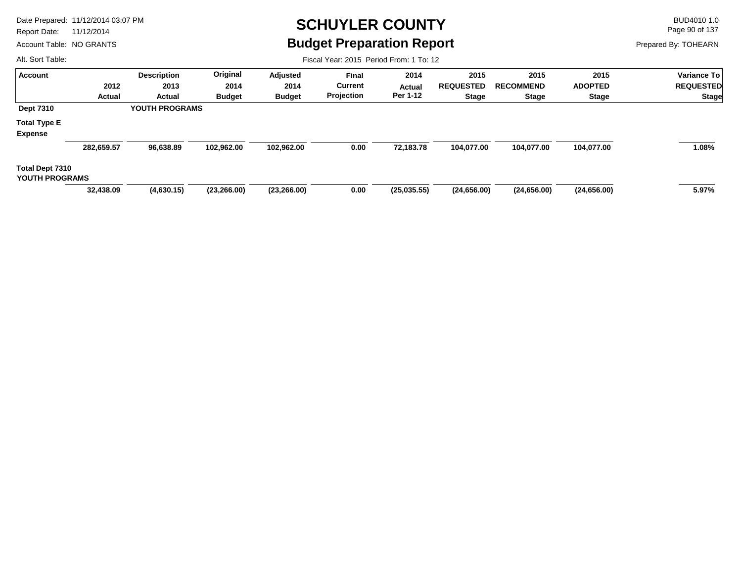Report Date: 11/12/2014

Account Table: NO GRANTS

#### **SCHUYLER COUNTY** BUD4010 1.0 **Budget Preparation Report**

Fiscal Year: 2015 Period From: 1 To: 12

Page 90 of 137

Prepared By: TOHEARN

| <b>Account</b>         |            | <b>Description</b>    | Original      | Adjusted      | <b>Final</b>   | 2014        | 2015             | 2015             | 2015           | <b>Variance To</b> |
|------------------------|------------|-----------------------|---------------|---------------|----------------|-------------|------------------|------------------|----------------|--------------------|
|                        | 2012       | 2013                  | 2014          | 2014          | <b>Current</b> | Actual      | <b>REQUESTED</b> | <b>RECOMMEND</b> | <b>ADOPTED</b> | <b>REQUESTED</b>   |
|                        | Actual     | Actual                | <b>Budget</b> | <b>Budget</b> | Projection     | Per 1-12    | <b>Stage</b>     | <b>Stage</b>     | <b>Stage</b>   | <b>Stage</b>       |
| <b>Dept 7310</b>       |            | <b>YOUTH PROGRAMS</b> |               |               |                |             |                  |                  |                |                    |
| <b>Total Type E</b>    |            |                       |               |               |                |             |                  |                  |                |                    |
| <b>Expense</b>         |            |                       |               |               |                |             |                  |                  |                |                    |
|                        | 282,659.57 | 96,638.89             | 102,962.00    | 102,962.00    | 0.00           | 72,183.78   | 104,077.00       | 104,077.00       | 104,077.00     | 1.08%              |
| <b>Total Dept 7310</b> |            |                       |               |               |                |             |                  |                  |                |                    |
| YOUTH PROGRAMS         |            |                       |               |               |                |             |                  |                  |                |                    |
|                        | 32,438.09  | (4,630.15)            | (23, 266.00)  | (23, 266.00)  | 0.00           | (25.035.55) | (24,656.00)      | (24,656.00)      | (24,656.00)    | 5.97%              |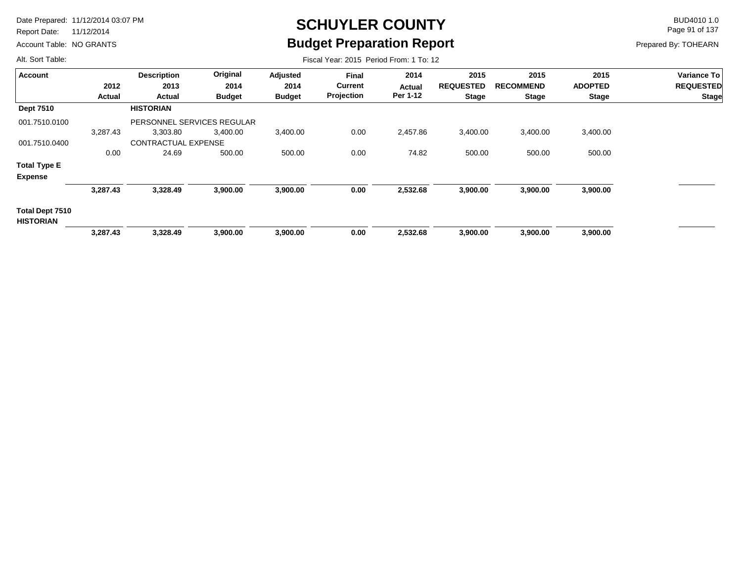Report Date: 11/12/2014

Account Table: NO GRANTS

# **SCHUYLER COUNTY** BUD4010 1.0 **Budget Preparation Report**

Fiscal Year: 2015 Period From: 1 To: 12

Page 91 of 137

Prepared By: TOHEARN

| <b>Account</b>                             |          | <b>Description</b>         | Original      | Adjusted      | <b>Final</b> | 2014     | 2015         | 2015             | 2015             | Variance To    |                  |
|--------------------------------------------|----------|----------------------------|---------------|---------------|--------------|----------|--------------|------------------|------------------|----------------|------------------|
|                                            | 2012     |                            | 2013          | 2014          | 2014         | Current  | Actual       | <b>REQUESTED</b> | <b>RECOMMEND</b> | <b>ADOPTED</b> | <b>REQUESTED</b> |
|                                            | Actual   | Actual                     | <b>Budget</b> | <b>Budget</b> | Projection   | Per 1-12 | <b>Stage</b> | <b>Stage</b>     | <b>Stage</b>     | <b>Stage</b>   |                  |
| <b>Dept 7510</b>                           |          | <b>HISTORIAN</b>           |               |               |              |          |              |                  |                  |                |                  |
| 001.7510.0100                              |          | PERSONNEL SERVICES REGULAR |               |               |              |          |              |                  |                  |                |                  |
|                                            | 3,287.43 | 3,303.80                   | 3,400.00      | 3,400.00      | 0.00         | 2,457.86 | 3,400.00     | 3,400.00         | 3,400.00         |                |                  |
| 001.7510.0400                              |          | <b>CONTRACTUAL EXPENSE</b> |               |               |              |          |              |                  |                  |                |                  |
|                                            | 0.00     | 24.69                      | 500.00        | 500.00        | 0.00         | 74.82    | 500.00       | 500.00           | 500.00           |                |                  |
| <b>Total Type E</b>                        |          |                            |               |               |              |          |              |                  |                  |                |                  |
| <b>Expense</b>                             |          |                            |               |               |              |          |              |                  |                  |                |                  |
|                                            | 3,287.43 | 3,328.49                   | 3,900.00      | 3,900.00      | 0.00         | 2,532.68 | 3,900.00     | 3,900.00         | 3,900.00         |                |                  |
| <b>Total Dept 7510</b><br><b>HISTORIAN</b> |          |                            |               |               |              |          |              |                  |                  |                |                  |
|                                            | 3,287.43 | 3,328.49                   | 3,900.00      | 3,900.00      | 0.00         | 2,532.68 | 3,900.00     | 3,900.00         | 3,900.00         |                |                  |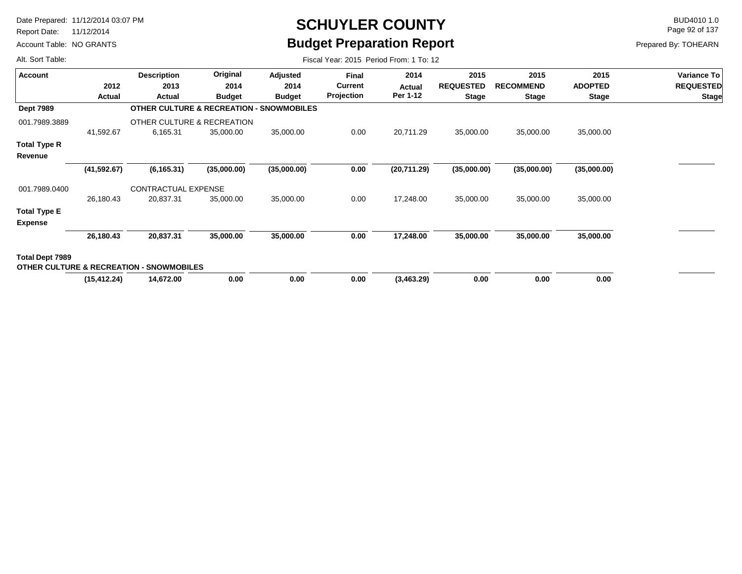Report Date: 11/12/2014

Account Table: NO GRANTS

# **SCHUYLER COUNTY** BUD4010 1.0 **Budget Preparation Report**

Fiscal Year: 2015 Period From: 1 To: 12

Page 92 of 137

Prepared By: TOHEARN

|              | <b>Description</b> | Original      | Adjusted                                                                                                 | Final          | 2014                                                | 2015             | 2015             | 2015           | Variance To      |
|--------------|--------------------|---------------|----------------------------------------------------------------------------------------------------------|----------------|-----------------------------------------------------|------------------|------------------|----------------|------------------|
| 2012         | 2013               | 2014          | 2014                                                                                                     | <b>Current</b> | Actual                                              | <b>REQUESTED</b> | <b>RECOMMEND</b> | <b>ADOPTED</b> | <b>REQUESTED</b> |
| Actual       | Actual             | <b>Budget</b> | <b>Budget</b>                                                                                            | Projection     | Per 1-12                                            | <b>Stage</b>     | <b>Stage</b>     | <b>Stage</b>   | <b>Stage</b>     |
|              |                    |               |                                                                                                          |                |                                                     |                  |                  |                |                  |
|              |                    |               |                                                                                                          |                |                                                     |                  |                  |                |                  |
| 41,592.67    | 6,165.31           | 35,000.00     | 35,000.00                                                                                                | 0.00           | 20,711.29                                           | 35,000.00        | 35,000.00        | 35,000.00      |                  |
|              |                    |               |                                                                                                          |                |                                                     |                  |                  |                |                  |
|              |                    |               |                                                                                                          |                |                                                     |                  |                  |                |                  |
| (41, 592.67) | (6, 165.31)        | (35,000.00)   | (35,000.00)                                                                                              | 0.00           | (20,711.29)                                         |                  | (35,000.00)      | (35,000.00)    |                  |
|              |                    |               |                                                                                                          |                |                                                     |                  |                  |                |                  |
| 26,180.43    | 20,837.31          | 35,000.00     | 35,000.00                                                                                                | 0.00           | 17,248.00                                           | 35,000.00        | 35,000.00        | 35,000.00      |                  |
|              |                    |               |                                                                                                          |                |                                                     |                  |                  |                |                  |
|              |                    |               |                                                                                                          |                |                                                     |                  |                  |                |                  |
| 26,180.43    | 20,837.31          | 35,000.00     | 35,000.00                                                                                                | 0.00           | 17,248.00                                           | 35,000.00        | 35,000.00        | 35,000.00      |                  |
|              |                    |               |                                                                                                          |                |                                                     |                  |                  |                |                  |
|              |                    |               |                                                                                                          |                |                                                     |                  |                  |                |                  |
| (15, 412.24) | 14,672.00          | 0.00          | 0.00                                                                                                     | 0.00           | (3,463.29)                                          | 0.00             | 0.00             | 0.00           |                  |
|              |                    |               | OTHER CULTURE & RECREATION<br>CONTRACTUAL EXPENSE<br><b>OTHER CULTURE &amp; RECREATION - SNOWMOBILES</b> |                | <b>OTHER CULTURE &amp; RECREATION - SNOWMOBILES</b> |                  |                  | (35,000.00)    |                  |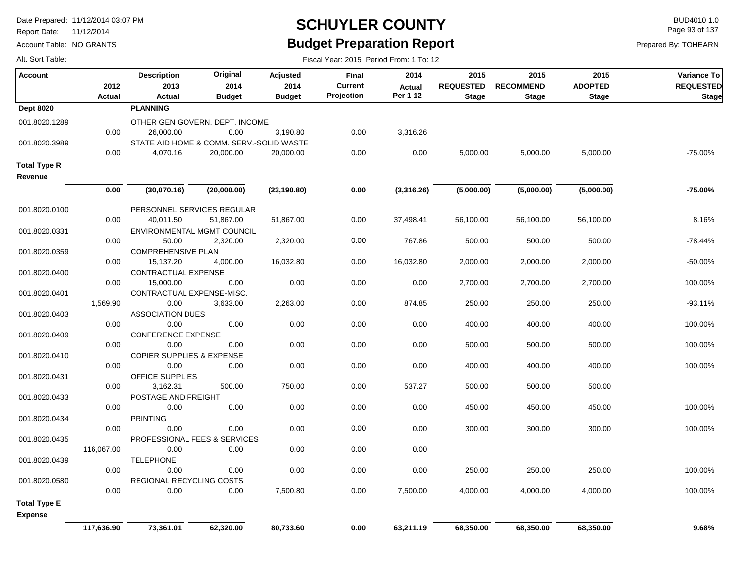Report Date: 11/12/2014

Account Table: NO GRANTS

#### **SCHUYLER COUNTY** BUD4010 1.0 **Budget Preparation Report**

Fiscal Year: 2015 Period From: 1 To: 12

Page 93 of 137

| Alt. Sort Table: |  |  |
|------------------|--|--|
|                  |  |  |
|                  |  |  |
|                  |  |  |
|                  |  |  |
|                  |  |  |
|                  |  |  |
|                  |  |  |
|                  |  |  |
|                  |  |  |
|                  |  |  |
|                  |  |  |
|                  |  |  |
|                  |  |  |
|                  |  |  |
|                  |  |  |
|                  |  |  |
|                  |  |  |
|                  |  |  |
|                  |  |  |
|                  |  |  |
|                  |  |  |
|                  |  |  |
|                  |  |  |
|                  |  |  |
|                  |  |  |
|                  |  |  |
|                  |  |  |

| <b>Account</b>                        | 2012<br><b>Actual</b> | <b>Description</b><br>2013<br><b>Actual</b> | Original<br>2014<br><b>Budget</b> | <b>Adjusted</b><br>2014<br><b>Budget</b> | Final<br><b>Current</b><br>Projection | 2014<br><b>Actual</b><br>Per 1-12 | 2015<br><b>REQUESTED</b><br><b>Stage</b> | 2015<br><b>RECOMMEND</b><br><b>Stage</b> | 2015<br><b>ADOPTED</b><br><b>Stage</b> | Variance To<br><b>REQUESTED</b><br><b>Stage</b> |
|---------------------------------------|-----------------------|---------------------------------------------|-----------------------------------|------------------------------------------|---------------------------------------|-----------------------------------|------------------------------------------|------------------------------------------|----------------------------------------|-------------------------------------------------|
| <b>Dept 8020</b>                      |                       | <b>PLANNING</b>                             |                                   |                                          |                                       |                                   |                                          |                                          |                                        |                                                 |
| 001.8020.1289                         |                       | OTHER GEN GOVERN, DEPT, INCOME              |                                   |                                          |                                       |                                   |                                          |                                          |                                        |                                                 |
|                                       | 0.00                  | 26,000.00                                   | 0.00                              | 3,190.80                                 | 0.00                                  | 3,316.26                          |                                          |                                          |                                        |                                                 |
| 001.8020.3989                         |                       | STATE AID HOME & COMM. SERV.-SOLID WASTE    |                                   |                                          |                                       |                                   |                                          |                                          |                                        |                                                 |
|                                       | 0.00                  | 4,070.16                                    | 20,000.00                         | 20,000.00                                | 0.00                                  | 0.00                              | 5,000.00                                 | 5,000.00                                 | 5,000.00                               | -75.00%                                         |
| <b>Total Type R</b>                   |                       |                                             |                                   |                                          |                                       |                                   |                                          |                                          |                                        |                                                 |
| Revenue                               |                       |                                             |                                   |                                          |                                       |                                   |                                          |                                          |                                        |                                                 |
|                                       | 0.00                  | (30,070.16)                                 | (20,000.00)                       | (23, 190.80)                             | 0.00                                  | (3,316.26)                        | (5,000.00)                               | (5,000.00)                               | (5,000.00)                             | $-75.00%$                                       |
|                                       |                       |                                             |                                   |                                          |                                       |                                   |                                          |                                          |                                        |                                                 |
| 001.8020.0100                         |                       | PERSONNEL SERVICES REGULAR                  |                                   |                                          |                                       |                                   |                                          |                                          |                                        |                                                 |
|                                       | 0.00                  | 40,011.50                                   | 51,867.00                         | 51,867.00                                | 0.00                                  | 37,498.41                         | 56,100.00                                | 56,100.00                                | 56,100.00                              | 8.16%                                           |
| 001.8020.0331                         |                       | ENVIRONMENTAL MGMT COUNCIL                  |                                   |                                          |                                       |                                   |                                          |                                          |                                        |                                                 |
|                                       | 0.00                  | 50.00                                       | 2,320.00                          | 2,320.00                                 | 0.00                                  | 767.86                            | 500.00                                   | 500.00                                   | 500.00                                 | -78.44%                                         |
| 001.8020.0359                         |                       | <b>COMPREHENSIVE PLAN</b>                   |                                   |                                          |                                       |                                   |                                          |                                          |                                        |                                                 |
|                                       | 0.00                  | 15,137.20                                   | 4,000.00                          | 16,032.80                                | 0.00                                  | 16,032.80                         | 2,000.00                                 | 2,000.00                                 | 2,000.00                               | -50.00%                                         |
| 001.8020.0400                         |                       | CONTRACTUAL EXPENSE                         |                                   |                                          |                                       |                                   |                                          |                                          |                                        |                                                 |
|                                       | 0.00                  | 15,000.00                                   | 0.00                              | 0.00                                     | 0.00                                  | 0.00                              | 2,700.00                                 | 2,700.00                                 | 2,700.00                               | 100.00%                                         |
| 001.8020.0401                         | 1,569.90              | CONTRACTUAL EXPENSE-MISC.<br>0.00           | 3,633.00                          |                                          | 0.00                                  | 874.85                            | 250.00                                   | 250.00                                   | 250.00                                 | $-93.11%$                                       |
| 001.8020.0403                         |                       | <b>ASSOCIATION DUES</b>                     |                                   | 2,263.00                                 |                                       |                                   |                                          |                                          |                                        |                                                 |
|                                       | 0.00                  | 0.00                                        | 0.00                              | 0.00                                     | 0.00                                  | 0.00                              | 400.00                                   | 400.00                                   | 400.00                                 | 100.00%                                         |
| 001.8020.0409                         |                       | <b>CONFERENCE EXPENSE</b>                   |                                   |                                          |                                       |                                   |                                          |                                          |                                        |                                                 |
|                                       | 0.00                  | 0.00                                        | 0.00                              | 0.00                                     | 0.00                                  | 0.00                              | 500.00                                   | 500.00                                   | 500.00                                 | 100.00%                                         |
| 001.8020.0410                         |                       | <b>COPIER SUPPLIES &amp; EXPENSE</b>        |                                   |                                          |                                       |                                   |                                          |                                          |                                        |                                                 |
|                                       | 0.00                  | 0.00                                        | 0.00                              | 0.00                                     | 0.00                                  | 0.00                              | 400.00                                   | 400.00                                   | 400.00                                 | 100.00%                                         |
| 001.8020.0431                         |                       | OFFICE SUPPLIES                             |                                   |                                          |                                       |                                   |                                          |                                          |                                        |                                                 |
|                                       | 0.00                  | 3,162.31                                    | 500.00                            | 750.00                                   | 0.00                                  | 537.27                            | 500.00                                   | 500.00                                   | 500.00                                 |                                                 |
| 001.8020.0433                         |                       | POSTAGE AND FREIGHT                         |                                   |                                          |                                       |                                   |                                          |                                          |                                        |                                                 |
|                                       | 0.00                  | 0.00                                        | 0.00                              | 0.00                                     | 0.00                                  | 0.00                              | 450.00                                   | 450.00                                   | 450.00                                 | 100.00%                                         |
| 001.8020.0434                         |                       | <b>PRINTING</b>                             |                                   |                                          |                                       |                                   |                                          |                                          |                                        |                                                 |
|                                       | 0.00                  | 0.00                                        | 0.00                              | 0.00                                     | 0.00                                  | 0.00                              | 300.00                                   | 300.00                                   | 300.00                                 | 100.00%                                         |
| 001.8020.0435                         |                       | PROFESSIONAL FEES & SERVICES                |                                   |                                          |                                       |                                   |                                          |                                          |                                        |                                                 |
|                                       | 116,067.00            | 0.00                                        | 0.00                              | 0.00                                     | 0.00                                  | 0.00                              |                                          |                                          |                                        |                                                 |
| 001.8020.0439                         |                       | <b>TELEPHONE</b>                            |                                   |                                          |                                       |                                   |                                          |                                          |                                        |                                                 |
|                                       | 0.00                  | 0.00                                        | 0.00                              | 0.00                                     | 0.00                                  | 0.00                              | 250.00                                   | 250.00                                   | 250.00                                 | 100.00%                                         |
| 001.8020.0580                         | 0.00                  | REGIONAL RECYCLING COSTS<br>0.00            | 0.00                              |                                          | 0.00                                  | 7,500.00                          |                                          | 4,000.00                                 | 4,000.00                               | 100.00%                                         |
|                                       |                       |                                             |                                   | 7,500.80                                 |                                       |                                   | 4,000.00                                 |                                          |                                        |                                                 |
| <b>Total Type E</b><br><b>Expense</b> |                       |                                             |                                   |                                          |                                       |                                   |                                          |                                          |                                        |                                                 |
|                                       | 117,636.90            | 73,361.01                                   | 62,320.00                         | 80,733.60                                | 0.00                                  | 63,211.19                         | 68,350.00                                | 68,350.00                                | 68,350.00                              | 9.68%                                           |
|                                       |                       |                                             |                                   |                                          |                                       |                                   |                                          |                                          |                                        |                                                 |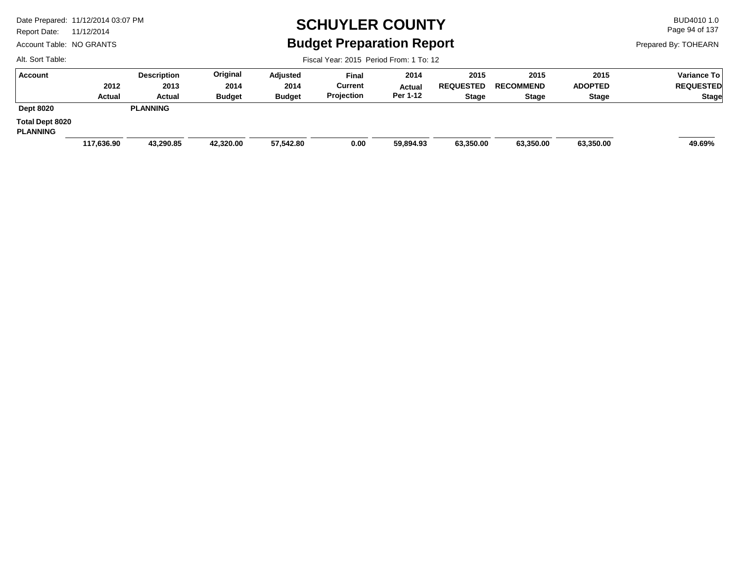Report Date: 11/12/2014

Account Table: NO GRANTS

### **SCHUYLER COUNTY** BUD4010 1.0 **Budget Preparation Report**

Fiscal Year: 2015 Period From: 1 To: 12

Page 94 of 137

Prepared By: TOHEARN

| Account                                   |            | <b>Description</b> | Original      | Adjusted      | <b>Final</b> | 2014      | 2015             | 2015             | 2015           | Variance To      |
|-------------------------------------------|------------|--------------------|---------------|---------------|--------------|-----------|------------------|------------------|----------------|------------------|
|                                           | 2012       | 2013               | 2014          | 2014          | Current      | Actual    | <b>REQUESTED</b> | <b>RECOMMEND</b> | <b>ADOPTED</b> | <b>REQUESTED</b> |
|                                           | Actual     | Actual             | <b>Budget</b> | <b>Budget</b> | Projection   | Per 1-12  | <b>Stage</b>     | <b>Stage</b>     | <b>Stage</b>   | <b>Stage</b>     |
| <b>Dept 8020</b>                          |            | <b>PLANNING</b>    |               |               |              |           |                  |                  |                |                  |
| <b>Total Dept 8020</b><br><b>PLANNING</b> |            |                    |               |               |              |           |                  |                  |                |                  |
|                                           | 117,636.90 | 43,290.85          | 42,320.00     | 57,542.80     | 0.00         | 59,894.93 | 63,350.00        | 63,350.00        | 63,350.00      | 49.69%           |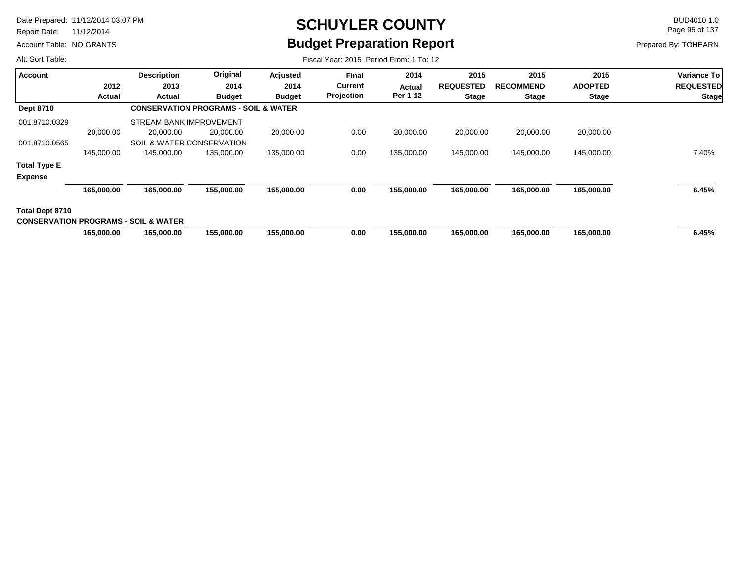Report Date: 11/12/2014

Account Table: NO GRANTS

# **SCHUYLER COUNTY** BUD4010 1.0 **Budget Preparation Report**

Fiscal Year: 2015 Period From: 1 To: 12

Page 95 of 137

Prepared By: TOHEARN

| <b>Account</b>                                  |            | <b>Description</b>                              | Original      | Adjusted      | <b>Final</b>      | 2014       | 2015             | 2015             | 2015           | <b>Variance To</b> |
|-------------------------------------------------|------------|-------------------------------------------------|---------------|---------------|-------------------|------------|------------------|------------------|----------------|--------------------|
|                                                 | 2012       | 2013                                            | 2014          | 2014          | Current           | Actual     | <b>REQUESTED</b> | <b>RECOMMEND</b> | <b>ADOPTED</b> | <b>REQUESTED</b>   |
|                                                 | Actual     | Actual                                          | <b>Budget</b> | <b>Budget</b> | <b>Projection</b> | Per 1-12   | <b>Stage</b>     | <b>Stage</b>     | <b>Stage</b>   | <b>Stage</b>       |
| <b>Dept 8710</b>                                |            | <b>CONSERVATION PROGRAMS - SOIL &amp; WATER</b> |               |               |                   |            |                  |                  |                |                    |
| 001.8710.0329                                   |            | STREAM BANK IMPROVEMENT                         |               |               |                   |            |                  |                  |                |                    |
|                                                 | 20,000.00  | 20,000.00                                       | 20,000.00     | 20,000.00     | 0.00              | 20,000.00  | 20,000.00        | 20,000.00        | 20,000.00      |                    |
| 001.8710.0565                                   |            | <b>SOIL &amp; WATER CONSERVATION</b>            |               |               |                   |            |                  |                  |                |                    |
|                                                 | 145,000.00 | 145,000.00                                      | 135,000.00    | 135,000.00    | 0.00              | 135,000.00 | 145,000.00       | 145,000.00       | 145,000.00     | 7.40%              |
| <b>Total Type E</b>                             |            |                                                 |               |               |                   |            |                  |                  |                |                    |
| <b>Expense</b>                                  |            |                                                 |               |               |                   |            |                  |                  |                |                    |
|                                                 | 165,000.00 | 165.000.00                                      | 155.000.00    | 155,000.00    | 0.00              | 155,000.00 | 165.000.00       | 165.000.00       | 165,000.00     | 6.45%              |
| Total Dept 8710                                 |            |                                                 |               |               |                   |            |                  |                  |                |                    |
| <b>CONSERVATION PROGRAMS - SOIL &amp; WATER</b> |            |                                                 |               |               |                   |            |                  |                  |                |                    |
|                                                 | 165,000.00 | 165,000.00                                      | 155,000.00    | 155,000.00    | 0.00              | 155,000.00 | 165,000.00       | 165,000.00       | 165,000.00     | 6.45%              |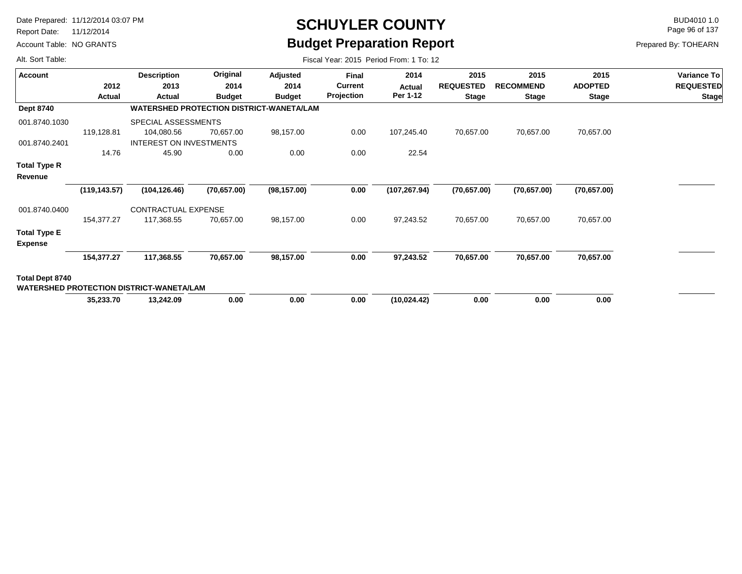Report Date: 11/12/2014

Account Table: NO GRANTS

# **SCHUYLER COUNTY** BUD4010 1.0 **Budget Preparation Report**

Fiscal Year: 2015 Period From: 1 To: 12

Page 96 of 137

| <b>Account</b>                        |               | <b>Description</b>                              | Original                                        | Adjusted      | Final          | 2014          | 2015             | 2015             | 2015           | Variance To      |  |  |  |
|---------------------------------------|---------------|-------------------------------------------------|-------------------------------------------------|---------------|----------------|---------------|------------------|------------------|----------------|------------------|--|--|--|
|                                       | 2012          | 2013                                            | 2014                                            | 2014          | <b>Current</b> | Actual        | <b>REQUESTED</b> | <b>RECOMMEND</b> | <b>ADOPTED</b> | <b>REQUESTED</b> |  |  |  |
|                                       | Actual        | Actual                                          | <b>Budget</b>                                   | <b>Budget</b> | Projection     | Per 1-12      | <b>Stage</b>     | <b>Stage</b>     | <b>Stage</b>   | <b>Stage</b>     |  |  |  |
| <b>Dept 8740</b>                      |               |                                                 | <b>WATERSHED PROTECTION DISTRICT-WANETA/LAM</b> |               |                |               |                  |                  |                |                  |  |  |  |
| 001.8740.1030                         |               | SPECIAL ASSESSMENTS                             |                                                 |               |                |               |                  |                  |                |                  |  |  |  |
|                                       | 119,128.81    | 104,080.56                                      | 70,657.00                                       | 98,157.00     | 0.00           | 107,245.40    | 70,657.00        | 70,657.00        | 70,657.00      |                  |  |  |  |
| 001.8740.2401                         |               | INTEREST ON INVESTMENTS                         |                                                 |               |                |               |                  |                  |                |                  |  |  |  |
|                                       | 14.76         | 45.90                                           | 0.00                                            | 0.00          | 0.00           | 22.54         |                  |                  |                |                  |  |  |  |
| Total Type R                          |               |                                                 |                                                 |               |                |               |                  |                  |                |                  |  |  |  |
| Revenue                               |               |                                                 |                                                 |               |                |               |                  |                  |                |                  |  |  |  |
|                                       | (119, 143.57) | (104, 126.46)                                   | (70, 657.00)                                    | (98, 157.00)  | 0.00           | (107, 267.94) | (70, 657.00)     | (70, 657.00)     | (70, 657.00)   |                  |  |  |  |
| 001.8740.0400                         |               | CONTRACTUAL EXPENSE                             |                                                 |               |                |               |                  |                  |                |                  |  |  |  |
|                                       | 154,377.27    | 117,368.55                                      | 70,657.00                                       | 98,157.00     | 0.00           | 97,243.52     | 70,657.00        | 70,657.00        | 70,657.00      |                  |  |  |  |
| <b>Total Type E</b><br><b>Expense</b> |               |                                                 |                                                 |               |                |               |                  |                  |                |                  |  |  |  |
|                                       | 154,377.27    | 117,368.55                                      | 70,657.00                                       | 98,157.00     | 0.00           | 97,243.52     | 70,657.00        | 70,657.00        | 70,657.00      |                  |  |  |  |
| Total Dept 8740                       |               | <b>WATERSHED PROTECTION DISTRICT-WANETA/LAM</b> |                                                 |               |                |               |                  |                  |                |                  |  |  |  |
|                                       | 35,233.70     | 13,242.09                                       | 0.00                                            | 0.00          | 0.00           | (10, 024.42)  | 0.00             | 0.00             | 0.00           |                  |  |  |  |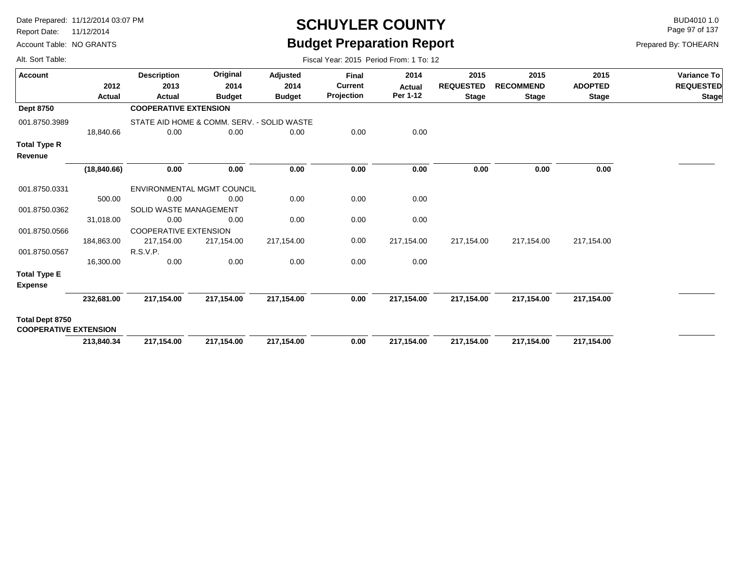Report Date: 11/12/2014

Alt. Sort Table:

Account Table: NO GRANTS

# **SCHUYLER COUNTY** BUD4010 1.0 **Budget Preparation Report**

Fiscal Year: 2015 Period From: 1 To: 12

Page 97 of 137

| Account                                                |              | <b>Description</b>           | Original                                   | Adjusted      | Final          | 2014          | 2015             | 2015             | 2015           | Variance To      |
|--------------------------------------------------------|--------------|------------------------------|--------------------------------------------|---------------|----------------|---------------|------------------|------------------|----------------|------------------|
|                                                        | 2012         | 2013                         | 2014                                       | 2014          | <b>Current</b> | <b>Actual</b> | <b>REQUESTED</b> | <b>RECOMMEND</b> | <b>ADOPTED</b> | <b>REQUESTED</b> |
|                                                        | Actual       | Actual                       | <b>Budget</b>                              | <b>Budget</b> | Projection     | Per 1-12      | <b>Stage</b>     | <b>Stage</b>     | <b>Stage</b>   | <b>Stage</b>     |
| <b>Dept 8750</b>                                       |              | <b>COOPERATIVE EXTENSION</b> |                                            |               |                |               |                  |                  |                |                  |
| 001.8750.3989                                          |              |                              | STATE AID HOME & COMM. SERV. - SOLID WASTE |               |                |               |                  |                  |                |                  |
|                                                        | 18,840.66    | 0.00                         | 0.00                                       | 0.00          | 0.00           | 0.00          |                  |                  |                |                  |
| <b>Total Type R</b>                                    |              |                              |                                            |               |                |               |                  |                  |                |                  |
| Revenue                                                |              |                              |                                            |               |                |               |                  |                  |                |                  |
|                                                        | (18, 840.66) | 0.00                         | 0.00                                       | 0.00          | 0.00           | 0.00          | 0.00             | 0.00             | 0.00           |                  |
| 001.8750.0331                                          |              |                              | ENVIRONMENTAL MGMT COUNCIL                 |               |                |               |                  |                  |                |                  |
|                                                        | 500.00       | 0.00                         | 0.00                                       | 0.00          | 0.00           | 0.00          |                  |                  |                |                  |
| 001.8750.0362                                          |              | SOLID WASTE MANAGEMENT       |                                            |               |                |               |                  |                  |                |                  |
|                                                        | 31,018.00    | 0.00                         | 0.00                                       | 0.00          | 0.00           | 0.00          |                  |                  |                |                  |
| 001.8750.0566                                          |              | <b>COOPERATIVE EXTENSION</b> |                                            |               |                |               |                  |                  |                |                  |
|                                                        | 184,863.00   | 217,154.00                   | 217,154.00                                 | 217,154.00    | 0.00           | 217,154.00    | 217,154.00       | 217,154.00       | 217,154.00     |                  |
| 001.8750.0567                                          |              | R.S.V.P.                     |                                            |               |                |               |                  |                  |                |                  |
|                                                        | 16,300.00    | 0.00                         | 0.00                                       | 0.00          | 0.00           | 0.00          |                  |                  |                |                  |
| <b>Total Type E</b>                                    |              |                              |                                            |               |                |               |                  |                  |                |                  |
| <b>Expense</b>                                         |              |                              |                                            |               |                |               |                  |                  |                |                  |
|                                                        | 232,681.00   | 217,154.00                   | 217,154.00                                 | 217,154.00    | 0.00           | 217,154.00    | 217,154.00       | 217,154.00       | 217,154.00     |                  |
| <b>Total Dept 8750</b><br><b>COOPERATIVE EXTENSION</b> |              |                              |                                            |               |                |               |                  |                  |                |                  |
|                                                        | 213,840.34   | 217,154.00                   | 217,154.00                                 | 217,154.00    | 0.00           | 217,154.00    | 217,154.00       | 217,154.00       | 217,154.00     |                  |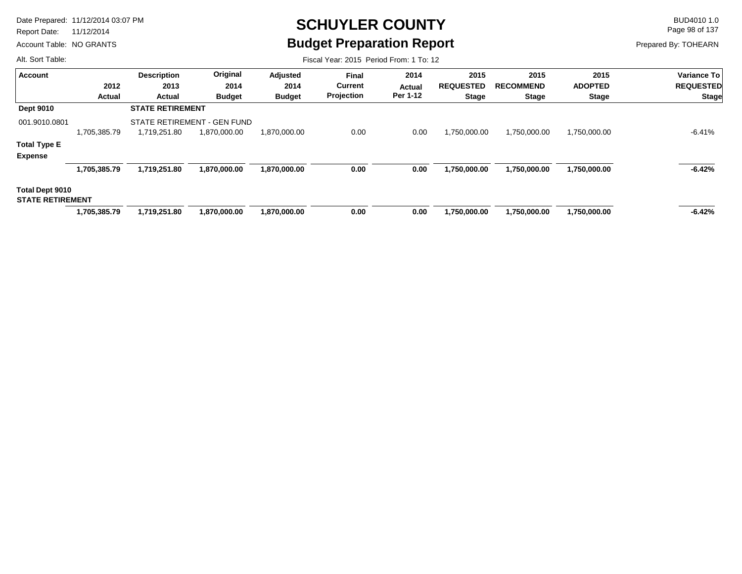Report Date: 11/12/2014

Account Table: NO GRANTS

# **SCHUYLER COUNTY** BUD4010 1.0 **Budget Preparation Report**

Fiscal Year: 2015 Period From: 1 To: 12

Page 98 of 137

Prepared By: TOHEARN

| <b>Account</b>          |               | <b>Description</b> | Original                    | Adjusted      | <b>Final</b>   | 2014               | 2015                             | 2015                             | 2015           | <b>Variance To</b>               |  |
|-------------------------|---------------|--------------------|-----------------------------|---------------|----------------|--------------------|----------------------------------|----------------------------------|----------------|----------------------------------|--|
|                         | 2012          | 2013               | 2014                        | 2014          | <b>Current</b> | Actual<br>Per 1-12 | <b>REQUESTED</b><br><b>Stage</b> | <b>RECOMMEND</b><br><b>Stage</b> | <b>ADOPTED</b> | <b>REQUESTED</b><br><b>Stage</b> |  |
|                         | <b>Actual</b> | <b>Actual</b>      | <b>Budget</b>               | <b>Budget</b> | Projection     |                    |                                  |                                  | <b>Stage</b>   |                                  |  |
| <b>Dept 9010</b>        |               |                    | <b>STATE RETIREMENT</b>     |               |                |                    |                                  |                                  |                |                                  |  |
| 001.9010.0801           |               |                    | STATE RETIREMENT - GEN FUND |               |                |                    |                                  |                                  |                |                                  |  |
|                         | 1.705.385.79  | 1,719,251.80       | 1,870,000.00                | 1,870,000.00  | 0.00           | 0.00               | 1,750,000.00                     | 1,750,000.00                     | 1,750,000.00   | -6.41%                           |  |
| <b>Total Type E</b>     |               |                    |                             |               |                |                    |                                  |                                  |                |                                  |  |
| <b>Expense</b>          |               |                    |                             |               |                |                    |                                  |                                  |                |                                  |  |
|                         | 1,705,385.79  | 1,719,251.80       | 1,870,000.00                | 1,870,000.00  | 0.00           | 0.00               | 1,750,000.00                     | 1,750,000.00                     | 1,750,000.00   | $-6.42%$                         |  |
| Total Dept 9010         |               |                    |                             |               |                |                    |                                  |                                  |                |                                  |  |
| <b>STATE RETIREMENT</b> |               |                    |                             |               |                |                    |                                  |                                  |                |                                  |  |
|                         | 1,705,385.79  | 1.719.251.80       | 1,870,000.00                | 1,870,000.00  | 0.00           | 0.00               | 1.750.000.00                     | 1,750,000.00                     | 1,750,000.00   | $-6.42%$                         |  |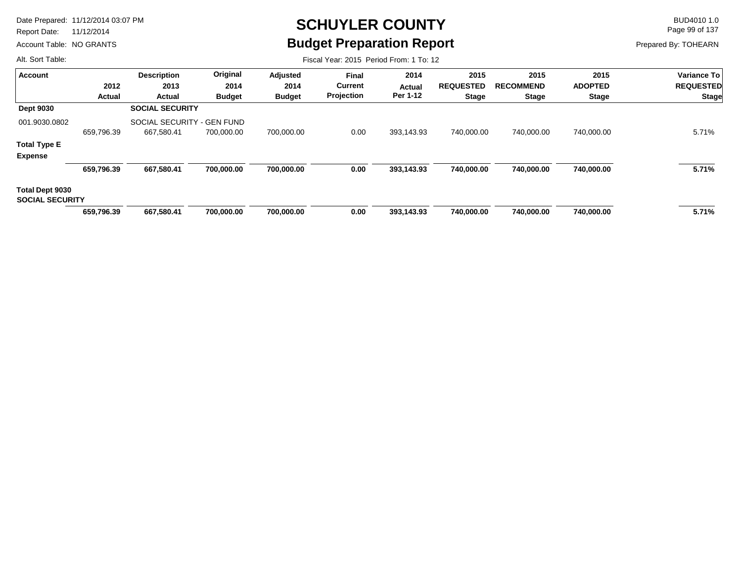Report Date: 11/12/2014

Account Table: NO GRANTS

# **SCHUYLER COUNTY** BUD4010 1.0 **Budget Preparation Report**

Fiscal Year: 2015 Period From: 1 To: 12

Page 99 of 137

Prepared By: TOHEARN

| <b>Account</b>                            |            | <b>Description</b>         | Original      | Adjusted      | <b>Final</b>                 | 2014               | 2015                             | 2015             | 2015           | <b>Variance To</b>               |
|-------------------------------------------|------------|----------------------------|---------------|---------------|------------------------------|--------------------|----------------------------------|------------------|----------------|----------------------------------|
|                                           | 2012       | 2013                       | 2014          | 2014          | <b>Current</b><br>Projection | Actual<br>Per 1-12 | <b>REQUESTED</b><br><b>Stage</b> | <b>RECOMMEND</b> | <b>ADOPTED</b> | <b>REQUESTED</b><br><b>Stage</b> |
|                                           | Actual     | Actual                     | <b>Budget</b> | <b>Budget</b> |                              |                    |                                  | Stage            | <b>Stage</b>   |                                  |
| <b>Dept 9030</b>                          |            | <b>SOCIAL SECURITY</b>     |               |               |                              |                    |                                  |                  |                |                                  |
| 001.9030.0802                             |            | SOCIAL SECURITY - GEN FUND |               |               |                              |                    |                                  |                  |                |                                  |
|                                           | 659,796.39 | 667,580.41                 | 700,000.00    | 700,000.00    | 0.00                         | 393,143.93         | 740,000.00                       | 740,000.00       | 740,000.00     | 5.71%                            |
| <b>Total Type E</b>                       |            |                            |               |               |                              |                    |                                  |                  |                |                                  |
| <b>Expense</b>                            |            |                            |               |               |                              |                    |                                  |                  |                |                                  |
|                                           | 659,796.39 | 667.580.41                 | 700,000.00    | 700,000.00    | 0.00                         | 393,143.93         | 740.000.00                       | 740,000.00       | 740,000.00     | 5.71%                            |
| Total Dept 9030<br><b>SOCIAL SECURITY</b> |            |                            |               |               |                              |                    |                                  |                  |                |                                  |
|                                           | 659.796.39 | 667.580.41                 | 700.000.00    | 700,000.00    | 0.00                         | 393.143.93         | 740.000.00                       | 740.000.00       | 740,000.00     | 5.71%                            |
|                                           |            |                            |               |               |                              |                    |                                  |                  |                |                                  |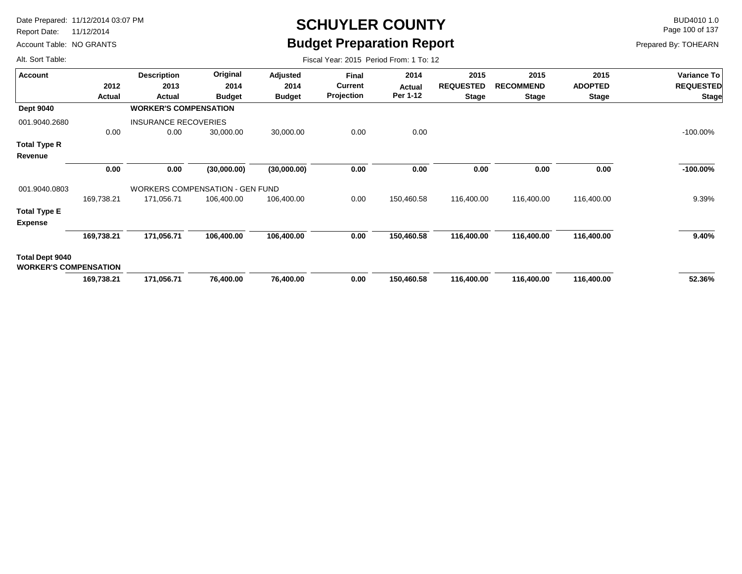Report Date: 11/12/2014

Account Table: NO GRANTS

### **SCHUYLER COUNTY** BUD4010 1.0 **Budget Preparation Report**

Fiscal Year: 2015 Period From: 1 To: 12

Page 100 of 137

Prepared By: TOHEARN

| <b>Account</b>                                  |            | <b>Description</b>                     | Original      | Adjusted      | Final             | 2014       | 2015                             | 2015                             | 2015           | Variance To      |
|-------------------------------------------------|------------|----------------------------------------|---------------|---------------|-------------------|------------|----------------------------------|----------------------------------|----------------|------------------|
|                                                 | 2012       | 2013                                   | 2014          | 2014          | <b>Current</b>    | Actual     | <b>REQUESTED</b><br><b>Stage</b> | <b>RECOMMEND</b><br><b>Stage</b> | <b>ADOPTED</b> | <b>REQUESTED</b> |
|                                                 | Actual     | Actual                                 | <b>Budget</b> | <b>Budget</b> | <b>Projection</b> | Per 1-12   |                                  |                                  | Stage          | <b>Stage</b>     |
| <b>Dept 9040</b>                                |            | <b>WORKER'S COMPENSATION</b>           |               |               |                   |            |                                  |                                  |                |                  |
| 001.9040.2680                                   |            | <b>INSURANCE RECOVERIES</b>            |               |               |                   |            |                                  |                                  |                |                  |
|                                                 | 0.00       | 0.00                                   | 30,000.00     | 30,000.00     | 0.00              | 0.00       |                                  |                                  |                | $-100.00\%$      |
| Total Type R                                    |            |                                        |               |               |                   |            |                                  |                                  |                |                  |
| Revenue                                         |            |                                        |               |               |                   |            |                                  |                                  |                |                  |
|                                                 | 0.00       | 0.00                                   | (30,000.00)   | (30,000.00)   | 0.00              | 0.00       | 0.00                             | 0.00                             | 0.00           | $-100.00\%$      |
| 001.9040.0803                                   |            | <b>WORKERS COMPENSATION - GEN FUND</b> |               |               |                   |            |                                  |                                  |                |                  |
|                                                 | 169,738.21 | 171,056.71                             | 106,400.00    | 106,400.00    | 0.00              | 150,460.58 | 116,400.00                       | 116,400.00                       | 116,400.00     | 9.39%            |
| <b>Total Type E</b><br><b>Expense</b>           |            |                                        |               |               |                   |            |                                  |                                  |                |                  |
|                                                 | 169,738.21 | 171,056.71                             | 106,400.00    | 106,400.00    | 0.00              | 150,460.58 | 116,400.00                       | 116,400.00                       | 116,400.00     | 9.40%            |
| Total Dept 9040<br><b>WORKER'S COMPENSATION</b> |            |                                        |               |               |                   |            |                                  |                                  |                |                  |
|                                                 | 169,738.21 | 171,056.71                             | 76,400.00     | 76,400.00     | 0.00              | 150,460.58 | 116,400.00                       | 116,400.00                       | 116,400.00     | 52.36%           |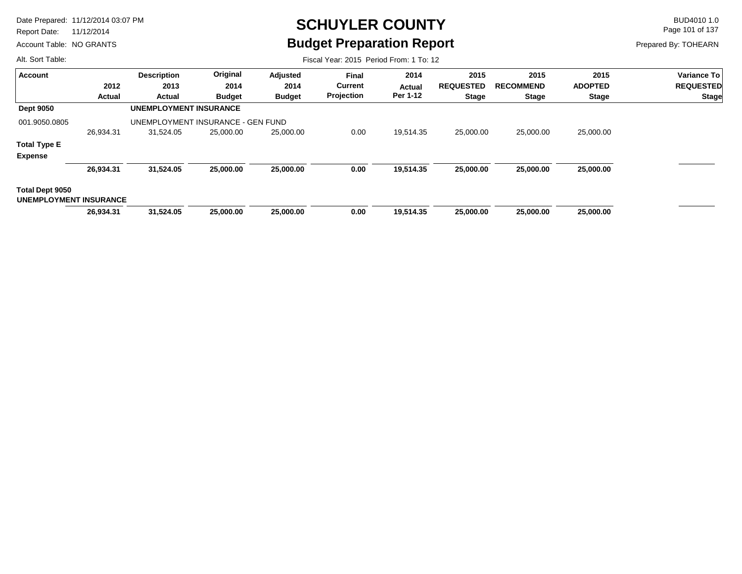Report Date: 11/12/2014

Account Table: NO GRANTS

## **SCHUYLER COUNTY** BUD4010 1.0 **Budget Preparation Report**

Page 101 of 137

Prepared By: TOHEARN

| Alt. Sort Table:                                 | Fiscal Year: 2015 Period From: 1 To: 12 |                                   |               |               |                |                    |                                  |                  |                |                                  |  |  |
|--------------------------------------------------|-----------------------------------------|-----------------------------------|---------------|---------------|----------------|--------------------|----------------------------------|------------------|----------------|----------------------------------|--|--|
| Account                                          |                                         | <b>Description</b>                | Original      | Adjusted      | <b>Final</b>   | 2014               | 2015                             | 2015             | 2015           | Variance To                      |  |  |
|                                                  | 2012                                    | 2013                              | 2014          | 2014          | <b>Current</b> | Actual<br>Per 1-12 | <b>REQUESTED</b><br><b>Stage</b> | <b>RECOMMEND</b> | <b>ADOPTED</b> | <b>REQUESTED</b><br><b>Stage</b> |  |  |
|                                                  | Actual                                  | Actual                            | <b>Budget</b> | <b>Budget</b> | Projection     |                    |                                  | <b>Stage</b>     | <b>Stage</b>   |                                  |  |  |
| <b>Dept 9050</b>                                 | <b>UNEMPLOYMENT INSURANCE</b>           |                                   |               |               |                |                    |                                  |                  |                |                                  |  |  |
| 001.9050.0805                                    |                                         | UNEMPLOYMENT INSURANCE - GEN FUND |               |               |                |                    |                                  |                  |                |                                  |  |  |
|                                                  | 26,934.31                               | 31,524.05                         | 25,000.00     | 25,000.00     | 0.00           | 19,514.35          | 25,000.00                        | 25,000.00        | 25,000.00      |                                  |  |  |
| <b>Total Type E</b>                              |                                         |                                   |               |               |                |                    |                                  |                  |                |                                  |  |  |
| <b>Expense</b>                                   |                                         |                                   |               |               |                |                    |                                  |                  |                |                                  |  |  |
|                                                  | 26,934.31                               | 31,524.05                         | 25,000.00     | 25,000.00     | 0.00           | 19,514.35          | 25,000.00                        | 25,000.00        | 25,000.00      |                                  |  |  |
| Total Dept 9050<br><b>UNEMPLOYMENT INSURANCE</b> |                                         |                                   |               |               |                |                    |                                  |                  |                |                                  |  |  |
|                                                  | 26,934.31                               | 31,524.05                         | 25,000.00     | 25,000.00     | 0.00           | 19,514.35          | 25,000.00                        | 25,000.00        | 25,000.00      |                                  |  |  |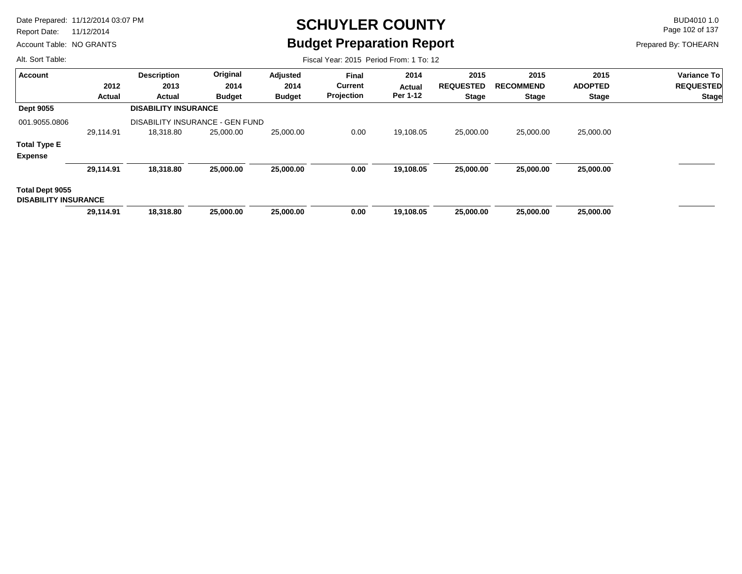Report Date: 11/12/2014

Account Table: NO GRANTS

# **SCHUYLER COUNTY** BUD4010 1.0 **Budget Preparation Report**

Fiscal Year: 2015 Period From: 1 To: 12

Page 102 of 137

Prepared By: TOHEARN

| <b>Account</b>                                 |           | <b>Description</b>                     | Original      | Adjusted      | <b>Final</b>                 | 2014                      | 2015             | 2015             | 2015           | Variance To               |  |
|------------------------------------------------|-----------|----------------------------------------|---------------|---------------|------------------------------|---------------------------|------------------|------------------|----------------|---------------------------|--|
|                                                | 2012      | 2013                                   | 2014          | 2014          | <b>Current</b><br>Projection | <b>Actual</b><br>Per 1-12 | <b>REQUESTED</b> | <b>RECOMMEND</b> | <b>ADOPTED</b> | <b>REQUESTED</b><br>Stage |  |
|                                                | Actual    | Actual                                 | <b>Budget</b> | <b>Budget</b> |                              |                           | <b>Stage</b>     | <b>Stage</b>     | <b>Stage</b>   |                           |  |
| <b>Dept 9055</b>                               |           | <b>DISABILITY INSURANCE</b>            |               |               |                              |                           |                  |                  |                |                           |  |
| 001.9055.0806                                  |           | <b>DISABILITY INSURANCE - GEN FUND</b> |               |               |                              |                           |                  |                  |                |                           |  |
|                                                | 29,114.91 | 18,318.80                              | 25,000.00     | 25,000.00     | 0.00                         | 19,108.05                 | 25,000.00        | 25,000.00        | 25,000.00      |                           |  |
| <b>Total Type E</b>                            |           |                                        |               |               |                              |                           |                  |                  |                |                           |  |
| <b>Expense</b>                                 |           |                                        |               |               |                              |                           |                  |                  |                |                           |  |
|                                                | 29,114.91 | 18,318.80                              | 25,000.00     | 25,000.00     | 0.00                         | 19,108.05                 | 25,000.00        | 25,000.00        | 25,000.00      |                           |  |
| Total Dept 9055<br><b>DISABILITY INSURANCE</b> |           |                                        |               |               |                              |                           |                  |                  |                |                           |  |
|                                                | 29,114.91 | 18,318.80                              | 25,000.00     | 25,000.00     | 0.00                         | 19,108.05                 | 25,000.00        | 25,000.00        | 25,000.00      |                           |  |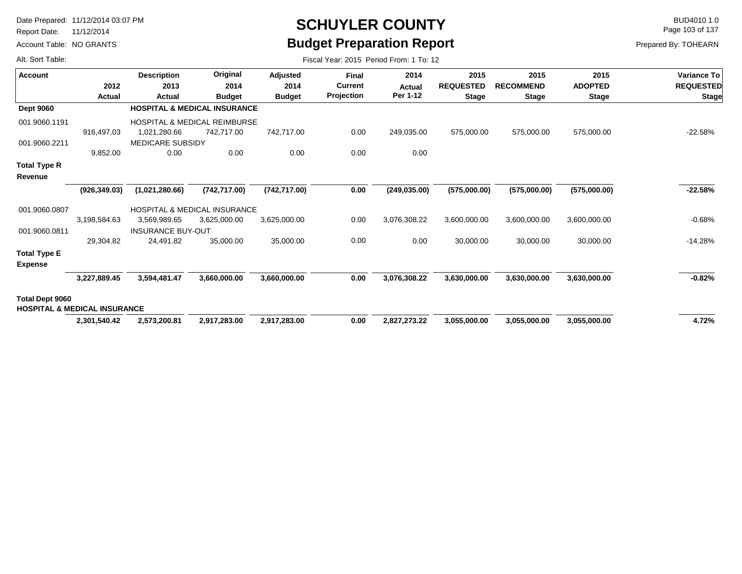Report Date: 11/12/2014

Account Table: NO GRANTS

# **SCHUYLER COUNTY** BUD4010 1.0 **Budget Preparation Report**

Fiscal Year: 2015 Period From: 1 To: 12

Page 103 of 137

Prepared By: TOHEARN

| <b>Account</b>         |                                         | <b>Description</b>       | Original                                | Adjusted      | <b>Final</b>   | 2014          | 2015             | 2015             | 2015           | <b>Variance To</b> |
|------------------------|-----------------------------------------|--------------------------|-----------------------------------------|---------------|----------------|---------------|------------------|------------------|----------------|--------------------|
|                        | 2012                                    | 2013                     | 2014                                    | 2014          | <b>Current</b> | Actual        | <b>REQUESTED</b> | <b>RECOMMEND</b> | <b>ADOPTED</b> | <b>REQUESTED</b>   |
|                        | Actual                                  | Actual                   | <b>Budget</b>                           | <b>Budget</b> | Projection     | Per 1-12      | <b>Stage</b>     | <b>Stage</b>     | <b>Stage</b>   | <b>Stage</b>       |
| <b>Dept 9060</b>       |                                         |                          | <b>HOSPITAL &amp; MEDICAL INSURANCE</b> |               |                |               |                  |                  |                |                    |
| 001.9060.1191          |                                         |                          | <b>HOSPITAL &amp; MEDICAL REIMBURSE</b> |               |                |               |                  |                  |                |                    |
|                        | 916,497.03                              | 1,021,280.66             | 742,717.00                              | 742,717.00    | 0.00           | 249,035.00    | 575,000.00       | 575,000.00       | 575,000.00     | $-22.58%$          |
| 001.9060.2211          |                                         | <b>MEDICARE SUBSIDY</b>  |                                         |               |                |               |                  |                  |                |                    |
|                        | 9,852.00                                | 0.00                     | 0.00                                    | 0.00          | 0.00           | 0.00          |                  |                  |                |                    |
| <b>Total Type R</b>    |                                         |                          |                                         |               |                |               |                  |                  |                |                    |
| Revenue                |                                         |                          |                                         |               |                |               |                  |                  |                |                    |
|                        | (926, 349.03)                           | (1,021,280.66)           | (742, 717.00)                           | (742, 717.00) | 0.00           | (249, 035.00) | (575,000.00)     | (575,000.00)     | (575,000.00)   | $-22.58%$          |
| 001.9060.0807          |                                         |                          | HOSPITAL & MEDICAL INSURANCE            |               |                |               |                  |                  |                |                    |
|                        | 3,198,584.63                            | 3,569,989.65             | 3,625,000.00                            | 3,625,000.00  | 0.00           | 3,076,308.22  | 3,600,000.00     | 3,600,000.00     | 3,600,000.00   | -0.68%             |
| 001.9060.0811          |                                         | <b>INSURANCE BUY-OUT</b> |                                         |               |                |               |                  |                  |                |                    |
|                        | 29,304.82                               | 24,491.82                | 35,000.00                               | 35,000.00     | 0.00           | 0.00          | 30,000.00        | 30,000.00        | 30,000.00      | $-14.28%$          |
| <b>Total Type E</b>    |                                         |                          |                                         |               |                |               |                  |                  |                |                    |
| <b>Expense</b>         |                                         |                          |                                         |               |                |               |                  |                  |                |                    |
|                        | 3,227,889.45                            | 3,594,481.47             | 3,660,000.00                            | 3,660,000.00  | 0.00           | 3,076,308.22  | 3,630,000.00     | 3,630,000.00     | 3,630,000.00   | $-0.82%$           |
| <b>Total Dept 9060</b> |                                         |                          |                                         |               |                |               |                  |                  |                |                    |
|                        | <b>HOSPITAL &amp; MEDICAL INSURANCE</b> |                          |                                         |               |                |               |                  |                  |                |                    |
|                        | 2,301,540.42                            | 2,573,200.81             | 2,917,283.00                            | 2,917,283.00  | 0.00           | 2,827,273.22  | 3,055,000.00     | 3,055,000.00     | 3,055,000.00   | 4.72%              |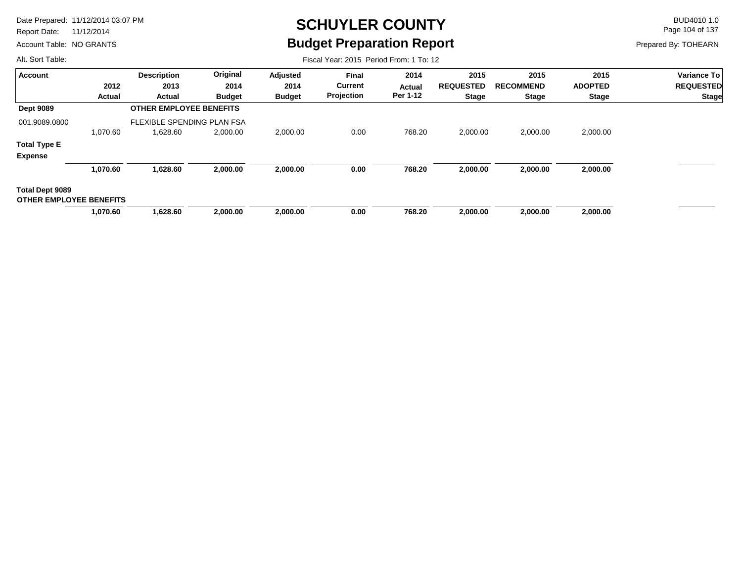Report Date: 11/12/2014

Account Table: NO GRANTS

## **SCHUYLER COUNTY** BUD4010 1.0 **Budget Preparation Report**

Fiscal Year: 2015 Period From: 1 To: 12

Page 104 of 137

Prepared By: TOHEARN

| <b>Account</b>                                    |               | <b>Description</b>             | Original      | Adjusted      | <b>Final</b> | 2014     | 2015             | 2015             | 2015           | Variance To                      |
|---------------------------------------------------|---------------|--------------------------------|---------------|---------------|--------------|----------|------------------|------------------|----------------|----------------------------------|
|                                                   | 2012          | 2013                           | 2014          | 2014          | Current      | Actual   | <b>REQUESTED</b> | <b>RECOMMEND</b> | <b>ADOPTED</b> | <b>REQUESTED</b><br><b>Stage</b> |
|                                                   | <b>Actual</b> | Actual                         | <b>Budget</b> | <b>Budget</b> | Projection   | Per 1-12 | <b>Stage</b>     | <b>Stage</b>     | <b>Stage</b>   |                                  |
| <b>Dept 9089</b>                                  |               | <b>OTHER EMPLOYEE BENEFITS</b> |               |               |              |          |                  |                  |                |                                  |
| 001.9089.0800                                     |               | FLEXIBLE SPENDING PLAN FSA     |               |               |              |          |                  |                  |                |                                  |
|                                                   | 1,070.60      | 1,628.60                       | 2,000.00      | 2,000.00      | 0.00         | 768.20   | 2,000.00         | 2,000.00         | 2,000.00       |                                  |
| <b>Total Type E</b>                               |               |                                |               |               |              |          |                  |                  |                |                                  |
| <b>Expense</b>                                    |               |                                |               |               |              |          |                  |                  |                |                                  |
|                                                   | 1,070.60      | 1,628.60                       | 2,000.00      | 2,000.00      | 0.00         | 768.20   | 2,000.00         | 2,000.00         | 2,000.00       |                                  |
| Total Dept 9089<br><b>OTHER EMPLOYEE BENEFITS</b> |               |                                |               |               |              |          |                  |                  |                |                                  |
|                                                   | 1,070.60      | 1,628.60                       | 2,000.00      | 2,000.00      | 0.00         | 768.20   | 2,000.00         | 2,000.00         | 2,000.00       |                                  |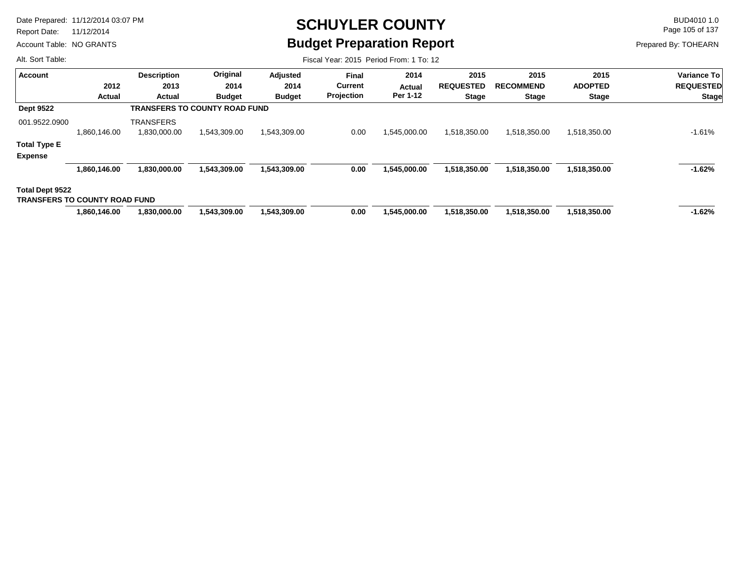Report Date: 11/12/2014

Account Table: NO GRANTS

# **SCHUYLER COUNTY** BUD4010 1.0 **Budget Preparation Report**

Page 105 of 137

Prepared By: TOHEARN

| Alt. Sort Table:                                               |                |                                      |                                      |                                   |                                              | Fiscal Year: 2015 Period From: 1 To: 12 |                                          |                                   |                                        |                                                        |
|----------------------------------------------------------------|----------------|--------------------------------------|--------------------------------------|-----------------------------------|----------------------------------------------|-----------------------------------------|------------------------------------------|-----------------------------------|----------------------------------------|--------------------------------------------------------|
| <b>Account</b>                                                 | 2012<br>Actual | <b>Description</b><br>2013<br>Actual | Original<br>2014<br><b>Budget</b>    | Adjusted<br>2014<br><b>Budget</b> | <b>Final</b><br><b>Current</b><br>Projection | 2014<br>Actual<br>Per 1-12              | 2015<br><b>REQUESTED</b><br><b>Stage</b> | 2015<br><b>RECOMMEND</b><br>Stage | 2015<br><b>ADOPTED</b><br><b>Stage</b> | <b>Variance To</b><br><b>REQUESTED</b><br><b>Stage</b> |
| <b>Dept 9522</b>                                               |                |                                      | <b>TRANSFERS TO COUNTY ROAD FUND</b> |                                   |                                              |                                         |                                          |                                   |                                        |                                                        |
| 001.9522.0900                                                  | 1,860,146.00   | <b>TRANSFERS</b><br>1,830,000.00     | 1,543,309.00                         | 1,543,309.00                      | 0.00                                         | 1,545,000.00                            | 1,518,350.00                             | 1,518,350.00                      | 1,518,350.00                           | $-1.61\%$                                              |
| <b>Total Type E</b><br><b>Expense</b>                          |                |                                      |                                      |                                   |                                              |                                         |                                          |                                   |                                        |                                                        |
|                                                                | 1,860,146.00   | 1,830,000.00                         | 1,543,309.00                         | 1,543,309.00                      | 0.00                                         | 1,545,000.00                            | 1,518,350.00                             | 1,518,350.00                      | 1,518,350.00                           | $-1.62%$                                               |
| <b>Total Dept 9522</b><br><b>TRANSFERS TO COUNTY ROAD FUND</b> |                |                                      |                                      |                                   |                                              |                                         |                                          |                                   |                                        |                                                        |
|                                                                | 1,860,146.00   | 1,830,000.00                         | 1,543,309.00                         | 1,543,309.00                      | 0.00                                         | 1,545,000.00                            | 1,518,350.00                             | 1,518,350.00                      | 1,518,350.00                           | $-1.62%$                                               |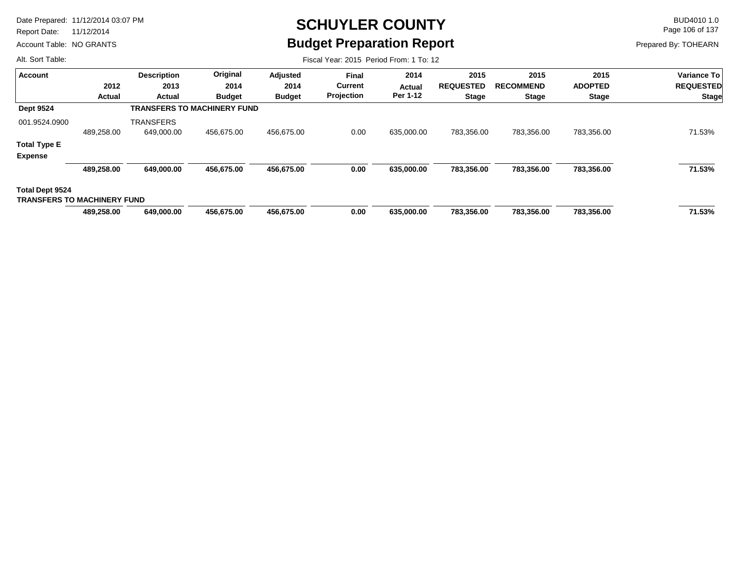Report Date: 11/12/2014

Account Table: NO GRANTS

## **SCHUYLER COUNTY** BUD4010 1.0 **Budget Preparation Report**

Page 106 of 137

Prepared By: TOHEARN

| Alt. Sort Table:                   |            |                                    |               |               | Fiscal Year: 2015 Period From: 1 To: 12 |            |              |                |              |                    |                  |                |                  |
|------------------------------------|------------|------------------------------------|---------------|---------------|-----------------------------------------|------------|--------------|----------------|--------------|--------------------|------------------|----------------|------------------|
| <b>Account</b>                     |            | <b>Description</b>                 | Original      | Adjusted      | <b>Final</b>                            | 2014       | 2015         | 2015           | 2015         | <b>Variance To</b> |                  |                |                  |
|                                    | 2012       |                                    |               |               | 2013                                    | 2014       | 2014         | <b>Current</b> | Actual       | <b>REQUESTED</b>   | <b>RECOMMEND</b> | <b>ADOPTED</b> | <b>REQUESTED</b> |
|                                    | Actual     | <b>Actual</b>                      | <b>Budget</b> | <b>Budget</b> | Projection                              | Per 1-12   | <b>Stage</b> | <b>Stage</b>   | <b>Stage</b> | <b>Stage</b>       |                  |                |                  |
| <b>Dept 9524</b>                   |            | <b>TRANSFERS TO MACHINERY FUND</b> |               |               |                                         |            |              |                |              |                    |                  |                |                  |
| 001.9524.0900                      |            | <b>TRANSFERS</b>                   |               |               |                                         |            |              |                |              |                    |                  |                |                  |
|                                    | 489,258.00 | 649,000.00                         | 456.675.00    | 456,675.00    | 0.00                                    | 635,000.00 | 783,356.00   | 783,356.00     | 783,356.00   | 71.53%             |                  |                |                  |
| <b>Total Type E</b>                |            |                                    |               |               |                                         |            |              |                |              |                    |                  |                |                  |
| <b>Expense</b>                     |            |                                    |               |               |                                         |            |              |                |              |                    |                  |                |                  |
|                                    | 489,258.00 | 649,000.00                         | 456,675.00    | 456,675.00    | 0.00                                    | 635,000.00 | 783,356.00   | 783,356.00     | 783,356.00   | 71.53%             |                  |                |                  |
| <b>Total Dept 9524</b>             |            |                                    |               |               |                                         |            |              |                |              |                    |                  |                |                  |
| <b>TRANSFERS TO MACHINERY FUND</b> |            |                                    |               |               |                                         |            |              |                |              |                    |                  |                |                  |
|                                    | 489.258.00 | 649.000.00                         | 456.675.00    | 456,675.00    | 0.00                                    | 635.000.00 | 783,356.00   | 783.356.00     | 783,356.00   | 71.53%             |                  |                |                  |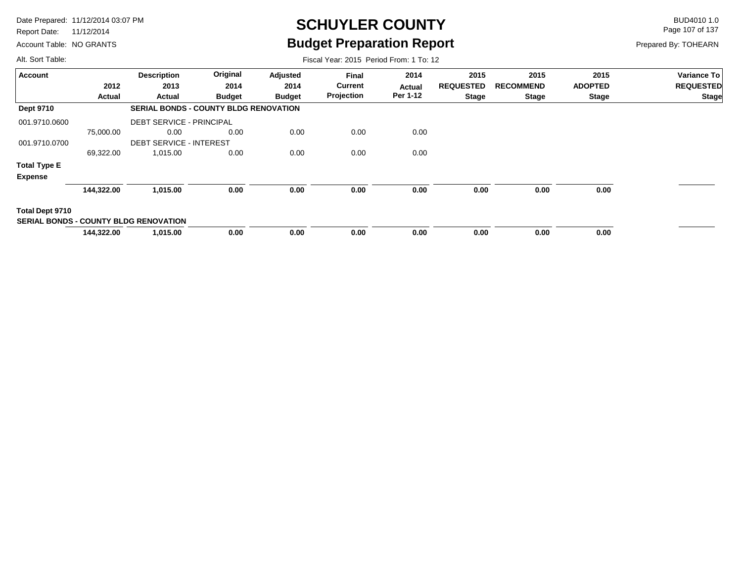Report Date: 11/12/2014

Account Table: NO GRANTS

## **SCHUYLER COUNTY** BUD4010 1.0 **Budget Preparation Report**

Fiscal Year: 2015 Period From: 1 To: 12

Page 107 of 137

Prepared By: TOHEARN

| <b>Account</b>      |            | <b>Description</b>                           | Original                                     | Adjusted      | Final          | 2014     | 2015             | 2015             | 2015           | Variance To      |
|---------------------|------------|----------------------------------------------|----------------------------------------------|---------------|----------------|----------|------------------|------------------|----------------|------------------|
|                     | 2012       | 2013                                         | 2014                                         | 2014          | <b>Current</b> | Actual   | <b>REQUESTED</b> | <b>RECOMMEND</b> | <b>ADOPTED</b> | <b>REQUESTED</b> |
|                     | Actual     | Actual                                       | <b>Budget</b>                                | <b>Budget</b> | Projection     | Per 1-12 | <b>Stage</b>     | Stage            | <b>Stage</b>   | <b>Stage</b>     |
| <b>Dept 9710</b>    |            |                                              | <b>SERIAL BONDS - COUNTY BLDG RENOVATION</b> |               |                |          |                  |                  |                |                  |
| 001.9710.0600       |            | <b>DEBT SERVICE - PRINCIPAL</b>              |                                              |               |                |          |                  |                  |                |                  |
|                     | 75,000.00  | 0.00                                         | 0.00                                         | 0.00          | 0.00           | 0.00     |                  |                  |                |                  |
| 001.9710.0700       |            | <b>DEBT SERVICE - INTEREST</b>               |                                              |               |                |          |                  |                  |                |                  |
|                     | 69,322.00  | 1,015.00                                     | 0.00                                         | 0.00          | 0.00           | 0.00     |                  |                  |                |                  |
| <b>Total Type E</b> |            |                                              |                                              |               |                |          |                  |                  |                |                  |
| <b>Expense</b>      |            |                                              |                                              |               |                |          |                  |                  |                |                  |
|                     | 144,322.00 | 1,015.00                                     | 0.00                                         | 0.00          | 0.00           | 0.00     | 0.00             | 0.00             | 0.00           |                  |
| Total Dept 9710     |            |                                              |                                              |               |                |          |                  |                  |                |                  |
|                     |            | <b>SERIAL BONDS - COUNTY BLDG RENOVATION</b> |                                              |               |                |          |                  |                  |                |                  |
|                     | 144,322.00 | 1,015.00                                     | 0.00                                         | 0.00          | 0.00           | 0.00     | 0.00             | 0.00             | 0.00           |                  |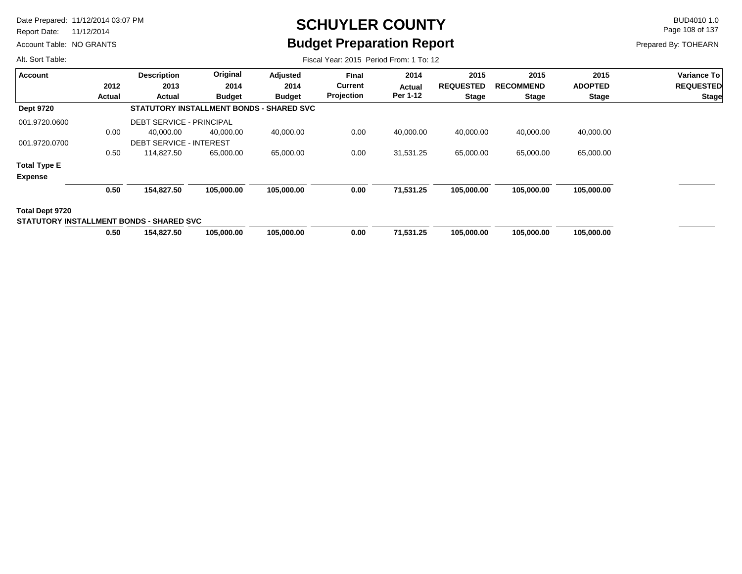Report Date: 11/12/2014

Account Table: NO GRANTS

## **SCHUYLER COUNTY** BUD4010 1.0 **Budget Preparation Report**

Fiscal Year: 2015 Period From: 1 To: 12

Page 108 of 137

Prepared By: TOHEARN

| Account                                  |        | <b>Description</b>                       | Original      | <b>Adjusted</b> | <b>Final</b>   | 2014      | 2015             | 2015             | 2015           | Variance To      |
|------------------------------------------|--------|------------------------------------------|---------------|-----------------|----------------|-----------|------------------|------------------|----------------|------------------|
|                                          | 2012   | 2013                                     | 2014          | 2014            | <b>Current</b> | Actual    | <b>REQUESTED</b> | <b>RECOMMEND</b> | <b>ADOPTED</b> | <b>REQUESTED</b> |
|                                          | Actual | Actual                                   | <b>Budget</b> | <b>Budget</b>   | Projection     | Per 1-12  | <b>Stage</b>     | <b>Stage</b>     | <b>Stage</b>   | <b>Stage</b>     |
| <b>Dept 9720</b>                         |        | STATUTORY INSTALLMENT BONDS - SHARED SVC |               |                 |                |           |                  |                  |                |                  |
| 001.9720.0600                            |        | <b>DEBT SERVICE - PRINCIPAL</b>          |               |                 |                |           |                  |                  |                |                  |
|                                          | 0.00   | 40,000.00                                | 40,000.00     | 40,000.00       | 0.00           | 40,000.00 | 40,000.00        | 40,000.00        | 40,000.00      |                  |
| 001.9720.0700                            |        | <b>DEBT SERVICE - INTEREST</b>           |               |                 |                |           |                  |                  |                |                  |
|                                          | 0.50   | 114,827.50                               | 65,000.00     | 65,000.00       | 0.00           | 31,531.25 | 65,000.00        | 65,000.00        | 65,000.00      |                  |
| <b>Total Type E</b>                      |        |                                          |               |                 |                |           |                  |                  |                |                  |
| <b>Expense</b>                           |        |                                          |               |                 |                |           |                  |                  |                |                  |
|                                          | 0.50   | 154,827.50                               | 105,000.00    | 105,000.00      | 0.00           | 71,531.25 | 105,000.00       | 105,000.00       | 105,000.00     |                  |
| Total Dept 9720                          |        |                                          |               |                 |                |           |                  |                  |                |                  |
| STATUTORY INSTALLMENT BONDS - SHARED SVC |        |                                          |               |                 |                |           |                  |                  |                |                  |
|                                          | 0.50   | 154,827.50                               | 105,000.00    | 105,000.00      | 0.00           | 71,531.25 | 105,000.00       | 105.000.00       | 105,000.00     |                  |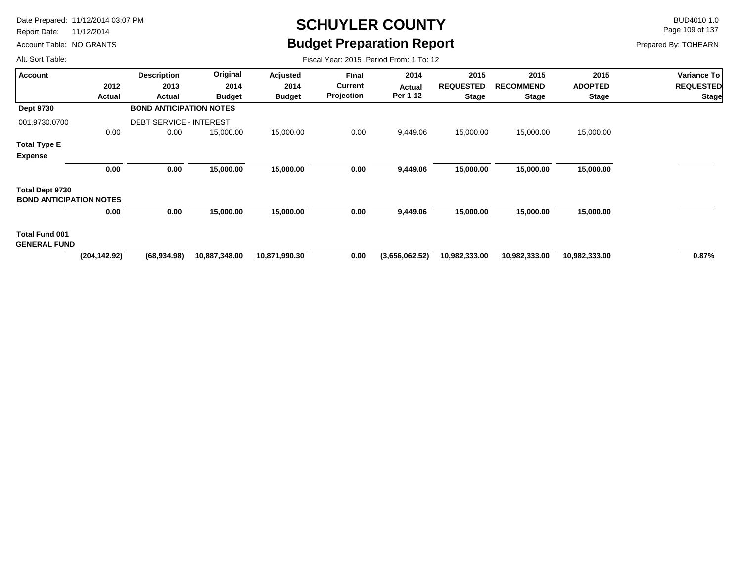Report Date: 11/12/2014

Account Table: NO GRANTS

## **SCHUYLER COUNTY** BUD4010 1.0 **Budget Preparation Report**

Fiscal Year: 2015 Period From: 1 To: 12

Page 109 of 137

Prepared By: TOHEARN

|                                | <b>Description</b> | Original      | Adjusted                                                         | Final             | 2014           | 2015             | 2015             | 2015           | Variance To      |
|--------------------------------|--------------------|---------------|------------------------------------------------------------------|-------------------|----------------|------------------|------------------|----------------|------------------|
| 2012                           | 2013               | 2014          | 2014                                                             | <b>Current</b>    | Actual         | <b>REQUESTED</b> | <b>RECOMMEND</b> | <b>ADOPTED</b> | <b>REQUESTED</b> |
| Actual                         | Actual             | <b>Budget</b> | <b>Budget</b>                                                    | <b>Projection</b> | Per 1-12       | <b>Stage</b>     | <b>Stage</b>     | <b>Stage</b>   | <b>Stage</b>     |
|                                |                    |               |                                                                  |                   |                |                  |                  |                |                  |
|                                |                    |               |                                                                  |                   |                |                  |                  |                |                  |
| 0.00                           | 0.00               | 15,000.00     | 15,000.00                                                        | 0.00              | 9,449.06       | 15,000.00        | 15,000.00        | 15,000.00      |                  |
|                                |                    |               |                                                                  |                   |                |                  |                  |                |                  |
|                                |                    |               |                                                                  |                   |                |                  |                  |                |                  |
| 0.00                           | 0.00               | 15,000.00     | 15,000.00                                                        | 0.00              | 9,449.06       | 15,000.00        | 15,000.00        | 15,000.00      |                  |
|                                |                    |               |                                                                  |                   |                |                  |                  |                |                  |
| <b>BOND ANTICIPATION NOTES</b> |                    |               |                                                                  |                   |                |                  |                  |                |                  |
| 0.00                           | 0.00               | 15,000.00     | 15,000.00                                                        | 0.00              | 9,449.06       | 15,000.00        | 15,000.00        | 15,000.00      |                  |
|                                |                    |               |                                                                  |                   |                |                  |                  |                |                  |
| <b>GENERAL FUND</b>            |                    |               |                                                                  |                   |                |                  |                  |                |                  |
| (204, 142.92)                  | (68, 934.98)       | 10,887,348.00 | 10,871,990.30                                                    | 0.00              | (3,656,062.52) | 10,982,333.00    | 10,982,333.00    | 10,982,333.00  | 0.87%            |
|                                |                    |               |                                                                  |                   |                |                  |                  |                |                  |
|                                |                    |               | <b>BOND ANTICIPATION NOTES</b><br><b>DEBT SERVICE - INTEREST</b> |                   |                |                  |                  |                |                  |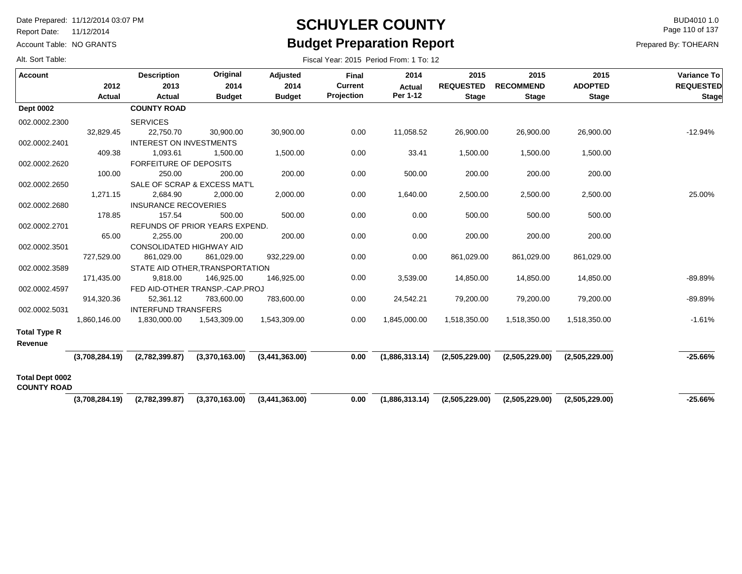Report Date: 11/12/2014

Account Table: NO GRANTS

#### **SCHUYLER COUNTY** BUD4010 1.0 **Budget Preparation Report**

Fiscal Year: 2015 Period From: 1 To: 12

Page 110 of 137

Prepared By: TOHEARN

| <b>Account</b>                        | 2012<br>Actual | <b>Description</b><br>2013<br><b>Actual</b> | Original<br>2014<br><b>Budget</b> | <b>Adjusted</b><br>2014<br><b>Budget</b> | Final<br><b>Current</b><br>Projection | 2014<br><b>Actual</b><br>Per 1-12 | 2015<br><b>REQUESTED</b><br><b>Stage</b> | 2015<br><b>RECOMMEND</b><br><b>Stage</b> | 2015<br><b>ADOPTED</b><br><b>Stage</b> | Variance To<br><b>REQUESTED</b><br><b>Stage</b> |
|---------------------------------------|----------------|---------------------------------------------|-----------------------------------|------------------------------------------|---------------------------------------|-----------------------------------|------------------------------------------|------------------------------------------|----------------------------------------|-------------------------------------------------|
| <b>Dept 0002</b>                      |                | <b>COUNTY ROAD</b>                          |                                   |                                          |                                       |                                   |                                          |                                          |                                        |                                                 |
| 002.0002.2300                         |                | <b>SERVICES</b>                             |                                   |                                          |                                       |                                   |                                          |                                          |                                        |                                                 |
|                                       | 32,829.45      | 22,750.70                                   | 30,900.00                         | 30,900.00                                | 0.00                                  | 11,058.52                         | 26,900.00                                | 26,900.00                                | 26,900.00                              | $-12.94%$                                       |
| 002.0002.2401                         |                | <b>INTEREST ON INVESTMENTS</b>              |                                   |                                          |                                       |                                   |                                          |                                          |                                        |                                                 |
|                                       | 409.38         | 1,093.61                                    | 1,500.00                          | 1,500.00                                 | 0.00                                  | 33.41                             | 1,500.00                                 | 1,500.00                                 | 1,500.00                               |                                                 |
| 002.0002.2620                         |                | <b>FORFEITURE OF DEPOSITS</b>               |                                   |                                          |                                       |                                   |                                          |                                          |                                        |                                                 |
|                                       | 100.00         | 250.00                                      | 200.00                            | 200.00                                   | 0.00                                  | 500.00                            | 200.00                                   | 200.00                                   | 200.00                                 |                                                 |
| 002.0002.2650                         |                |                                             | SALE OF SCRAP & EXCESS MAT'L      |                                          |                                       |                                   |                                          |                                          |                                        |                                                 |
|                                       | 1,271.15       | 2,684.90                                    | 2,000.00                          | 2,000.00                                 | 0.00                                  | 1,640.00                          | 2,500.00                                 | 2,500.00                                 | 2,500.00                               | 25.00%                                          |
| 002.0002.2680                         |                | <b>INSURANCE RECOVERIES</b>                 |                                   |                                          |                                       |                                   |                                          |                                          |                                        |                                                 |
|                                       | 178.85         | 157.54                                      | 500.00                            | 500.00                                   | 0.00                                  | 0.00                              | 500.00                                   | 500.00                                   | 500.00                                 |                                                 |
| 002.0002.2701                         |                |                                             | REFUNDS OF PRIOR YEARS EXPEND.    |                                          |                                       |                                   |                                          |                                          |                                        |                                                 |
|                                       | 65.00          | 2,255.00                                    | 200.00                            | 200.00                                   | 0.00                                  | 0.00                              | 200.00                                   | 200.00                                   | 200.00                                 |                                                 |
| 002.0002.3501                         |                | <b>CONSOLIDATED HIGHWAY AID</b>             |                                   |                                          |                                       |                                   |                                          |                                          |                                        |                                                 |
|                                       | 727,529.00     | 861,029.00                                  | 861,029.00                        | 932,229.00                               | 0.00                                  | 0.00                              | 861,029.00                               | 861,029.00                               | 861,029.00                             |                                                 |
| 002.0002.3589                         |                |                                             | STATE AID OTHER.TRANSPORTATION    |                                          |                                       |                                   |                                          |                                          |                                        |                                                 |
|                                       | 171,435.00     | 9,818.00                                    | 146,925.00                        | 146,925.00                               | 0.00                                  | 3,539.00                          | 14,850.00                                | 14,850.00                                | 14,850.00                              | $-89.89%$                                       |
| 002.0002.4597                         |                |                                             | FED AID-OTHER TRANSP.-CAP.PROJ    |                                          |                                       |                                   |                                          |                                          |                                        |                                                 |
|                                       | 914,320.36     | 52,361.12                                   | 783,600.00                        | 783,600.00                               | 0.00                                  | 24,542.21                         | 79,200.00                                | 79,200.00                                | 79,200.00                              | $-89.89%$                                       |
| 002.0002.5031                         |                | <b>INTERFUND TRANSFERS</b>                  |                                   |                                          |                                       |                                   |                                          |                                          |                                        |                                                 |
|                                       | 1,860,146.00   | 1,830,000.00                                | 1,543,309.00                      | 1,543,309.00                             | 0.00                                  | 1,845,000.00                      | 1,518,350.00                             | 1,518,350.00                             | 1,518,350.00                           | $-1.61%$                                        |
| <b>Total Type R</b>                   |                |                                             |                                   |                                          |                                       |                                   |                                          |                                          |                                        |                                                 |
| Revenue                               |                |                                             |                                   |                                          |                                       |                                   |                                          |                                          |                                        |                                                 |
|                                       |                | $(3,708,284.19)$ $(2,782,399.87)$           | (3,370,163.00)                    | (3,441,363.00)                           | 0.00                                  | (1,886,313.14)                    | (2,505,229.00)                           | (2,505,229.00)                           | (2,505,229.00)                         | $-25.66%$                                       |
| Total Dept 0002<br><b>COUNTY ROAD</b> |                |                                             |                                   |                                          |                                       |                                   |                                          |                                          |                                        |                                                 |
|                                       | (3,708,284.19) | (2,782,399.87)                              | (3,370,163.00)                    | (3,441,363.00)                           | 0.00                                  | (1,886,313.14)                    | (2,505,229.00)                           | (2,505,229.00)                           | (2,505,229.00)                         | $-25.66%$                                       |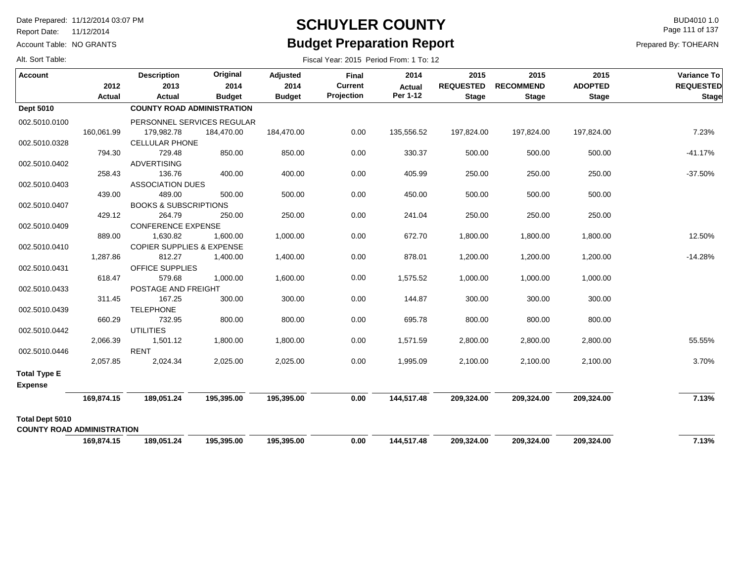Report Date: 11/12/2014

Account Table: NO GRANTS

## **SCHUYLER COUNTY** BUD4010 1.0 **Budget Preparation Report**

Fiscal Year: 2015 Period From: 1 To: 12

Page 111 of 137

Prepared By: TOHEARN

|  |  |  | Alt. Sort Table: |
|--|--|--|------------------|
|--|--|--|------------------|

| <b>Account</b>                        | 2012       | <b>Description</b><br>2013           | Original<br>2014 | Adjusted<br>2014 | <b>Final</b><br><b>Current</b> | 2014<br><b>Actual</b> | 2015<br><b>REQUESTED</b> | 2015<br><b>RECOMMEND</b> | 2015<br><b>ADOPTED</b> | Variance To<br><b>REQUESTED</b> |
|---------------------------------------|------------|--------------------------------------|------------------|------------------|--------------------------------|-----------------------|--------------------------|--------------------------|------------------------|---------------------------------|
|                                       | Actual     | Actual                               | <b>Budget</b>    | <b>Budget</b>    | Projection                     | Per 1-12              | <b>Stage</b>             | <b>Stage</b>             | <b>Stage</b>           | <b>Stage</b>                    |
| <b>Dept 5010</b>                      |            | <b>COUNTY ROAD ADMINISTRATION</b>    |                  |                  |                                |                       |                          |                          |                        |                                 |
| 002.5010.0100                         |            | PERSONNEL SERVICES REGULAR           |                  |                  |                                |                       |                          |                          |                        |                                 |
|                                       | 160,061.99 | 179,982.78                           | 184,470.00       | 184,470.00       | 0.00                           | 135,556.52            | 197,824.00               | 197,824.00               | 197,824.00             | 7.23%                           |
| 002.5010.0328                         |            | <b>CELLULAR PHONE</b>                |                  |                  |                                |                       |                          |                          |                        |                                 |
|                                       | 794.30     | 729.48                               | 850.00           | 850.00           | 0.00                           | 330.37                | 500.00                   | 500.00                   | 500.00                 | $-41.17%$                       |
| 002.5010.0402                         |            | <b>ADVERTISING</b>                   |                  |                  |                                |                       |                          |                          |                        |                                 |
|                                       | 258.43     | 136.76                               | 400.00           | 400.00           | 0.00                           | 405.99                | 250.00                   | 250.00                   | 250.00                 | $-37.50%$                       |
| 002.5010.0403                         |            | <b>ASSOCIATION DUES</b>              |                  |                  |                                |                       |                          |                          |                        |                                 |
|                                       | 439.00     | 489.00                               | 500.00           | 500.00           | 0.00                           | 450.00                | 500.00                   | 500.00                   | 500.00                 |                                 |
| 002.5010.0407                         |            | <b>BOOKS &amp; SUBSCRIPTIONS</b>     |                  |                  |                                |                       |                          |                          |                        |                                 |
|                                       | 429.12     | 264.79                               | 250.00           | 250.00           | 0.00                           | 241.04                | 250.00                   | 250.00                   | 250.00                 |                                 |
| 002.5010.0409                         |            | <b>CONFERENCE EXPENSE</b>            |                  |                  |                                |                       |                          |                          |                        |                                 |
|                                       | 889.00     | 1,630.82                             | 1,600.00         | 1,000.00         | 0.00                           | 672.70                | 1,800.00                 | 1,800.00                 | 1,800.00               | 12.50%                          |
| 002.5010.0410                         |            | <b>COPIER SUPPLIES &amp; EXPENSE</b> |                  |                  |                                |                       |                          |                          |                        |                                 |
|                                       | 1,287.86   | 812.27                               | 1,400.00         | 1,400.00         | 0.00                           | 878.01                | 1,200.00                 | 1,200.00                 | 1,200.00               | $-14.28%$                       |
| 002.5010.0431                         |            | OFFICE SUPPLIES                      |                  |                  |                                |                       |                          |                          |                        |                                 |
|                                       | 618.47     | 579.68                               | 1,000.00         | 1,600.00         | 0.00                           | 1,575.52              | 1,000.00                 | 1,000.00                 | 1,000.00               |                                 |
| 002.5010.0433                         |            | POSTAGE AND FREIGHT                  |                  |                  |                                |                       |                          |                          |                        |                                 |
|                                       | 311.45     | 167.25                               | 300.00           | 300.00           | 0.00                           | 144.87                | 300.00                   | 300.00                   | 300.00                 |                                 |
| 002.5010.0439                         |            | <b>TELEPHONE</b>                     |                  |                  |                                |                       |                          |                          |                        |                                 |
|                                       | 660.29     | 732.95                               | 800.00           | 800.00           | 0.00                           | 695.78                | 800.00                   | 800.00                   | 800.00                 |                                 |
| 002.5010.0442                         |            | <b>UTILITIES</b>                     |                  |                  |                                |                       |                          |                          |                        |                                 |
|                                       | 2,066.39   | 1,501.12                             | 1,800.00         | 1,800.00         | 0.00                           | 1,571.59              | 2,800.00                 | 2,800.00                 | 2,800.00               | 55.55%                          |
| 002.5010.0446                         | 2,057.85   | <b>RENT</b>                          | 2,025.00         |                  | 0.00                           | 1,995.09              | 2,100.00                 | 2,100.00                 | 2,100.00               | 3.70%                           |
|                                       |            | 2,024.34                             |                  | 2,025.00         |                                |                       |                          |                          |                        |                                 |
| <b>Total Type E</b><br><b>Expense</b> |            |                                      |                  |                  |                                |                       |                          |                          |                        |                                 |
|                                       | 169,874.15 | 189,051.24                           | 195,395.00       | 195,395.00       | 0.00                           | 144,517.48            | 209,324.00               | 209,324.00               | 209,324.00             | 7.13%                           |
| <b>Total Dept 5010</b>                |            |                                      |                  |                  |                                |                       |                          |                          |                        |                                 |
| <b>COUNTY ROAD ADMINISTRATION</b>     |            |                                      |                  |                  |                                |                       |                          |                          |                        |                                 |
|                                       | 169,874.15 | 189,051.24                           | 195,395.00       | 195,395.00       | 0.00                           | 144,517.48            | 209,324.00               | 209,324.00               | 209,324.00             | 7.13%                           |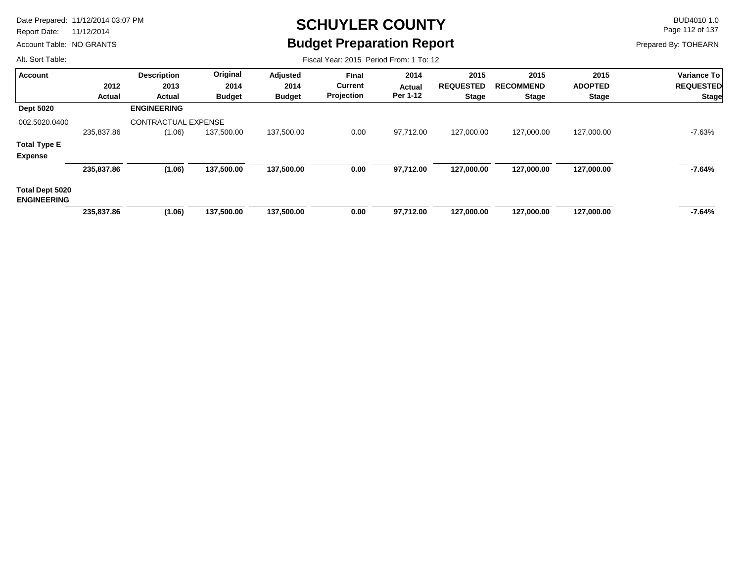Report Date: 11/12/2014

Account Table: NO GRANTS

# **SCHUYLER COUNTY** BUD4010 1.0 **Budget Preparation Report**

Fiscal Year: 2015 Period From: 1 To: 12

Page 112 of 137

Prepared By: TOHEARN

| <b>Account</b>                               |               | <b>Description</b>         | Original      | Adjusted      | <b>Final</b>   | 2014      | 2015             | 2015             | 2015           | Variance To      |
|----------------------------------------------|---------------|----------------------------|---------------|---------------|----------------|-----------|------------------|------------------|----------------|------------------|
|                                              | 2012          | 2013                       | 2014          | 2014          | <b>Current</b> | Actual    | <b>REQUESTED</b> | <b>RECOMMEND</b> | <b>ADOPTED</b> | <b>REQUESTED</b> |
|                                              | <b>Actual</b> | Actual                     | <b>Budget</b> | <b>Budget</b> | Projection     | Per 1-12  | <b>Stage</b>     | <b>Stage</b>     | <b>Stage</b>   | <b>Stage</b>     |
| <b>Dept 5020</b>                             |               | <b>ENGINEERING</b>         |               |               |                |           |                  |                  |                |                  |
| 002.5020.0400                                |               | <b>CONTRACTUAL EXPENSE</b> |               |               |                |           |                  |                  |                |                  |
|                                              | 235,837.86    | (1.06)                     | 137,500.00    | 137,500.00    | 0.00           | 97,712.00 | 127,000.00       | 127,000.00       | 127,000.00     | -7.63%           |
| <b>Total Type E</b>                          |               |                            |               |               |                |           |                  |                  |                |                  |
| <b>Expense</b>                               |               |                            |               |               |                |           |                  |                  |                |                  |
|                                              | 235,837.86    | (1.06)                     | 137,500.00    | 137,500.00    | 0.00           | 97,712.00 | 127,000.00       | 127,000.00       | 127,000.00     | -7.64%           |
| <b>Total Dept 5020</b><br><b>ENGINEERING</b> |               |                            |               |               |                |           |                  |                  |                |                  |
|                                              | 235,837.86    | (1.06)                     | 137,500.00    | 137,500.00    | 0.00           | 97,712.00 | 127,000.00       | 127,000.00       | 127,000.00     | -7.64%           |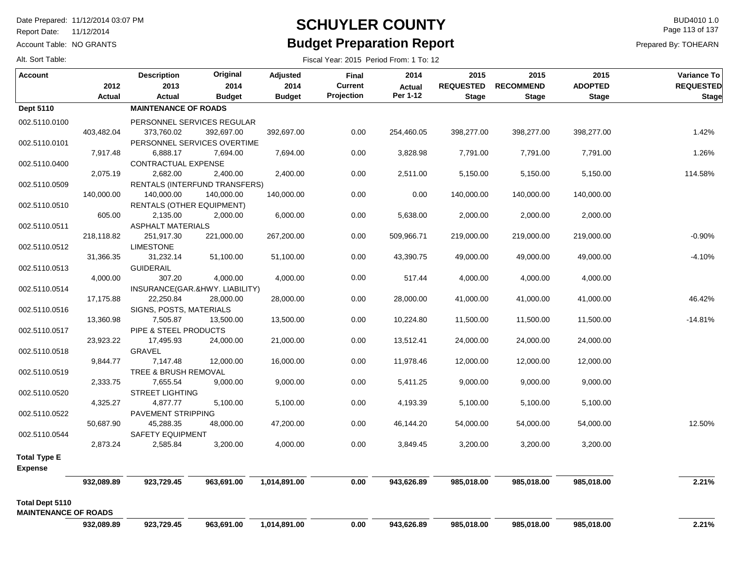Report Date: 11/12/2014

Account Table: NO GRANTS

## **SCHUYLER COUNTY** BUD4010 1.0 **Budget Preparation Report**

Page 113 of 137

Prepared By: TOHEARN

| Alt. Sort Table: |  |
|------------------|--|
|------------------|--|

| Alt. Sort Table:            |               |                                |                               |                  | Fiscal Year: 2015 Period From: 1 To: 12 |                       |                          |                          |                        |                                 |
|-----------------------------|---------------|--------------------------------|-------------------------------|------------------|-----------------------------------------|-----------------------|--------------------------|--------------------------|------------------------|---------------------------------|
| <b>Account</b>              | 2012          | <b>Description</b><br>2013     | Original<br>2014              | Adjusted<br>2014 | <b>Final</b><br><b>Current</b>          | 2014<br><b>Actual</b> | 2015<br><b>REQUESTED</b> | 2015<br><b>RECOMMEND</b> | 2015<br><b>ADOPTED</b> | Variance To<br><b>REQUESTED</b> |
|                             | <b>Actual</b> | <b>Actual</b>                  | <b>Budget</b>                 | <b>Budget</b>    | Projection                              | Per 1-12              | <b>Stage</b>             | <b>Stage</b>             | <b>Stage</b>           | <b>Stage</b>                    |
| Dept 5110                   |               | <b>MAINTENANCE OF ROADS</b>    |                               |                  |                                         |                       |                          |                          |                        |                                 |
| 002.5110.0100               |               | PERSONNEL SERVICES REGULAR     |                               |                  |                                         |                       |                          |                          |                        |                                 |
|                             | 403,482.04    | 373,760.02                     | 392,697.00                    | 392,697.00       | 0.00                                    | 254,460.05            | 398,277.00               | 398,277.00               | 398,277.00             | 1.42%                           |
| 002.5110.0101               |               | PERSONNEL SERVICES OVERTIME    |                               |                  |                                         |                       |                          |                          |                        |                                 |
|                             | 7,917.48      | 6,888.17                       | 7,694.00                      | 7,694.00         | 0.00                                    | 3,828.98              | 7,791.00                 | 7,791.00                 | 7,791.00               | 1.26%                           |
| 002.5110.0400               |               | CONTRACTUAL EXPENSE            |                               |                  |                                         |                       |                          |                          |                        |                                 |
|                             | 2,075.19      | 2,682.00                       | 2,400.00                      | 2,400.00         | 0.00                                    | 2,511.00              | 5,150.00                 | 5,150.00                 | 5,150.00               | 114.58%                         |
| 002.5110.0509               |               |                                | RENTALS (INTERFUND TRANSFERS) |                  |                                         |                       |                          |                          |                        |                                 |
|                             | 140,000.00    | 140,000.00                     | 140,000.00                    | 140,000.00       | 0.00                                    | 0.00                  | 140,000.00               | 140,000.00               | 140,000.00             |                                 |
| 002.5110.0510               |               | RENTALS (OTHER EQUIPMENT)      |                               |                  |                                         |                       |                          |                          |                        |                                 |
|                             | 605.00        | 2,135.00                       | 2,000.00                      | 6,000.00         | 0.00                                    | 5,638.00              | 2,000.00                 | 2,000.00                 | 2,000.00               |                                 |
| 002.5110.0511               |               | <b>ASPHALT MATERIALS</b>       |                               |                  |                                         |                       |                          |                          |                        |                                 |
|                             | 218,118.82    | 251,917.30                     | 221,000.00                    | 267,200.00       | 0.00                                    | 509,966.71            | 219,000.00               | 219,000.00               | 219,000.00             | $-0.90%$                        |
| 002.5110.0512               |               | <b>LIMESTONE</b>               |                               |                  |                                         |                       |                          |                          |                        |                                 |
|                             | 31,366.35     | 31,232.14                      | 51,100.00                     | 51,100.00        | 0.00                                    | 43,390.75             | 49,000.00                | 49,000.00                | 49,000.00              | $-4.10%$                        |
| 002.5110.0513               |               | <b>GUIDERAIL</b>               |                               |                  |                                         |                       |                          |                          |                        |                                 |
|                             | 4,000.00      | 307.20                         | 4,000.00                      | 4,000.00         | 0.00                                    | 517.44                | 4,000.00                 | 4,000.00                 | 4,000.00               |                                 |
| 002.5110.0514               |               | INSURANCE(GAR.&HWY. LIABILITY) |                               |                  |                                         |                       |                          |                          |                        |                                 |
|                             | 17,175.88     | 22,250.84                      | 28,000.00                     | 28,000.00        | 0.00                                    | 28,000.00             | 41,000.00                | 41,000.00                | 41,000.00              | 46.42%                          |
| 002.5110.0516               |               | SIGNS, POSTS, MATERIALS        |                               |                  |                                         |                       |                          |                          |                        |                                 |
|                             | 13,360.98     | 7,505.87                       | 13,500.00                     | 13,500.00        | 0.00                                    | 10,224.80             | 11,500.00                | 11,500.00                | 11,500.00              | $-14.81%$                       |
| 002.5110.0517               |               | PIPE & STEEL PRODUCTS          |                               |                  |                                         |                       |                          |                          |                        |                                 |
|                             | 23,923.22     | 17,495.93                      | 24,000.00                     | 21,000.00        | 0.00                                    | 13,512.41             | 24,000.00                | 24,000.00                | 24,000.00              |                                 |
| 002.5110.0518               |               | <b>GRAVEL</b>                  |                               |                  |                                         |                       |                          |                          |                        |                                 |
|                             | 9,844.77      | 7,147.48                       | 12,000.00                     | 16,000.00        | 0.00                                    | 11,978.46             | 12,000.00                | 12,000.00                | 12,000.00              |                                 |
| 002.5110.0519               |               | TREE & BRUSH REMOVAL           |                               |                  |                                         |                       |                          |                          |                        |                                 |
|                             | 2,333.75      | 7,655.54                       | 9,000.00                      | 9,000.00         | 0.00                                    | 5,411.25              | 9,000.00                 | 9,000.00                 | 9,000.00               |                                 |
| 002.5110.0520               |               | <b>STREET LIGHTING</b>         |                               |                  |                                         |                       |                          |                          |                        |                                 |
|                             | 4,325.27      | 4,877.77                       | 5,100.00                      | 5,100.00         | 0.00                                    | 4,193.39              | 5,100.00                 | 5,100.00                 | 5,100.00               |                                 |
| 002.5110.0522               |               | PAVEMENT STRIPPING             |                               |                  |                                         |                       |                          |                          |                        |                                 |
|                             | 50,687.90     | 45,288.35                      | 48,000.00                     | 47,200.00        | 0.00                                    | 46,144.20             | 54,000.00                | 54,000.00                | 54,000.00              | 12.50%                          |
| 002.5110.0544               |               | <b>SAFETY EQUIPMENT</b>        |                               |                  |                                         |                       |                          |                          |                        |                                 |
|                             | 2,873.24      | 2,585.84                       | 3,200.00                      | 4,000.00         | 0.00                                    | 3,849.45              | 3,200.00                 | 3,200.00                 | 3,200.00               |                                 |
| <b>Total Type E</b>         |               |                                |                               |                  |                                         |                       |                          |                          |                        |                                 |
|                             |               |                                |                               |                  |                                         |                       |                          |                          |                        |                                 |
| <b>Expense</b>              |               |                                |                               |                  |                                         |                       |                          |                          |                        |                                 |
|                             | 932,089.89    | 923,729.45                     | 963,691.00                    | 1,014,891.00     | 0.00                                    | 943,626.89            | 985,018.00               | 985,018.00               | 985,018.00             | 2.21%                           |
| <b>Total Dept 5110</b>      |               |                                |                               |                  |                                         |                       |                          |                          |                        |                                 |
| <b>MAINTENANCE OF ROADS</b> |               |                                |                               |                  |                                         |                       |                          |                          |                        |                                 |
|                             | 932,089.89    | 923,729.45                     | 963,691.00                    | 1,014,891.00     | 0.00                                    | 943,626.89            | 985,018.00               | 985,018.00               | 985,018.00             | 2.21%                           |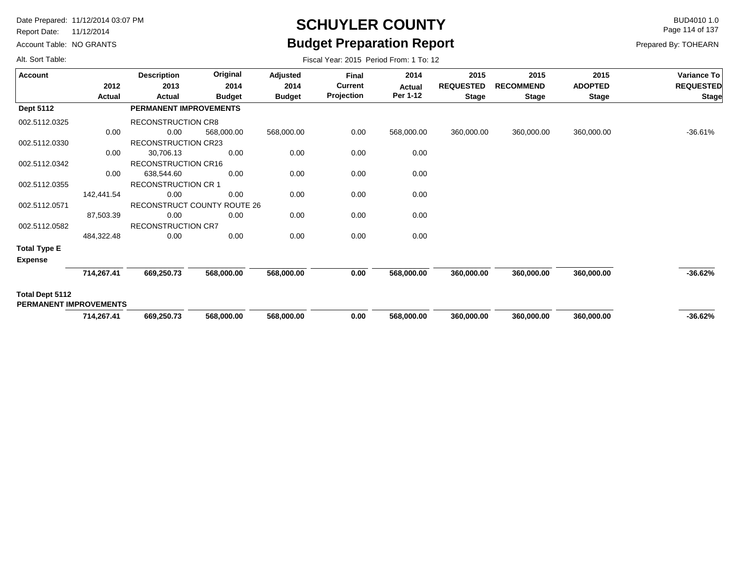Report Date: 11/12/2014

Account Table: NO GRANTS

## **SCHUYLER COUNTY** BUD4010 1.0 **Budget Preparation Report**

Fiscal Year: 2015 Period From: 1 To: 12

Page 114 of 137

Prepared By: TOHEARN

| Account                       |               | <b>Description</b>            | Original                    | Adjusted      | Final          | 2014       | 2015             | 2015             | 2015           | Variance To      |
|-------------------------------|---------------|-------------------------------|-----------------------------|---------------|----------------|------------|------------------|------------------|----------------|------------------|
|                               | 2012          | 2013                          | 2014                        | 2014          | <b>Current</b> | Actual     | <b>REQUESTED</b> | <b>RECOMMEND</b> | <b>ADOPTED</b> | <b>REQUESTED</b> |
|                               | <b>Actual</b> | Actual                        | <b>Budget</b>               | <b>Budget</b> | Projection     | Per 1-12   | <b>Stage</b>     | <b>Stage</b>     | <b>Stage</b>   | <b>Stage</b>     |
| <b>Dept 5112</b>              |               | <b>PERMANENT IMPROVEMENTS</b> |                             |               |                |            |                  |                  |                |                  |
| 002.5112.0325                 |               | <b>RECONSTRUCTION CR8</b>     |                             |               |                |            |                  |                  |                |                  |
|                               | 0.00          | 0.00                          | 568,000.00                  | 568,000.00    | 0.00           | 568,000.00 | 360,000.00       | 360,000.00       | 360,000.00     | -36.61%          |
| 002.5112.0330                 |               | <b>RECONSTRUCTION CR23</b>    |                             |               |                |            |                  |                  |                |                  |
|                               | 0.00          | 30,706.13                     | 0.00                        | 0.00          | 0.00           | 0.00       |                  |                  |                |                  |
| 002.5112.0342                 |               | <b>RECONSTRUCTION CR16</b>    |                             |               |                |            |                  |                  |                |                  |
|                               | 0.00          | 638,544.60                    | 0.00                        | 0.00          | 0.00           | 0.00       |                  |                  |                |                  |
| 002.5112.0355                 |               | <b>RECONSTRUCTION CR 1</b>    |                             |               |                |            |                  |                  |                |                  |
|                               | 142,441.54    | 0.00                          | 0.00                        | 0.00          | 0.00           | 0.00       |                  |                  |                |                  |
| 002.5112.0571                 |               |                               | RECONSTRUCT COUNTY ROUTE 26 |               |                |            |                  |                  |                |                  |
|                               | 87,503.39     | 0.00                          | 0.00                        | 0.00          | 0.00           | 0.00       |                  |                  |                |                  |
| 002.5112.0582                 |               | <b>RECONSTRUCTION CR7</b>     |                             |               |                |            |                  |                  |                |                  |
|                               | 484,322.48    | 0.00                          | 0.00                        | 0.00          | 0.00           | 0.00       |                  |                  |                |                  |
| <b>Total Type E</b>           |               |                               |                             |               |                |            |                  |                  |                |                  |
| <b>Expense</b>                |               |                               |                             |               |                |            |                  |                  |                |                  |
|                               | 714,267.41    | 669,250.73                    | 568,000.00                  | 568,000.00    | 0.00           | 568,000.00 | 360,000.00       | 360,000.00       | 360,000.00     | $-36.62%$        |
| Total Dept 5112               |               |                               |                             |               |                |            |                  |                  |                |                  |
| <b>PERMANENT IMPROVEMENTS</b> |               |                               |                             |               |                |            |                  |                  |                |                  |
|                               | 714,267.41    | 669,250.73                    | 568,000.00                  | 568,000.00    | 0.00           | 568,000.00 | 360,000.00       | 360,000.00       | 360,000.00     | $-36.62%$        |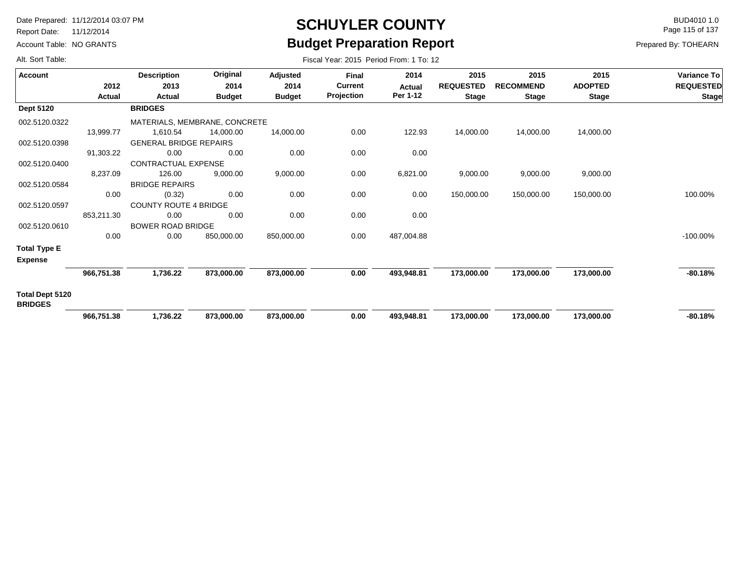Report Date: 11/12/2014

Account Table: NO GRANTS

## **SCHUYLER COUNTY** BUD4010 1.0 **Budget Preparation Report**

Fiscal Year: 2015 Period From: 1 To: 12

Page 115 of 137

Prepared By: TOHEARN

| <b>Account</b>                           |            | <b>Description</b>            | Original      | Adjusted      | <b>Final</b>   | 2014       | 2015             | 2015             | 2015           | <b>Variance To</b> |
|------------------------------------------|------------|-------------------------------|---------------|---------------|----------------|------------|------------------|------------------|----------------|--------------------|
|                                          | 2012       | 2013                          | 2014          | 2014          | <b>Current</b> | Actual     | <b>REQUESTED</b> | <b>RECOMMEND</b> | <b>ADOPTED</b> | <b>REQUESTED</b>   |
|                                          | Actual     | Actual                        | <b>Budget</b> | <b>Budget</b> | Projection     | Per 1-12   | <b>Stage</b>     | <b>Stage</b>     | <b>Stage</b>   | <b>Stage</b>       |
| <b>Dept 5120</b>                         |            | <b>BRIDGES</b>                |               |               |                |            |                  |                  |                |                    |
| 002.5120.0322                            |            | MATERIALS, MEMBRANE, CONCRETE |               |               |                |            |                  |                  |                |                    |
|                                          | 13,999.77  | 1,610.54                      | 14,000.00     | 14,000.00     | 0.00           | 122.93     | 14,000.00        | 14,000.00        | 14,000.00      |                    |
| 002.5120.0398                            |            | <b>GENERAL BRIDGE REPAIRS</b> |               |               |                |            |                  |                  |                |                    |
|                                          | 91,303.22  | 0.00                          | 0.00          | 0.00          | 0.00           | 0.00       |                  |                  |                |                    |
| 002.5120.0400                            |            | CONTRACTUAL EXPENSE           |               |               |                |            |                  |                  |                |                    |
|                                          | 8,237.09   | 126.00                        | 9,000.00      | 9,000.00      | 0.00           | 6,821.00   | 9,000.00         | 9,000.00         | 9,000.00       |                    |
| 002.5120.0584                            |            | <b>BRIDGE REPAIRS</b>         |               |               |                |            |                  |                  |                |                    |
|                                          | 0.00       | (0.32)                        | 0.00          | 0.00          | 0.00           | 0.00       | 150,000.00       | 150,000.00       | 150,000.00     | 100.00%            |
| 002.5120.0597                            |            | <b>COUNTY ROUTE 4 BRIDGE</b>  |               |               |                |            |                  |                  |                |                    |
|                                          | 853,211.30 | 0.00                          | 0.00          | 0.00          | 0.00           | 0.00       |                  |                  |                |                    |
| 002.5120.0610                            |            | <b>BOWER ROAD BRIDGE</b>      |               |               |                |            |                  |                  |                |                    |
|                                          | 0.00       | 0.00                          | 850,000.00    | 850,000.00    | 0.00           | 487,004.88 |                  |                  |                | $-100.00\%$        |
| <b>Total Type E</b>                      |            |                               |               |               |                |            |                  |                  |                |                    |
| <b>Expense</b>                           |            |                               |               |               |                |            |                  |                  |                |                    |
|                                          | 966,751.38 | 1,736.22                      | 873,000.00    | 873,000.00    | 0.00           | 493,948.81 | 173,000.00       | 173,000.00       | 173,000.00     | $-80.18%$          |
| <b>Total Dept 5120</b><br><b>BRIDGES</b> |            |                               |               |               |                |            |                  |                  |                |                    |
|                                          | 966,751.38 | 1,736.22                      | 873,000.00    | 873,000.00    | 0.00           | 493,948.81 | 173,000.00       | 173,000.00       | 173,000.00     | $-80.18%$          |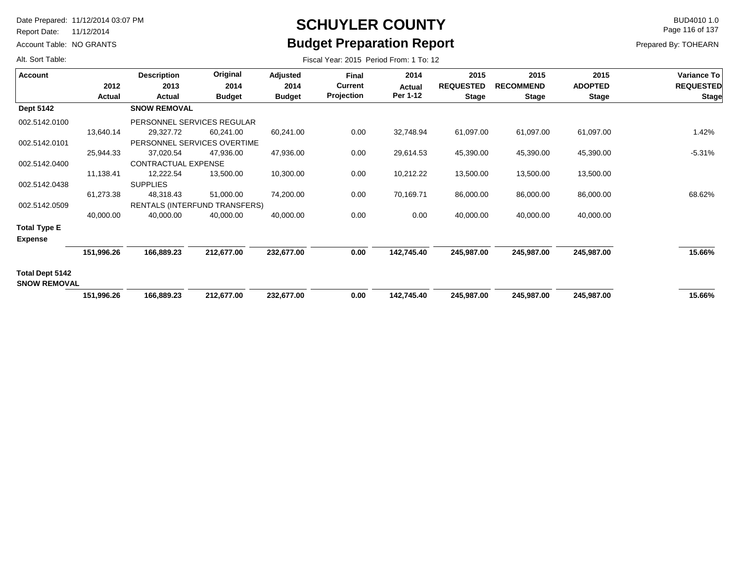Report Date: 11/12/2014

Account Table: NO GRANTS

## **SCHUYLER COUNTY** BUD4010 1.0 **Budget Preparation Report**

Fiscal Year: 2015 Period From: 1 To: 12

Page 116 of 137

Prepared By: TOHEARN

| <b>Account</b>                                |            | <b>Description</b>            | Original      | Adjusted      | <b>Final</b>   | 2014       | 2015             | 2015             | 2015           | Variance To      |
|-----------------------------------------------|------------|-------------------------------|---------------|---------------|----------------|------------|------------------|------------------|----------------|------------------|
|                                               | 2012       | 2013                          | 2014          | 2014          | <b>Current</b> | Actual     | <b>REQUESTED</b> | <b>RECOMMEND</b> | <b>ADOPTED</b> | <b>REQUESTED</b> |
|                                               | Actual     | Actual                        | <b>Budget</b> | <b>Budget</b> | Projection     | Per 1-12   | <b>Stage</b>     | <b>Stage</b>     | <b>Stage</b>   | <b>Stage</b>     |
| <b>Dept 5142</b>                              |            | <b>SNOW REMOVAL</b>           |               |               |                |            |                  |                  |                |                  |
| 002.5142.0100                                 |            | PERSONNEL SERVICES REGULAR    |               |               |                |            |                  |                  |                |                  |
|                                               | 13,640.14  | 29,327.72                     | 60,241.00     | 60,241.00     | 0.00           | 32,748.94  | 61,097.00        | 61,097.00        | 61,097.00      | 1.42%            |
| 002.5142.0101                                 |            | PERSONNEL SERVICES OVERTIME   |               |               |                |            |                  |                  |                |                  |
|                                               | 25,944.33  | 37,020.54                     | 47,936.00     | 47,936.00     | 0.00           | 29,614.53  | 45,390.00        | 45,390.00        | 45,390.00      | $-5.31%$         |
| 002.5142.0400                                 |            | CONTRACTUAL EXPENSE           |               |               |                |            |                  |                  |                |                  |
|                                               | 11,138.41  | 12,222.54                     | 13,500.00     | 10,300.00     | 0.00           | 10,212.22  | 13,500.00        | 13,500.00        | 13,500.00      |                  |
| 002.5142.0438                                 |            | <b>SUPPLIES</b>               |               |               |                |            |                  |                  |                |                  |
|                                               | 61,273.38  | 48,318.43                     | 51,000.00     | 74,200.00     | 0.00           | 70,169.71  | 86,000.00        | 86,000.00        | 86,000.00      | 68.62%           |
| 002.5142.0509                                 |            | RENTALS (INTERFUND TRANSFERS) |               |               |                |            |                  |                  |                |                  |
|                                               | 40,000.00  | 40,000.00                     | 40,000.00     | 40,000.00     | 0.00           | 0.00       | 40,000.00        | 40,000.00        | 40,000.00      |                  |
| <b>Total Type E</b>                           |            |                               |               |               |                |            |                  |                  |                |                  |
| <b>Expense</b>                                |            |                               |               |               |                |            |                  |                  |                |                  |
|                                               | 151,996.26 | 166,889.23                    | 212,677.00    | 232,677.00    | 0.00           | 142,745.40 | 245,987.00       | 245,987.00       | 245,987.00     | 15.66%           |
| <b>Total Dept 5142</b><br><b>SNOW REMOVAL</b> |            |                               |               |               |                |            |                  |                  |                |                  |
|                                               | 151,996.26 | 166,889.23                    | 212,677.00    | 232,677.00    | 0.00           | 142,745.40 | 245,987.00       | 245,987.00       | 245,987.00     | 15.66%           |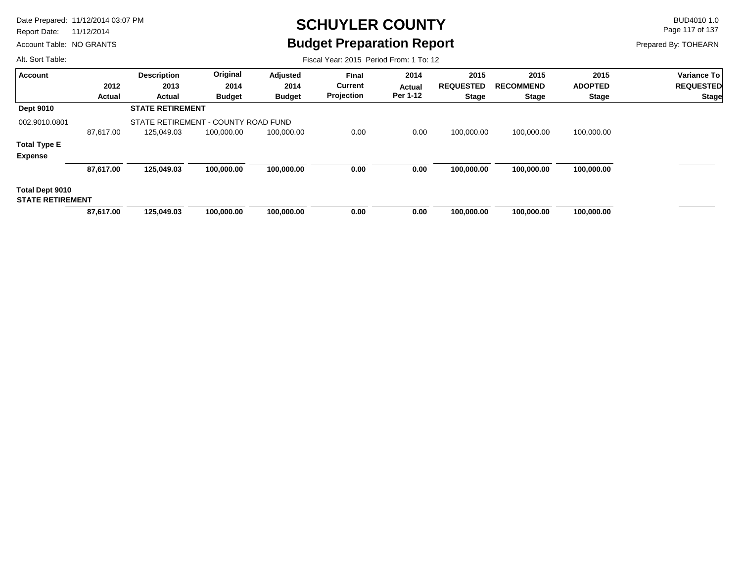Report Date: 11/12/2014

Account Table: NO GRANTS

# **SCHUYLER COUNTY** BUD4010 1.0 **Budget Preparation Report**

Fiscal Year: 2015 Period From: 1 To: 12

Page 117 of 137

Prepared By: TOHEARN

| <b>Account</b>          |           | <b>Description</b>                  | Original      | Adjusted      | <b>Final</b>   | 2014          | 2015             | 2015             | 2015           | Variance To      |
|-------------------------|-----------|-------------------------------------|---------------|---------------|----------------|---------------|------------------|------------------|----------------|------------------|
|                         | 2012      | 2013                                | 2014          | 2014          | <b>Current</b> | <b>Actual</b> | <b>REQUESTED</b> | <b>RECOMMEND</b> | <b>ADOPTED</b> | <b>REQUESTED</b> |
|                         | Actual    | Actual                              | <b>Budget</b> | <b>Budget</b> | Projection     | Per 1-12      | <b>Stage</b>     | <b>Stage</b>     | <b>Stage</b>   | <b>Stage</b>     |
| <b>Dept 9010</b>        |           | <b>STATE RETIREMENT</b>             |               |               |                |               |                  |                  |                |                  |
| 002.9010.0801           |           | STATE RETIREMENT - COUNTY ROAD FUND |               |               |                |               |                  |                  |                |                  |
|                         | 87.617.00 | 125,049.03                          | 100,000.00    | 100,000.00    | 0.00           | 0.00          | 100,000.00       | 100,000.00       | 100,000.00     |                  |
| <b>Total Type E</b>     |           |                                     |               |               |                |               |                  |                  |                |                  |
| <b>Expense</b>          |           |                                     |               |               |                |               |                  |                  |                |                  |
|                         | 87,617.00 | 125,049.03                          | 100,000.00    | 100,000.00    | 0.00           | 0.00          | 100,000.00       | 100,000.00       | 100,000.00     |                  |
| Total Dept 9010         |           |                                     |               |               |                |               |                  |                  |                |                  |
| <b>STATE RETIREMENT</b> |           |                                     |               |               |                |               |                  |                  |                |                  |
|                         | 87,617.00 | 125.049.03                          | 100.000.00    | 100,000.00    | 0.00           | 0.00          | 100.000.00       | 100.000.00       | 100,000.00     |                  |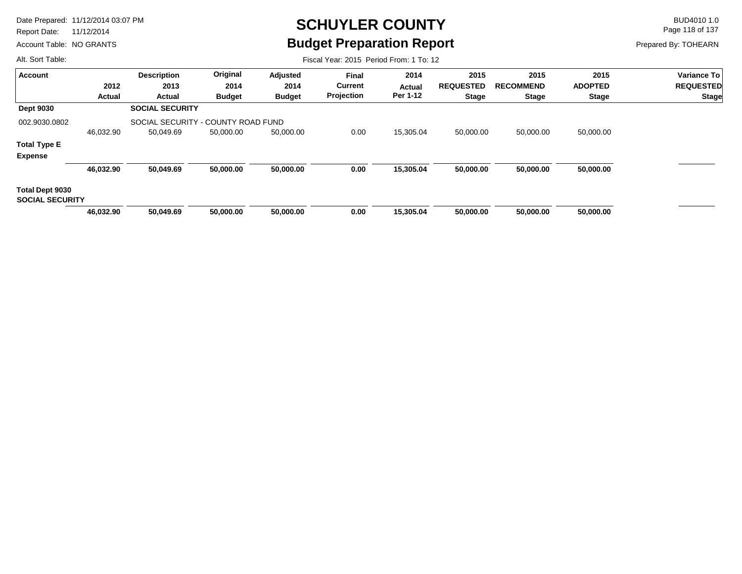Report Date: 11/12/2014

Account Table: NO GRANTS

# **SCHUYLER COUNTY** BUD4010 1.0 **Budget Preparation Report**

Fiscal Year: 2015 Period From: 1 To: 12

Page 118 of 137

Prepared By: TOHEARN

| Original<br>2015<br>2015<br>2014<br>2015<br><b>Description</b><br>Adjusted<br>Final<br><b>Account</b><br><b>Current</b><br>2012<br>2013<br><b>REQUESTED</b><br><b>RECOMMEND</b><br><b>ADOPTED</b><br>2014<br>2014<br>Actual<br>Projection<br>Per 1-12<br><b>Budget</b><br><b>Budget</b><br><b>Stage</b><br><b>Stage</b><br><b>Stage</b><br><b>Actual</b><br>Actual<br><b>SOCIAL SECURITY</b><br><b>Dept 9030</b><br>002.9030.0802<br>SOCIAL SECURITY - COUNTY ROAD FUND<br>0.00<br>15,305.04<br>50,000.00<br>50,000.00<br>46,032.90<br>50,000.00<br>50,000.00<br>50,049.69<br>50,000.00<br><b>Total Type E</b><br><b>Expense</b><br>46,032.90<br>50,000.00<br>0.00<br>15,305.04<br>50,049.69<br>50,000.00<br>50,000.00<br>50,000.00<br>50,000.00<br>Total Dept 9030<br><b>SOCIAL SECURITY</b><br>0.00<br>15,305.04<br>50,000.00<br>46,032.90<br>50.049.69<br>50.000.00<br>50,000.00<br>50.000.00<br>50.000.00 |  |  |  |  |  |                  |
|---------------------------------------------------------------------------------------------------------------------------------------------------------------------------------------------------------------------------------------------------------------------------------------------------------------------------------------------------------------------------------------------------------------------------------------------------------------------------------------------------------------------------------------------------------------------------------------------------------------------------------------------------------------------------------------------------------------------------------------------------------------------------------------------------------------------------------------------------------------------------------------------------------------|--|--|--|--|--|------------------|
|                                                                                                                                                                                                                                                                                                                                                                                                                                                                                                                                                                                                                                                                                                                                                                                                                                                                                                               |  |  |  |  |  | Variance To      |
|                                                                                                                                                                                                                                                                                                                                                                                                                                                                                                                                                                                                                                                                                                                                                                                                                                                                                                               |  |  |  |  |  | <b>REQUESTED</b> |
|                                                                                                                                                                                                                                                                                                                                                                                                                                                                                                                                                                                                                                                                                                                                                                                                                                                                                                               |  |  |  |  |  | <b>Stage</b>     |
|                                                                                                                                                                                                                                                                                                                                                                                                                                                                                                                                                                                                                                                                                                                                                                                                                                                                                                               |  |  |  |  |  |                  |
|                                                                                                                                                                                                                                                                                                                                                                                                                                                                                                                                                                                                                                                                                                                                                                                                                                                                                                               |  |  |  |  |  |                  |
|                                                                                                                                                                                                                                                                                                                                                                                                                                                                                                                                                                                                                                                                                                                                                                                                                                                                                                               |  |  |  |  |  |                  |
|                                                                                                                                                                                                                                                                                                                                                                                                                                                                                                                                                                                                                                                                                                                                                                                                                                                                                                               |  |  |  |  |  |                  |
|                                                                                                                                                                                                                                                                                                                                                                                                                                                                                                                                                                                                                                                                                                                                                                                                                                                                                                               |  |  |  |  |  |                  |
|                                                                                                                                                                                                                                                                                                                                                                                                                                                                                                                                                                                                                                                                                                                                                                                                                                                                                                               |  |  |  |  |  |                  |
|                                                                                                                                                                                                                                                                                                                                                                                                                                                                                                                                                                                                                                                                                                                                                                                                                                                                                                               |  |  |  |  |  |                  |
|                                                                                                                                                                                                                                                                                                                                                                                                                                                                                                                                                                                                                                                                                                                                                                                                                                                                                                               |  |  |  |  |  |                  |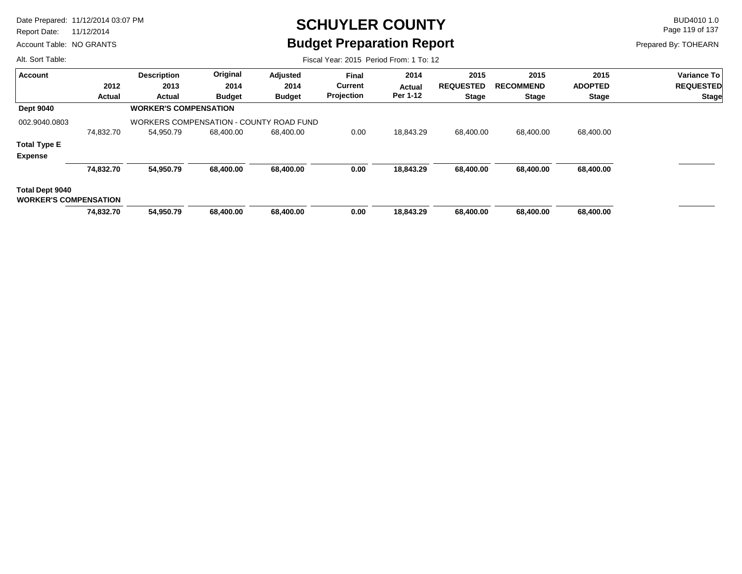Report Date: 11/12/2014

Account Table: NO GRANTS

## **SCHUYLER COUNTY** BUD4010 1.0 **Budget Preparation Report**

Page 119 of 137

Prepared By: TOHEARN

| Alt. Sort Table:             |           | Fiscal Year: 2015 Period From: 1 To: 12 |               |               |                |           |                  |                  |                |                  |  |  |
|------------------------------|-----------|-----------------------------------------|---------------|---------------|----------------|-----------|------------------|------------------|----------------|------------------|--|--|
| <b>Account</b>               |           | <b>Description</b>                      | Original      | Adjusted      | <b>Final</b>   | 2014      | 2015             | 2015             | 2015           | Variance To      |  |  |
|                              | 2012      | 2013                                    | 2014          | 2014          | <b>Current</b> | Actual    | <b>REQUESTED</b> | <b>RECOMMEND</b> | <b>ADOPTED</b> | <b>REQUESTED</b> |  |  |
|                              | Actual    | Actual                                  | <b>Budget</b> | <b>Budget</b> | Projection     | Per 1-12  | <b>Stage</b>     | <b>Stage</b>     | <b>Stage</b>   | <b>Stage</b>     |  |  |
| <b>Dept 9040</b>             |           | <b>WORKER'S COMPENSATION</b>            |               |               |                |           |                  |                  |                |                  |  |  |
| 002.9040.0803                |           | WORKERS COMPENSATION - COUNTY ROAD FUND |               |               |                |           |                  |                  |                |                  |  |  |
|                              | 74,832.70 | 54,950.79                               | 68,400.00     | 68,400.00     | 0.00           | 18,843.29 | 68,400.00        | 68,400.00        | 68,400.00      |                  |  |  |
| <b>Total Type E</b>          |           |                                         |               |               |                |           |                  |                  |                |                  |  |  |
| <b>Expense</b>               |           |                                         |               |               |                |           |                  |                  |                |                  |  |  |
|                              | 74,832.70 | 54,950.79                               | 68,400.00     | 68,400.00     | 0.00           | 18,843.29 | 68,400.00        | 68,400.00        | 68,400.00      |                  |  |  |
| Total Dept 9040              |           |                                         |               |               |                |           |                  |                  |                |                  |  |  |
| <b>WORKER'S COMPENSATION</b> |           |                                         |               |               |                |           |                  |                  |                |                  |  |  |
|                              | 74,832.70 | 54.950.79                               | 68,400.00     | 68,400.00     | 0.00           | 18.843.29 | 68,400,00        | 68.400.00        | 68,400.00      |                  |  |  |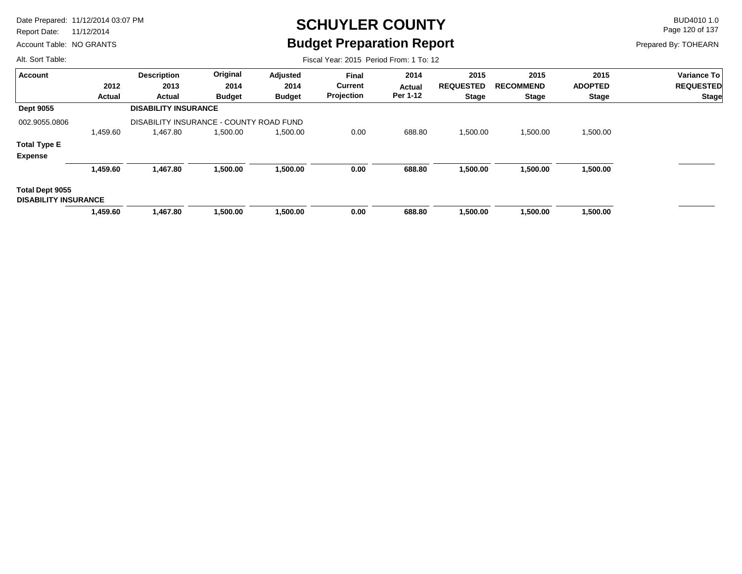Report Date: 11/12/2014

Account Table: NO GRANTS

## **SCHUYLER COUNTY** BUD4010 1.0 **Budget Preparation Report**

Fiscal Year: 2015 Period From: 1 To: 12

Page 120 of 137

Prepared By: TOHEARN

| <b>Account</b>                                 |               | <b>Description</b>                      | Original      | <b>Adjusted</b> | <b>Final</b>   | 2014     | 2015             | 2015             | 2015           | <b>Variance To</b> |
|------------------------------------------------|---------------|-----------------------------------------|---------------|-----------------|----------------|----------|------------------|------------------|----------------|--------------------|
|                                                | 2012          | 2013                                    | 2014          | 2014            | <b>Current</b> | Actual   | <b>REQUESTED</b> | <b>RECOMMEND</b> | <b>ADOPTED</b> | <b>REQUESTED</b>   |
|                                                | <b>Actual</b> | Actual                                  | <b>Budget</b> | <b>Budget</b>   | Projection     | Per 1-12 | <b>Stage</b>     | <b>Stage</b>     | <b>Stage</b>   | <b>Stage</b>       |
| <b>Dept 9055</b>                               |               | <b>DISABILITY INSURANCE</b>             |               |                 |                |          |                  |                  |                |                    |
| 002.9055.0806                                  |               | DISABILITY INSURANCE - COUNTY ROAD FUND |               |                 |                |          |                  |                  |                |                    |
|                                                | 1,459.60      | 1,467.80                                | 1,500.00      | 1,500.00        | 0.00           | 688.80   | 1,500.00         | 1,500.00         | 1,500.00       |                    |
| <b>Total Type E</b>                            |               |                                         |               |                 |                |          |                  |                  |                |                    |
| <b>Expense</b>                                 |               |                                         |               |                 |                |          |                  |                  |                |                    |
|                                                | 1,459.60      | 1,467.80                                | 1,500.00      | 1,500.00        | 0.00           | 688.80   | 1,500.00         | 1,500.00         | 1,500.00       |                    |
| Total Dept 9055<br><b>DISABILITY INSURANCE</b> |               |                                         |               |                 |                |          |                  |                  |                |                    |
|                                                | 1,459.60      | 1,467.80                                | 1,500.00      | 1,500.00        | 0.00           | 688.80   | 1,500.00         | 1,500.00         | 1,500.00       |                    |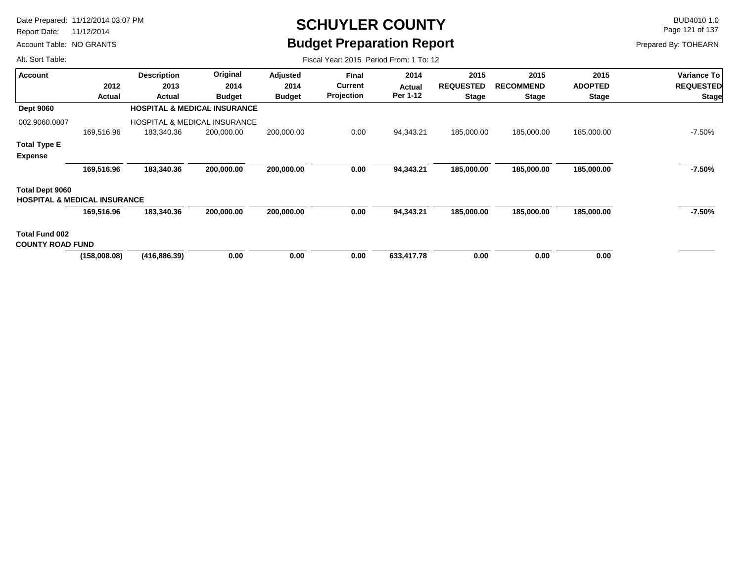Report Date: 11/12/2014

Account Table: NO GRANTS

## **SCHUYLER COUNTY** BUD4010 1.0 **Budget Preparation Report**

Page 121 of 137

Prepared By: TOHEARN

| Alt. Sort Table:                                                  | Fiscal Year: 2015 Period From: 1 To: 12 |                    |                                         |               |                |            |                  |                  |                |                  |
|-------------------------------------------------------------------|-----------------------------------------|--------------------|-----------------------------------------|---------------|----------------|------------|------------------|------------------|----------------|------------------|
| <b>Account</b>                                                    |                                         | <b>Description</b> | Original                                | Adjusted      | <b>Final</b>   | 2014       | 2015             | 2015             | 2015           | Variance To      |
|                                                                   | 2012                                    | 2013               | 2014                                    | 2014          | <b>Current</b> | Actual     | <b>REQUESTED</b> | <b>RECOMMEND</b> | <b>ADOPTED</b> | <b>REQUESTED</b> |
|                                                                   | <b>Actual</b>                           | Actual             | <b>Budget</b>                           | <b>Budget</b> | Projection     | Per 1-12   | <b>Stage</b>     | <b>Stage</b>     | <b>Stage</b>   | <b>Stage</b>     |
| <b>Dept 9060</b>                                                  |                                         |                    | <b>HOSPITAL &amp; MEDICAL INSURANCE</b> |               |                |            |                  |                  |                |                  |
| 002.9060.0807                                                     |                                         |                    | <b>HOSPITAL &amp; MEDICAL INSURANCE</b> |               |                |            |                  |                  |                |                  |
|                                                                   | 169,516.96                              | 183,340.36         | 200,000.00                              | 200,000.00    | 0.00           | 94,343.21  | 185,000.00       | 185,000.00       | 185,000.00     | $-7.50\%$        |
| <b>Total Type E</b>                                               |                                         |                    |                                         |               |                |            |                  |                  |                |                  |
| <b>Expense</b>                                                    |                                         |                    |                                         |               |                |            |                  |                  |                |                  |
|                                                                   | 169,516.96                              | 183,340.36         | 200,000.00                              | 200,000.00    | 0.00           | 94,343.21  | 185,000.00       | 185,000.00       | 185,000.00     | -7.50%           |
| <b>Total Dept 9060</b><br><b>HOSPITAL &amp; MEDICAL INSURANCE</b> |                                         |                    |                                         |               |                |            |                  |                  |                |                  |
|                                                                   | 169,516.96                              | 183,340.36         | 200,000.00                              | 200,000.00    | 0.00           | 94,343.21  | 185,000.00       | 185,000.00       | 185,000.00     | -7.50%           |
| <b>Total Fund 002</b><br><b>COUNTY ROAD FUND</b>                  |                                         |                    |                                         |               |                |            |                  |                  |                |                  |
|                                                                   | (158,008.08)                            | (416, 886.39)      | 0.00                                    | 0.00          | 0.00           | 633,417.78 | 0.00             | 0.00             | 0.00           |                  |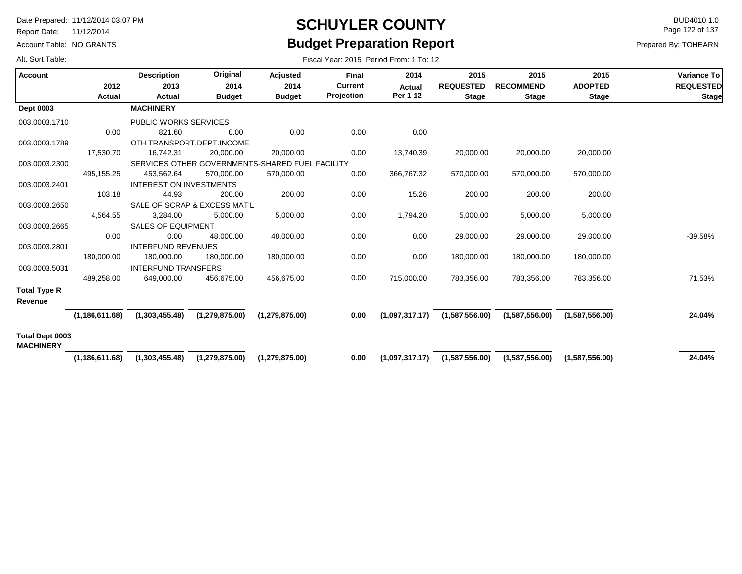Report Date: 11/12/2014

Account Table: NO GRANTS

## **SCHUYLER COUNTY** BUD4010 1.0 **Budget Preparation Report**

Fiscal Year: 2015 Period From: 1 To: 12

Page 122 of 137

Prepared By: TOHEARN

| <b>Account</b>                      |                   | <b>Description</b>             | Original                                        | Adjusted              | <b>Final</b>                 | 2014                      | 2015                             | 2015                             | 2015                           | <b>Variance To</b>               |
|-------------------------------------|-------------------|--------------------------------|-------------------------------------------------|-----------------------|------------------------------|---------------------------|----------------------------------|----------------------------------|--------------------------------|----------------------------------|
|                                     | 2012<br>Actual    | 2013<br><b>Actual</b>          | 2014<br><b>Budget</b>                           | 2014<br><b>Budget</b> | <b>Current</b><br>Projection | <b>Actual</b><br>Per 1-12 | <b>REQUESTED</b><br><b>Stage</b> | <b>RECOMMEND</b><br><b>Stage</b> | <b>ADOPTED</b><br><b>Stage</b> | <b>REQUESTED</b><br><b>Stage</b> |
| <b>Dept 0003</b>                    |                   | <b>MACHINERY</b>               |                                                 |                       |                              |                           |                                  |                                  |                                |                                  |
| 003.0003.1710                       |                   | <b>PUBLIC WORKS SERVICES</b>   |                                                 |                       |                              |                           |                                  |                                  |                                |                                  |
|                                     | 0.00              | 821.60                         | 0.00                                            | 0.00                  | 0.00                         | 0.00                      |                                  |                                  |                                |                                  |
| 003.0003.1789                       |                   | OTH TRANSPORT.DEPT.INCOME      |                                                 |                       |                              |                           |                                  |                                  |                                |                                  |
|                                     | 17,530.70         | 16,742.31                      | 20,000.00                                       | 20,000.00             | 0.00                         | 13,740.39                 | 20,000.00                        | 20,000.00                        | 20,000.00                      |                                  |
| 003.0003.2300                       |                   |                                | SERVICES OTHER GOVERNMENTS-SHARED FUEL FACILITY |                       |                              |                           |                                  |                                  |                                |                                  |
|                                     | 495,155.25        | 453,562.64                     | 570,000.00                                      | 570,000.00            | 0.00                         | 366,767.32                | 570,000.00                       | 570,000.00                       | 570,000.00                     |                                  |
| 003.0003.2401                       |                   | <b>INTEREST ON INVESTMENTS</b> |                                                 |                       |                              |                           |                                  |                                  |                                |                                  |
|                                     | 103.18            | 44.93                          | 200.00                                          | 200.00                | 0.00                         | 15.26                     | 200.00                           | 200.00                           | 200.00                         |                                  |
| 003.0003.2650                       |                   |                                | SALE OF SCRAP & EXCESS MAT'L                    |                       |                              |                           |                                  |                                  |                                |                                  |
|                                     | 4,564.55          | 3,284.00                       | 5,000.00                                        | 5,000.00              | 0.00                         | 1,794.20                  | 5,000.00                         | 5,000.00                         | 5,000.00                       |                                  |
| 003.0003.2665                       |                   | <b>SALES OF EQUIPMENT</b>      |                                                 |                       |                              |                           |                                  |                                  |                                |                                  |
|                                     | 0.00              | 0.00                           | 48,000.00                                       | 48,000.00             | 0.00                         | 0.00                      | 29,000.00                        | 29,000.00                        | 29,000.00                      | $-39.58%$                        |
| 003.0003.2801                       |                   | <b>INTERFUND REVENUES</b>      |                                                 |                       |                              |                           |                                  |                                  |                                |                                  |
|                                     | 180,000.00        | 180,000.00                     | 180,000.00                                      | 180,000.00            | 0.00                         | 0.00                      | 180,000.00                       | 180,000.00                       | 180,000.00                     |                                  |
| 003.0003.5031                       |                   | <b>INTERFUND TRANSFERS</b>     |                                                 |                       |                              |                           |                                  |                                  |                                |                                  |
|                                     | 489,258.00        | 649,000.00                     | 456,675.00                                      | 456,675.00            | 0.00                         | 715,000.00                | 783,356.00                       | 783,356.00                       | 783,356.00                     | 71.53%                           |
| Total Type R                        |                   |                                |                                                 |                       |                              |                           |                                  |                                  |                                |                                  |
| Revenue                             |                   |                                |                                                 |                       |                              |                           |                                  |                                  |                                |                                  |
|                                     | (1, 186, 611, 68) | (1,303,455.48)                 | (1,279,875.00)                                  | (1,279,875.00)        | 0.00                         | (1,097,317.17)            | (1,587,556.00)                   | (1,587,556.00)                   | (1,587,556.00)                 | 24.04%                           |
| Total Dept 0003<br><b>MACHINERY</b> |                   |                                |                                                 |                       |                              |                           |                                  |                                  |                                |                                  |
|                                     | (1, 186, 611.68)  | (1,303,455.48)                 | (1,279,875.00)                                  | (1,279,875.00)        | 0.00                         | (1,097,317.17)            | (1,587,556.00)                   | (1,587,556.00)                   | (1,587,556.00)                 | 24.04%                           |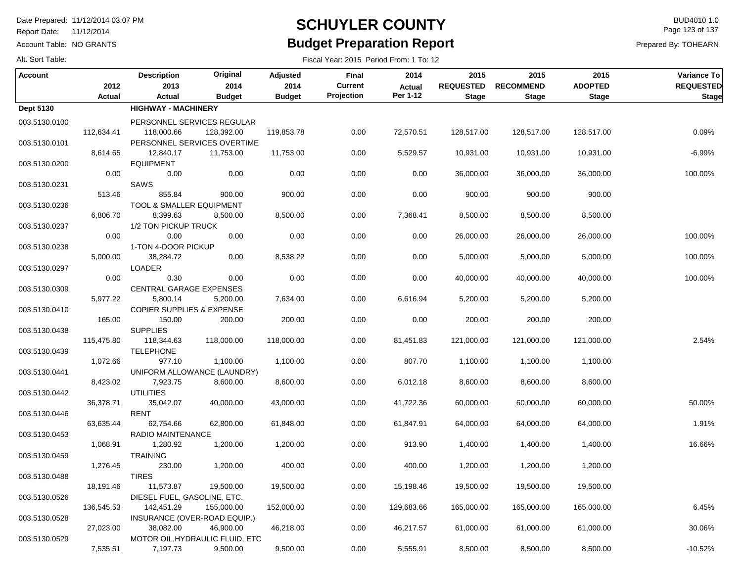Report Date: 11/12/2014

Account Table: NO GRANTS

## **SCHUYLER COUNTY** BUD4010 1.0 **Budget Preparation Report**

Fiscal Year: 2015 Period From: 1 To: 12

Page 123 of 137

Prepared By: TOHEARN

|  | Alt. Sort Table: |  |
|--|------------------|--|
|  |                  |  |

| Account          |            | <b>Description</b>                   | Original                                    | <b>Adjusted</b> | <b>Final</b>   | 2014       | 2015             | 2015             | 2015           | Variance To      |
|------------------|------------|--------------------------------------|---------------------------------------------|-----------------|----------------|------------|------------------|------------------|----------------|------------------|
|                  | 2012       | 2013                                 | 2014                                        | 2014            | <b>Current</b> | Actual     | <b>REQUESTED</b> | <b>RECOMMEND</b> | <b>ADOPTED</b> | <b>REQUESTED</b> |
|                  | Actual     | Actual                               | <b>Budget</b>                               | <b>Budget</b>   | Projection     | Per 1-12   | <b>Stage</b>     | <b>Stage</b>     | <b>Stage</b>   | <b>Stage</b>     |
| <b>Dept 5130</b> |            | <b>HIGHWAY - MACHINERY</b>           |                                             |                 |                |            |                  |                  |                |                  |
| 003.5130.0100    |            |                                      | PERSONNEL SERVICES REGULAR                  |                 |                |            |                  |                  |                |                  |
|                  | 112,634.41 | 118,000.66                           | 128,392.00                                  | 119,853.78      | 0.00           | 72,570.51  | 128,517.00       | 128,517.00       | 128,517.00     | 0.09%            |
| 003.5130.0101    |            |                                      | PERSONNEL SERVICES OVERTIME                 |                 |                |            |                  |                  |                |                  |
|                  | 8,614.65   | 12,840.17                            | 11,753.00                                   | 11,753.00       | 0.00           | 5,529.57   | 10,931.00        | 10,931.00        | 10,931.00      | $-6.99%$         |
| 003.5130.0200    |            | <b>EQUIPMENT</b>                     |                                             |                 |                |            |                  |                  |                |                  |
|                  | 0.00       | 0.00                                 | 0.00                                        | 0.00            | 0.00           | 0.00       | 36,000.00        | 36,000.00        | 36,000.00      | 100.00%          |
| 003.5130.0231    |            | SAWS                                 |                                             |                 |                |            |                  |                  |                |                  |
|                  | 513.46     | 855.84                               | 900.00                                      | 900.00          | 0.00           | 0.00       | 900.00           | 900.00           | 900.00         |                  |
| 003.5130.0236    |            | TOOL & SMALLER EQUIPMENT             |                                             |                 |                |            |                  |                  |                |                  |
|                  | 6,806.70   | 8,399.63                             | 8,500.00                                    | 8,500.00        | 0.00           | 7,368.41   | 8,500.00         | 8,500.00         | 8,500.00       |                  |
| 003.5130.0237    |            | 1/2 TON PICKUP TRUCK                 |                                             |                 |                |            |                  |                  |                |                  |
|                  | 0.00       | 0.00                                 | 0.00                                        | 0.00            | 0.00           | 0.00       | 26,000.00        | 26,000.00        | 26,000.00      | 100.00%          |
| 003.5130.0238    |            | 1-TON 4-DOOR PICKUP                  |                                             |                 |                |            |                  |                  |                |                  |
|                  | 5,000.00   | 38,284.72<br><b>LOADER</b>           | 0.00                                        | 8,538.22        | 0.00           | 0.00       | 5,000.00         | 5,000.00         | 5,000.00       | 100.00%          |
| 003.5130.0297    | 0.00       | 0.30                                 | 0.00                                        | 0.00            | 0.00           | 0.00       | 40,000.00        | 40,000.00        | 40,000.00      | 100.00%          |
| 003.5130.0309    |            | CENTRAL GARAGE EXPENSES              |                                             |                 |                |            |                  |                  |                |                  |
|                  | 5,977.22   | 5,800.14                             | 5,200.00                                    | 7,634.00        | 0.00           | 6,616.94   | 5,200.00         | 5,200.00         | 5,200.00       |                  |
| 003.5130.0410    |            | <b>COPIER SUPPLIES &amp; EXPENSE</b> |                                             |                 |                |            |                  |                  |                |                  |
|                  | 165.00     | 150.00                               | 200.00                                      | 200.00          | 0.00           | 0.00       | 200.00           | 200.00           | 200.00         |                  |
| 003.5130.0438    |            | <b>SUPPLIES</b>                      |                                             |                 |                |            |                  |                  |                |                  |
|                  | 115,475.80 | 118,344.63                           | 118,000.00                                  | 118,000.00      | 0.00           | 81,451.83  | 121,000.00       | 121,000.00       | 121,000.00     | 2.54%            |
| 003.5130.0439    |            | <b>TELEPHONE</b>                     |                                             |                 |                |            |                  |                  |                |                  |
|                  | 1,072.66   | 977.10                               | 1,100.00                                    | 1,100.00        | 0.00           | 807.70     | 1,100.00         | 1,100.00         | 1,100.00       |                  |
| 003.5130.0441    |            |                                      | UNIFORM ALLOWANCE (LAUNDRY)                 |                 |                |            |                  |                  |                |                  |
|                  | 8,423.02   | 7,923.75                             | 8,600.00                                    | 8,600.00        | 0.00           | 6,012.18   | 8,600.00         | 8,600.00         | 8,600.00       |                  |
| 003.5130.0442    |            | <b>UTILITIES</b>                     |                                             |                 |                |            |                  |                  |                |                  |
|                  | 36,378.71  | 35,042.07                            | 40,000.00                                   | 43,000.00       | 0.00           | 41,722.36  | 60,000.00        | 60,000.00        | 60,000.00      | 50.00%           |
| 003.5130.0446    |            | <b>RENT</b>                          |                                             |                 |                |            |                  |                  |                |                  |
|                  | 63,635.44  | 62,754.66                            | 62,800.00                                   | 61,848.00       | 0.00           | 61,847.91  | 64,000.00        | 64,000.00        | 64,000.00      | 1.91%            |
| 003.5130.0453    |            | RADIO MAINTENANCE                    |                                             |                 |                |            |                  |                  |                |                  |
|                  | 1,068.91   | 1,280.92                             | 1,200.00                                    | 1,200.00        | 0.00           | 913.90     | 1,400.00         | 1,400.00         | 1,400.00       | 16.66%           |
| 003.5130.0459    |            | <b>TRAINING</b>                      |                                             |                 |                |            |                  |                  |                |                  |
|                  | 1,276.45   | 230.00                               | 1,200.00                                    | 400.00          | 0.00           | 400.00     | 1,200.00         | 1,200.00         | 1,200.00       |                  |
| 003.5130.0488    |            | <b>TIRES</b>                         |                                             |                 |                |            |                  |                  |                |                  |
|                  | 18,191.46  | 11,573.87                            | 19,500.00                                   | 19,500.00       | 0.00           | 15,198.46  | 19,500.00        | 19,500.00        | 19,500.00      |                  |
| 003.5130.0526    |            | DIESEL FUEL, GASOLINE, ETC.          |                                             |                 |                |            |                  |                  |                |                  |
|                  | 136,545.53 | 142,451.29                           | 155,000.00                                  | 152,000.00      | 0.00           | 129,683.66 | 165,000.00       | 165,000.00       | 165,000.00     | 6.45%            |
| 003.5130.0528    |            | INSURANCE (OVER-ROAD EQUIP.)         |                                             |                 |                |            |                  |                  |                |                  |
|                  | 27,023.00  | 38,082.00                            | 46,900.00                                   | 46,218.00       | 0.00           | 46,217.57  | 61,000.00        | 61,000.00        | 61,000.00      | 30.06%           |
| 003.5130.0529    | 7,535.51   | 7,197.73                             | MOTOR OIL, HYDRAULIC FLUID, ETC<br>9,500.00 | 9,500.00        | 0.00           | 5,555.91   | 8,500.00         | 8,500.00         | 8,500.00       | $-10.52%$        |
|                  |            |                                      |                                             |                 |                |            |                  |                  |                |                  |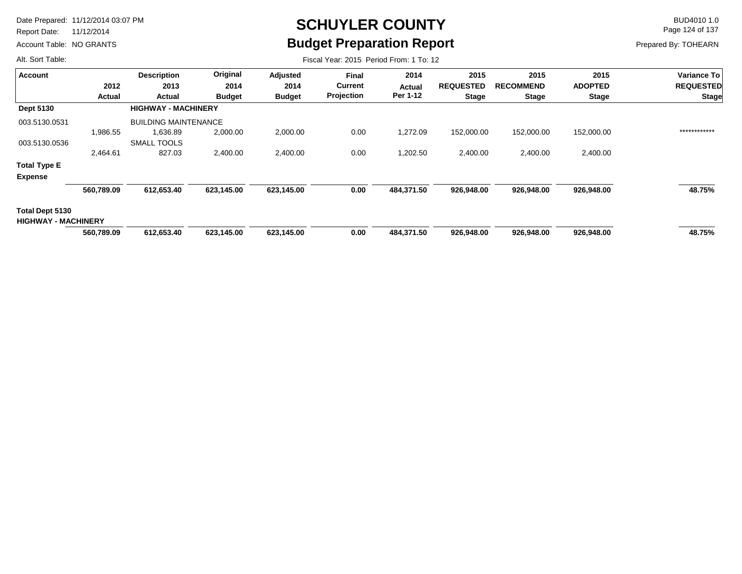Report Date: 11/12/2014

Account Table: NO GRANTS

# **SCHUYLER COUNTY** BUD4010 1.0 **Budget Preparation Report**

Fiscal Year: 2015 Period From: 1 To: 12

Page 124 of 137

Prepared By: TOHEARN

| Account                                       |            | <b>Description</b>          | Original      | Adjusted      | <b>Final</b>   | 2014          | 2015             | 2015             | 2015           | Variance To      |
|-----------------------------------------------|------------|-----------------------------|---------------|---------------|----------------|---------------|------------------|------------------|----------------|------------------|
|                                               | 2012       | 2013                        | 2014          | 2014          | <b>Current</b> | <b>Actual</b> | <b>REQUESTED</b> | <b>RECOMMEND</b> | <b>ADOPTED</b> | <b>REQUESTED</b> |
|                                               | Actual     | Actual                      | <b>Budget</b> | <b>Budget</b> | Projection     | Per 1-12      | <b>Stage</b>     | <b>Stage</b>     | <b>Stage</b>   | <b>Stage</b>     |
| <b>Dept 5130</b>                              |            | <b>HIGHWAY - MACHINERY</b>  |               |               |                |               |                  |                  |                |                  |
| 003.5130.0531                                 |            | <b>BUILDING MAINTENANCE</b> |               |               |                |               |                  |                  |                |                  |
|                                               | 1,986.55   | 1,636.89                    | 2,000.00      | 2,000.00      | 0.00           | 1,272.09      | 152,000.00       | 152,000.00       | 152,000.00     | ************     |
| 003.5130.0536                                 |            | <b>SMALL TOOLS</b>          |               |               |                |               |                  |                  |                |                  |
|                                               | 2,464.61   | 827.03                      | 2,400.00      | 2,400.00      | 0.00           | 1,202.50      | 2,400.00         | 2,400.00         | 2,400.00       |                  |
| <b>Total Type E</b>                           |            |                             |               |               |                |               |                  |                  |                |                  |
| <b>Expense</b>                                |            |                             |               |               |                |               |                  |                  |                |                  |
|                                               | 560,789.09 | 612,653.40                  | 623,145.00    | 623,145.00    | 0.00           | 484,371.50    | 926,948.00       | 926,948.00       | 926,948.00     | 48.75%           |
| Total Dept 5130<br><b>HIGHWAY - MACHINERY</b> |            |                             |               |               |                |               |                  |                  |                |                  |
|                                               | 560,789.09 | 612,653.40                  | 623,145.00    | 623,145.00    | 0.00           | 484,371.50    | 926,948.00       | 926,948.00       | 926,948.00     | 48.75%           |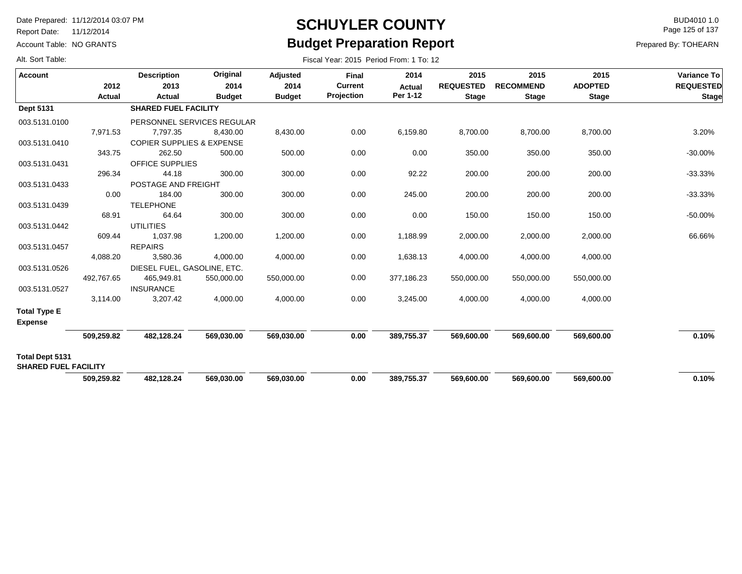Report Date: 11/12/2014

Account Table: NO GRANTS

## **SCHUYLER COUNTY** BUD4010 1.0 **Budget Preparation Report**

Fiscal Year: 2015 Period From: 1 To: 12

Page 125 of 137

Prepared By: TOHEARN

| <b>Account</b>              | 2012       | <b>Description</b><br>2013           | Original<br>2014           | Adjusted<br>2014 | Final<br><b>Current</b> | 2014<br><b>Actual</b> | 2015<br><b>REQUESTED</b> | 2015<br><b>RECOMMEND</b> | 2015<br><b>ADOPTED</b> | Variance To<br><b>REQUESTED</b> |
|-----------------------------|------------|--------------------------------------|----------------------------|------------------|-------------------------|-----------------------|--------------------------|--------------------------|------------------------|---------------------------------|
|                             | Actual     | Actual                               | <b>Budget</b>              | <b>Budget</b>    | Projection              | Per 1-12              | <b>Stage</b>             | <b>Stage</b>             | <b>Stage</b>           | <b>Stage</b>                    |
| Dept 5131                   |            | <b>SHARED FUEL FACILITY</b>          |                            |                  |                         |                       |                          |                          |                        |                                 |
| 003.5131.0100               |            |                                      | PERSONNEL SERVICES REGULAR |                  |                         |                       |                          |                          |                        |                                 |
|                             | 7,971.53   | 7,797.35                             | 8,430.00                   | 8,430.00         | 0.00                    | 6,159.80              | 8,700.00                 | 8,700.00                 | 8,700.00               | 3.20%                           |
| 003.5131.0410               |            | <b>COPIER SUPPLIES &amp; EXPENSE</b> |                            |                  |                         |                       |                          |                          |                        |                                 |
|                             | 343.75     | 262.50                               | 500.00                     | 500.00           | 0.00                    | 0.00                  | 350.00                   | 350.00                   | 350.00                 | $-30.00%$                       |
| 003.5131.0431               |            | <b>OFFICE SUPPLIES</b>               |                            |                  |                         |                       |                          |                          |                        |                                 |
|                             | 296.34     | 44.18                                | 300.00                     | 300.00           | 0.00                    | 92.22                 | 200.00                   | 200.00                   | 200.00                 | $-33.33%$                       |
| 003.5131.0433               |            | POSTAGE AND FREIGHT                  |                            |                  |                         |                       |                          |                          |                        |                                 |
|                             | 0.00       | 184.00                               | 300.00                     | 300.00           | 0.00                    | 245.00                | 200.00                   | 200.00                   | 200.00                 | $-33.33%$                       |
| 003.5131.0439               |            | <b>TELEPHONE</b>                     |                            |                  |                         |                       |                          |                          |                        |                                 |
|                             | 68.91      | 64.64                                | 300.00                     | 300.00           | 0.00                    | 0.00                  | 150.00                   | 150.00                   | 150.00                 | $-50.00%$                       |
| 003.5131.0442               |            | <b>UTILITIES</b>                     |                            |                  |                         |                       |                          |                          |                        |                                 |
|                             | 609.44     | 1,037.98                             | 1,200.00                   | 1,200.00         | 0.00                    | 1,188.99              | 2,000.00                 | 2,000.00                 | 2,000.00               | 66.66%                          |
| 003.5131.0457               |            | <b>REPAIRS</b>                       |                            |                  |                         |                       |                          |                          |                        |                                 |
|                             | 4,088.20   | 3,580.36                             | 4,000.00                   | 4,000.00         | 0.00                    | 1,638.13              | 4,000.00                 | 4,000.00                 | 4,000.00               |                                 |
| 003.5131.0526               |            | DIESEL FUEL, GASOLINE, ETC.          |                            |                  |                         |                       |                          |                          |                        |                                 |
|                             | 492,767.65 | 465,949.81                           | 550,000.00                 | 550,000.00       | 0.00                    | 377,186.23            | 550,000.00               | 550,000.00               | 550,000.00             |                                 |
| 003.5131.0527               |            | <b>INSURANCE</b>                     |                            |                  |                         |                       |                          |                          |                        |                                 |
|                             | 3,114.00   | 3,207.42                             | 4,000.00                   | 4,000.00         | 0.00                    | 3,245.00              | 4,000.00                 | 4,000.00                 | 4,000.00               |                                 |
| <b>Total Type E</b>         |            |                                      |                            |                  |                         |                       |                          |                          |                        |                                 |
| <b>Expense</b>              |            |                                      |                            |                  |                         |                       |                          |                          |                        |                                 |
|                             | 509,259.82 | 482,128.24                           | 569,030.00                 | 569,030.00       | 0.00                    | 389,755.37            | 569,600.00               | 569,600.00               | 569,600.00             | 0.10%                           |
| Total Dept 5131             |            |                                      |                            |                  |                         |                       |                          |                          |                        |                                 |
| <b>SHARED FUEL FACILITY</b> | 509,259.82 | 482,128.24                           | 569,030.00                 | 569,030.00       | 0.00                    | 389,755.37            | 569,600.00               | 569,600.00               | 569,600.00             | 0.10%                           |
|                             |            |                                      |                            |                  |                         |                       |                          |                          |                        |                                 |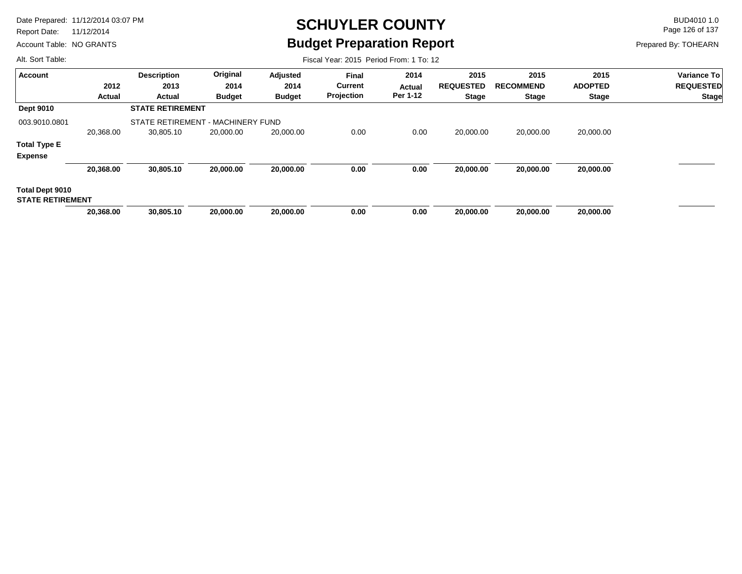Report Date: 11/12/2014

Account Table: NO GRANTS

# **SCHUYLER COUNTY** BUD4010 1.0 **Budget Preparation Report**

Fiscal Year: 2015 Period From: 1 To: 12

Page 126 of 137

Prepared By: TOHEARN

| <b>Account</b>          |           | <b>Description</b>                | Original      | Adjusted      | <b>Final</b>   | 2014     | 2015             | 2015             | 2015           | <b>Variance To</b> |
|-------------------------|-----------|-----------------------------------|---------------|---------------|----------------|----------|------------------|------------------|----------------|--------------------|
|                         | 2012      | 2013                              | 2014          | 2014          | <b>Current</b> | Actual   | <b>REQUESTED</b> | <b>RECOMMEND</b> | <b>ADOPTED</b> | <b>REQUESTED</b>   |
|                         | Actual    | Actual                            | <b>Budget</b> | <b>Budget</b> | Projection     | Per 1-12 | <b>Stage</b>     | <b>Stage</b>     | <b>Stage</b>   | <b>Stage</b>       |
| <b>Dept 9010</b>        |           | <b>STATE RETIREMENT</b>           |               |               |                |          |                  |                  |                |                    |
| 003.9010.0801           |           | STATE RETIREMENT - MACHINERY FUND |               |               |                |          |                  |                  |                |                    |
|                         | 20,368.00 | 30,805.10                         | 20,000.00     | 20,000.00     | 0.00           | 0.00     | 20.000.00        | 20,000.00        | 20,000.00      |                    |
| <b>Total Type E</b>     |           |                                   |               |               |                |          |                  |                  |                |                    |
| <b>Expense</b>          |           |                                   |               |               |                |          |                  |                  |                |                    |
|                         | 20,368.00 | 30,805.10                         | 20,000.00     | 20,000.00     | 0.00           | 0.00     | 20,000.00        | 20,000.00        | 20,000.00      |                    |
| Total Dept 9010         |           |                                   |               |               |                |          |                  |                  |                |                    |
| <b>STATE RETIREMENT</b> |           |                                   |               |               |                |          |                  |                  |                |                    |
|                         | 20,368.00 | 30,805.10                         | 20,000,00     | 20,000,00     | 0.00           | 0.00     | 20,000,00        | 20.000.00        | 20,000,00      |                    |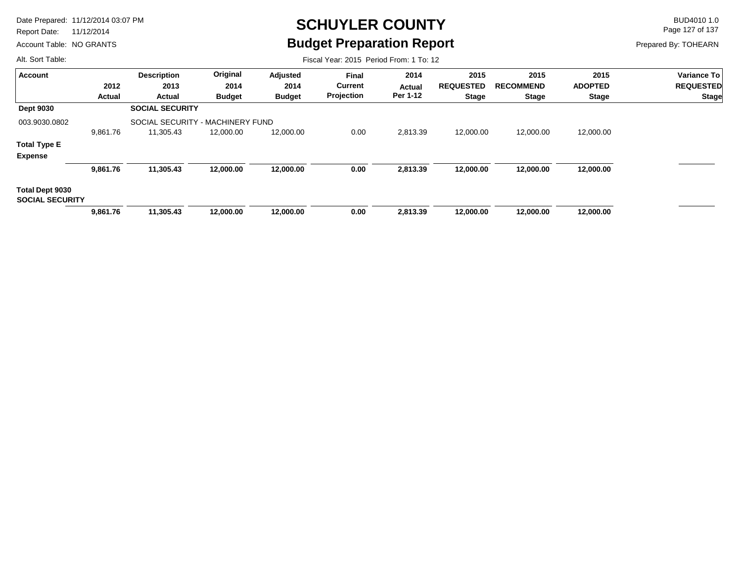Report Date: 11/12/2014

Account Table: NO GRANTS

# **SCHUYLER COUNTY** BUD4010 1.0 **Budget Preparation Report**

Fiscal Year: 2015 Period From: 1 To: 12

Page 127 of 137

Prepared By: TOHEARN

| <b>Account</b>                            |          | <b>Description</b>               | Original      | Adjusted      | Final          | 2014          | 2015             | 2015             | 2015           | Variance To      |
|-------------------------------------------|----------|----------------------------------|---------------|---------------|----------------|---------------|------------------|------------------|----------------|------------------|
|                                           | 2012     | 2013                             | 2014          | 2014          | <b>Current</b> | <b>Actual</b> | <b>REQUESTED</b> | <b>RECOMMEND</b> | <b>ADOPTED</b> | <b>REQUESTED</b> |
|                                           | Actual   | Actual                           | <b>Budget</b> | <b>Budget</b> | Projection     | Per 1-12      | <b>Stage</b>     | <b>Stage</b>     | <b>Stage</b>   | Stage            |
| <b>Dept 9030</b>                          |          | <b>SOCIAL SECURITY</b>           |               |               |                |               |                  |                  |                |                  |
| 003.9030.0802                             |          | SOCIAL SECURITY - MACHINERY FUND |               |               |                |               |                  |                  |                |                  |
|                                           | 9,861.76 | 11,305.43                        | 12,000.00     | 12,000.00     | 0.00           | 2,813.39      | 12,000.00        | 12,000.00        | 12,000.00      |                  |
| <b>Total Type E</b>                       |          |                                  |               |               |                |               |                  |                  |                |                  |
| <b>Expense</b>                            |          |                                  |               |               |                |               |                  |                  |                |                  |
|                                           | 9,861.76 | 11,305.43                        | 12,000.00     | 12,000.00     | 0.00           | 2,813.39      | 12,000.00        | 12,000.00        | 12,000.00      |                  |
| Total Dept 9030<br><b>SOCIAL SECURITY</b> |          |                                  |               |               |                |               |                  |                  |                |                  |
|                                           | 9,861.76 | 11,305.43                        | 12,000.00     | 12,000.00     | 0.00           | 2,813.39      | 12,000.00        | 12,000.00        | 12,000.00      |                  |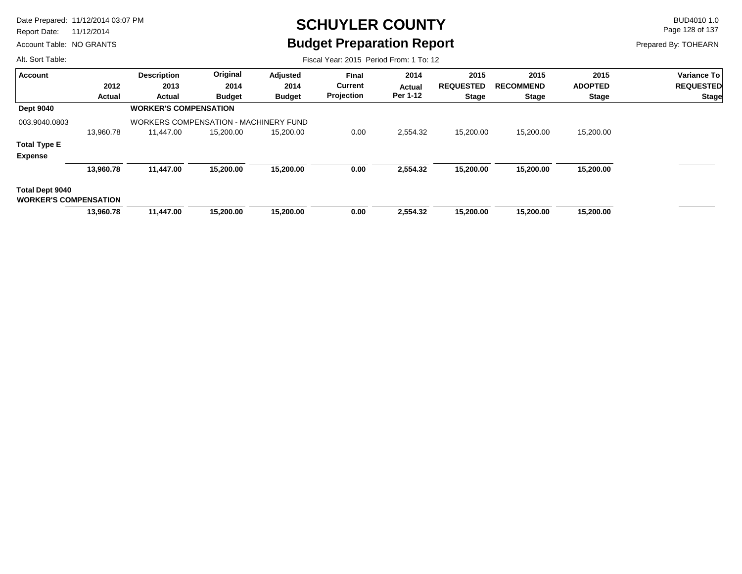Report Date: 11/12/2014

Account Table: NO GRANTS

## **SCHUYLER COUNTY** BUD4010 1.0 **Budget Preparation Report**

Page 128 of 137

Prepared By: TOHEARN

| Alt. Sort Table:                                |           |                                              |               |               | Fiscal Year: 2015 Period From: 1 To: 12 |               |                  |                  |                |                    |
|-------------------------------------------------|-----------|----------------------------------------------|---------------|---------------|-----------------------------------------|---------------|------------------|------------------|----------------|--------------------|
| <b>Account</b>                                  |           | <b>Description</b>                           | Original      | Adjusted      | Final                                   | 2014          | 2015             | 2015             | 2015           | <b>Variance To</b> |
|                                                 | 2012      | 2013                                         | 2014          | 2014          | <b>Current</b>                          | <b>Actual</b> | <b>REQUESTED</b> | <b>RECOMMEND</b> | <b>ADOPTED</b> | <b>REQUESTED</b>   |
|                                                 | Actual    | Actual                                       | <b>Budget</b> | <b>Budget</b> | Projection                              | Per 1-12      | <b>Stage</b>     | <b>Stage</b>     | <b>Stage</b>   | <b>Stage</b>       |
| <b>Dept 9040</b>                                |           | <b>WORKER'S COMPENSATION</b>                 |               |               |                                         |               |                  |                  |                |                    |
| 003.9040.0803                                   |           | <b>WORKERS COMPENSATION - MACHINERY FUND</b> |               |               |                                         |               |                  |                  |                |                    |
|                                                 | 13,960.78 | 11.447.00                                    | 15,200.00     | 15,200.00     | 0.00                                    | 2,554.32      | 15,200.00        | 15,200.00        | 15,200.00      |                    |
| <b>Total Type E</b>                             |           |                                              |               |               |                                         |               |                  |                  |                |                    |
| <b>Expense</b>                                  |           |                                              |               |               |                                         |               |                  |                  |                |                    |
|                                                 | 13,960.78 | 11,447.00                                    | 15,200.00     | 15,200.00     | 0.00                                    | 2,554.32      | 15,200.00        | 15,200.00        | 15,200.00      |                    |
| Total Dept 9040<br><b>WORKER'S COMPENSATION</b> |           |                                              |               |               |                                         |               |                  |                  |                |                    |
|                                                 | 13,960.78 | 11,447.00                                    | 15,200.00     | 15,200.00     | 0.00                                    | 2,554.32      | 15,200.00        | 15,200.00        | 15,200.00      |                    |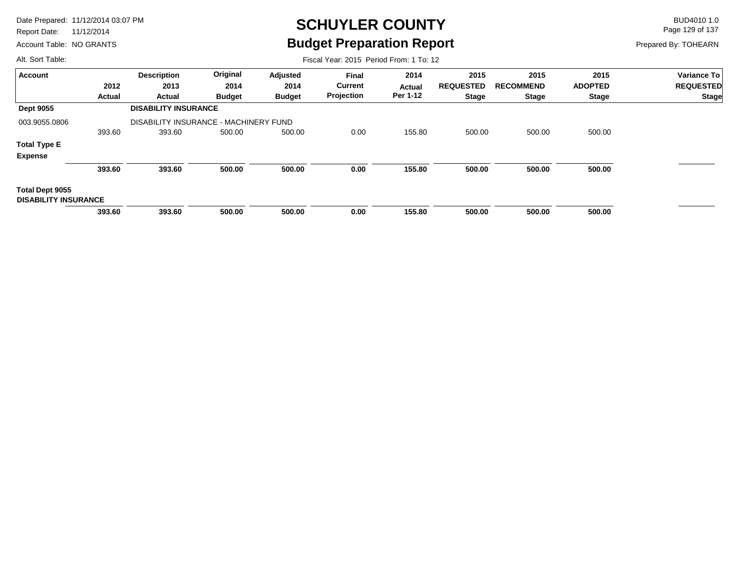Report Date: 11/12/2014

Account Table: NO GRANTS

## **SCHUYLER COUNTY** BUD4010 1.0 **Budget Preparation Report**

Fiscal Year: 2015 Period From: 1 To: 12

Page 129 of 137

Prepared By: TOHEARN

| <b>Account</b>                                 |               | <b>Description</b>                    | Original      | Adjusted      | Final          | 2014          | 2015             | 2015             | 2015           | Variance To      |
|------------------------------------------------|---------------|---------------------------------------|---------------|---------------|----------------|---------------|------------------|------------------|----------------|------------------|
|                                                | 2012          | 2013                                  | 2014          | 2014          | <b>Current</b> | <b>Actual</b> | <b>REQUESTED</b> | <b>RECOMMEND</b> | <b>ADOPTED</b> | <b>REQUESTED</b> |
|                                                | <b>Actual</b> | Actual                                | <b>Budget</b> | <b>Budget</b> | Projection     | Per 1-12      | <b>Stage</b>     | <b>Stage</b>     | <b>Stage</b>   | Stage            |
| <b>Dept 9055</b>                               |               | <b>DISABILITY INSURANCE</b>           |               |               |                |               |                  |                  |                |                  |
| 003.9055.0806                                  |               | DISABILITY INSURANCE - MACHINERY FUND |               |               |                |               |                  |                  |                |                  |
|                                                | 393.60        | 393.60                                | 500.00        | 500.00        | 0.00           | 155.80        | 500.00           | 500.00           | 500.00         |                  |
| <b>Total Type E</b>                            |               |                                       |               |               |                |               |                  |                  |                |                  |
| <b>Expense</b>                                 |               |                                       |               |               |                |               |                  |                  |                |                  |
|                                                | 393.60        | 393.60                                | 500.00        | 500.00        | 0.00           | 155.80        | 500.00           | 500.00           | 500.00         |                  |
| Total Dept 9055<br><b>DISABILITY INSURANCE</b> |               |                                       |               |               |                |               |                  |                  |                |                  |
|                                                | 393.60        | 393.60                                | 500.00        | 500.00        | 0.00           | 155.80        | 500.00           | 500.00           | 500.00         |                  |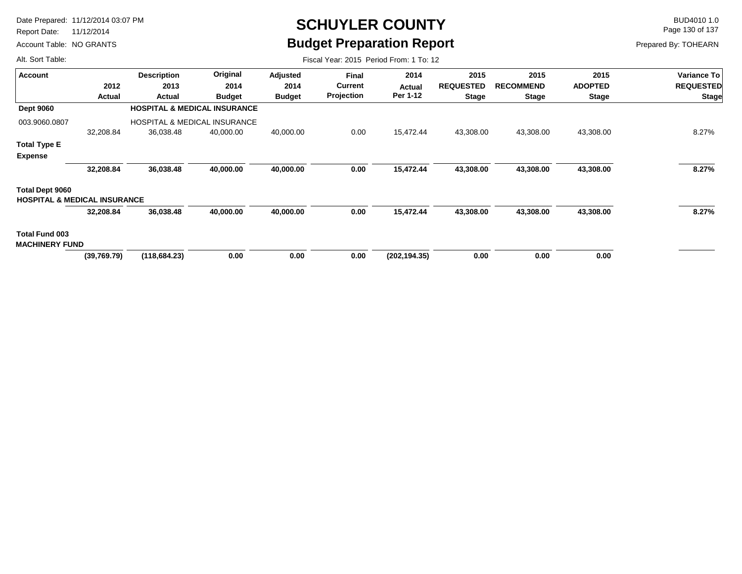Report Date: 11/12/2014

Account Table: NO GRANTS

## **SCHUYLER COUNTY** BUD4010 1.0 **Budget Preparation Report**

Fiscal Year: 2015 Period From: 1 To: 12

Page 130 of 137

Prepared By: TOHEARN

| <b>Account</b>                          |             | <b>Description</b>                      | Original      | Adjusted      | <b>Final</b>      | 2014          | 2015             | 2015             | 2015           | <b>Variance To</b> |
|-----------------------------------------|-------------|-----------------------------------------|---------------|---------------|-------------------|---------------|------------------|------------------|----------------|--------------------|
|                                         | 2012        | 2013                                    | 2014          | 2014          | <b>Current</b>    | Actual        | <b>REQUESTED</b> | <b>RECOMMEND</b> | <b>ADOPTED</b> | <b>REQUESTED</b>   |
|                                         | Actual      | Actual                                  | <b>Budget</b> | <b>Budget</b> | <b>Projection</b> | Per 1-12      | <b>Stage</b>     | <b>Stage</b>     | <b>Stage</b>   | <b>Stage</b>       |
| <b>Dept 9060</b>                        |             | <b>HOSPITAL &amp; MEDICAL INSURANCE</b> |               |               |                   |               |                  |                  |                |                    |
| 003.9060.0807                           |             | <b>HOSPITAL &amp; MEDICAL INSURANCE</b> |               |               |                   |               |                  |                  |                |                    |
|                                         | 32,208.84   | 36,038.48                               | 40,000.00     | 40,000.00     | 0.00              | 15,472.44     | 43,308.00        | 43,308.00        | 43,308.00      | 8.27%              |
| <b>Total Type E</b>                     |             |                                         |               |               |                   |               |                  |                  |                |                    |
| <b>Expense</b>                          |             |                                         |               |               |                   |               |                  |                  |                |                    |
|                                         | 32,208.84   | 36,038.48                               | 40,000.00     | 40,000.00     | 0.00              | 15,472.44     | 43,308.00        | 43,308.00        | 43,308.00      | 8.27%              |
| <b>Total Dept 9060</b>                  |             |                                         |               |               |                   |               |                  |                  |                |                    |
| <b>HOSPITAL &amp; MEDICAL INSURANCE</b> |             |                                         |               |               |                   |               |                  |                  |                |                    |
|                                         | 32,208.84   | 36,038.48                               | 40,000.00     | 40,000.00     | 0.00              | 15,472.44     | 43,308.00        | 43,308.00        | 43,308.00      | 8.27%              |
| <b>Total Fund 003</b>                   |             |                                         |               |               |                   |               |                  |                  |                |                    |
| <b>MACHINERY FUND</b>                   |             |                                         |               |               |                   |               |                  |                  |                |                    |
|                                         | (39,769.79) | (118, 684.23)                           | 0.00          | 0.00          | 0.00              | (202, 194.35) | 0.00             | 0.00             | 0.00           |                    |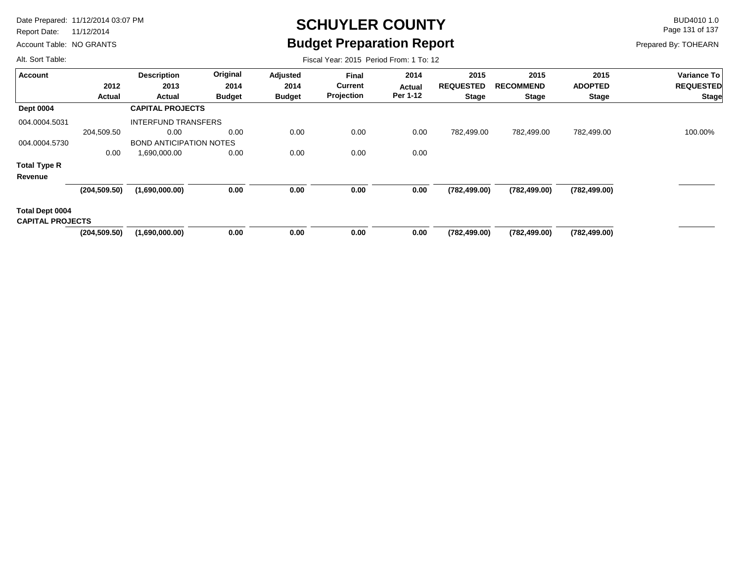Report Date: 11/12/2014

Account Table: NO GRANTS

# **SCHUYLER COUNTY** BUD4010 1.0 **Budget Preparation Report**

Fiscal Year: 2015 Period From: 1 To: 12

Page 131 of 137

Prepared By: TOHEARN

| <b>Account</b>                             |               | <b>Description</b>             | Original      |               |                |          |                  |                  |                |                  |
|--------------------------------------------|---------------|--------------------------------|---------------|---------------|----------------|----------|------------------|------------------|----------------|------------------|
|                                            |               |                                |               | Adjusted      | <b>Final</b>   | 2014     | 2015             | 2015             | 2015           | Variance To      |
|                                            | 2012          | 2013                           | 2014          | 2014          | <b>Current</b> | Actual   | <b>REQUESTED</b> | <b>RECOMMEND</b> | <b>ADOPTED</b> | <b>REQUESTED</b> |
|                                            | Actual        | <b>Actual</b>                  | <b>Budget</b> | <b>Budget</b> | Projection     | Per 1-12 | <b>Stage</b>     | <b>Stage</b>     | <b>Stage</b>   | <b>Stage</b>     |
| <b>Dept 0004</b>                           |               | <b>CAPITAL PROJECTS</b>        |               |               |                |          |                  |                  |                |                  |
| 004.0004.5031                              |               | <b>INTERFUND TRANSFERS</b>     |               |               |                |          |                  |                  |                |                  |
|                                            | 204,509.50    | 0.00                           | 0.00          | 0.00          | 0.00           | 0.00     | 782,499.00       | 782,499.00       | 782,499.00     | 100.00%          |
| 004.0004.5730                              |               | <b>BOND ANTICIPATION NOTES</b> |               |               |                |          |                  |                  |                |                  |
|                                            | 0.00          | 1,690,000.00                   | 0.00          | 0.00          | 0.00           | 0.00     |                  |                  |                |                  |
| <b>Total Type R</b>                        |               |                                |               |               |                |          |                  |                  |                |                  |
| Revenue                                    |               |                                |               |               |                |          |                  |                  |                |                  |
|                                            | (204, 509.50) | (1,690,000.00)                 | 0.00          | 0.00          | 0.00           | 0.00     | (782, 499.00)    | (782, 499.00)    | (782, 499.00)  |                  |
| Total Dept 0004<br><b>CAPITAL PROJECTS</b> |               |                                |               |               |                |          |                  |                  |                |                  |
|                                            | (204, 509.50) | (1,690,000.00)                 | 0.00          | 0.00          | 0.00           | 0.00     | (782, 499.00)    | (782, 499.00)    | (782, 499.00)  |                  |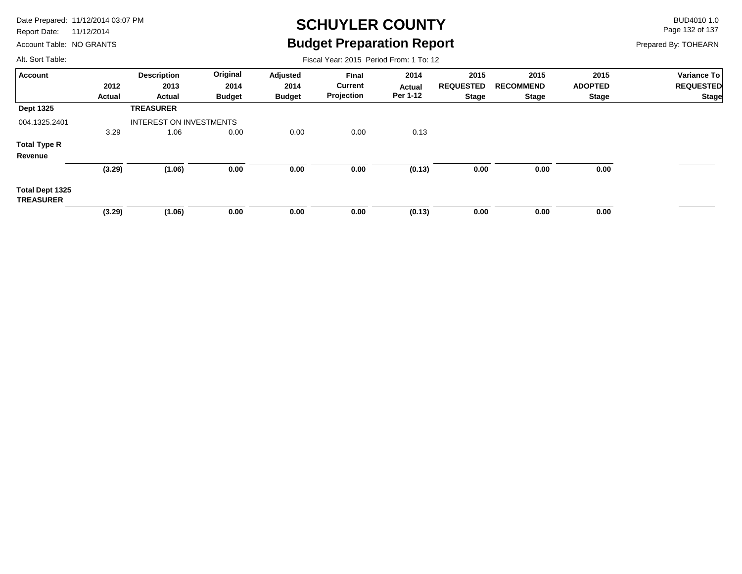Report Date: 11/12/2014

Account Table: NO GRANTS

## **SCHUYLER COUNTY** BUD4010 1.0 **Budget Preparation Report**

Fiscal Year: 2015 Period From: 1 To: 12

Page 132 of 137

Prepared By: TOHEARN

| <b>Account</b>                      |        | <b>Description</b>             | Original      | Adjusted      | <b>Final</b>   | 2014     | 2015             | 2015             | 2015           | Variance To      |
|-------------------------------------|--------|--------------------------------|---------------|---------------|----------------|----------|------------------|------------------|----------------|------------------|
|                                     | 2012   | 2013                           | 2014          | 2014          | <b>Current</b> | Actual   | <b>REQUESTED</b> | <b>RECOMMEND</b> | <b>ADOPTED</b> | <b>REQUESTED</b> |
|                                     | Actual | Actual                         | <b>Budget</b> | <b>Budget</b> | Projection     | Per 1-12 | Stage            | <b>Stage</b>     | <b>Stage</b>   | <b>Stage</b>     |
| <b>Dept 1325</b>                    |        | <b>TREASURER</b>               |               |               |                |          |                  |                  |                |                  |
| 004.1325.2401                       |        | <b>INTEREST ON INVESTMENTS</b> |               |               |                |          |                  |                  |                |                  |
|                                     | 3.29   | 1.06                           | 0.00          | 0.00          | 0.00           | 0.13     |                  |                  |                |                  |
| <b>Total Type R</b>                 |        |                                |               |               |                |          |                  |                  |                |                  |
| Revenue                             |        |                                |               |               |                |          |                  |                  |                |                  |
|                                     | (3.29) | (1.06)                         | 0.00          | 0.00          | 0.00           | (0.13)   | 0.00             | 0.00             | 0.00           |                  |
| Total Dept 1325<br><b>TREASURER</b> |        |                                |               |               |                |          |                  |                  |                |                  |
|                                     | (3.29) | (1.06)                         | 0.00          | 0.00          | 0.00           | (0.13)   | 0.00             | 0.00             | 0.00           |                  |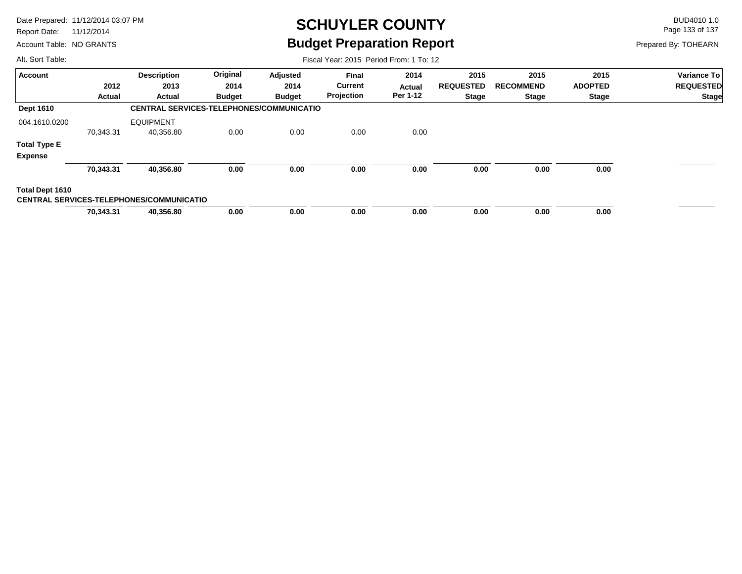Report Date: 11/12/2014

Account Table: NO GRANTS

## **SCHUYLER COUNTY** BUD4010 1.0 **Budget Preparation Report**

Fiscal Year: 2015 Period From: 1 To: 12

Page 133 of 137

Prepared By: TOHEARN

| <b>Account</b>      |           | <b>Description</b>                              | Original      | Adjusted      | <b>Final</b>   | 2014     | 2015             | 2015             | 2015           | <b>Variance To</b> |
|---------------------|-----------|-------------------------------------------------|---------------|---------------|----------------|----------|------------------|------------------|----------------|--------------------|
|                     | 2012      | 2013                                            | 2014          | 2014          | <b>Current</b> | Actual   | <b>REQUESTED</b> | <b>RECOMMEND</b> | <b>ADOPTED</b> | <b>REQUESTED</b>   |
|                     | Actual    | Actual                                          | <b>Budget</b> | <b>Budget</b> | Projection     | Per 1-12 | <b>Stage</b>     | <b>Stage</b>     | <b>Stage</b>   | <b>Stage</b>       |
| <b>Dept 1610</b>    |           | <b>CENTRAL SERVICES-TELEPHONES/COMMUNICATIO</b> |               |               |                |          |                  |                  |                |                    |
| 004.1610.0200       |           | <b>EQUIPMENT</b>                                |               |               |                |          |                  |                  |                |                    |
|                     | 70,343.31 | 40,356.80                                       | 0.00          | 0.00          | 0.00           | 0.00     |                  |                  |                |                    |
| <b>Total Type E</b> |           |                                                 |               |               |                |          |                  |                  |                |                    |
| <b>Expense</b>      |           |                                                 |               |               |                |          |                  |                  |                |                    |
|                     | 70,343.31 | 40,356.80                                       | 0.00          | 0.00          | 0.00           | 0.00     | 0.00             | 0.00             | 0.00           |                    |
| Total Dept 1610     |           |                                                 |               |               |                |          |                  |                  |                |                    |
|                     |           | <b>CENTRAL SERVICES-TELEPHONES/COMMUNICATIO</b> |               |               |                |          |                  |                  |                |                    |
|                     | 70,343.31 | 40,356.80                                       | 0.00          | 0.00          | 0.00           | 0.00     | 0.00             | 0.00             | 0.00           |                    |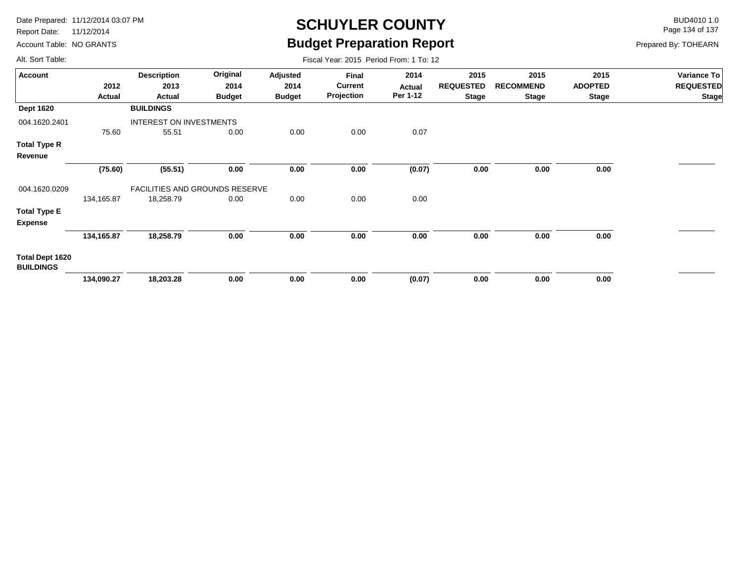Report Date: 11/12/2014

Account Table: NO GRANTS

## **SCHUYLER COUNTY** BUD4010 1.0 **Budget Preparation Report**

Fiscal Year: 2015 Period From: 1 To: 12

Page 134 of 137

Prepared By: TOHEARN

| <b>Account</b>                      |            | <b>Description</b>                    | Original      | Adjusted      | Final          | 2014     | 2015             | 2015             | 2015           | Variance To      |
|-------------------------------------|------------|---------------------------------------|---------------|---------------|----------------|----------|------------------|------------------|----------------|------------------|
|                                     | 2012       | 2013                                  | 2014          | 2014          | <b>Current</b> | Actual   | <b>REQUESTED</b> | <b>RECOMMEND</b> | <b>ADOPTED</b> | <b>REQUESTED</b> |
|                                     | Actual     | Actual                                | <b>Budget</b> | <b>Budget</b> | Projection     | Per 1-12 | <b>Stage</b>     | <b>Stage</b>     | <b>Stage</b>   | <b>Stage</b>     |
| <b>Dept 1620</b>                    |            | <b>BUILDINGS</b>                      |               |               |                |          |                  |                  |                |                  |
| 004.1620.2401                       |            | INTEREST ON INVESTMENTS               |               |               |                |          |                  |                  |                |                  |
|                                     | 75.60      | 55.51                                 | 0.00          | 0.00          | 0.00           | 0.07     |                  |                  |                |                  |
| Total Type R                        |            |                                       |               |               |                |          |                  |                  |                |                  |
| Revenue                             |            |                                       |               |               |                |          |                  |                  |                |                  |
|                                     | (75.60)    | (55.51)                               | 0.00          | 0.00          | 0.00           | (0.07)   | 0.00             | 0.00             | 0.00           |                  |
| 004.1620.0209                       |            | <b>FACILITIES AND GROUNDS RESERVE</b> |               |               |                |          |                  |                  |                |                  |
|                                     | 134,165.87 | 18,258.79                             | 0.00          | 0.00          | 0.00           | 0.00     |                  |                  |                |                  |
| Total Type E<br><b>Expense</b>      |            |                                       |               |               |                |          |                  |                  |                |                  |
|                                     | 134,165.87 | 18,258.79                             | 0.00          | 0.00          | 0.00           | 0.00     | 0.00             | 0.00             | 0.00           |                  |
| Total Dept 1620<br><b>BUILDINGS</b> |            |                                       |               |               |                |          |                  |                  |                |                  |
|                                     | 134,090.27 | 18,203.28                             | 0.00          | 0.00          | 0.00           | (0.07)   | 0.00             | 0.00             | 0.00           |                  |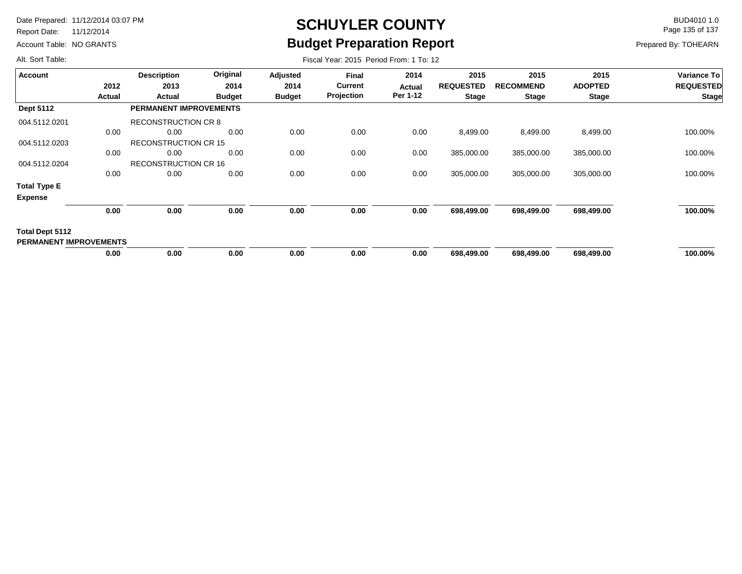Report Date: 11/12/2014

Account Table: NO GRANTS

## **SCHUYLER COUNTY** BUD4010 1.0 **Budget Preparation Report**

Fiscal Year: 2015 Period From: 1 To: 12

Page 135 of 137

Prepared By: TOHEARN

| <b>Account</b>                                          |               | <b>Description</b>            | Original      | Adjusted      | <b>Final</b>      | 2014     | 2015             | 2015             | 2015           | Variance To      |
|---------------------------------------------------------|---------------|-------------------------------|---------------|---------------|-------------------|----------|------------------|------------------|----------------|------------------|
|                                                         | 2012          | 2013                          | 2014          | 2014          | <b>Current</b>    | Actual   | <b>REQUESTED</b> | <b>RECOMMEND</b> | <b>ADOPTED</b> | <b>REQUESTED</b> |
|                                                         | <b>Actual</b> | Actual                        | <b>Budget</b> | <b>Budget</b> | <b>Projection</b> | Per 1-12 | <b>Stage</b>     | <b>Stage</b>     | <b>Stage</b>   | <b>Stage</b>     |
| <b>Dept 5112</b>                                        |               | <b>PERMANENT IMPROVEMENTS</b> |               |               |                   |          |                  |                  |                |                  |
| 004.5112.0201                                           |               | <b>RECONSTRUCTION CR 8</b>    |               |               |                   |          |                  |                  |                |                  |
|                                                         | 0.00          | 0.00                          | 0.00          | 0.00          | 0.00              | 0.00     | 8,499.00         | 8,499.00         | 8,499.00       | 100.00%          |
| 004.5112.0203                                           |               | <b>RECONSTRUCTION CR 15</b>   |               |               |                   |          |                  |                  |                |                  |
|                                                         | 0.00          | 0.00                          | 0.00          | 0.00          | 0.00              | 0.00     | 385,000.00       | 385,000.00       | 385,000.00     | 100.00%          |
| 004.5112.0204                                           |               | <b>RECONSTRUCTION CR 16</b>   |               |               |                   |          |                  |                  |                |                  |
|                                                         | 0.00          | 0.00                          | 0.00          | 0.00          | 0.00              | 0.00     | 305,000.00       | 305,000.00       | 305,000.00     | 100.00%          |
| <b>Total Type E</b>                                     |               |                               |               |               |                   |          |                  |                  |                |                  |
| <b>Expense</b>                                          |               |                               |               |               |                   |          |                  |                  |                |                  |
|                                                         | 0.00          | 0.00                          | 0.00          | 0.00          | 0.00              | 0.00     | 698,499.00       | 698,499.00       | 698,499.00     | 100.00%          |
| <b>Total Dept 5112</b><br><b>PERMANENT IMPROVEMENTS</b> |               |                               |               |               |                   |          |                  |                  |                |                  |
|                                                         | 0.00          | 0.00                          | 0.00          | 0.00          | 0.00              | 0.00     | 698,499.00       | 698,499.00       | 698,499.00     | 100.00%          |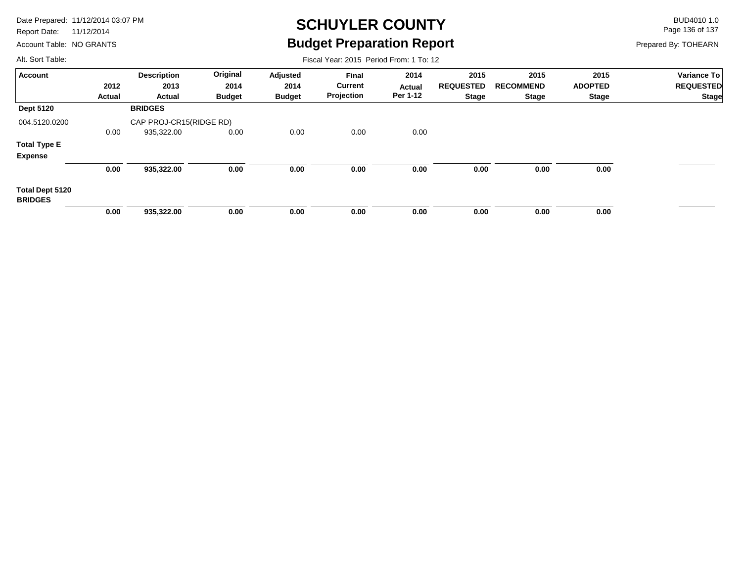Report Date: 11/12/2014

Account Table: NO GRANTS

## **SCHUYLER COUNTY** BUD4010 1.0 **Budget Preparation Report**

Fiscal Year: 2015 Period From: 1 To: 12

Page 136 of 137

Prepared By: TOHEARN

| <b>Account</b>                    |        | <b>Description</b>      | Original      | Adjusted      | <b>Final</b>   | 2014          | 2015             | 2015             | 2015           | Variance To      |
|-----------------------------------|--------|-------------------------|---------------|---------------|----------------|---------------|------------------|------------------|----------------|------------------|
|                                   | 2012   | 2013                    | 2014          | 2014          | <b>Current</b> | <b>Actual</b> | <b>REQUESTED</b> | <b>RECOMMEND</b> | <b>ADOPTED</b> | <b>REQUESTED</b> |
|                                   | Actual | Actual                  | <b>Budget</b> | <b>Budget</b> | Projection     | Per 1-12      | Stage            | <b>Stage</b>     | Stage          | <b>Stage</b>     |
| <b>Dept 5120</b>                  |        | <b>BRIDGES</b>          |               |               |                |               |                  |                  |                |                  |
| 004.5120.0200                     |        | CAP PROJ-CR15(RIDGE RD) |               |               |                |               |                  |                  |                |                  |
|                                   | 0.00   | 935,322.00              | 0.00          | 0.00          | 0.00           | 0.00          |                  |                  |                |                  |
| <b>Total Type E</b>               |        |                         |               |               |                |               |                  |                  |                |                  |
| <b>Expense</b>                    |        |                         |               |               |                |               |                  |                  |                |                  |
|                                   | 0.00   | 935,322.00              | 0.00          | 0.00          | 0.00           | 0.00          | 0.00             | 0.00             | 0.00           |                  |
| Total Dept 5120<br><b>BRIDGES</b> |        |                         |               |               |                |               |                  |                  |                |                  |
|                                   | 0.00   | 935,322.00              | 0.00          | 0.00          | 0.00           | 0.00          | 0.00             | 0.00             | 0.00           |                  |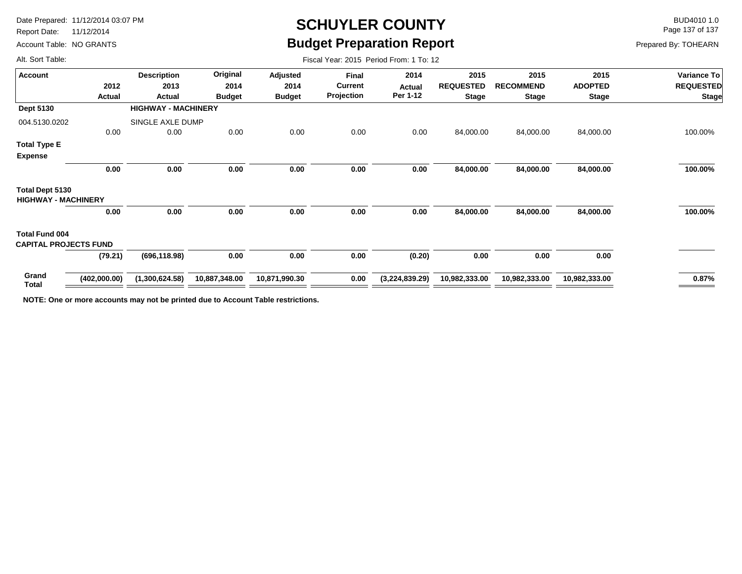Report Date: 11/12/2014

Account Table: NO GRANTS

## **SCHUYLER COUNTY** BUD4010 1.0 **Budget Preparation Report**

Fiscal Year: 2015 Period From: 1 To: 12

Page 137 of 137

Prepared By: TOHEARN

Alt. Sort Table:

| <b>Account</b>                                        |                | <b>Description</b><br>2013<br>Actual | Original              | Adjusted              | Final<br><b>Current</b><br>Projection | 2014<br>Actual<br>Per 1-12 | 2015                             | 2015<br><b>RECOMMEND</b><br>Stage | 2015<br><b>ADOPTED</b><br><b>Stage</b> | <b>Variance To</b> |
|-------------------------------------------------------|----------------|--------------------------------------|-----------------------|-----------------------|---------------------------------------|----------------------------|----------------------------------|-----------------------------------|----------------------------------------|--------------------|
|                                                       | 2012<br>Actual |                                      | 2014<br><b>Budget</b> | 2014<br><b>Budget</b> |                                       |                            | <b>REQUESTED</b><br><b>Stage</b> |                                   |                                        | <b>REQUESTED</b>   |
|                                                       |                |                                      |                       |                       |                                       |                            |                                  |                                   |                                        | <b>Stage</b>       |
| Dept 5130                                             |                | <b>HIGHWAY - MACHINERY</b>           |                       |                       |                                       |                            |                                  |                                   |                                        |                    |
| 004.5130.0202                                         |                | SINGLE AXLE DUMP                     |                       |                       |                                       |                            |                                  |                                   |                                        |                    |
|                                                       | 0.00           | 0.00                                 | 0.00                  | 0.00                  | 0.00                                  | 0.00                       | 84,000.00                        | 84,000.00                         | 84,000.00                              | 100.00%            |
| <b>Total Type E</b>                                   |                |                                      |                       |                       |                                       |                            |                                  |                                   |                                        |                    |
| <b>Expense</b>                                        |                |                                      |                       |                       |                                       |                            |                                  |                                   |                                        |                    |
|                                                       | 0.00           | 0.00                                 | 0.00                  | 0.00                  | 0.00                                  | 0.00                       | 84,000.00                        | 84,000.00                         | 84,000.00                              | 100.00%            |
| <b>Total Dept 5130</b><br><b>HIGHWAY - MACHINERY</b>  |                |                                      |                       |                       |                                       |                            |                                  |                                   |                                        |                    |
|                                                       | 0.00           | 0.00                                 | 0.00                  | 0.00                  | 0.00                                  | 0.00                       | 84,000.00                        | 84,000.00                         | 84,000.00                              | 100.00%            |
| <b>Total Fund 004</b><br><b>CAPITAL PROJECTS FUND</b> |                |                                      |                       |                       |                                       |                            |                                  |                                   |                                        |                    |
|                                                       | (79.21)        | (696, 118.98)                        | 0.00                  | 0.00                  | 0.00                                  | (0.20)                     | 0.00                             | 0.00                              | 0.00                                   |                    |
| Grand<br>Total                                        | (402,000.00)   | (1,300,624.58)                       | 10,887,348.00         | 10,871,990.30         | 0.00                                  | (3,224,839.29)             | 10,982,333.00                    | 10,982,333.00                     | 10,982,333.00                          | 0.87%              |
|                                                       |                |                                      |                       |                       |                                       |                            |                                  |                                   |                                        |                    |

**NOTE: One or more accounts may not be printed due to Account Table restrictions.**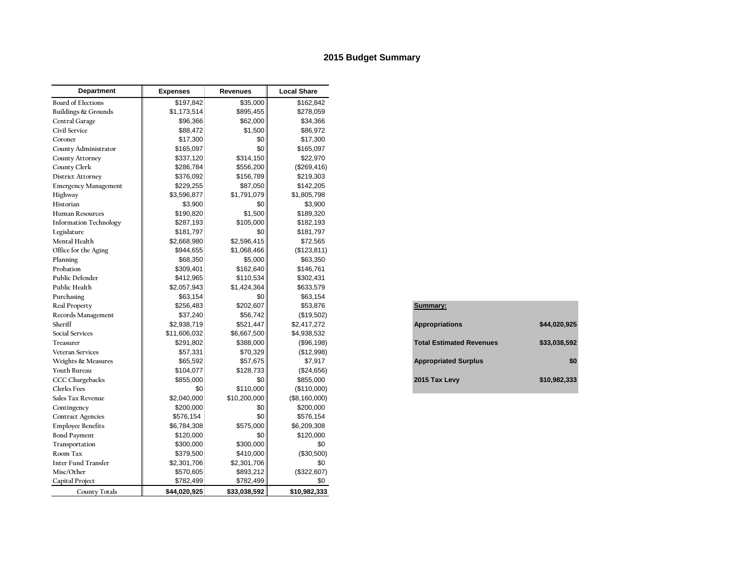#### **2015 Budget Summary**

| Department                    | <b>Expenses</b> | <b>Revenues</b> | <b>Local Share</b> |                             |                                 |              |
|-------------------------------|-----------------|-----------------|--------------------|-----------------------------|---------------------------------|--------------|
| <b>Board of Elections</b>     | \$197,842       | \$35,000        | \$162,842          |                             |                                 |              |
| Buildings & Grounds           | \$1,173,514     | \$895,455       | \$278,059          |                             |                                 |              |
| Central Garage                | \$96,366        | \$62,000        | \$34,366           |                             |                                 |              |
| Civil Service                 | \$88,472        | \$1,500         | \$86,972           |                             |                                 |              |
| Coroner                       | \$17,300        | \$0             | \$17,300           |                             |                                 |              |
| County Administrator          | \$165,097       | \$0             | \$165,097          |                             |                                 |              |
| <b>County Attorney</b>        | \$337,120       | \$314,150       | \$22,970           |                             |                                 |              |
| County Clerk                  | \$286,784       | \$556,200       | (\$269,416)        |                             |                                 |              |
| <b>District Attorney</b>      | \$376,092       | \$156,789       | \$219,303          |                             |                                 |              |
| <b>Emergency Management</b>   | \$229,255       | \$87,050        | \$142,205          |                             |                                 |              |
| Highway                       | \$3,596,877     | \$1,791,079     | \$1,805,798        |                             |                                 |              |
| Historian                     | \$3,900         | \$0             | \$3,900            |                             |                                 |              |
| <b>Human Resources</b>        | \$190,820       | \$1,500         | \$189,320          |                             |                                 |              |
| <b>Information Technology</b> | \$287,193       | \$105,000       | \$182,193          |                             |                                 |              |
| Legislature                   | \$181,797       | \$0             | \$181,797          |                             |                                 |              |
| Mental Health                 | \$2,668,980     | \$2,596,415     | \$72,565           |                             |                                 |              |
| Office for the Aging          | \$944,655       | \$1,068,466     | (\$123, 811)       |                             |                                 |              |
| Planning                      | \$68,350        | \$5,000         | \$63,350           |                             |                                 |              |
| Probation                     | \$309,401       | \$162,640       | \$146,761          |                             |                                 |              |
| Public Defender               | \$412,965       | \$110,534       | \$302,431          |                             |                                 |              |
| Public Health                 | \$2,057,943     | \$1,424,364     | \$633,579          |                             |                                 |              |
| Purchasing                    | \$63,154        | \$0             | \$63,154           |                             |                                 |              |
| Real Property                 | \$256,483       | \$202,607       | \$53,876           | Summary:                    |                                 |              |
| Records Management            | \$37,240        | \$56,742        | (\$19,502)         |                             |                                 |              |
| Sheriff                       | \$2,938,719     | \$521,447       | \$2,417,272        | <b>Appropriations</b>       |                                 | \$44,020,925 |
| <b>Social Services</b>        | \$11,606,032    | \$6,667,500     | \$4,938,532        |                             |                                 |              |
| <b>Treasurer</b>              | \$291,802       | \$388,000       | (\$96,198)         |                             | <b>Total Estimated Revenues</b> | \$33,038,592 |
| <b>Veteran Services</b>       | \$57,331        | \$70,329        | (\$12,998)         |                             |                                 |              |
| Weights & Measures            | \$65,592        | \$57,675        | \$7,917            | <b>Appropriated Surplus</b> |                                 | \$0          |
| Youth Bureau                  | \$104,077       | \$128,733       | (\$24,656)         |                             |                                 |              |
| <b>CCC</b> Chargebacks        | \$855,000       | \$0             | \$855,000          | 2015 Tax Levy               |                                 | \$10,982,333 |
| <b>Clerks</b> Fees            | \$0             | \$110,000       | (\$110,000)        |                             |                                 |              |
| Sales Tax Revenue             | \$2,040,000     | \$10,200,000    | (\$8,160,000)      |                             |                                 |              |
| Contingency                   | \$200,000       | \$0             | \$200,000          |                             |                                 |              |
| <b>Contract Agencies</b>      | \$576,154       | \$0             | \$576,154          |                             |                                 |              |
| <b>Employee Benefits</b>      | \$6,784,308     | \$575,000       | \$6,209,308        |                             |                                 |              |
| <b>Bond Payment</b>           | \$120,000       | \$0             | \$120,000          |                             |                                 |              |
| Transportation                | \$300,000       | \$300,000       | \$0                |                             |                                 |              |
| Room Tax                      | \$379,500       | \$410,000       | (\$30,500)         |                             |                                 |              |
| <b>Inter Fund Transfer</b>    | \$2,301,706     | \$2,301,706     | \$0                |                             |                                 |              |
| Misc/Other                    | \$570,605       | \$893,212       | (\$322,607)        |                             |                                 |              |
| Capital Project               | \$782,499       | \$782,499       | \$0                |                             |                                 |              |
| <b>County Totals</b>          | \$44,020,925    | \$33,038,592    | \$10,982,333       |                             |                                 |              |

| Summary:                        |              |
|---------------------------------|--------------|
| <b>Appropriations</b>           | \$44.020.925 |
| <b>Total Estimated Revenues</b> | \$33.038.592 |
| <b>Appropriated Surplus</b>     | \$0          |
| 2015 Tax Levy                   | \$10,982,333 |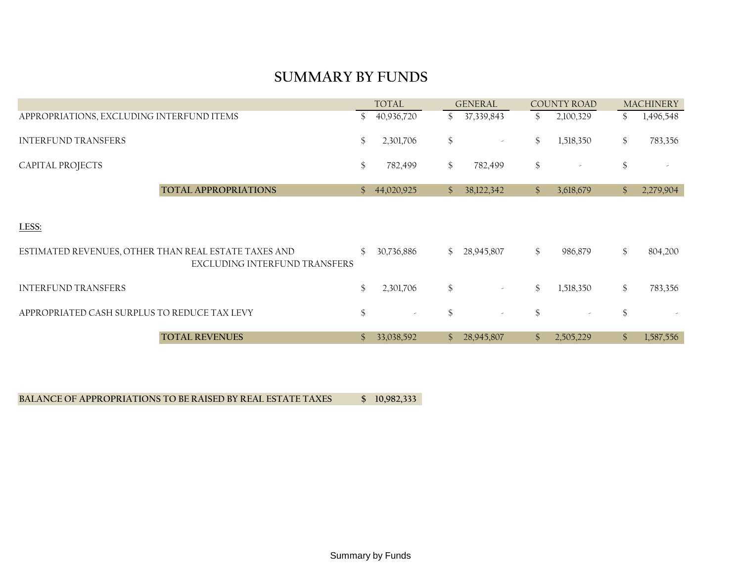#### **SUMMARY BY FUNDS**

|                                                                                       | <b>TOTAL</b>   |                          |                | <b>GENERAL</b> |               | <b>COUNTY ROAD</b>       |                | <b>MACHINERY</b> |  |
|---------------------------------------------------------------------------------------|----------------|--------------------------|----------------|----------------|---------------|--------------------------|----------------|------------------|--|
| APPROPRIATIONS, EXCLUDING INTERFUND ITEMS                                             |                | 40,936,720               |                | \$37,339,843   | $\mathcal{S}$ | 2,100,329                | $\mathbb{S}^-$ | 1,496,548        |  |
| <b>INTERFUND TRANSFERS</b>                                                            | <sup>\$</sup>  | 2,301,706                | $\frac{6}{5}$  | $\sim$         | \$            | 1,518,350                | \$             | 783,356          |  |
| CAPITAL PROJECTS                                                                      | \$             | 782,499                  | $\frac{1}{2}$  | 782,499        | \$            | $\overline{\phantom{a}}$ | \$             |                  |  |
| <b>TOTAL APPROPRIATIONS</b>                                                           | $\mathbb{S}^-$ | 44,020,925               | $\mathcal{S}$  | 38,122,342     | $\mathcal{S}$ | 3,618,679                | $\mathcal{S}$  | 2,279,904        |  |
| LESS:                                                                                 |                |                          |                |                |               |                          |                |                  |  |
| ESTIMATED REVENUES, OTHER THAN REAL ESTATE TAXES AND<br>EXCLUDING INTERFUND TRANSFERS |                | 30,736,886               | $\mathbb{S}^-$ | 28,945,807     | $\frac{1}{2}$ | 986,879                  | \$             | 804,200          |  |
| <b>INTERFUND TRANSFERS</b>                                                            | $\mathcal{S}$  | 2,301,706                | $\frac{6}{5}$  | $\omega$       | $\mathcal{S}$ | 1,518,350                | \$             | 783,356          |  |
| APPROPRIATED CASH SURPLUS TO REDUCE TAX LEVY                                          |                | $\overline{\phantom{a}}$ | \$             | $\sim$         | \$            | $\overline{\phantom{a}}$ | \$             |                  |  |
| <b>TOTAL REVENUES</b>                                                                 | <sup>\$</sup>  | 33,038,592               | $\mathcal{S}$  | 28,945,807     | $\mathbb{S}$  | 2,505,229                | $\mathcal{S}$  | 1,587,556        |  |

**BALANCE OF APPROPRIATIONS TO BE RAISED BY REAL ESTATE TAXES \$ 10,982,333**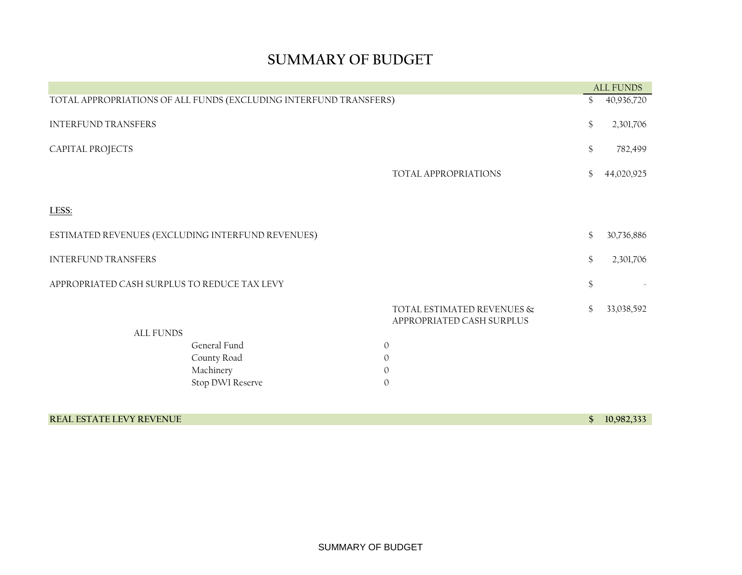# **SUMMARY OF BUDGET**

|                                                                   |                                                         | <b>ALL FUNDS</b> |
|-------------------------------------------------------------------|---------------------------------------------------------|------------------|
| TOTAL APPROPRIATIONS OF ALL FUNDS (EXCLUDING INTERFUND TRANSFERS) |                                                         | \$<br>40,936,720 |
| <b>INTERFUND TRANSFERS</b>                                        |                                                         | \$<br>2,301,706  |
| CAPITAL PROJECTS                                                  |                                                         | \$<br>782,499    |
|                                                                   | TOTAL APPROPRIATIONS                                    | \$<br>44,020,925 |
| LESS:                                                             |                                                         |                  |
| ESTIMATED REVENUES (EXCLUDING INTERFUND REVENUES)                 |                                                         | \$<br>30,736,886 |
| <b>INTERFUND TRANSFERS</b>                                        |                                                         | \$<br>2,301,706  |
| APPROPRIATED CASH SURPLUS TO REDUCE TAX LEVY                      |                                                         | \$               |
|                                                                   | TOTAL ESTIMATED REVENUES &<br>APPROPRIATED CASH SURPLUS | \$<br>33,038,592 |
| <b>ALL FUNDS</b>                                                  |                                                         |                  |
| General Fund                                                      | $\mathbf{O}$                                            |                  |
| County Road                                                       | $\mathbf{0}$                                            |                  |
| Machinery                                                         | $\mathbf{0}$                                            |                  |
| Stop DWI Reserve                                                  | $\mathbf{O}$                                            |                  |

## **REAL ESTATE LEVY REVENUE \$ 10,982,333**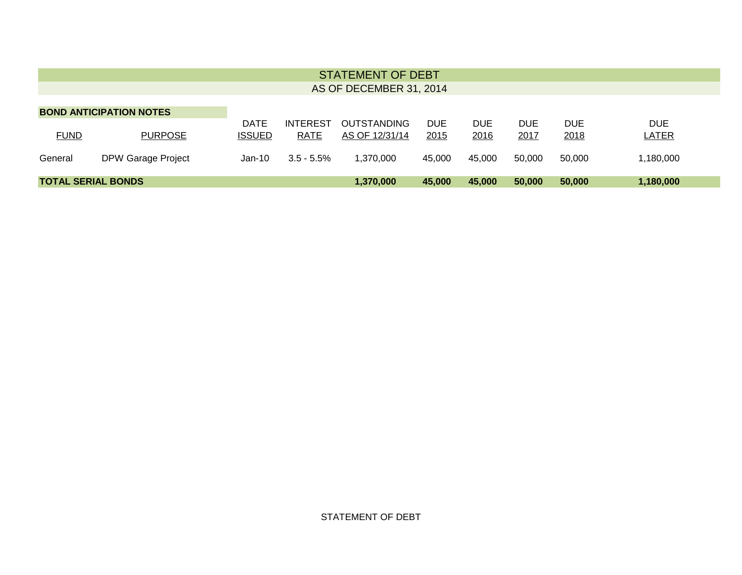| <b>STATEMENT OF DEBT</b><br>AS OF DECEMBER 31, 2014 |                                                  |                              |                         |                                      |              |                    |              |                    |                            |
|-----------------------------------------------------|--------------------------------------------------|------------------------------|-------------------------|--------------------------------------|--------------|--------------------|--------------|--------------------|----------------------------|
| <b>FUND</b>                                         | <b>BOND ANTICIPATION NOTES</b><br><b>PURPOSE</b> | <b>DATE</b><br><b>ISSUED</b> | <b>INTEREST</b><br>RATE | <b>OUTSTANDING</b><br>AS OF 12/31/14 | DUE.<br>2015 | <b>DUE</b><br>2016 | DUE.<br>2017 | <b>DUE</b><br>2018 | <b>DUE</b><br><b>LATER</b> |
| General                                             | <b>DPW Garage Project</b>                        | Jan-10                       | $3.5 - 5.5\%$           | 1.370.000                            | 45,000       | 45.000             | 50.000       | 50.000             | 1,180,000                  |
|                                                     | <b>TOTAL SERIAL BONDS</b>                        |                              |                         | 1,370,000                            | 45,000       | 45,000             | 50,000       | 50,000             | 1,180,000                  |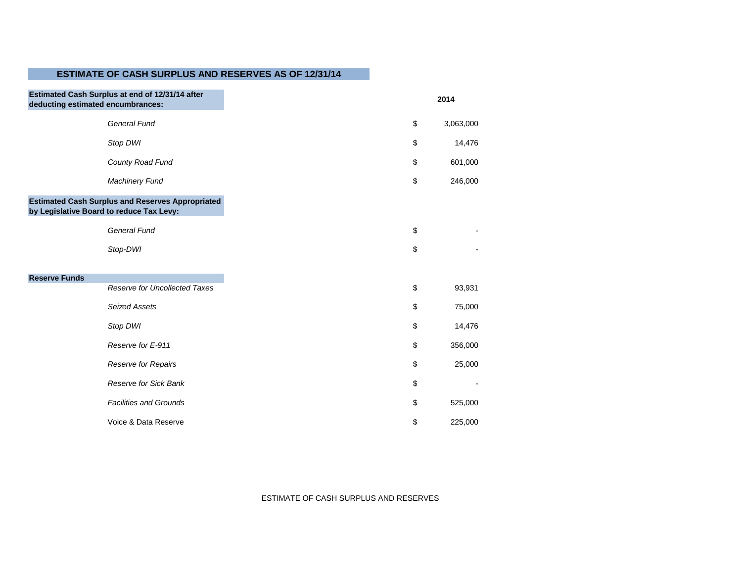# **ESTIMATE OF CASH SURPLUS AND RESERVES AS OF 12/31/14**

| Estimated Cash Surplus at end of 12/31/14 after<br>deducting estimated encumbrances:                |
|-----------------------------------------------------------------------------------------------------|
| General Fund                                                                                        |
| Stop DWI                                                                                            |
| County Road Fund                                                                                    |
| <b>Machinery Fund</b>                                                                               |
| <b>Estimated Cash Surplus and Reserves Appropriated</b><br>by Legislative Board to reduce Tax Levy: |
| <b>General Fund</b>                                                                                 |
| Stop-DWI                                                                                            |
|                                                                                                     |
| <b>Reserve Funds</b><br>Reserve for Uncollected Taxes                                               |
| <b>Seized Assets</b>                                                                                |
| Stop DWI                                                                                            |
| Reserve for E-911                                                                                   |
| Reserve for Repairs                                                                                 |
| Reserve for Sick Bank                                                                               |
| <b>Facilities and Grounds</b>                                                                       |
| Voice & Data Reserve                                                                                |

ESTIMATE OF CASH SURPLUS AND RESERVES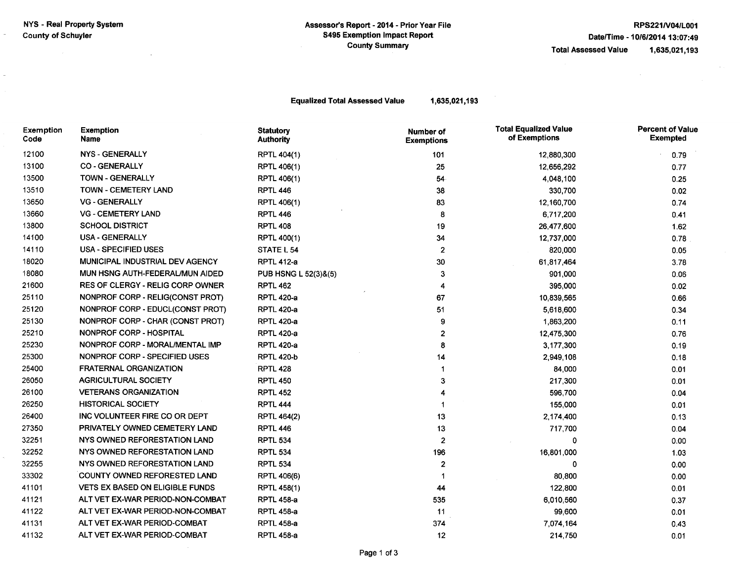$\sim$ 

 $\mathcal{L}$ 

 $\sim$ 

 $\sim 10^7$ 

 $\sim$  .

**Equalized Total Assessed Value** 

1,635,021,193

| Exemption<br>Code | <b>Exemption</b><br>Name                | <b>Statutory</b><br><b>Authority</b> | Number of<br><b>Exemptions</b> | <b>Total Equalized Value</b><br>of Exemptions | <b>Percent of Value</b><br><b>Exempted</b> |
|-------------------|-----------------------------------------|--------------------------------------|--------------------------------|-----------------------------------------------|--------------------------------------------|
| 12100             | <b>NYS - GENERALLY</b>                  | <b>RPTL 404(1)</b>                   | 101                            | 12,880,300                                    | 0.79                                       |
| 13100             | <b>CO - GENERALLY</b>                   | RPTL 406(1)                          | 25                             | 12,656,292                                    | 0.77                                       |
| 13500             | <b>TOWN - GENERALLY</b>                 | RPTL 406(1)                          | $54-$                          | 4,048,100                                     | 0.25                                       |
| 13510             | <b>TOWN - CEMETERY LAND</b>             | <b>RPTL 446</b>                      | 38                             | 330,700                                       | 0.02                                       |
| 13650             | <b>VG - GENERALLY</b>                   | RPTL 406(1)                          | 83                             | 12,160,700                                    | 0.74                                       |
| 13660             | <b>VG - CEMETERY LAND</b>               | <b>RPTL 446</b>                      | 8                              | 6,717,200                                     | 0.41                                       |
| 13800             | <b>SCHOOL DISTRICT</b>                  | <b>RPTL 408</b>                      | 19                             | 26,477,600                                    | 1.62                                       |
| 14100             | <b>USA - GENERALLY</b>                  | RPTL 400(1)                          | 34                             | 12,737,000                                    | 0.78                                       |
| 14110             | <b>USA - SPECIFIED USES</b>             | STATE L 54                           | $\overline{2}$                 | 820,000                                       | 0.05                                       |
| 18020             | MUNICIPAL INDUSTRIAL DEV AGENCY         | <b>RPTL 412-a</b>                    | 30                             | 61,817,464                                    | 3.78                                       |
| 18080             | MUN HSNG AUTH-FEDERAL/MUN AIDED         | PUB HSNG L 52(3)&(5)                 | 3                              | 901,000                                       | 0.06                                       |
| 21600             | <b>RES OF CLERGY - RELIG CORP OWNER</b> | <b>RPTL 462</b>                      | 4                              | 395,000                                       | 0.02                                       |
| 25110             | NONPROF CORP - RELIG(CONST PROT)        | <b>RPTL 420-a</b>                    | 67                             | 10,839,565                                    | 0.66                                       |
| 25120             | NONPROF CORP - EDUCL(CONST PROT)        | <b>RPTL 420-a</b>                    | 51                             | 5,618,600                                     | 0.34                                       |
| 25130             | NONPROF CORP - CHAR (CONST PROT)        | <b>RPTL 420-a</b>                    | 9                              | 1,863,200                                     | 0.11                                       |
| 25210             | <b>NONPROF CORP - HOSPITAL</b>          | <b>RPTL 420-a</b>                    | 2                              | 12,475,300                                    | 0.76                                       |
| 25230             | NONPROF CORP - MORAL/MENTAL IMP         | <b>RPTL 420-a</b>                    | 8                              | 3,177,300                                     | 0.19                                       |
| 25300             | NONPROF CORP - SPECIFIED USES           | <b>RPTL 420-b</b>                    | 14                             | 2,949,108                                     | 0.18                                       |
| 25400             | <b>FRATERNAL ORGANIZATION</b>           | <b>RPTL 428</b>                      | 1                              | 84,000                                        | 0.01                                       |
| 26050             | <b>AGRICULTURAL SOCIETY</b>             | <b>RPTL 450</b>                      | 3                              | 217,300                                       | 0.01                                       |
| 26100             | <b>VETERANS ORGANIZATION</b>            | <b>RPTL 452</b>                      |                                | 596,700                                       | 0.04                                       |
| 26250             | <b>HISTORICAL SOCIETY</b>               | <b>RPTL 444</b>                      | 1                              | 155,000                                       | 0.01                                       |
| 26400             | INC VOLUNTEER FIRE CO OR DEPT           | <b>RPTL 464(2)</b>                   | 13                             | 2,174,400                                     | 0.13                                       |
| 27350             | PRIVATELY OWNED CEMETERY LAND           | <b>RPTL 446</b>                      | 13                             | 717,700                                       | 0.04                                       |
| 32251             | NYS OWNED REFORESTATION LAND            | <b>RPTL 534</b>                      | $\overline{c}$                 | 0                                             | 0.00                                       |
| 32252             | NYS OWNED REFORESTATION LAND            | <b>RPTL 534</b>                      | 196                            | 16,801,000                                    | 1.03                                       |
| 32255             | NYS OWNED REFORESTATION LAND            | <b>RPTL 534</b>                      | 2                              | 0                                             | 0.00                                       |
| 33302             | COUNTY OWNED REFORESTED LAND            | <b>RPTL 406(6)</b>                   | 1                              | 80,800                                        | 0.00                                       |
| 41101             | <b>VETS EX BASED ON ELIGIBLE FUNDS</b>  | <b>RPTL 458(1)</b>                   | 44                             | 122,800                                       | 0.01                                       |
| 41121             | ALT VET EX-WAR PERIOD-NON-COMBAT        | <b>RPTL 458-a</b>                    | 535                            | 6,010,560                                     | 0.37                                       |
| 41122             | ALT VET EX-WAR PERIOD-NON-COMBAT        | <b>RPTL 458-a</b>                    | 11                             | 99,600                                        | 0.01                                       |
| 41131             | ALT VET EX-WAR PERIOD-COMBAT            | <b>RPTL 458-a</b>                    | 374                            | 7,074,164                                     | 0.43                                       |
| 41132             | ALT VET EX-WAR PERIOD-COMBAT            | <b>RPTL 458-a</b>                    | 12                             | 214,750                                       | 0.01                                       |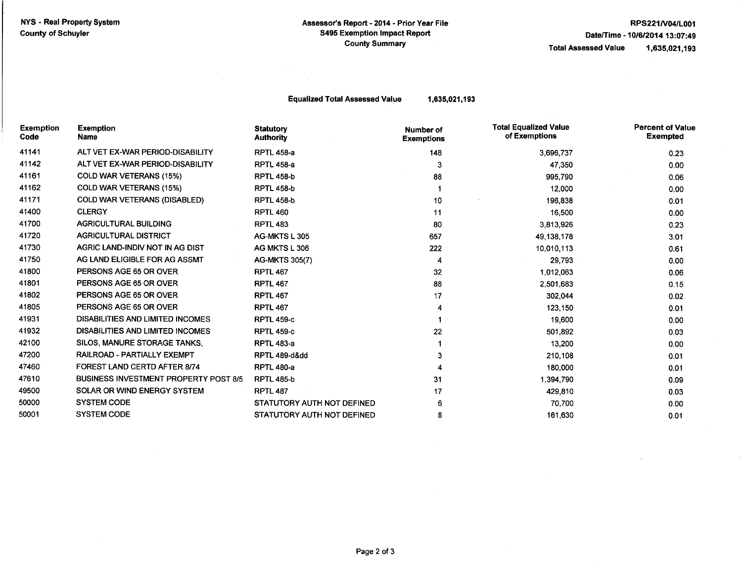#### Assessor's Report - 2014 - Prior Year File **S495 Exemption Impact Report County Summary**

### RPS221/V04/L001 Date/Time - 10/6/2014 13:07:49

**Total Assessed Value** 

1,635,021,193

**Equalized Total Assessed Value** 

 $\sim$ 

1,635,021,193

| <b>Exemption</b><br>Code | <b>Exemption</b><br>Name                     | <b>Statutory</b><br><b>Authority</b> | <b>Number of</b><br><b>Exemptions</b> | <b>Total Equalized Value</b><br>of Exemptions | <b>Percent of Value</b><br><b>Exempted</b> |
|--------------------------|----------------------------------------------|--------------------------------------|---------------------------------------|-----------------------------------------------|--------------------------------------------|
| 41141                    | ALT VET EX-WAR PERIOD-DISABILITY             | <b>RPTL 458-a</b>                    | 148                                   | 3,696,737                                     | 0.23                                       |
| 41142                    | ALT VET EX-WAR PERIOD-DISABILITY             | <b>RPTL 458-a</b>                    | 3                                     | 47,350                                        | 0.00                                       |
| 41161                    | <b>COLD WAR VETERANS (15%)</b>               | <b>RPTL 458-b</b>                    | 88                                    | 995,790                                       | 0.06                                       |
| 41162                    | <b>COLD WAR VETERANS (15%)</b>               | <b>RPTL 458-b</b>                    |                                       | 12,000                                        | 0.00                                       |
| 41171                    | <b>COLD WAR VETERANS (DISABLED)</b>          | <b>RPTL 458-b</b>                    | 10                                    | 196,838                                       | 0.01                                       |
| 41400                    | <b>CLERGY</b>                                | <b>RPTL 460</b>                      | 11                                    | 16,500                                        | 0.00                                       |
| 41700                    | <b>AGRICULTURAL BUILDING</b>                 | <b>RPTL 483</b>                      | 80                                    | 3,813,926                                     | 0.23                                       |
| 41720                    | <b>AGRICULTURAL DISTRICT</b>                 | AG-MKTS L 305                        | 657                                   | 49,138,178                                    | 3.01                                       |
| 41730                    | AGRIC LAND-INDIV NOT IN AG DIST              | AG MKTS L 306                        | 222                                   | 10,010,113                                    | 0.61                                       |
| 41750                    | AG LAND ELIGIBLE FOR AG ASSMT                | <b>AG-MKTS 305(7)</b>                | 4                                     | 29,793                                        | 0.00                                       |
| 41800                    | PERSONS AGE 65 OR OVER                       | <b>RPTL 467</b>                      | 32                                    | 1,012,063                                     | 0.06                                       |
| 41801                    | PERSONS AGE 65 OR OVER                       | <b>RPTL 467</b>                      | 88                                    | 2,501,683                                     | 0.15                                       |
| 41802                    | PERSONS AGE 65 OR OVER                       | <b>RPTL 467</b>                      | 17                                    | 302,044                                       | 0.02                                       |
| 41805                    | PERSONS AGE 65 OR OVER                       | <b>RPTL 467</b>                      | 4                                     | 123,150                                       | 0.01                                       |
| 41931                    | <b>DISABILITIES AND LIMITED INCOMES</b>      | <b>RPTL 459-c</b>                    |                                       | 19,600                                        | 0.00                                       |
| 41932                    | DISABILITIES AND LIMITED INCOMES             | <b>RPTL 459-c</b>                    | 22                                    | 501,892                                       | 0.03                                       |
| 42100                    | SILOS, MANURE STORAGE TANKS.                 | <b>RPTL 483-a</b>                    |                                       | 13,200                                        | 0.00                                       |
| 47200                    | RAILROAD - PARTIALLY EXEMPT                  | <b>RPTL 489-dⅆ</b>                   |                                       | 210,108                                       | 0.01                                       |
| 47460                    | <b>FOREST LAND CERTD AFTER 8/74</b>          | <b>RPTL 480-a</b>                    | 4                                     | 180,000                                       | 0.01                                       |
| 47610                    | <b>BUSINESS INVESTMENT PROPERTY POST 8/5</b> | <b>RPTL 485-b</b>                    | 31                                    | 1,394,790                                     | 0.09                                       |
| 49500                    | SOLAR OR WIND ENERGY SYSTEM                  | <b>RPTL 487</b>                      | 17                                    | 429,810                                       | 0.03                                       |
| 50000                    | <b>SYSTEM CODE</b>                           | STATUTORY AUTH NOT DEFINED           | 6                                     | 70,700                                        | 0.00                                       |
| 50001                    | <b>SYSTEM CODE</b>                           | STATUTORY AUTH NOT DEFINED           | 8                                     | 161,630                                       | 0.01                                       |

 $\bar{z}$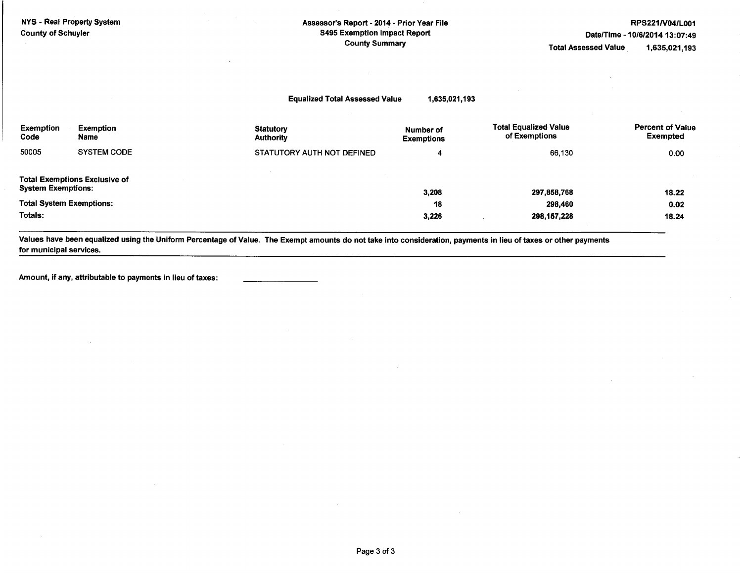| NYS - Real Property System<br><b>County of Schuyler</b> |                                      |                                       | Assessor's Report - 2014 - Prior Year File<br><b>S495 Exemption Impact Report</b><br><b>County Summary</b> |                                               |                                            |
|---------------------------------------------------------|--------------------------------------|---------------------------------------|------------------------------------------------------------------------------------------------------------|-----------------------------------------------|--------------------------------------------|
|                                                         |                                      | <b>Equalized Total Assessed Value</b> | 1,635,021,193                                                                                              |                                               |                                            |
| Exemption<br>Code                                       | <b>Exemption</b><br>Name             | <b>Statutory</b><br><b>Authority</b>  | Number of<br><b>Exemptions</b>                                                                             | <b>Total Equalized Value</b><br>of Exemptions | <b>Percent of Value</b><br><b>Exempted</b> |
| 50005                                                   | <b>SYSTEM CODE</b>                   | STATUTORY AUTH NOT DEFINED            | 4                                                                                                          | 66,130                                        | 0.00                                       |
| <b>System Exemptions:</b>                               | <b>Total Exemptions Exclusive of</b> |                                       | 3,208                                                                                                      | 297,858,768                                   | 18.22                                      |

 $0.02$ 

18.24

**Total System Exemptions:** 18 298,460 Totals: 298, 157, 228 3,226

Values have been equalized using the Uniform Percentage of Value. The Exempt amounts do not take into consideration, payments in lieu of taxes or other payments for municipal services.

Amount, if any, attributable to payments in lieu of taxes: